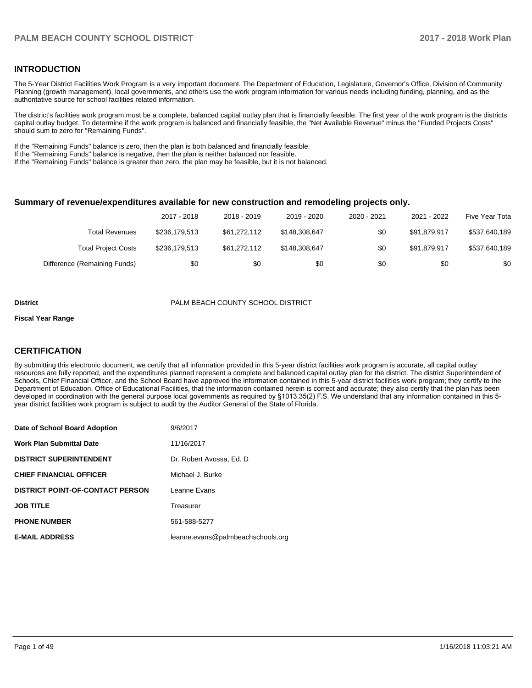#### **INTRODUCTION**

The 5-Year District Facilities Work Program is a very important document. The Department of Education, Legislature, Governor's Office, Division of Community Planning (growth management), local governments, and others use the work program information for various needs including funding, planning, and as the authoritative source for school facilities related information.

The district's facilities work program must be a complete, balanced capital outlay plan that is financially feasible. The first year of the work program is the districts capital outlay budget. To determine if the work program is balanced and financially feasible, the "Net Available Revenue" minus the "Funded Projects Costs" should sum to zero for "Remaining Funds".

If the "Remaining Funds" balance is zero, then the plan is both balanced and financially feasible.

If the "Remaining Funds" balance is negative, then the plan is neither balanced nor feasible.

If the "Remaining Funds" balance is greater than zero, the plan may be feasible, but it is not balanced.

#### **Summary of revenue/expenditures available for new construction and remodeling projects only.**

|                              | 2017 - 2018   | 2018 - 2019  | 2019 - 2020   | 2020 - 2021 | 2021 - 2022  | Five Year Tota |
|------------------------------|---------------|--------------|---------------|-------------|--------------|----------------|
| Total Revenues               | \$236,179.513 | \$61.272.112 | \$148,308,647 | \$0         | \$91.879.917 | \$537,640,189  |
| <b>Total Project Costs</b>   | \$236,179,513 | \$61,272,112 | \$148.308.647 | \$0         | \$91.879.917 | \$537,640,189  |
| Difference (Remaining Funds) | \$0           | \$0          | \$0           | \$0         | \$0          | \$0            |

#### **District** PALM BEACH COUNTY SCHOOL DISTRICT

#### **Fiscal Year Range**

#### **CERTIFICATION**

By submitting this electronic document, we certify that all information provided in this 5-year district facilities work program is accurate, all capital outlay resources are fully reported, and the expenditures planned represent a complete and balanced capital outlay plan for the district. The district Superintendent of Schools, Chief Financial Officer, and the School Board have approved the information contained in this 5-year district facilities work program; they certify to the Department of Education, Office of Educational Facilities, that the information contained herein is correct and accurate; they also certify that the plan has been developed in coordination with the general purpose local governments as required by §1013.35(2) F.S. We understand that any information contained in this 5year district facilities work program is subject to audit by the Auditor General of the State of Florida.

| Date of School Board Adoption           | 9/6/2017                          |
|-----------------------------------------|-----------------------------------|
| <b>Work Plan Submittal Date</b>         | 11/16/2017                        |
| <b>DISTRICT SUPERINTENDENT</b>          | Dr. Robert Avossa. Ed. D          |
| <b>CHIEF FINANCIAL OFFICER</b>          | Michael J. Burke                  |
| <b>DISTRICT POINT-OF-CONTACT PERSON</b> | Leanne Evans                      |
| <b>JOB TITLE</b>                        | Treasurer                         |
| <b>PHONE NUMBER</b>                     | 561-588-5277                      |
| <b>E-MAIL ADDRESS</b>                   | leanne.evans@palmbeachschools.org |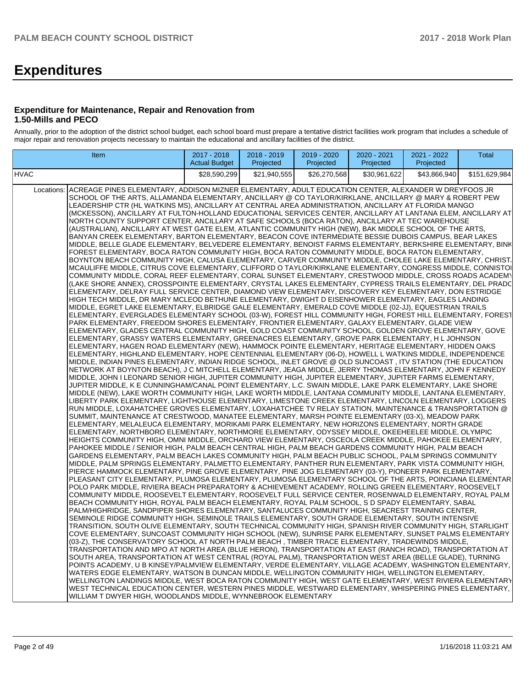# **Expenditures**

#### **Expenditure for Maintenance, Repair and Renovation from 1.50-Mills and PECO**

Annually, prior to the adoption of the district school budget, each school board must prepare a tentative district facilities work program that includes a schedule of major repair and renovation projects necessary to maintain the educational and ancillary facilities of the district.

| Item                                                                                                                                                                                                                                                                                                                                                                                                                                                                                                                                                                                                                                                                                                                                                                                                                                                                                                                                                                                                                                                                                                                                                                                                                                                                                                                                                                                                                                                                                                                                                                                                                                                                                                                                                                                                                                                                                                                                                                                                                                                                                                                                                                                                                                                                                                                                                                                                                                                                                                                                                                                                                                                                                                                                                                                                                                                                                                                                                                                                                                                                                                                                                                                                                                                                                                                                                                                                                                                                                                                                                                                                                                                                                                                                                                                                                                                                                                                                                                                                                                                                                                                                                                                                                                                                                                                                                                                                                                                                                                                                                                                                                                                                                                                                                                                                                                                                                                                                                                                                                                                                                                                                                                                                                                                                                                                                                                                                                                                                                                                                                                                                                                           | 2017 - 2018<br><b>Actual Budget</b> | 2018 - 2019<br>Projected | 2019 - 2020<br>Projected | 2020 - 2021<br>Projected | 2021 - 2022<br>Projected | Total         |
|------------------------------------------------------------------------------------------------------------------------------------------------------------------------------------------------------------------------------------------------------------------------------------------------------------------------------------------------------------------------------------------------------------------------------------------------------------------------------------------------------------------------------------------------------------------------------------------------------------------------------------------------------------------------------------------------------------------------------------------------------------------------------------------------------------------------------------------------------------------------------------------------------------------------------------------------------------------------------------------------------------------------------------------------------------------------------------------------------------------------------------------------------------------------------------------------------------------------------------------------------------------------------------------------------------------------------------------------------------------------------------------------------------------------------------------------------------------------------------------------------------------------------------------------------------------------------------------------------------------------------------------------------------------------------------------------------------------------------------------------------------------------------------------------------------------------------------------------------------------------------------------------------------------------------------------------------------------------------------------------------------------------------------------------------------------------------------------------------------------------------------------------------------------------------------------------------------------------------------------------------------------------------------------------------------------------------------------------------------------------------------------------------------------------------------------------------------------------------------------------------------------------------------------------------------------------------------------------------------------------------------------------------------------------------------------------------------------------------------------------------------------------------------------------------------------------------------------------------------------------------------------------------------------------------------------------------------------------------------------------------------------------------------------------------------------------------------------------------------------------------------------------------------------------------------------------------------------------------------------------------------------------------------------------------------------------------------------------------------------------------------------------------------------------------------------------------------------------------------------------------------------------------------------------------------------------------------------------------------------------------------------------------------------------------------------------------------------------------------------------------------------------------------------------------------------------------------------------------------------------------------------------------------------------------------------------------------------------------------------------------------------------------------------------------------------------------------------------------------------------------------------------------------------------------------------------------------------------------------------------------------------------------------------------------------------------------------------------------------------------------------------------------------------------------------------------------------------------------------------------------------------------------------------------------------------------------------------------------------------------------------------------------------------------------------------------------------------------------------------------------------------------------------------------------------------------------------------------------------------------------------------------------------------------------------------------------------------------------------------------------------------------------------------------------------------------------------------------------------------------------------------------------------------------------------------------------------------------------------------------------------------------------------------------------------------------------------------------------------------------------------------------------------------------------------------------------------------------------------------------------------------------------------------------------------------------------------------------------------------------------------------------|-------------------------------------|--------------------------|--------------------------|--------------------------|--------------------------|---------------|
|                                                                                                                                                                                                                                                                                                                                                                                                                                                                                                                                                                                                                                                                                                                                                                                                                                                                                                                                                                                                                                                                                                                                                                                                                                                                                                                                                                                                                                                                                                                                                                                                                                                                                                                                                                                                                                                                                                                                                                                                                                                                                                                                                                                                                                                                                                                                                                                                                                                                                                                                                                                                                                                                                                                                                                                                                                                                                                                                                                                                                                                                                                                                                                                                                                                                                                                                                                                                                                                                                                                                                                                                                                                                                                                                                                                                                                                                                                                                                                                                                                                                                                                                                                                                                                                                                                                                                                                                                                                                                                                                                                                                                                                                                                                                                                                                                                                                                                                                                                                                                                                                                                                                                                                                                                                                                                                                                                                                                                                                                                                                                                                                                                                | \$28,590,299                        | \$21,940,555             | \$26,270,568             | \$30,961,622             | \$43.866.940             | \$151,629,984 |
| HVAC<br>Locations: ACREAGE PINES ELEMENTARY, ADDISON MIZNER ELEMENTARY, ADULT EDUCATION CENTER, ALEXANDER W DREYFOOS JR<br>SCHOOL OF THE ARTS, ALLAMANDA ELEMENTARY, ANCILLARY @ CO TAYLOR/KIRKLANE, ANCILLARY @ MARY & ROBERT PEW<br>LEADERSHIP CTR (HL WATKINS MS), ANCILLARY AT CENTRAL AREA ADMINISTRATION, ANCILLARY AT FLORIDA MANGO<br>(MCKESSON), ANCILLARY AT FULTON-HOLLAND EDUCATIONAL SERVICES CENTER, ANCILLARY AT LANTANA ELEM, ANCILLARY AT<br>NORTH COUNTY SUPPORT CENTER, ANCILLARY AT SAFE SCHOOLS (BOCA RATON), ANCILLARY AT TEC WAREHOUSE<br>(AUSTRALIAN), ANCILLARY AT WEST GATE ELEM, ATLANTIC COMMUNITY HIGH (NEW), BAK MIDDLE SCHOOL OF THE ARTS,<br>BANYAN CREEK ELEMENTARY, BARTON ELEMENTARY, BEACON COVE INTERMEDIATE BESSIE DUBOIS CAMPUS, BEAR LAKES<br>MIDDLE, BELLE GLADE ELEMENTARY, BELVEDERE ELEMENTARY, BENOIST FARMS ELEMENTARY, BERKSHIRE ELEMENTARY, BINK<br>FOREST ELEMENTARY, BOCA RATON COMMUNITY HIGH, BOCA RATON COMMUNITY MIDDLE, BOCA RATON ELEMENTARY,<br>BOYNTON BEACH COMMUNITY HIGH, CALUSA ELEMENTARY, CARVER COMMUNITY MIDDLE, CHOLEE LAKE ELEMENTARY, CHRIST.<br>MCAULIFFE MIDDLE, CITRUS COVE ELEMENTARY, CLIFFORD O TAYLOR/KIRKLANE ELEMENTARY, CONGRESS MIDDLE, CONNISTOI<br>COMMUNITY MIDDLE, CORAL REEF ELEMENTARY, CORAL SUNSET ELEMENTARY, CRESTWOOD MIDDLE, CROSS ROADS ACADEMY<br>(LAKE SHORE ANNEX), CROSSPOINTE ELEMENTARY, CRYSTAL LAKES ELEMENTARY, CYPRESS TRAILS ELEMENTARY, DEL PRADC<br>ELEMENTARY, DELRAY FULL SERVICE CENTER, DIAMOND VIEW ELEMENTARY, DISCOVERY KEY ELEMENTARY, DON ESTRIDGE<br>HIGH TECH MIDDLE, DR MARY MCLEOD BETHUNE ELEMENTARY, DWIGHT D EISENHOWER ELEMENTARY, EAGLES LANDING<br>MIDDLE, EGRET LAKE ELEMENTARY, ELBRIDGE GALE ELEMENTARY, EMERALD COVE MIDDLE (02-JJ), EQUESTRIAN TRAILS<br>ELEMENTARY, EVERGLADES ELEMENTARY SCHOOL (03-W), FOREST HILL COMMUNITY HIGH, FOREST HILL ELEMENTARY, FOREST<br>PARK ELEMENTARY, FREEDOM SHORES ELEMENTARY, FRONTIER ELEMENTARY, GALAXY ELEMENTARY, GLADE VIEW<br>ELEMENTARY, GLADES CENTRAL COMMUNITY HIGH, GOLD COAST COMMUNITY SCHOOL, GOLDEN GROVE ELEMENTARY, GOVE<br>ELEMENTARY, GRASSY WATERS ELEMENTARY, GREENACRES ELEMENTARY, GROVE PARK ELEMENTARY, H L JOHNSON<br>ELEMENTARY, HAGEN ROAD ELEMENTARY (NEW), HAMMOCK POINTE ELEMENTARY, HERITAGE ELEMENTARY, HIDDEN OAKS<br>ELEMENTARY, HIGHLAND ELEMENTARY, HOPE CENTENNIAL ELEMENTARY (06-D), HOWELL L WATKINS MIDDLE, INDEPENDENCE<br>MIDDLE, INDIAN PINES ELEMENTARY, INDIAN RIDGE SCHOOL, INLET GROVE @ OLD SUNCOAST , ITV STATION (THE EDUCATION<br>NETWORK AT BOYNTON BEACH), J C MITCHELL ELEMENTARY, JEAGA MIDDLE, JERRY THOMAS ELEMENTARY, JOHN F KENNEDY<br>MIDDLE, JOHN I LEONARD SENIOR HIGH, JUPITER COMMUNITY HIGH, JUPITER ELEMENTARY, JUPITER FARMS ELEMENTARY,<br>JUPITER MIDDLE, K E CUNNINGHAM/CANAL POINT ELEMENTARY, L.C. SWAIN MIDDLE, LAKE PARK ELEMENTARY, LAKE SHORE<br>MIDDLE (NEW), LAKE WORTH COMMUNITY HIGH, LAKE WORTH MIDDLE, LANTANA COMMUNITY MIDDLE, LANTANA ELEMENTARY,<br>LIBERTY PARK ELEMENTARY, LIGHTHOUSE ELEMENTARY, LIMESTONE CREEK ELEMENTARY, LINCOLN ELEMENTARY, LOGGERS<br>RUN MIDDLE, LOXAHATCHEE GROVES ELEMENTARY, LOXAHATCHEE TV RELAY STATION, MAINTENANCE & TRANSPORTATION @<br>SUMMIT, MAINTENANCE AT CRESTWOOD, MANATEE ELEMENTARY, MARSH POINTE ELEMENTARY (03-X), MEADOW PARK<br>ELEMENTARY, MELALEUCA ELEMENTARY, MORIKAMI PARK ELEMENTARY, NEW HORIZONS ELEMENTARY, NORTH GRADE<br>ELEMENTARY, NORTHBORO ELEMENTARY, NORTHMORE ELEMENTARY, ODYSSEY MIDDLE, OKEEHEELEE MIDDLE, OLYMPIC<br>HEIGHTS COMMUNITY HIGH, OMNI MIDDLE, ORCHARD VIEW ELEMENTARY, OSCEOLA CREEK MIDDLE, PAHOKEE ELEMENTARY,<br>PAHOKEE MIDDLE / SENIOR HIGH, PALM BEACH CENTRAL HIGH, PALM BEACH GARDENS COMMUNITY HIGH, PALM BEACH<br>GARDENS ELEMENTARY, PALM BEACH LAKES COMMUNITY HIGH, PALM BEACH PUBLIC SCHOOL, PALM SPRINGS COMMUNITY<br>MIDDLE, PALM SPRINGS ELEMENTARY, PALMETTO ELEMENTARY, PANTHER RUN ELEMENTARY, PARK VISTA COMMUNITY HIGH,<br>PIERCE HAMMOCK ELEMENTARY, PINE GROVE ELEMENTARY, PINE JOG ELEMENTARY (03-Y), PIONEER PARK ELEMENTARY,<br>PLEASANT CITY ELEMENTARY, PLUMOSA ELEMENTARY, PLUMOSA ELEMENTARY SCHOOL OF THE ARTS, POINCIANA ELEMENTAR<br>POLO PARK MIDDLE, RIVIERA BEACH PREPARATORY & ACHIEVEMENT ACADEMY, ROLLING GREEN ELEMENTARY, ROOSEVELT<br>COMMUNITY MIDDLE, ROOSEVELT ELEMENTARY, ROOSEVELT FULL SERVICE CENTER, ROSENWALD ELEMENTARY, ROYAL PALM<br>BEACH COMMUNITY HIGH, ROYAL PALM BEACH ELEMENTARY, ROYAL PALM SCHOOL, S D SPADY ELEMENTARY, SABAL<br>PALM/HIGHRIDGE, SANDPIPER SHORES ELEMENTARY, SANTALUCES COMMUNITY HIGH, SEACREST TRAINING CENTER,<br>SEMINOLE RIDGE COMMUNITY HIGH, SEMINOLE TRAILS ELEMENTARY, SOUTH GRADE ELEMENTARY, SOUTH INTENSIVE<br>TRANSITION, SOUTH OLIVE ELEMENTARY, SOUTH TECHNICAL COMMUNITY HIGH, SPANISH RIVER COMMUNITY HIGH, STARLIGHT<br>COVE ELEMENTARY, SUNCOAST COMMUNITY HIGH SCHOOL (NEW), SUNRISE PARK ELEMENTARY, SUNSET PALMS ELEMENTARY<br>(03-Z), THE CONSERVATORY SCHOOL AT NORTH PALM BEACH , TIMBER TRACE ELEMENTARY, TRADEWINDS MIDDLE,<br>TRANSPORTATION AND MPO AT NORTH AREA (BLUE HERON), TRANSPORTATION AT EAST (RANCH ROAD), TRANSPORTATION AT<br>SOUTH AREA, TRANSPORTATION AT WEST CENTRAL (ROYAL PALM), TRANSPORTATION WEST AREA (BELLE GLADE), TURNING<br>POINTS ACADEMY, U B KINSEY/PALMVIEW ELEMENTARY, VERDE ELEMENTARY, VILLAGE ACADEMY, WASHINGTON ELEMENTARY,<br>WATERS EDGE ELEMENTARY, WATSON B DUNCAN MIDDLE, WELLINGTON COMMUNITY HIGH, WELLINGTON ELEMENTARY,<br>WELLINGTON LANDINGS MIDDLE, WEST BOCA RATON COMMUNITY HIGH, WEST GATE ELEMENTARY, WEST RIVIERA ELEMENTARY |                                     |                          |                          |                          |                          |               |
| WEST TECHNICAL EDUCATION CENTER, WESTERN PINES MIDDLE, WESTWARD ELEMENTARY, WHISPERING PINES ELEMENTARY,<br>WILLIAM T DWYER HIGH, WOODLANDS MIDDLE, WYNNEBROOK ELEMENTARY                                                                                                                                                                                                                                                                                                                                                                                                                                                                                                                                                                                                                                                                                                                                                                                                                                                                                                                                                                                                                                                                                                                                                                                                                                                                                                                                                                                                                                                                                                                                                                                                                                                                                                                                                                                                                                                                                                                                                                                                                                                                                                                                                                                                                                                                                                                                                                                                                                                                                                                                                                                                                                                                                                                                                                                                                                                                                                                                                                                                                                                                                                                                                                                                                                                                                                                                                                                                                                                                                                                                                                                                                                                                                                                                                                                                                                                                                                                                                                                                                                                                                                                                                                                                                                                                                                                                                                                                                                                                                                                                                                                                                                                                                                                                                                                                                                                                                                                                                                                                                                                                                                                                                                                                                                                                                                                                                                                                                                                                      |                                     |                          |                          |                          |                          |               |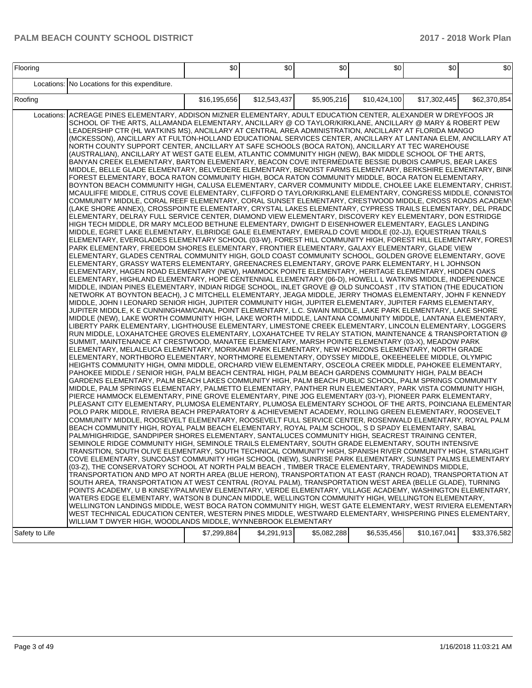| Locations: No Locations for this expenditure.<br>\$5,905,216<br>\$62,370,854<br>Roofing<br>\$16,195,656<br>\$12,543,437<br>\$10,424,100<br>\$17,302,445<br>Locations: ACREAGE PINES ELEMENTARY, ADDISON MIZNER ELEMENTARY, ADULT EDUCATION CENTER, ALEXANDER W DREYFOOS JR<br>SCHOOL OF THE ARTS, ALLAMANDA ELEMENTARY, ANCILLARY @ CO TAYLOR/KIRKLANE, ANCILLARY @ MARY & ROBERT PEW<br>LEADERSHIP CTR (HL WATKINS MS), ANCILLARY AT CENTRAL AREA ADMINISTRATION, ANCILLARY AT FLORIDA MANGO<br>(MCKESSON), ANCILLARY AT FULTON-HOLLAND EDUCATIONAL SERVICES CENTER, ANCILLARY AT LANTANA ELEM, ANCILLARY AT <br>NORTH COUNTY SUPPORT CENTER, ANCILLARY AT SAFE SCHOOLS (BOCA RATON), ANCILLARY AT TEC WAREHOUSE<br>(AUSTRALIAN), ANCILLARY AT WEST GATE ELEM, ATLANTIC COMMUNITY HIGH (NEW), BAK MIDDLE SCHOOL OF THE ARTS,<br>BANYAN CREEK ELEMENTARY, BARTON ELEMENTARY, BEACON COVE INTERMEDIATE BESSIE DUBOIS CAMPUS, BEAR LAKES<br>MIDDLE, BELLE GLADE ELEMENTARY, BELVEDERE ELEMENTARY, BENOIST FARMS ELEMENTARY, BERKSHIRE ELEMENTARY, BINK<br>FOREST ELEMENTARY, BOCA RATON COMMUNITY HIGH, BOCA RATON COMMUNITY MIDDLE, BOCA RATON ELEMENTARY,<br>BOYNTON BEACH COMMUNITY HIGH, CALUSA ELEMENTARY, CARVER COMMUNITY MIDDLE, CHOLEE LAKE ELEMENTARY, CHRIST.<br>MCAULIFFE MIDDLE, CITRUS COVE ELEMENTARY, CLIFFORD O TAYLOR/KIRKLANE ELEMENTARY, CONGRESS MIDDLE, CONNISTOI<br>COMMUNITY MIDDLE, CORAL REEF ELEMENTARY, CORAL SUNSET ELEMENTARY, CRESTWOOD MIDDLE, CROSS ROADS ACADEMY<br>(LAKE SHORE ANNEX), CROSSPOINTE ELEMENTARY, CRYSTAL LAKES ELEMENTARY, CYPRESS TRAILS ELEMENTARY, DEL PRADC <br>ELEMENTARY, DELRAY FULL SERVICE CENTER, DIAMOND VIEW ELEMENTARY, DISCOVERY KEY ELEMENTARY, DON ESTRIDGE<br>HIGH TECH MIDDLE, DR MARY MCLEOD BETHUNE ELEMENTARY, DWIGHT D EISENHOWER ELEMENTARY, EAGLES LANDING<br>MIDDLE. EGRET LAKE ELEMENTARY. ELBRIDGE GALE ELEMENTARY. EMERALD COVE MIDDLE (02-JJ). EQUESTRIAN TRAILS<br>ELEMENTARY, EVERGLADES ELEMENTARY SCHOOL (03-W), FOREST HILL COMMUNITY HIGH, FOREST HILL ELEMENTARY, FOREST<br>PARK ELEMENTARY, FREEDOM SHORES ELEMENTARY, FRONTIER ELEMENTARY, GALAXY ELEMENTARY, GLADE VIEW<br>ELEMENTARY, GLADES CENTRAL COMMUNITY HIGH, GOLD COAST COMMUNITY SCHOOL, GOLDEN GROVE ELEMENTARY, GOVE<br>ELEMENTARY, GRASSY WATERS ELEMENTARY, GREENACRES ELEMENTARY, GROVE PARK ELEMENTARY, H L JOHNSON<br>ELEMENTARY, HAGEN ROAD ELEMENTARY (NEW), HAMMOCK POINTE ELEMENTARY, HERITAGE ELEMENTARY, HIDDEN OAKS<br>ELEMENTARY, HIGHLAND ELEMENTARY, HOPE CENTENNIAL ELEMENTARY (06-D), HOWELL L WATKINS MIDDLE, INDEPENDENCE<br>MIDDLE, INDIAN PINES ELEMENTARY, INDIAN RIDGE SCHOOL, INLET GROVE @ OLD SUNCOAST, ITV STATION (THE EDUCATION<br>NETWORK AT BOYNTON BEACH), J C MITCHELL ELEMENTARY, JEAGA MIDDLE, JERRY THOMAS ELEMENTARY, JOHN F KENNEDY<br>MIDDLE, JOHN I LEONARD SENIOR HIGH, JUPITER COMMUNITY HIGH, JUPITER ELEMENTARY, JUPITER FARMS ELEMENTARY,<br>JUPITER MIDDLE, K E CUNNINGHAM/CANAL POINT ELEMENTARY, L.C. SWAIN MIDDLE, LAKE PARK ELEMENTARY, LAKE SHORE<br>MIDDLE (NEW), LAKE WORTH COMMUNITY HIGH, LAKE WORTH MIDDLE, LANTANA COMMUNITY MIDDLE, LANTANA ELEMENTARY,<br>LIBERTY PARK ELEMENTARY, LIGHTHOUSE ELEMENTARY, LIMESTONE CREEK ELEMENTARY, LINCOLN ELEMENTARY, LOGGERS<br>RUN MIDDLE, LOXAHATCHEE GROVES ELEMENTARY, LOXAHATCHEE TV RELAY STATION, MAINTENANCE & TRANSPORTATION @<br>SUMMIT, MAINTENANCE AT CRESTWOOD, MANATEE ELEMENTARY, MARSH POINTE ELEMENTARY (03-X), MEADOW PARK<br>ELEMENTARY, MELALEUCA ELEMENTARY, MORIKAMI PARK ELEMENTARY, NEW HORIZONS ELEMENTARY, NORTH GRADE<br>ELEMENTARY, NORTHBORO ELEMENTARY, NORTHMORE ELEMENTARY, ODYSSEY MIDDLE, OKEEHEELEE MIDDLE, OLYMPIC<br>HEIGHTS COMMUNITY HIGH, OMNI MIDDLE, ORCHARD VIEW ELEMENTARY, OSCEOLA CREEK MIDDLE, PAHOKEE ELEMENTARY,<br>PAHOKEE MIDDLE / SENIOR HIGH, PALM BEACH CENTRAL HIGH, PALM BEACH GARDENS COMMUNITY HIGH, PALM BEACH<br>GARDENS ELEMENTARY, PALM BEACH LAKES COMMUNITY HIGH, PALM BEACH PUBLIC SCHOOL, PALM SPRINGS COMMUNITY<br>MIDDLE, PALM SPRINGS ELEMENTARY, PALMETTO ELEMENTARY, PANTHER RUN ELEMENTARY, PARK VISTA COMMUNITY HIGH,<br>PIERCE HAMMOCK ELEMENTARY, PINE GROVE ELEMENTARY, PINE JOG ELEMENTARY (03-Y), PIONEER PARK ELEMENTARY,<br>PLEASANT CITY ELEMENTARY, PLUMOSA ELEMENTARY, PLUMOSA ELEMENTARY SCHOOL OF THE ARTS, POINCIANA ELEMENTAR<br>POLO PARK MIDDLE, RIVIERA BEACH PREPARATORY & ACHIEVEMENT ACADEMY, ROLLING GREEN ELEMENTARY, ROOSEVELT<br>COMMUNITY MIDDLE, ROOSEVELT ELEMENTARY, ROOSEVELT FULL SERVICE CENTER, ROSENWALD ELEMENTARY, ROYAL PALM<br>BEACH COMMUNITY HIGH, ROYAL PALM BEACH ELEMENTARY, ROYAL PALM SCHOOL, S D SPADY ELEMENTARY, SABAL<br>PALM/HIGHRIDGE, SANDPIPER SHORES ELEMENTARY, SANTALUCES COMMUNITY HIGH, SEACREST TRAINING CENTER,<br>SEMINOLE RIDGE COMMUNITY HIGH, SEMINOLE TRAILS ELEMENTARY, SOUTH GRADE ELEMENTARY, SOUTH INTENSIVE<br>TRANSITION, SOUTH OLIVE ELEMENTARY, SOUTH TECHNICAL COMMUNITY HIGH, SPANISH RIVER COMMUNITY HIGH, STARLIGHT<br>COVE ELEMENTARY, SUNCOAST COMMUNITY HIGH SCHOOL (NEW), SUNRISE PARK ELEMENTARY, SUNSET PALMS ELEMENTARY<br>(03-Z), THE CONSERVATORY SCHOOL AT NORTH PALM BEACH, TIMBER TRACE ELEMENTARY, TRADEWINDS MIDDLE,<br>TRANSPORTATION AND MPO AT NORTH AREA (BLUE HERON), TRANSPORTATION AT EAST (RANCH ROAD), TRANSPORTATION AT<br>SOUTH AREA, TRANSPORTATION AT WEST CENTRAL (ROYAL PALM), TRANSPORTATION WEST AREA (BELLE GLADE), TURNING<br>POINTS ACADEMY, U B KINSEY/PALMVIEW ELEMENTARY, VERDE ELEMENTARY, VILLAGE ACADEMY, WASHINGTON ELEMENTARY, |
|---------------------------------------------------------------------------------------------------------------------------------------------------------------------------------------------------------------------------------------------------------------------------------------------------------------------------------------------------------------------------------------------------------------------------------------------------------------------------------------------------------------------------------------------------------------------------------------------------------------------------------------------------------------------------------------------------------------------------------------------------------------------------------------------------------------------------------------------------------------------------------------------------------------------------------------------------------------------------------------------------------------------------------------------------------------------------------------------------------------------------------------------------------------------------------------------------------------------------------------------------------------------------------------------------------------------------------------------------------------------------------------------------------------------------------------------------------------------------------------------------------------------------------------------------------------------------------------------------------------------------------------------------------------------------------------------------------------------------------------------------------------------------------------------------------------------------------------------------------------------------------------------------------------------------------------------------------------------------------------------------------------------------------------------------------------------------------------------------------------------------------------------------------------------------------------------------------------------------------------------------------------------------------------------------------------------------------------------------------------------------------------------------------------------------------------------------------------------------------------------------------------------------------------------------------------------------------------------------------------------------------------------------------------------------------------------------------------------------------------------------------------------------------------------------------------------------------------------------------------------------------------------------------------------------------------------------------------------------------------------------------------------------------------------------------------------------------------------------------------------------------------------------------------------------------------------------------------------------------------------------------------------------------------------------------------------------------------------------------------------------------------------------------------------------------------------------------------------------------------------------------------------------------------------------------------------------------------------------------------------------------------------------------------------------------------------------------------------------------------------------------------------------------------------------------------------------------------------------------------------------------------------------------------------------------------------------------------------------------------------------------------------------------------------------------------------------------------------------------------------------------------------------------------------------------------------------------------------------------------------------------------------------------------------------------------------------------------------------------------------------------------------------------------------------------------------------------------------------------------------------------------------------------------------------------------------------------------------------------------------------------------------------------------------------------------------------------------------------------------------------------------------------------------------------------------------------------------------------------------------------------------------------------------------------------------------------------------------------------------------------------------------------------------------------------------------------------------------------------------------------------------------------------------------------------------------------------------------------------------------------------------------------------------------------------------------------------------------------------------------------------------------------------------------------------------------------------------------------------------------------------------------------------------------------------------------------------|
|                                                                                                                                                                                                                                                                                                                                                                                                                                                                                                                                                                                                                                                                                                                                                                                                                                                                                                                                                                                                                                                                                                                                                                                                                                                                                                                                                                                                                                                                                                                                                                                                                                                                                                                                                                                                                                                                                                                                                                                                                                                                                                                                                                                                                                                                                                                                                                                                                                                                                                                                                                                                                                                                                                                                                                                                                                                                                                                                                                                                                                                                                                                                                                                                                                                                                                                                                                                                                                                                                                                                                                                                                                                                                                                                                                                                                                                                                                                                                                                                                                                                                                                                                                                                                                                                                                                                                                                                                                                                                                                                                                                                                                                                                                                                                                                                                                                                                                                                                                                                                                                                                                                                                                                                                                                                                                                                                                                                                                                                                                                                                                                 |
|                                                                                                                                                                                                                                                                                                                                                                                                                                                                                                                                                                                                                                                                                                                                                                                                                                                                                                                                                                                                                                                                                                                                                                                                                                                                                                                                                                                                                                                                                                                                                                                                                                                                                                                                                                                                                                                                                                                                                                                                                                                                                                                                                                                                                                                                                                                                                                                                                                                                                                                                                                                                                                                                                                                                                                                                                                                                                                                                                                                                                                                                                                                                                                                                                                                                                                                                                                                                                                                                                                                                                                                                                                                                                                                                                                                                                                                                                                                                                                                                                                                                                                                                                                                                                                                                                                                                                                                                                                                                                                                                                                                                                                                                                                                                                                                                                                                                                                                                                                                                                                                                                                                                                                                                                                                                                                                                                                                                                                                                                                                                                                                 |
| WATERS EDGE ELEMENTARY, WATSON B DUNCAN MIDDLE, WELLINGTON COMMUNITY HIGH, WELLINGTON ELEMENTARY,<br>WELLINGTON LANDINGS MIDDLE, WEST BOCA RATON COMMUNITY HIGH, WEST GATE ELEMENTARY, WEST RIVIERA ELEMENTARY<br>WEST TECHNICAL EDUCATION CENTER, WESTERN PINES MIDDLE, WESTWARD ELEMENTARY, WHISPERING PINES ELEMENTARY,<br>WILLIAM T DWYER HIGH, WOODLANDS MIDDLE, WYNNEBROOK ELEMENTARY<br>\$7,299,884<br>\$4,291,913<br>\$5,082,288<br>\$6,535,456<br>\$10,167,041<br>\$33,376,582<br> Safety to Life                                                                                                                                                                                                                                                                                                                                                                                                                                                                                                                                                                                                                                                                                                                                                                                                                                                                                                                                                                                                                                                                                                                                                                                                                                                                                                                                                                                                                                                                                                                                                                                                                                                                                                                                                                                                                                                                                                                                                                                                                                                                                                                                                                                                                                                                                                                                                                                                                                                                                                                                                                                                                                                                                                                                                                                                                                                                                                                                                                                                                                                                                                                                                                                                                                                                                                                                                                                                                                                                                                                                                                                                                                                                                                                                                                                                                                                                                                                                                                                                                                                                                                                                                                                                                                                                                                                                                                                                                                                                                                                                                                                                                                                                                                                                                                                                                                                                                                                                                                                                                                                                      |

 $\overline{\phantom{a}}$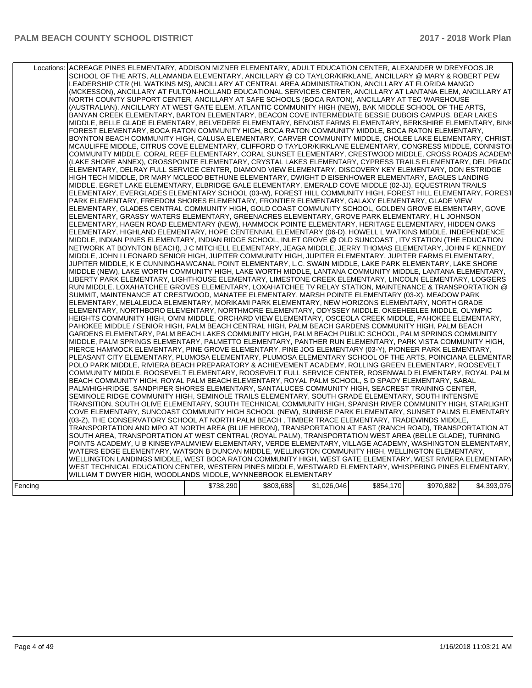| Locations: | ACREAGE PINES ELEMENTARY, ADDISON MIZNER ELEMENTARY, ADULT EDUCATION CENTER, ALEXANDER W DREYFOOS JR<br>SCHOOL OF THE ARTS, ALLAMANDA ELEMENTARY, ANCILLARY @ CO TAYLOR/KIRKLANE, ANCILLARY @ MARY & ROBERT PEW<br>LEADERSHIP CTR (HL WATKINS MS), ANCILLARY AT CENTRAL AREA ADMINISTRATION, ANCILLARY AT FLORIDA MANGO<br>(MCKESSON), ANCILLARY AT FULTON-HOLLAND EDUCATIONAL SERVICES CENTER, ANCILLARY AT LANTANA ELEM, ANCILLARY AT<br>NORTH COUNTY SUPPORT CENTER, ANCILLARY AT SAFE SCHOOLS (BOCA RATON), ANCILLARY AT TEC WAREHOUSE<br>(AUSTRALIAN), ANCILLARY AT WEST GATE ELEM, ATLANTIC COMMUNITY HIGH (NEW), BAK MIDDLE SCHOOL OF THE ARTS,<br>BANYAN CREEK ELEMENTARY, BARTON ELEMENTARY, BEACON COVE INTERMEDIATE BESSIE DUBOIS CAMPUS, BEAR LAKES<br>MIDDLE, BELLE GLADE ELEMENTARY, BELVEDERE ELEMENTARY, BENOIST FARMS ELEMENTARY, BERKSHIRE ELEMENTARY, BINK<br>FOREST ELEMENTARY, BOCA RATON COMMUNITY HIGH, BOCA RATON COMMUNITY MIDDLE, BOCA RATON ELEMENTARY,<br>BOYNTON BEACH COMMUNITY HIGH, CALUSA ELEMENTARY, CARVER COMMUNITY MIDDLE, CHOLEE LAKE ELEMENTARY, CHRIST.<br>MCAULIFFE MIDDLE, CITRUS COVE ELEMENTARY, CLIFFORD O TAYLOR/KIRKLANE ELEMENTARY, CONGRESS MIDDLE, CONNISTOI<br>COMMUNITY MIDDLE, CORAL REEF ELEMENTARY, CORAL SUNSET ELEMENTARY, CRESTWOOD MIDDLE, CROSS ROADS ACADEMY<br>(LAKE SHORE ANNEX), CROSSPOINTE ELEMENTARY, CRYSTAL LAKES ELEMENTARY, CYPRESS TRAILS ELEMENTARY, DEL PRADC<br>ELEMENTARY, DELRAY FULL SERVICE CENTER, DIAMOND VIEW ELEMENTARY, DISCOVERY KEY ELEMENTARY, DON ESTRIDGE<br>HIGH TECH MIDDLE, DR MARY MCLEOD BETHUNE ELEMENTARY, DWIGHT D EISENHOWER ELEMENTARY, EAGLES LANDING<br>MIDDLE, EGRET LAKE ELEMENTARY, ELBRIDGE GALE ELEMENTARY, EMERALD COVE MIDDLE (02-JJ), EQUESTRIAN TRAILS<br>ELEMENTARY, EVERGLADES ELEMENTARY SCHOOL (03-W), FOREST HILL COMMUNITY HIGH, FOREST HILL ELEMENTARY, FOREST<br>PARK ELEMENTARY, FREEDOM SHORES ELEMENTARY, FRONTIER ELEMENTARY, GALAXY ELEMENTARY, GLADE VIEW<br>ELEMENTARY, GLADES CENTRAL COMMUNITY HIGH, GOLD COAST COMMUNITY SCHOOL, GOLDEN GROVE ELEMENTARY, GOVE<br>ELEMENTARY, GRASSY WATERS ELEMENTARY, GREENACRES ELEMENTARY, GROVE PARK ELEMENTARY, H L JOHNSON<br>ELEMENTARY, HAGEN ROAD ELEMENTARY (NEW), HAMMOCK POINTE ELEMENTARY, HERITAGE ELEMENTARY, HIDDEN OAKS<br>ELEMENTARY, HIGHLAND ELEMENTARY, HOPE CENTENNIAL ELEMENTARY (06-D), HOWELL L WATKINS MIDDLE, INDEPENDENCE<br>MIDDLE, INDIAN PINES ELEMENTARY, INDIAN RIDGE SCHOOL, INLET GROVE @ OLD SUNCOAST, ITV STATION (THE EDUCATION<br>NETWORK AT BOYNTON BEACH), J C MITCHELL ELEMENTARY, JEAGA MIDDLE, JERRY THOMAS ELEMENTARY, JOHN F KENNEDY<br>MIDDLE, JOHN I LEONARD SENIOR HIGH, JUPITER COMMUNITY HIGH, JUPITER ELEMENTARY, JUPITER FARMS ELEMENTARY,<br>JUPITER MIDDLE, K E CUNNINGHAM/CANAL POINT ELEMENTARY, L.C. SWAIN MIDDLE, LAKE PARK ELEMENTARY, LAKE SHORE<br>MIDDLE (NEW), LAKE WORTH COMMUNITY HIGH, LAKE WORTH MIDDLE, LANTANA COMMUNITY MIDDLE, LANTANA ELEMENTARY,<br>LIBERTY PARK ELEMENTARY, LIGHTHOUSE ELEMENTARY, LIMESTONE CREEK ELEMENTARY, LINCOLN ELEMENTARY, LOGGERS<br>RUN MIDDLE, LOXAHATCHEE GROVES ELEMENTARY, LOXAHATCHEE TV RELAY STATION, MAINTENANCE & TRANSPORTATION @<br>SUMMIT, MAINTENANCE AT CRESTWOOD, MANATEE ELEMENTARY, MARSH POINTE ELEMENTARY (03-X), MEADOW PARK<br>ELEMENTARY, MELALEUCA ELEMENTARY, MORIKAMI PARK ELEMENTARY, NEW HORIZONS ELEMENTARY, NORTH GRADE<br>ELEMENTARY, NORTHBORO ELEMENTARY, NORTHMORE ELEMENTARY, ODYSSEY MIDDLE, OKEEHEELEE MIDDLE, OLYMPIC<br>HEIGHTS COMMUNITY HIGH, OMNI MIDDLE, ORCHARD VIEW ELEMENTARY, OSCEOLA CREEK MIDDLE, PAHOKEE ELEMENTARY,<br>PAHOKEE MIDDLE / SENIOR HIGH, PALM BEACH CENTRAL HIGH, PALM BEACH GARDENS COMMUNITY HIGH, PALM BEACH<br>GARDENS ELEMENTARY, PALM BEACH LAKES COMMUNITY HIGH, PALM BEACH PUBLIC SCHOOL, PALM SPRINGS COMMUNITY<br>MIDDLE, PALM SPRINGS ELEMENTARY, PALMETTO ELEMENTARY, PANTHER RUN ELEMENTARY, PARK VISTA COMMUNITY HIGH,<br>PIERCE HAMMOCK ELEMENTARY, PINE GROVE ELEMENTARY, PINE JOG ELEMENTARY (03-Y), PIONEER PARK ELEMENTARY,<br>PLEASANT CITY ELEMENTARY, PLUMOSA ELEMENTARY, PLUMOSA ELEMENTARY SCHOOL OF THE ARTS, POINCIANA ELEMENTAR<br>POLO PARK MIDDLE, RIVIERA BEACH PREPARATORY & ACHIEVEMENT ACADEMY, ROLLING GREEN ELEMENTARY, ROOSEVELT<br>COMMUNITY MIDDLE, ROOSEVELT ELEMENTARY, ROOSEVELT FULL SERVICE CENTER, ROSENWALD ELEMENTARY, ROYAL PALM<br>BEACH COMMUNITY HIGH. ROYAL PALM BEACH ELEMENTARY. ROYAL PALM SCHOOL. S D SPADY ELEMENTARY. SABAL<br>PALM/HIGHRIDGE, SANDPIPER SHORES ELEMENTARY, SANTALUCES COMMUNITY HIGH, SEACREST TRAINING CENTER,<br>SEMINOLE RIDGE COMMUNITY HIGH. SEMINOLE TRAILS ELEMENTARY. SOUTH GRADE ELEMENTARY. SOUTH INTENSIVE<br>TRANSITION, SOUTH OLIVE ELEMENTARY, SOUTH TECHNICAL COMMUNITY HIGH, SPANISH RIVER COMMUNITY HIGH, STARLIGHT<br>COVE ELEMENTARY, SUNCOAST COMMUNITY HIGH SCHOOL (NEW), SUNRISE PARK ELEMENTARY, SUNSET PALMS ELEMENTARY<br>(03-Z), THE CONSERVATORY SCHOOL AT NORTH PALM BEACH , TIMBER TRACE ELEMENTARY, TRADEWINDS MIDDLE,<br>TRANSPORTATION AND MPO AT NORTH AREA (BLUE HERON), TRANSPORTATION AT EAST (RANCH ROAD), TRANSPORTATION AT<br>SOUTH AREA, TRANSPORTATION AT WEST CENTRAL (ROYAL PALM), TRANSPORTATION WEST AREA (BELLE GLADE), TURNING<br>POINTS ACADEMY, U B KINSEY/PALMVIEW ELEMENTARY, VERDE ELEMENTARY, VILLAGE ACADEMY, WASHINGTON ELEMENTARY,<br>WATERS EDGE ELEMENTARY, WATSON B DUNCAN MIDDLE, WELLINGTON COMMUNITY HIGH, WELLINGTON ELEMENTARY,<br>WELLINGTON LANDINGS MIDDLE, WEST BOCA RATON COMMUNITY HIGH, WEST GATE ELEMENTARY, WEST RIVIERA ELEMENTARY<br>WEST TECHNICAL EDUCATION CENTER, WESTERN PINES MIDDLE, WESTWARD ELEMENTARY, WHISPERING PINES ELEMENTARY,<br>WILLIAM T DWYER HIGH, WOODLANDS MIDDLE, WYNNEBROOK ELEMENTARY |           |           |             |           |           |             |
|------------|---------------------------------------------------------------------------------------------------------------------------------------------------------------------------------------------------------------------------------------------------------------------------------------------------------------------------------------------------------------------------------------------------------------------------------------------------------------------------------------------------------------------------------------------------------------------------------------------------------------------------------------------------------------------------------------------------------------------------------------------------------------------------------------------------------------------------------------------------------------------------------------------------------------------------------------------------------------------------------------------------------------------------------------------------------------------------------------------------------------------------------------------------------------------------------------------------------------------------------------------------------------------------------------------------------------------------------------------------------------------------------------------------------------------------------------------------------------------------------------------------------------------------------------------------------------------------------------------------------------------------------------------------------------------------------------------------------------------------------------------------------------------------------------------------------------------------------------------------------------------------------------------------------------------------------------------------------------------------------------------------------------------------------------------------------------------------------------------------------------------------------------------------------------------------------------------------------------------------------------------------------------------------------------------------------------------------------------------------------------------------------------------------------------------------------------------------------------------------------------------------------------------------------------------------------------------------------------------------------------------------------------------------------------------------------------------------------------------------------------------------------------------------------------------------------------------------------------------------------------------------------------------------------------------------------------------------------------------------------------------------------------------------------------------------------------------------------------------------------------------------------------------------------------------------------------------------------------------------------------------------------------------------------------------------------------------------------------------------------------------------------------------------------------------------------------------------------------------------------------------------------------------------------------------------------------------------------------------------------------------------------------------------------------------------------------------------------------------------------------------------------------------------------------------------------------------------------------------------------------------------------------------------------------------------------------------------------------------------------------------------------------------------------------------------------------------------------------------------------------------------------------------------------------------------------------------------------------------------------------------------------------------------------------------------------------------------------------------------------------------------------------------------------------------------------------------------------------------------------------------------------------------------------------------------------------------------------------------------------------------------------------------------------------------------------------------------------------------------------------------------------------------------------------------------------------------------------------------------------------------------------------------------------------------------------------------------------------------------------------------------------------------------------------------------------------------------------------------------------------------------------------------------------------------------------------------------------------------------------------------------------------------------------------------------------------------------------------------------------------------------------------------------------------------------------------------------------------------------------------------------------------------------------------------------------------------------------------------------------------------------------------------------------------------------------------------------------------------------------------------------------------------------------------------------------|-----------|-----------|-------------|-----------|-----------|-------------|
| Fencing    |                                                                                                                                                                                                                                                                                                                                                                                                                                                                                                                                                                                                                                                                                                                                                                                                                                                                                                                                                                                                                                                                                                                                                                                                                                                                                                                                                                                                                                                                                                                                                                                                                                                                                                                                                                                                                                                                                                                                                                                                                                                                                                                                                                                                                                                                                                                                                                                                                                                                                                                                                                                                                                                                                                                                                                                                                                                                                                                                                                                                                                                                                                                                                                                                                                                                                                                                                                                                                                                                                                                                                                                                                                                                                                                                                                                                                                                                                                                                                                                                                                                                                                                                                                                                                                                                                                                                                                                                                                                                                                                                                                                                                                                                                                                                                                                                                                                                                                                                                                                                                                                                                                                                                                                                                                                                                                                                                                                                                                                                                                                                                                                                                                                                                                                                                                                                         | \$738,290 | \$803,688 | \$1,026,046 | \$854,170 | \$970,882 | \$4,393,076 |
|            |                                                                                                                                                                                                                                                                                                                                                                                                                                                                                                                                                                                                                                                                                                                                                                                                                                                                                                                                                                                                                                                                                                                                                                                                                                                                                                                                                                                                                                                                                                                                                                                                                                                                                                                                                                                                                                                                                                                                                                                                                                                                                                                                                                                                                                                                                                                                                                                                                                                                                                                                                                                                                                                                                                                                                                                                                                                                                                                                                                                                                                                                                                                                                                                                                                                                                                                                                                                                                                                                                                                                                                                                                                                                                                                                                                                                                                                                                                                                                                                                                                                                                                                                                                                                                                                                                                                                                                                                                                                                                                                                                                                                                                                                                                                                                                                                                                                                                                                                                                                                                                                                                                                                                                                                                                                                                                                                                                                                                                                                                                                                                                                                                                                                                                                                                                                                         |           |           |             |           |           |             |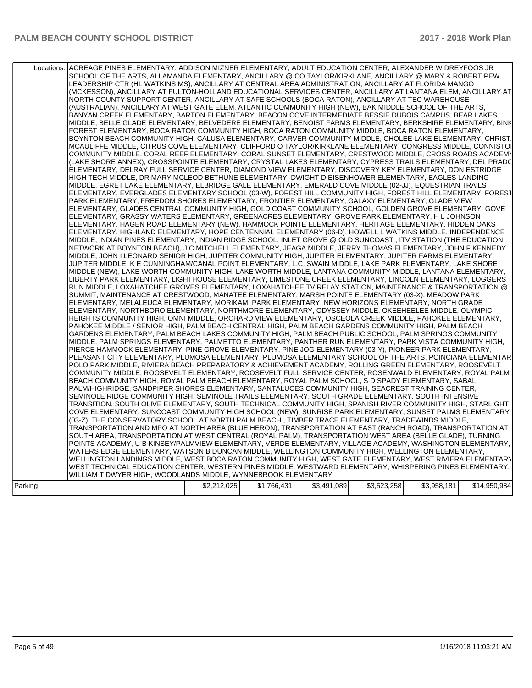| Locations: | ACREAGE PINES ELEMENTARY, ADDISON MIZNER ELEMENTARY, ADULT EDUCATION CENTER, ALEXANDER W DREYFOOS JR<br>SCHOOL OF THE ARTS, ALLAMANDA ELEMENTARY, ANCILLARY @ CO TAYLOR/KIRKLANE, ANCILLARY @ MARY & ROBERT PEW<br>LEADERSHIP CTR (HL WATKINS MS), ANCILLARY AT CENTRAL AREA ADMINISTRATION, ANCILLARY AT FLORIDA MANGO<br>(MCKESSON), ANCILLARY AT FULTON-HOLLAND EDUCATIONAL SERVICES CENTER, ANCILLARY AT LANTANA ELEM, ANCILLARY AT<br>NORTH COUNTY SUPPORT CENTER, ANCILLARY AT SAFE SCHOOLS (BOCA RATON), ANCILLARY AT TEC WAREHOUSE<br>(AUSTRALIAN), ANCILLARY AT WEST GATE ELEM, ATLANTIC COMMUNITY HIGH (NEW), BAK MIDDLE SCHOOL OF THE ARTS.<br>BANYAN CREEK ELEMENTARY, BARTON ELEMENTARY, BEACON COVE INTERMEDIATE BESSIE DUBOIS CAMPUS, BEAR LAKES<br>MIDDLE, BELLE GLADE ELEMENTARY, BELVEDERE ELEMENTARY, BENOIST FARMS ELEMENTARY, BERKSHIRE ELEMENTARY, BINK<br>FOREST ELEMENTARY, BOCA RATON COMMUNITY HIGH, BOCA RATON COMMUNITY MIDDLE, BOCA RATON ELEMENTARY,<br>BOYNTON BEACH COMMUNITY HIGH, CALUSA ELEMENTARY, CARVER COMMUNITY MIDDLE, CHOLEE LAKE ELEMENTARY, CHRIST.<br>MCAULIFFE MIDDLE, CITRUS COVE ELEMENTARY, CLIFFORD O TAYLOR/KIRKLANE ELEMENTARY, CONGRESS MIDDLE, CONNISTOI<br>COMMUNITY MIDDLE. CORAL REEF ELEMENTARY. CORAL SUNSET ELEMENTARY. CRESTWOOD MIDDLE. CROSS ROADS ACADEMY<br>(LAKE SHORE ANNEX), CROSSPOINTE ELEMENTARY, CRYSTAL LAKES ELEMENTARY, CYPRESS TRAILS ELEMENTARY, DEL PRADC<br>ELEMENTARY, DELRAY FULL SERVICE CENTER, DIAMOND VIEW ELEMENTARY, DISCOVERY KEY ELEMENTARY, DON ESTRIDGE<br>HIGH TECH MIDDLE, DR MARY MCLEOD BETHUNE ELEMENTARY, DWIGHT D EISENHOWER ELEMENTARY, EAGLES LANDING<br>MIDDLE, EGRET LAKE ELEMENTARY, ELBRIDGE GALE ELEMENTARY, EMERALD COVE MIDDLE (02-JJ), EQUESTRIAN TRAILS<br>ELEMENTARY, EVERGLADES ELEMENTARY SCHOOL (03-W), FOREST HILL COMMUNITY HIGH, FOREST HILL ELEMENTARY, FOREST<br>PARK ELEMENTARY, FREEDOM SHORES ELEMENTARY, FRONTIER ELEMENTARY, GALAXY ELEMENTARY, GLADE VIEW<br>ELEMENTARY, GLADES CENTRAL COMMUNITY HIGH, GOLD COAST COMMUNITY SCHOOL, GOLDEN GROVE ELEMENTARY, GOVE<br>ELEMENTARY, GRASSY WATERS ELEMENTARY, GREENACRES ELEMENTARY, GROVE PARK ELEMENTARY, H L JOHNSON<br>ELEMENTARY, HAGEN ROAD ELEMENTARY (NEW), HAMMOCK POINTE ELEMENTARY, HERITAGE ELEMENTARY, HIDDEN OAKS<br>ELEMENTARY, HIGHLAND ELEMENTARY, HOPE CENTENNIAL ELEMENTARY (06-D), HOWELL L WATKINS MIDDLE, INDEPENDENCE<br>MIDDLE, INDIAN PINES ELEMENTARY, INDIAN RIDGE SCHOOL, INLET GROVE @ OLD SUNCOAST , ITV STATION (THE EDUCATION<br>NETWORK AT BOYNTON BEACH), J C MITCHELL ELEMENTARY, JEAGA MIDDLE, JERRY THOMAS ELEMENTARY, JOHN F KENNEDY<br>MIDDLE, JOHN I LEONARD SENIOR HIGH, JUPITER COMMUNITY HIGH, JUPITER ELEMENTARY, JUPITER FARMS ELEMENTARY,<br>JUPITER MIDDLE, K E CUNNINGHAM/CANAL POINT ELEMENTARY, L.C. SWAIN MIDDLE, LAKE PARK ELEMENTARY, LAKE SHORE<br>MIDDLE (NEW), LAKE WORTH COMMUNITY HIGH, LAKE WORTH MIDDLE, LANTANA COMMUNITY MIDDLE, LANTANA ELEMENTARY,<br>LIBERTY PARK ELEMENTARY, LIGHTHOUSE ELEMENTARY, LIMESTONE CREEK ELEMENTARY, LINCOLN ELEMENTARY, LOGGERS<br>RUN MIDDLE, LOXAHATCHEE GROVES ELEMENTARY, LOXAHATCHEE TV RELAY STATION, MAINTENANCE & TRANSPORTATION @<br>SUMMIT, MAINTENANCE AT CRESTWOOD, MANATEE ELEMENTARY, MARSH POINTE ELEMENTARY (03-X), MEADOW PARK<br>ELEMENTARY, MELALEUCA ELEMENTARY, MORIKAMI PARK ELEMENTARY, NEW HORIZONS ELEMENTARY, NORTH GRADE<br>ELEMENTARY, NORTHBORO ELEMENTARY, NORTHMORE ELEMENTARY, ODYSSEY MIDDLE, OKEEHEELEE MIDDLE, OLYMPIC<br>HEIGHTS COMMUNITY HIGH, OMNI MIDDLE, ORCHARD VIEW ELEMENTARY, OSCEOLA CREEK MIDDLE, PAHOKEE ELEMENTARY,<br>PAHOKEE MIDDLE / SENIOR HIGH, PALM BEACH CENTRAL HIGH, PALM BEACH GARDENS COMMUNITY HIGH, PALM BEACH<br>GARDENS ELEMENTARY, PALM BEACH LAKES COMMUNITY HIGH, PALM BEACH PUBLIC SCHOOL, PALM SPRINGS COMMUNITY<br>MIDDLE, PALM SPRINGS ELEMENTARY, PALMETTO ELEMENTARY, PANTHER RUN ELEMENTARY, PARK VISTA COMMUNITY HIGH,<br>PIERCE HAMMOCK ELEMENTARY, PINE GROVE ELEMENTARY, PINE JOG ELEMENTARY (03-Y), PIONEER PARK ELEMENTARY,<br>PLEASANT CITY ELEMENTARY, PLUMOSA ELEMENTARY, PLUMOSA ELEMENTARY SCHOOL OF THE ARTS, POINCIANA ELEMENTAR<br>POLO PARK MIDDLE, RIVIERA BEACH PREPARATORY & ACHIEVEMENT ACADEMY, ROLLING GREEN ELEMENTARY, ROOSEVELT<br>COMMUNITY MIDDLE, ROOSEVELT ELEMENTARY, ROOSEVELT FULL SERVICE CENTER, ROSENWALD ELEMENTARY, ROYAL PALM<br>BEACH COMMUNITY HIGH, ROYAL PALM BEACH ELEMENTARY, ROYAL PALM SCHOOL, S D SPADY ELEMENTARY, SABAL<br>PALM/HIGHRIDGE, SANDPIPER SHORES ELEMENTARY, SANTALUCES COMMUNITY HIGH, SEACREST TRAINING CENTER,<br>SEMINOLE RIDGE COMMUNITY HIGH, SEMINOLE TRAILS ELEMENTARY, SOUTH GRADE ELEMENTARY, SOUTH INTENSIVE<br>TRANSITION, SOUTH OLIVE ELEMENTARY, SOUTH TECHNICAL COMMUNITY HIGH, SPANISH RIVER COMMUNITY HIGH, STARLIGHT<br>COVE ELEMENTARY, SUNCOAST COMMUNITY HIGH SCHOOL (NEW), SUNRISE PARK ELEMENTARY, SUNSET PALMS ELEMENTARY<br>(03-Z), THE CONSERVATORY SCHOOL AT NORTH PALM BEACH , TIMBER TRACE ELEMENTARY, TRADEWINDS MIDDLE,<br>TRANSPORTATION AND MPO AT NORTH AREA (BLUE HERON), TRANSPORTATION AT EAST (RANCH ROAD), TRANSPORTATION AT<br>SOUTH AREA, TRANSPORTATION AT WEST CENTRAL (ROYAL PALM), TRANSPORTATION WEST AREA (BELLE GLADE), TURNING<br>POINTS ACADEMY, U B KINSEY/PALMVIEW ELEMENTARY, VERDE ELEMENTARY, VILLAGE ACADEMY, WASHINGTON ELEMENTARY,<br>WATERS EDGE ELEMENTARY, WATSON B DUNCAN MIDDLE, WELLINGTON COMMUNITY HIGH, WELLINGTON ELEMENTARY,<br>WELLINGTON LANDINGS MIDDLE, WEST BOCA RATON COMMUNITY HIGH, WEST GATE ELEMENTARY, WEST RIVIERA ELEMENTARY<br>WEST TECHNICAL EDUCATION CENTER, WESTERN PINES MIDDLE, WESTWARD ELEMENTARY, WHISPERING PINES ELEMENTARY, |             |             |             |             |             |              |
|------------|-----------------------------------------------------------------------------------------------------------------------------------------------------------------------------------------------------------------------------------------------------------------------------------------------------------------------------------------------------------------------------------------------------------------------------------------------------------------------------------------------------------------------------------------------------------------------------------------------------------------------------------------------------------------------------------------------------------------------------------------------------------------------------------------------------------------------------------------------------------------------------------------------------------------------------------------------------------------------------------------------------------------------------------------------------------------------------------------------------------------------------------------------------------------------------------------------------------------------------------------------------------------------------------------------------------------------------------------------------------------------------------------------------------------------------------------------------------------------------------------------------------------------------------------------------------------------------------------------------------------------------------------------------------------------------------------------------------------------------------------------------------------------------------------------------------------------------------------------------------------------------------------------------------------------------------------------------------------------------------------------------------------------------------------------------------------------------------------------------------------------------------------------------------------------------------------------------------------------------------------------------------------------------------------------------------------------------------------------------------------------------------------------------------------------------------------------------------------------------------------------------------------------------------------------------------------------------------------------------------------------------------------------------------------------------------------------------------------------------------------------------------------------------------------------------------------------------------------------------------------------------------------------------------------------------------------------------------------------------------------------------------------------------------------------------------------------------------------------------------------------------------------------------------------------------------------------------------------------------------------------------------------------------------------------------------------------------------------------------------------------------------------------------------------------------------------------------------------------------------------------------------------------------------------------------------------------------------------------------------------------------------------------------------------------------------------------------------------------------------------------------------------------------------------------------------------------------------------------------------------------------------------------------------------------------------------------------------------------------------------------------------------------------------------------------------------------------------------------------------------------------------------------------------------------------------------------------------------------------------------------------------------------------------------------------------------------------------------------------------------------------------------------------------------------------------------------------------------------------------------------------------------------------------------------------------------------------------------------------------------------------------------------------------------------------------------------------------------------------------------------------------------------------------------------------------------------------------------------------------------------------------------------------------------------------------------------------------------------------------------------------------------------------------------------------------------------------------------------------------------------------------------------------------------------------------------------------------------------------------------------------------------------------------------------------------------------------------------------------------------------------------------------------------------------------------------------------------------------------------------------------------------------------------------------------------------------------------------------------------------------------------------------------------------------------------------------------------------------------------------|-------------|-------------|-------------|-------------|-------------|--------------|
|            |                                                                                                                                                                                                                                                                                                                                                                                                                                                                                                                                                                                                                                                                                                                                                                                                                                                                                                                                                                                                                                                                                                                                                                                                                                                                                                                                                                                                                                                                                                                                                                                                                                                                                                                                                                                                                                                                                                                                                                                                                                                                                                                                                                                                                                                                                                                                                                                                                                                                                                                                                                                                                                                                                                                                                                                                                                                                                                                                                                                                                                                                                                                                                                                                                                                                                                                                                                                                                                                                                                                                                                                                                                                                                                                                                                                                                                                                                                                                                                                                                                                                                                                                                                                                                                                                                                                                                                                                                                                                                                                                                                                                                                                                                                                                                                                                                                                                                                                                                                                                                                                                                                                                                                                                                                                                                                                                                                                                                                                                                                                                                                                                                                                                                                                                         |             |             |             |             |             |              |
|            |                                                                                                                                                                                                                                                                                                                                                                                                                                                                                                                                                                                                                                                                                                                                                                                                                                                                                                                                                                                                                                                                                                                                                                                                                                                                                                                                                                                                                                                                                                                                                                                                                                                                                                                                                                                                                                                                                                                                                                                                                                                                                                                                                                                                                                                                                                                                                                                                                                                                                                                                                                                                                                                                                                                                                                                                                                                                                                                                                                                                                                                                                                                                                                                                                                                                                                                                                                                                                                                                                                                                                                                                                                                                                                                                                                                                                                                                                                                                                                                                                                                                                                                                                                                                                                                                                                                                                                                                                                                                                                                                                                                                                                                                                                                                                                                                                                                                                                                                                                                                                                                                                                                                                                                                                                                                                                                                                                                                                                                                                                                                                                                                                                                                                                                                         |             |             |             |             |             |              |
|            | WILLIAM T DWYER HIGH, WOODLANDS MIDDLE, WYNNEBROOK ELEMENTARY                                                                                                                                                                                                                                                                                                                                                                                                                                                                                                                                                                                                                                                                                                                                                                                                                                                                                                                                                                                                                                                                                                                                                                                                                                                                                                                                                                                                                                                                                                                                                                                                                                                                                                                                                                                                                                                                                                                                                                                                                                                                                                                                                                                                                                                                                                                                                                                                                                                                                                                                                                                                                                                                                                                                                                                                                                                                                                                                                                                                                                                                                                                                                                                                                                                                                                                                                                                                                                                                                                                                                                                                                                                                                                                                                                                                                                                                                                                                                                                                                                                                                                                                                                                                                                                                                                                                                                                                                                                                                                                                                                                                                                                                                                                                                                                                                                                                                                                                                                                                                                                                                                                                                                                                                                                                                                                                                                                                                                                                                                                                                                                                                                                                           |             |             |             |             |             |              |
|            |                                                                                                                                                                                                                                                                                                                                                                                                                                                                                                                                                                                                                                                                                                                                                                                                                                                                                                                                                                                                                                                                                                                                                                                                                                                                                                                                                                                                                                                                                                                                                                                                                                                                                                                                                                                                                                                                                                                                                                                                                                                                                                                                                                                                                                                                                                                                                                                                                                                                                                                                                                                                                                                                                                                                                                                                                                                                                                                                                                                                                                                                                                                                                                                                                                                                                                                                                                                                                                                                                                                                                                                                                                                                                                                                                                                                                                                                                                                                                                                                                                                                                                                                                                                                                                                                                                                                                                                                                                                                                                                                                                                                                                                                                                                                                                                                                                                                                                                                                                                                                                                                                                                                                                                                                                                                                                                                                                                                                                                                                                                                                                                                                                                                                                                                         |             |             |             |             |             |              |
| Parking    |                                                                                                                                                                                                                                                                                                                                                                                                                                                                                                                                                                                                                                                                                                                                                                                                                                                                                                                                                                                                                                                                                                                                                                                                                                                                                                                                                                                                                                                                                                                                                                                                                                                                                                                                                                                                                                                                                                                                                                                                                                                                                                                                                                                                                                                                                                                                                                                                                                                                                                                                                                                                                                                                                                                                                                                                                                                                                                                                                                                                                                                                                                                                                                                                                                                                                                                                                                                                                                                                                                                                                                                                                                                                                                                                                                                                                                                                                                                                                                                                                                                                                                                                                                                                                                                                                                                                                                                                                                                                                                                                                                                                                                                                                                                                                                                                                                                                                                                                                                                                                                                                                                                                                                                                                                                                                                                                                                                                                                                                                                                                                                                                                                                                                                                                         | \$2,212,025 | \$1,766,431 | \$3,491,089 | \$3,523,258 | \$3,958,181 | \$14,950,984 |
|            |                                                                                                                                                                                                                                                                                                                                                                                                                                                                                                                                                                                                                                                                                                                                                                                                                                                                                                                                                                                                                                                                                                                                                                                                                                                                                                                                                                                                                                                                                                                                                                                                                                                                                                                                                                                                                                                                                                                                                                                                                                                                                                                                                                                                                                                                                                                                                                                                                                                                                                                                                                                                                                                                                                                                                                                                                                                                                                                                                                                                                                                                                                                                                                                                                                                                                                                                                                                                                                                                                                                                                                                                                                                                                                                                                                                                                                                                                                                                                                                                                                                                                                                                                                                                                                                                                                                                                                                                                                                                                                                                                                                                                                                                                                                                                                                                                                                                                                                                                                                                                                                                                                                                                                                                                                                                                                                                                                                                                                                                                                                                                                                                                                                                                                                                         |             |             |             |             |             |              |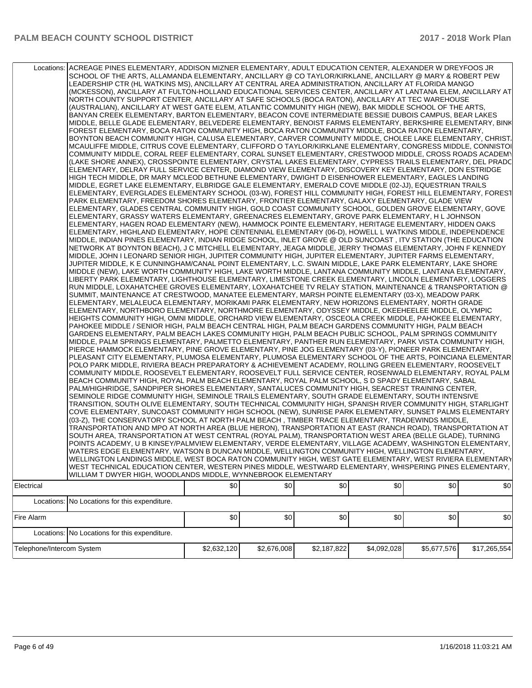|                           | Locations: ACREAGE PINES ELEMENTARY, ADDISON MIZNER ELEMENTARY, ADULT EDUCATION CENTER, ALEXANDER W DREYFOOS JR<br>SCHOOL OF THE ARTS, ALLAMANDA ELEMENTARY, ANCILLARY @ CO TAYLOR/KIRKLANE, ANCILLARY @ MARY & ROBERT PEW<br>LEADERSHIP CTR (HL WATKINS MS), ANCILLARY AT CENTRAL AREA ADMINISTRATION, ANCILLARY AT FLORIDA MANGO<br>(MCKESSON), ANCILLARY AT FULTON-HOLLAND EDUCATIONAL SERVICES CENTER, ANCILLARY AT LANTANA ELEM, ANCILLARY AT<br>NORTH COUNTY SUPPORT CENTER, ANCILLARY AT SAFE SCHOOLS (BOCA RATON), ANCILLARY AT TEC WAREHOUSE<br>(AUSTRALIAN), ANCILLARY AT WEST GATE ELEM, ATLANTIC COMMUNITY HIGH (NEW), BAK MIDDLE SCHOOL OF THE ARTS,<br>BANYAN CREEK ELEMENTARY, BARTON ELEMENTARY, BEACON COVE INTERMEDIATE BESSIE DUBOIS CAMPUS, BEAR LAKES<br>MIDDLE, BELLE GLADE ELEMENTARY, BELVEDERE ELEMENTARY, BENOIST FARMS ELEMENTARY, BERKSHIRE ELEMENTARY, BINK<br>FOREST ELEMENTARY, BOCA RATON COMMUNITY HIGH, BOCA RATON COMMUNITY MIDDLE, BOCA RATON ELEMENTARY,<br>BOYNTON BEACH COMMUNITY HIGH, CALUSA ELEMENTARY, CARVER COMMUNITY MIDDLE, CHOLEE LAKE ELEMENTARY, CHRIST.<br>MCAULIFFE MIDDLE, CITRUS COVE ELEMENTARY, CLIFFORD O TAYLOR/KIRKLANE ELEMENTARY, CONGRESS MIDDLE, CONNISTOI<br>COMMUNITY MIDDLE, CORAL REEF ELEMENTARY, CORAL SUNSET ELEMENTARY, CRESTWOOD MIDDLE, CROSS ROADS ACADEMY<br>(LAKE SHORE ANNEX), CROSSPOINTE ELEMENTARY, CRYSTAL LAKES ELEMENTARY, CYPRESS TRAILS ELEMENTARY, DEL PRADC<br>ELEMENTARY, DELRAY FULL SERVICE CENTER, DIAMOND VIEW ELEMENTARY, DISCOVERY KEY ELEMENTARY, DON ESTRIDGE<br>HIGH TECH MIDDLE, DR MARY MCLEOD BETHUNE ELEMENTARY, DWIGHT D EISENHOWER ELEMENTARY, EAGLES LANDING<br>MIDDLE, EGRET LAKE ELEMENTARY, ELBRIDGE GALE ELEMENTARY, EMERALD COVE MIDDLE (02-JJ), EQUESTRIAN TRAILS<br>ELEMENTARY, EVERGLADES ELEMENTARY SCHOOL (03-W), FOREST HILL COMMUNITY HIGH, FOREST HILL ELEMENTARY, FOREST<br>PARK ELEMENTARY, FREEDOM SHORES ELEMENTARY, FRONTIER ELEMENTARY, GALAXY ELEMENTARY, GLADE VIEW<br>ELEMENTARY, GLADES CENTRAL COMMUNITY HIGH, GOLD COAST COMMUNITY SCHOOL, GOLDEN GROVE ELEMENTARY, GOVE<br>ELEMENTARY, GRASSY WATERS ELEMENTARY, GREENACRES ELEMENTARY, GROVE PARK ELEMENTARY, H L JOHNSON<br>ELEMENTARY, HAGEN ROAD ELEMENTARY (NEW), HAMMOCK POINTE ELEMENTARY, HERITAGE ELEMENTARY, HIDDEN OAKS<br>ELEMENTARY, HIGHLAND ELEMENTARY, HOPE CENTENNIAL ELEMENTARY (06-D), HOWELL L WATKINS MIDDLE, INDEPENDENCE<br>MIDDLE, INDIAN PINES ELEMENTARY, INDIAN RIDGE SCHOOL, INLET GROVE @ OLD SUNCOAST, ITV STATION (THE EDUCATION<br>NETWORK AT BOYNTON BEACH), J C MITCHELL ELEMENTARY, JEAGA MIDDLE, JERRY THOMAS ELEMENTARY, JOHN F KENNEDY<br>MIDDLE, JOHN I LEONARD SENIOR HIGH, JUPITER COMMUNITY HIGH, JUPITER ELEMENTARY, JUPITER FARMS ELEMENTARY,<br>JUPITER MIDDLE, K E CUNNINGHAM/CANAL POINT ELEMENTARY, L.C. SWAIN MIDDLE, LAKE PARK ELEMENTARY, LAKE SHORE<br>MIDDLE (NEW), LAKE WORTH COMMUNITY HIGH, LAKE WORTH MIDDLE, LANTANA COMMUNITY MIDDLE, LANTANA ELEMENTARY,<br>LIBERTY PARK ELEMENTARY, LIGHTHOUSE ELEMENTARY, LIMESTONE CREEK ELEMENTARY, LINCOLN ELEMENTARY, LOGGERS<br>RUN MIDDLE, LOXAHATCHEE GROVES ELEMENTARY, LOXAHATCHEE TV RELAY STATION, MAINTENANCE & TRANSPORTATION @<br>SUMMIT, MAINTENANCE AT CRESTWOOD, MANATEE ELEMENTARY, MARSH POINTE ELEMENTARY (03-X), MEADOW PARK<br>ELEMENTARY, MELALEUCA ELEMENTARY, MORIKAMI PARK ELEMENTARY, NEW HORIZONS ELEMENTARY, NORTH GRADE<br>ELEMENTARY, NORTHBORO ELEMENTARY, NORTHMORE ELEMENTARY, ODYSSEY MIDDLE, OKEEHEELEE MIDDLE, OLYMPIC<br>HEIGHTS COMMUNITY HIGH, OMNI MIDDLE, ORCHARD VIEW ELEMENTARY, OSCEOLA CREEK MIDDLE, PAHOKEE ELEMENTARY,<br>PAHOKEE MIDDLE / SENIOR HIGH, PALM BEACH CENTRAL HIGH, PALM BEACH GARDENS COMMUNITY HIGH, PALM BEACH<br>GARDENS ELEMENTARY, PALM BEACH LAKES COMMUNITY HIGH, PALM BEACH PUBLIC SCHOOL, PALM SPRINGS COMMUNITY<br>MIDDLE, PALM SPRINGS ELEMENTARY, PALMETTO ELEMENTARY, PANTHER RUN ELEMENTARY, PARK VISTA COMMUNITY HIGH,<br>PIERCE HAMMOCK ELEMENTARY, PINE GROVE ELEMENTARY, PINE JOG ELEMENTARY (03-Y), PIONEER PARK ELEMENTARY,<br>PLEASANT CITY ELEMENTARY, PLUMOSA ELEMENTARY, PLUMOSA ELEMENTARY SCHOOL OF THE ARTS, POINCIANA ELEMENTAR<br>POLO PARK MIDDLE, RIVIERA BEACH PREPARATORY & ACHIEVEMENT ACADEMY, ROLLING GREEN ELEMENTARY, ROOSEVELT<br>COMMUNITY MIDDLE, ROOSEVELT ELEMENTARY, ROOSEVELT FULL SERVICE CENTER, ROSENWALD ELEMENTARY, ROYAL PALM<br>BEACH COMMUNITY HIGH, ROYAL PALM BEACH ELEMENTARY, ROYAL PALM SCHOOL, S D SPADY ELEMENTARY, SABAL<br>PALM/HIGHRIDGE, SANDPIPER SHORES ELEMENTARY, SANTALUCES COMMUNITY HIGH, SEACREST TRAINING CENTER,<br>SEMINOLE RIDGE COMMUNITY HIGH, SEMINOLE TRAILS ELEMENTARY, SOUTH GRADE ELEMENTARY, SOUTH INTENSIVE<br>TRANSITION, SOUTH OLIVE ELEMENTARY, SOUTH TECHNICAL COMMUNITY HIGH, SPANISH RIVER COMMUNITY HIGH, STARLIGHT<br>COVE ELEMENTARY, SUNCOAST COMMUNITY HIGH SCHOOL (NEW), SUNRISE PARK ELEMENTARY, SUNSET PALMS ELEMENTARY<br>(03-Z), THE CONSERVATORY SCHOOL AT NORTH PALM BEACH, TIMBER TRACE ELEMENTARY, TRADEWINDS MIDDLE,<br>TRANSPORTATION AND MPO AT NORTH AREA (BLUE HERON), TRANSPORTATION AT EAST (RANCH ROAD), TRANSPORTATION AT<br>SOUTH AREA, TRANSPORTATION AT WEST CENTRAL (ROYAL PALM), TRANSPORTATION WEST AREA (BELLE GLADE), TURNING<br>POINTS ACADEMY, U B KINSEY/PALMVIEW ELEMENTARY, VERDE ELEMENTARY, VILLAGE ACADEMY, WASHINGTON ELEMENTARY,<br>WATERS EDGE ELEMENTARY, WATSON B DUNCAN MIDDLE, WELLINGTON COMMUNITY HIGH, WELLINGTON ELEMENTARY,<br>WELLINGTON LANDINGS MIDDLE, WEST BOCA RATON COMMUNITY HIGH, WEST GATE ELEMENTARY, WEST RIVIERA ELEMENTARY<br>WEST TECHNICAL EDUCATION CENTER, WESTERN PINES MIDDLE, WESTWARD ELEMENTARY, WHISPERING PINES ELEMENTARY,<br>WILLIAM T DWYER HIGH, WOODLANDS MIDDLE, WYNNEBROOK ELEMENTARY |             |             |             |             |             |              |
|---------------------------|-------------------------------------------------------------------------------------------------------------------------------------------------------------------------------------------------------------------------------------------------------------------------------------------------------------------------------------------------------------------------------------------------------------------------------------------------------------------------------------------------------------------------------------------------------------------------------------------------------------------------------------------------------------------------------------------------------------------------------------------------------------------------------------------------------------------------------------------------------------------------------------------------------------------------------------------------------------------------------------------------------------------------------------------------------------------------------------------------------------------------------------------------------------------------------------------------------------------------------------------------------------------------------------------------------------------------------------------------------------------------------------------------------------------------------------------------------------------------------------------------------------------------------------------------------------------------------------------------------------------------------------------------------------------------------------------------------------------------------------------------------------------------------------------------------------------------------------------------------------------------------------------------------------------------------------------------------------------------------------------------------------------------------------------------------------------------------------------------------------------------------------------------------------------------------------------------------------------------------------------------------------------------------------------------------------------------------------------------------------------------------------------------------------------------------------------------------------------------------------------------------------------------------------------------------------------------------------------------------------------------------------------------------------------------------------------------------------------------------------------------------------------------------------------------------------------------------------------------------------------------------------------------------------------------------------------------------------------------------------------------------------------------------------------------------------------------------------------------------------------------------------------------------------------------------------------------------------------------------------------------------------------------------------------------------------------------------------------------------------------------------------------------------------------------------------------------------------------------------------------------------------------------------------------------------------------------------------------------------------------------------------------------------------------------------------------------------------------------------------------------------------------------------------------------------------------------------------------------------------------------------------------------------------------------------------------------------------------------------------------------------------------------------------------------------------------------------------------------------------------------------------------------------------------------------------------------------------------------------------------------------------------------------------------------------------------------------------------------------------------------------------------------------------------------------------------------------------------------------------------------------------------------------------------------------------------------------------------------------------------------------------------------------------------------------------------------------------------------------------------------------------------------------------------------------------------------------------------------------------------------------------------------------------------------------------------------------------------------------------------------------------------------------------------------------------------------------------------------------------------------------------------------------------------------------------------------------------------------------------------------------------------------------------------------------------------------------------------------------------------------------------------------------------------------------------------------------------------------------------------------------------------------------------------------------------------------------------------------------------------------------------------------------------------------------------------------------------------------------------------------------------------------------------------------------------------|-------------|-------------|-------------|-------------|-------------|--------------|
| Electrical                |                                                                                                                                                                                                                                                                                                                                                                                                                                                                                                                                                                                                                                                                                                                                                                                                                                                                                                                                                                                                                                                                                                                                                                                                                                                                                                                                                                                                                                                                                                                                                                                                                                                                                                                                                                                                                                                                                                                                                                                                                                                                                                                                                                                                                                                                                                                                                                                                                                                                                                                                                                                                                                                                                                                                                                                                                                                                                                                                                                                                                                                                                                                                                                                                                                                                                                                                                                                                                                                                                                                                                                                                                                                                                                                                                                                                                                                                                                                                                                                                                                                                                                                                                                                                                                                                                                                                                                                                                                                                                                                                                                                                                                                                                                                                                                                                                                                                                                                                                                                                                                                                                                                                                                                                                                                                                                                                                                                                                                                                                                                                                                                                                                                                                                                                                                                                                   | \$0         | \$0         | \$0         | \$0         | \$0         | 30           |
|                           |                                                                                                                                                                                                                                                                                                                                                                                                                                                                                                                                                                                                                                                                                                                                                                                                                                                                                                                                                                                                                                                                                                                                                                                                                                                                                                                                                                                                                                                                                                                                                                                                                                                                                                                                                                                                                                                                                                                                                                                                                                                                                                                                                                                                                                                                                                                                                                                                                                                                                                                                                                                                                                                                                                                                                                                                                                                                                                                                                                                                                                                                                                                                                                                                                                                                                                                                                                                                                                                                                                                                                                                                                                                                                                                                                                                                                                                                                                                                                                                                                                                                                                                                                                                                                                                                                                                                                                                                                                                                                                                                                                                                                                                                                                                                                                                                                                                                                                                                                                                                                                                                                                                                                                                                                                                                                                                                                                                                                                                                                                                                                                                                                                                                                                                                                                                                                   |             |             |             |             |             |              |
|                           | Locations: No Locations for this expenditure.                                                                                                                                                                                                                                                                                                                                                                                                                                                                                                                                                                                                                                                                                                                                                                                                                                                                                                                                                                                                                                                                                                                                                                                                                                                                                                                                                                                                                                                                                                                                                                                                                                                                                                                                                                                                                                                                                                                                                                                                                                                                                                                                                                                                                                                                                                                                                                                                                                                                                                                                                                                                                                                                                                                                                                                                                                                                                                                                                                                                                                                                                                                                                                                                                                                                                                                                                                                                                                                                                                                                                                                                                                                                                                                                                                                                                                                                                                                                                                                                                                                                                                                                                                                                                                                                                                                                                                                                                                                                                                                                                                                                                                                                                                                                                                                                                                                                                                                                                                                                                                                                                                                                                                                                                                                                                                                                                                                                                                                                                                                                                                                                                                                                                                                                                                     |             |             |             |             |             |              |
| Fire Alarm                |                                                                                                                                                                                                                                                                                                                                                                                                                                                                                                                                                                                                                                                                                                                                                                                                                                                                                                                                                                                                                                                                                                                                                                                                                                                                                                                                                                                                                                                                                                                                                                                                                                                                                                                                                                                                                                                                                                                                                                                                                                                                                                                                                                                                                                                                                                                                                                                                                                                                                                                                                                                                                                                                                                                                                                                                                                                                                                                                                                                                                                                                                                                                                                                                                                                                                                                                                                                                                                                                                                                                                                                                                                                                                                                                                                                                                                                                                                                                                                                                                                                                                                                                                                                                                                                                                                                                                                                                                                                                                                                                                                                                                                                                                                                                                                                                                                                                                                                                                                                                                                                                                                                                                                                                                                                                                                                                                                                                                                                                                                                                                                                                                                                                                                                                                                                                                   | \$0         | \$0         | \$0         | \$0         | \$0         | \$0          |
|                           | Locations: No Locations for this expenditure.                                                                                                                                                                                                                                                                                                                                                                                                                                                                                                                                                                                                                                                                                                                                                                                                                                                                                                                                                                                                                                                                                                                                                                                                                                                                                                                                                                                                                                                                                                                                                                                                                                                                                                                                                                                                                                                                                                                                                                                                                                                                                                                                                                                                                                                                                                                                                                                                                                                                                                                                                                                                                                                                                                                                                                                                                                                                                                                                                                                                                                                                                                                                                                                                                                                                                                                                                                                                                                                                                                                                                                                                                                                                                                                                                                                                                                                                                                                                                                                                                                                                                                                                                                                                                                                                                                                                                                                                                                                                                                                                                                                                                                                                                                                                                                                                                                                                                                                                                                                                                                                                                                                                                                                                                                                                                                                                                                                                                                                                                                                                                                                                                                                                                                                                                                     |             |             |             |             |             |              |
| Telephone/Intercom System |                                                                                                                                                                                                                                                                                                                                                                                                                                                                                                                                                                                                                                                                                                                                                                                                                                                                                                                                                                                                                                                                                                                                                                                                                                                                                                                                                                                                                                                                                                                                                                                                                                                                                                                                                                                                                                                                                                                                                                                                                                                                                                                                                                                                                                                                                                                                                                                                                                                                                                                                                                                                                                                                                                                                                                                                                                                                                                                                                                                                                                                                                                                                                                                                                                                                                                                                                                                                                                                                                                                                                                                                                                                                                                                                                                                                                                                                                                                                                                                                                                                                                                                                                                                                                                                                                                                                                                                                                                                                                                                                                                                                                                                                                                                                                                                                                                                                                                                                                                                                                                                                                                                                                                                                                                                                                                                                                                                                                                                                                                                                                                                                                                                                                                                                                                                                                   | \$2,632,120 | \$2,676,008 | \$2,187,822 | \$4,092,028 | \$5,677,576 | \$17,265,554 |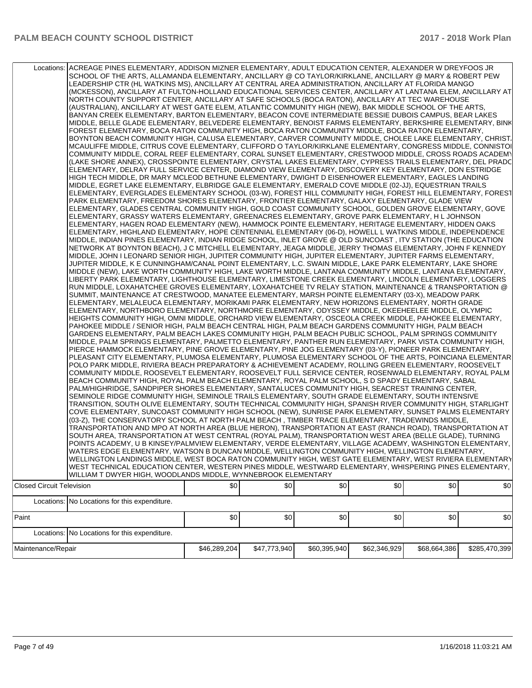| Locations: ACREAGE PINES ELEMENTARY, ADDISON MIZNER ELEMENTARY, ADULT EDUCATION CENTER, ALEXANDER W DREYFOOS JR<br>SCHOOL OF THE ARTS, ALLAMANDA ELEMENTARY, ANCILLARY @ CO TAYLOR/KIRKLANE, ANCILLARY @ MARY & ROBERT PEW<br>LEADERSHIP CTR (HL WATKINS MS), ANCILLARY AT CENTRAL AREA ADMINISTRATION, ANCILLARY AT FLORIDA MANGO<br>(MCKESSON), ANCILLARY AT FULTON-HOLLAND EDUCATIONAL SERVICES CENTER, ANCILLARY AT LANTANA ELEM, ANCILLARY AT<br>NORTH COUNTY SUPPORT CENTER, ANCILLARY AT SAFE SCHOOLS (BOCA RATON), ANCILLARY AT TEC WAREHOUSE<br>(AUSTRALIAN), ANCILLARY AT WEST GATE ELEM, ATLANTIC COMMUNITY HIGH (NEW), BAK MIDDLE SCHOOL OF THE ARTS,<br>BANYAN CREEK ELEMENTARY, BARTON ELEMENTARY, BEACON COVE INTERMEDIATE BESSIE DUBOIS CAMPUS, BEAR LAKES<br>MIDDLE, BELLE GLADE ELEMENTARY, BELVEDERE ELEMENTARY, BENOIST FARMS ELEMENTARY, BERKSHIRE ELEMENTARY, BINK<br>FOREST ELEMENTARY, BOCA RATON COMMUNITY HIGH, BOCA RATON COMMUNITY MIDDLE, BOCA RATON ELEMENTARY,<br>BOYNTON BEACH COMMUNITY HIGH, CALUSA ELEMENTARY, CARVER COMMUNITY MIDDLE, CHOLEE LAKE ELEMENTARY, CHRIST.<br>MCAULIFFE MIDDLE, CITRUS COVE ELEMENTARY, CLIFFORD O TAYLOR/KIRKLANE ELEMENTARY, CONGRESS MIDDLE, CONNISTOI<br>COMMUNITY MIDDLE, CORAL REEF ELEMENTARY, CORAL SUNSET ELEMENTARY, CRESTWOOD MIDDLE, CROSS ROADS ACADEMY<br>(LAKE SHORE ANNEX), CROSSPOINTE ELEMENTARY, CRYSTAL LAKES ELEMENTARY, CYPRESS TRAILS ELEMENTARY, DEL PRADC<br>ELEMENTARY, DELRAY FULL SERVICE CENTER, DIAMOND VIEW ELEMENTARY, DISCOVERY KEY ELEMENTARY, DON ESTRIDGE<br>HIGH TECH MIDDLE, DR MARY MCLEOD BETHUNE ELEMENTARY, DWIGHT D EISENHOWER ELEMENTARY, EAGLES LANDING<br>MIDDLE, EGRET LAKE ELEMENTARY, ELBRIDGE GALE ELEMENTARY, EMERALD COVE MIDDLE (02-JJ), EQUESTRIAN TRAILS<br>ELEMENTARY, EVERGLADES ELEMENTARY SCHOOL (03-W), FOREST HILL COMMUNITY HIGH, FOREST HILL ELEMENTARY, FOREST<br>PARK ELEMENTARY, FREEDOM SHORES ELEMENTARY, FRONTIER ELEMENTARY, GALAXY ELEMENTARY, GLADE VIEW<br>ELEMENTARY, GLADES CENTRAL COMMUNITY HIGH, GOLD COAST COMMUNITY SCHOOL, GOLDEN GROVE ELEMENTARY, GOVE<br>ELEMENTARY, GRASSY WATERS ELEMENTARY, GREENACRES ELEMENTARY, GROVE PARK ELEMENTARY, H L JOHNSON<br>ELEMENTARY, HAGEN ROAD ELEMENTARY (NEW), HAMMOCK POINTE ELEMENTARY, HERITAGE ELEMENTARY, HIDDEN OAKS<br>ELEMENTARY, HIGHLAND ELEMENTARY, HOPE CENTENNIAL ELEMENTARY (06-D), HOWELL L WATKINS MIDDLE, INDEPENDENCE<br>MIDDLE, INDIAN PINES ELEMENTARY, INDIAN RIDGE SCHOOL, INLET GROVE @ OLD SUNCOAST, ITV STATION (THE EDUCATION<br>NETWORK AT BOYNTON BEACH), J C MITCHELL ELEMENTARY, JEAGA MIDDLE, JERRY THOMAS ELEMENTARY, JOHN F KENNEDY<br>MIDDLE, JOHN I LEONARD SENIOR HIGH, JUPITER COMMUNITY HIGH, JUPITER ELEMENTARY, JUPITER FARMS ELEMENTARY,<br>JUPITER MIDDLE, K E CUNNINGHAM/CANAL POINT ELEMENTARY, L.C. SWAIN MIDDLE, LAKE PARK ELEMENTARY, LAKE SHORE<br>MIDDLE (NEW), LAKE WORTH COMMUNITY HIGH, LAKE WORTH MIDDLE, LANTANA COMMUNITY MIDDLE, LANTANA ELEMENTARY,<br>LIBERTY PARK ELEMENTARY, LIGHTHOUSE ELEMENTARY, LIMESTONE CREEK ELEMENTARY, LINCOLN ELEMENTARY, LOGGERS<br>RUN MIDDLE, LOXAHATCHEE GROVES ELEMENTARY, LOXAHATCHEE TV RELAY STATION, MAINTENANCE & TRANSPORTATION @<br>SUMMIT, MAINTENANCE AT CRESTWOOD, MANATEE ELEMENTARY, MARSH POINTE ELEMENTARY (03-X), MEADOW PARK<br>ELEMENTARY, MELALEUCA ELEMENTARY, MORIKAMI PARK ELEMENTARY, NEW HORIZONS ELEMENTARY, NORTH GRADE<br>ELEMENTARY, NORTHBORO ELEMENTARY, NORTHMORE ELEMENTARY, ODYSSEY MIDDLE, OKEEHEELEE MIDDLE, OLYMPIC<br>HEIGHTS COMMUNITY HIGH, OMNI MIDDLE, ORCHARD VIEW ELEMENTARY, OSCEOLA CREEK MIDDLE, PAHOKEE ELEMENTARY,<br>PAHOKEE MIDDLE / SENIOR HIGH, PALM BEACH CENTRAL HIGH, PALM BEACH GARDENS COMMUNITY HIGH, PALM BEACH<br>GARDENS ELEMENTARY, PALM BEACH LAKES COMMUNITY HIGH, PALM BEACH PUBLIC SCHOOL, PALM SPRINGS COMMUNITY<br>MIDDLE, PALM SPRINGS ELEMENTARY, PALMETTO ELEMENTARY, PANTHER RUN ELEMENTARY, PARK VISTA COMMUNITY HIGH,<br>PIERCE HAMMOCK ELEMENTARY, PINE GROVE ELEMENTARY, PINE JOG ELEMENTARY (03-Y), PIONEER PARK ELEMENTARY,<br>PLEASANT CITY ELEMENTARY, PLUMOSA ELEMENTARY, PLUMOSA ELEMENTARY SCHOOL OF THE ARTS, POINCIANA ELEMENTAR<br>POLO PARK MIDDLE, RIVIERA BEACH PREPARATORY & ACHIEVEMENT ACADEMY, ROLLING GREEN ELEMENTARY, ROOSEVELT<br>COMMUNITY MIDDLE, ROOSEVELT ELEMENTARY, ROOSEVELT FULL SERVICE CENTER, ROSENWALD ELEMENTARY, ROYAL PALM<br>BEACH COMMUNITY HIGH, ROYAL PALM BEACH ELEMENTARY, ROYAL PALM SCHOOL, S D SPADY ELEMENTARY, SABAL<br>PALM/HIGHRIDGE, SANDPIPER SHORES ELEMENTARY, SANTALUCES COMMUNITY HIGH, SEACREST TRAINING CENTER,<br>SEMINOLE RIDGE COMMUNITY HIGH, SEMINOLE TRAILS ELEMENTARY, SOUTH GRADE ELEMENTARY, SOUTH INTENSIVE<br>TRANSITION, SOUTH OLIVE ELEMENTARY, SOUTH TECHNICAL COMMUNITY HIGH, SPANISH RIVER COMMUNITY HIGH, STARLIGHT<br>COVE ELEMENTARY, SUNCOAST COMMUNITY HIGH SCHOOL (NEW), SUNRISE PARK ELEMENTARY, SUNSET PALMS ELEMENTARY<br>(03-Z), THE CONSERVATORY SCHOOL AT NORTH PALM BEACH, TIMBER TRACE ELEMENTARY, TRADEWINDS MIDDLE,<br>TRANSPORTATION AND MPO AT NORTH AREA (BLUE HERON), TRANSPORTATION AT EAST (RANCH ROAD), TRANSPORTATION AT<br>SOUTH AREA, TRANSPORTATION AT WEST CENTRAL (ROYAL PALM), TRANSPORTATION WEST AREA (BELLE GLADE), TURNING<br>POINTS ACADEMY, U B KINSEY/PALMVIEW ELEMENTARY, VERDE ELEMENTARY, VILLAGE ACADEMY, WASHINGTON ELEMENTARY,<br>WATERS EDGE ELEMENTARY, WATSON B DUNCAN MIDDLE, WELLINGTON COMMUNITY HIGH, WELLINGTON ELEMENTARY,<br>WELLINGTON LANDINGS MIDDLE, WEST BOCA RATON COMMUNITY HIGH, WEST GATE ELEMENTARY, WEST RIVIERA ELEMENTARY<br>WEST TECHNICAL EDUCATION CENTER, WESTERN PINES MIDDLE, WESTWARD ELEMENTARY, WHISPERING PINES ELEMENTARY,<br>WILLIAM T DWYER HIGH, WOODLANDS MIDDLE, WYNNEBROOK ELEMENTARY |              |              |              |              |              |               |
|-------------------------------------------------------------------------------------------------------------------------------------------------------------------------------------------------------------------------------------------------------------------------------------------------------------------------------------------------------------------------------------------------------------------------------------------------------------------------------------------------------------------------------------------------------------------------------------------------------------------------------------------------------------------------------------------------------------------------------------------------------------------------------------------------------------------------------------------------------------------------------------------------------------------------------------------------------------------------------------------------------------------------------------------------------------------------------------------------------------------------------------------------------------------------------------------------------------------------------------------------------------------------------------------------------------------------------------------------------------------------------------------------------------------------------------------------------------------------------------------------------------------------------------------------------------------------------------------------------------------------------------------------------------------------------------------------------------------------------------------------------------------------------------------------------------------------------------------------------------------------------------------------------------------------------------------------------------------------------------------------------------------------------------------------------------------------------------------------------------------------------------------------------------------------------------------------------------------------------------------------------------------------------------------------------------------------------------------------------------------------------------------------------------------------------------------------------------------------------------------------------------------------------------------------------------------------------------------------------------------------------------------------------------------------------------------------------------------------------------------------------------------------------------------------------------------------------------------------------------------------------------------------------------------------------------------------------------------------------------------------------------------------------------------------------------------------------------------------------------------------------------------------------------------------------------------------------------------------------------------------------------------------------------------------------------------------------------------------------------------------------------------------------------------------------------------------------------------------------------------------------------------------------------------------------------------------------------------------------------------------------------------------------------------------------------------------------------------------------------------------------------------------------------------------------------------------------------------------------------------------------------------------------------------------------------------------------------------------------------------------------------------------------------------------------------------------------------------------------------------------------------------------------------------------------------------------------------------------------------------------------------------------------------------------------------------------------------------------------------------------------------------------------------------------------------------------------------------------------------------------------------------------------------------------------------------------------------------------------------------------------------------------------------------------------------------------------------------------------------------------------------------------------------------------------------------------------------------------------------------------------------------------------------------------------------------------------------------------------------------------------------------------------------------------------------------------------------------------------------------------------------------------------------------------------------------------------------------------------------------------------------------------------------------------------------------------------------------------------------------------------------------------------------------------------------------------------------------------------------------------------------------------------------------------------------------------------------------------------------------------------------------------------------------------------------------------------------------------------------------------------------------------------------------------------------------|--------------|--------------|--------------|--------------|--------------|---------------|
| <b>Closed Circuit Television</b>                                                                                                                                                                                                                                                                                                                                                                                                                                                                                                                                                                                                                                                                                                                                                                                                                                                                                                                                                                                                                                                                                                                                                                                                                                                                                                                                                                                                                                                                                                                                                                                                                                                                                                                                                                                                                                                                                                                                                                                                                                                                                                                                                                                                                                                                                                                                                                                                                                                                                                                                                                                                                                                                                                                                                                                                                                                                                                                                                                                                                                                                                                                                                                                                                                                                                                                                                                                                                                                                                                                                                                                                                                                                                                                                                                                                                                                                                                                                                                                                                                                                                                                                                                                                                                                                                                                                                                                                                                                                                                                                                                                                                                                                                                                                                                                                                                                                                                                                                                                                                                                                                                                                                                                                                                                                                                                                                                                                                                                                                                                                                                                                                                                                                                                                                                                  | \$0          | \$0          | \$0          | \$0          | \$0          | \$0           |
|                                                                                                                                                                                                                                                                                                                                                                                                                                                                                                                                                                                                                                                                                                                                                                                                                                                                                                                                                                                                                                                                                                                                                                                                                                                                                                                                                                                                                                                                                                                                                                                                                                                                                                                                                                                                                                                                                                                                                                                                                                                                                                                                                                                                                                                                                                                                                                                                                                                                                                                                                                                                                                                                                                                                                                                                                                                                                                                                                                                                                                                                                                                                                                                                                                                                                                                                                                                                                                                                                                                                                                                                                                                                                                                                                                                                                                                                                                                                                                                                                                                                                                                                                                                                                                                                                                                                                                                                                                                                                                                                                                                                                                                                                                                                                                                                                                                                                                                                                                                                                                                                                                                                                                                                                                                                                                                                                                                                                                                                                                                                                                                                                                                                                                                                                                                                                   |              |              |              |              |              |               |
| Locations: No Locations for this expenditure.                                                                                                                                                                                                                                                                                                                                                                                                                                                                                                                                                                                                                                                                                                                                                                                                                                                                                                                                                                                                                                                                                                                                                                                                                                                                                                                                                                                                                                                                                                                                                                                                                                                                                                                                                                                                                                                                                                                                                                                                                                                                                                                                                                                                                                                                                                                                                                                                                                                                                                                                                                                                                                                                                                                                                                                                                                                                                                                                                                                                                                                                                                                                                                                                                                                                                                                                                                                                                                                                                                                                                                                                                                                                                                                                                                                                                                                                                                                                                                                                                                                                                                                                                                                                                                                                                                                                                                                                                                                                                                                                                                                                                                                                                                                                                                                                                                                                                                                                                                                                                                                                                                                                                                                                                                                                                                                                                                                                                                                                                                                                                                                                                                                                                                                                                                     |              |              |              |              |              |               |
| Paint                                                                                                                                                                                                                                                                                                                                                                                                                                                                                                                                                                                                                                                                                                                                                                                                                                                                                                                                                                                                                                                                                                                                                                                                                                                                                                                                                                                                                                                                                                                                                                                                                                                                                                                                                                                                                                                                                                                                                                                                                                                                                                                                                                                                                                                                                                                                                                                                                                                                                                                                                                                                                                                                                                                                                                                                                                                                                                                                                                                                                                                                                                                                                                                                                                                                                                                                                                                                                                                                                                                                                                                                                                                                                                                                                                                                                                                                                                                                                                                                                                                                                                                                                                                                                                                                                                                                                                                                                                                                                                                                                                                                                                                                                                                                                                                                                                                                                                                                                                                                                                                                                                                                                                                                                                                                                                                                                                                                                                                                                                                                                                                                                                                                                                                                                                                                             | \$0          | \$0          | \$0          | \$0          | \$0          | \$0           |
| Locations: No Locations for this expenditure.                                                                                                                                                                                                                                                                                                                                                                                                                                                                                                                                                                                                                                                                                                                                                                                                                                                                                                                                                                                                                                                                                                                                                                                                                                                                                                                                                                                                                                                                                                                                                                                                                                                                                                                                                                                                                                                                                                                                                                                                                                                                                                                                                                                                                                                                                                                                                                                                                                                                                                                                                                                                                                                                                                                                                                                                                                                                                                                                                                                                                                                                                                                                                                                                                                                                                                                                                                                                                                                                                                                                                                                                                                                                                                                                                                                                                                                                                                                                                                                                                                                                                                                                                                                                                                                                                                                                                                                                                                                                                                                                                                                                                                                                                                                                                                                                                                                                                                                                                                                                                                                                                                                                                                                                                                                                                                                                                                                                                                                                                                                                                                                                                                                                                                                                                                     |              |              |              |              |              |               |
|                                                                                                                                                                                                                                                                                                                                                                                                                                                                                                                                                                                                                                                                                                                                                                                                                                                                                                                                                                                                                                                                                                                                                                                                                                                                                                                                                                                                                                                                                                                                                                                                                                                                                                                                                                                                                                                                                                                                                                                                                                                                                                                                                                                                                                                                                                                                                                                                                                                                                                                                                                                                                                                                                                                                                                                                                                                                                                                                                                                                                                                                                                                                                                                                                                                                                                                                                                                                                                                                                                                                                                                                                                                                                                                                                                                                                                                                                                                                                                                                                                                                                                                                                                                                                                                                                                                                                                                                                                                                                                                                                                                                                                                                                                                                                                                                                                                                                                                                                                                                                                                                                                                                                                                                                                                                                                                                                                                                                                                                                                                                                                                                                                                                                                                                                                                                                   |              |              |              |              |              |               |
| Maintenance/Repair                                                                                                                                                                                                                                                                                                                                                                                                                                                                                                                                                                                                                                                                                                                                                                                                                                                                                                                                                                                                                                                                                                                                                                                                                                                                                                                                                                                                                                                                                                                                                                                                                                                                                                                                                                                                                                                                                                                                                                                                                                                                                                                                                                                                                                                                                                                                                                                                                                                                                                                                                                                                                                                                                                                                                                                                                                                                                                                                                                                                                                                                                                                                                                                                                                                                                                                                                                                                                                                                                                                                                                                                                                                                                                                                                                                                                                                                                                                                                                                                                                                                                                                                                                                                                                                                                                                                                                                                                                                                                                                                                                                                                                                                                                                                                                                                                                                                                                                                                                                                                                                                                                                                                                                                                                                                                                                                                                                                                                                                                                                                                                                                                                                                                                                                                                                                | \$46,289,204 | \$47,773,940 | \$60,395,940 | \$62,346,929 | \$68,664,386 | \$285,470,399 |
|                                                                                                                                                                                                                                                                                                                                                                                                                                                                                                                                                                                                                                                                                                                                                                                                                                                                                                                                                                                                                                                                                                                                                                                                                                                                                                                                                                                                                                                                                                                                                                                                                                                                                                                                                                                                                                                                                                                                                                                                                                                                                                                                                                                                                                                                                                                                                                                                                                                                                                                                                                                                                                                                                                                                                                                                                                                                                                                                                                                                                                                                                                                                                                                                                                                                                                                                                                                                                                                                                                                                                                                                                                                                                                                                                                                                                                                                                                                                                                                                                                                                                                                                                                                                                                                                                                                                                                                                                                                                                                                                                                                                                                                                                                                                                                                                                                                                                                                                                                                                                                                                                                                                                                                                                                                                                                                                                                                                                                                                                                                                                                                                                                                                                                                                                                                                                   |              |              |              |              |              |               |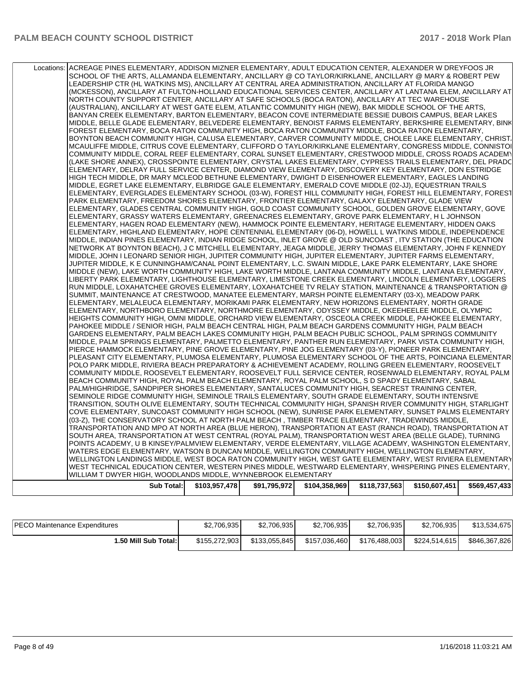| PIERCE HAMMOCK ELEMENTARY, PINE GROVE ELEMENTARY, PINE JOG ELEMENTARY (03-Y), PIONEER PARK ELEMENTARY,                                                                                                                                                                                                                                                                                                                                                                                                                                                                                                                                                                                                                                                                                                                                                                        |  |  |  |
|-------------------------------------------------------------------------------------------------------------------------------------------------------------------------------------------------------------------------------------------------------------------------------------------------------------------------------------------------------------------------------------------------------------------------------------------------------------------------------------------------------------------------------------------------------------------------------------------------------------------------------------------------------------------------------------------------------------------------------------------------------------------------------------------------------------------------------------------------------------------------------|--|--|--|
| PAHOKEE MIDDLE / SENIOR HIGH, PALM BEACH CENTRAL HIGH, PALM BEACH GARDENS COMMUNITY HIGH, PALM BEACH<br>GARDENS ELEMENTARY, PALM BEACH LAKES COMMUNITY HIGH, PALM BEACH PUBLIC SCHOOL, PALM SPRINGS COMMUNITY<br>MIDDLE, PALM SPRINGS ELEMENTARY, PALMETTO ELEMENTARY, PANTHER RUN ELEMENTARY, PARK VISTA COMMUNITY HIGH,                                                                                                                                                                                                                                                                                                                                                                                                                                                                                                                                                     |  |  |  |
| RUN MIDDLE, LOXAHATCHEE GROVES ELEMENTARY, LOXAHATCHEE TV RELAY STATION, MAINTENANCE & TRANSPORTATION @<br>SUMMIT, MAINTENANCE AT CRESTWOOD, MANATEE ELEMENTARY, MARSH POINTE ELEMENTARY (03-X), MEADOW PARK<br>ELEMENTARY, MELALEUCA ELEMENTARY, MORIKAMI PARK ELEMENTARY, NEW HORIZONS ELEMENTARY, NORTH GRADE<br>ELEMENTARY, NORTHBORO ELEMENTARY, NORTHMORE ELEMENTARY, ODYSSEY MIDDLE, OKEEHEELEE MIDDLE, OLYMPIC<br>HEIGHTS COMMUNITY HIGH, OMNI MIDDLE, ORCHARD VIEW ELEMENTARY, OSCEOLA CREEK MIDDLE, PAHOKEE ELEMENTARY,                                                                                                                                                                                                                                                                                                                                             |  |  |  |
| NETWORK AT BOYNTON BEACH), J C MITCHELL ELEMENTARY, JEAGA MIDDLE, JERRY THOMAS ELEMENTARY, JOHN F KENNEDY<br>MIDDLE, JOHN I LEONARD SENIOR HIGH, JUPITER COMMUNITY HIGH, JUPITER ELEMENTARY, JUPITER FARMS ELEMENTARY,<br>JUPITER MIDDLE, K E CUNNINGHAM/CANAL POINT ELEMENTARY, L.C. SWAIN MIDDLE, LAKE PARK ELEMENTARY, LAKE SHORE<br>MIDDLE (NEW), LAKE WORTH COMMUNITY HIGH, LAKE WORTH MIDDLE, LANTANA COMMUNITY MIDDLE, LANTANA ELEMENTARY,<br>LIBERTY PARK ELEMENTARY, LIGHTHOUSE ELEMENTARY, LIMESTONE CREEK ELEMENTARY, LINCOLN ELEMENTARY, LOGGERS                                                                                                                                                                                                                                                                                                                  |  |  |  |
| ELEMENTARY, GRASSY WATERS ELEMENTARY, GREENACRES ELEMENTARY, GROVE PARK ELEMENTARY, H L JOHNSON<br>ELEMENTARY, HAGEN ROAD ELEMENTARY (NEW), HAMMOCK POINTE ELEMENTARY, HERITAGE ELEMENTARY, HIDDEN OAKS<br>ELEMENTARY, HIGHLAND ELEMENTARY, HOPE CENTENNIAL ELEMENTARY (06-D), HOWELL L WATKINS MIDDLE, INDEPENDENCE<br>MIDDLE, INDIAN PINES ELEMENTARY, INDIAN RIDGE SCHOOL, INLET GROVE @ OLD SUNCOAST, ITV STATION (THE EDUCATION                                                                                                                                                                                                                                                                                                                                                                                                                                          |  |  |  |
| ELEMENTARY, DELRAY FULL SERVICE CENTER, DIAMOND VIEW ELEMENTARY, DISCOVERY KEY ELEMENTARY, DON ESTRIDGE<br>HIGH TECH MIDDLE, DR MARY MCLEOD BETHUNE ELEMENTARY, DWIGHT D EISENHOWER ELEMENTARY, EAGLES LANDING<br>MIDDLE, EGRET LAKE ELEMENTARY, ELBRIDGE GALE ELEMENTARY, EMERALD COVE MIDDLE (02-JJ), EQUESTRIAN TRAILS<br>ELEMENTARY, EVERGLADES ELEMENTARY SCHOOL (03-W), FOREST HILL COMMUNITY HIGH, FOREST HILL ELEMENTARY, FOREST<br>PARK ELEMENTARY, FREEDOM SHORES ELEMENTARY, FRONTIER ELEMENTARY, GALAXY ELEMENTARY, GLADE VIEW<br>ELEMENTARY, GLADES CENTRAL COMMUNITY HIGH, GOLD COAST COMMUNITY SCHOOL, GOLDEN GROVE ELEMENTARY, GOVE                                                                                                                                                                                                                           |  |  |  |
| FOREST ELEMENTARY, BOCA RATON COMMUNITY HIGH, BOCA RATON COMMUNITY MIDDLE, BOCA RATON ELEMENTARY,<br>BOYNTON BEACH COMMUNITY HIGH, CALUSA ELEMENTARY, CARVER COMMUNITY MIDDLE, CHOLEE LAKE ELEMENTARY, CHRIST,<br>MCAULIFFE MIDDLE, CITRUS COVE ELEMENTARY, CLIFFORD O TAYLOR/KIRKLANE ELEMENTARY, CONGRESS MIDDLE, CONNISTOI<br>COMMUNITY MIDDLE, CORAL REEF ELEMENTARY, CORAL SUNSET ELEMENTARY, CRESTWOOD MIDDLE, CROSS ROADS ACADEMY<br>(LAKE SHORE ANNEX), CROSSPOINTE ELEMENTARY, CRYSTAL LAKES ELEMENTARY, CYPRESS TRAILS ELEMENTARY, DEL PRADC                                                                                                                                                                                                                                                                                                                        |  |  |  |
| ACREAGE PINES ELEMENTARY, ADDISON MIZNER ELEMENTARY, ADULT EDUCATION CENTER, ALEXANDER W DREYFOOS JR<br>SCHOOL OF THE ARTS, ALLAMANDA ELEMENTARY, ANCILLARY @ CO TAYLOR/KIRKLANE, ANCILLARY @ MARY & ROBERT PEW<br>LEADERSHIP CTR (HL WATKINS MS), ANCILLARY AT CENTRAL AREA ADMINISTRATION, ANCILLARY AT FLORIDA MANGO<br>(MCKESSON), ANCILLARY AT FULTON-HOLLAND EDUCATIONAL SERVICES CENTER, ANCILLARY AT LANTANA ELEM, ANCILLARY AT<br>NORTH COUNTY SUPPORT CENTER, ANCILLARY AT SAFE SCHOOLS (BOCA RATON), ANCILLARY AT TEC WAREHOUSE<br>(AUSTRALIAN), ANCILLARY AT WEST GATE ELEM, ATLANTIC COMMUNITY HIGH (NEW), BAK MIDDLE SCHOOL OF THE ARTS,<br>BANYAN CREEK ELEMENTARY, BARTON ELEMENTARY, BEACON COVE INTERMEDIATE BESSIE DUBOIS CAMPUS, BEAR LAKES<br>MIDDLE, BELLE GLADE ELEMENTARY, BELVEDERE ELEMENTARY, BENOIST FARMS ELEMENTARY, BERKSHIRE ELEMENTARY, BINK |  |  |  |

| <b>PECO Maintenance Expenditures</b> | \$2,706,935   | \$2,706,935   | \$2.706.935   | \$2.706.935   | \$2,706,935   | \$13,534,675  |
|--------------------------------------|---------------|---------------|---------------|---------------|---------------|---------------|
| 1.50 Mill Sub Total: I               | \$155.272.903 | \$133.055.845 | \$157.036.460 | \$176.488.003 | \$224,514,615 | \$846.367.826 |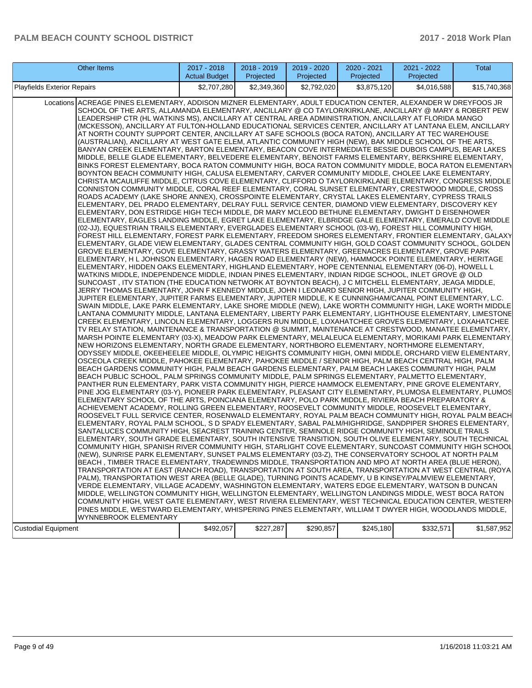| Other Items                                                                                                                                                                                                                                                                                                                                                                                                                                                                                                                                                                                                                                                                                                                                                                                                                                                                                                                                                                                                                                                                                                                                                                                                                                                                                                                                                                                                                                                                                                                                                                                                                                                                                                                                                                                                                                                                                                                                                                                                                                                                                                                                                                                                                                                                                                                                                                                                                                                                                                                                                                                                                                                                                                                                                                                                                                                                                                                                                                                                                                                                                                                                                                                                                                                                                                                                                                                                                                                                                                                                                                                                                                                                                                                                                                                                                                                                                                                                                                                                                                                                                                                                                                                                                                                                                                                                                                                                                                                                                                                                                                                                                                                                                                                                                                                                                                                                                                                                                                                                                                                                                                                                                                                                                                                                                                                                                                                                                                                                                                                                                                                                                                                                                                                                                                               | $2017 - 2018$<br><b>Actual Budget</b> | 2018 - 2019<br>Projected | 2019 - 2020<br>Projected | 2020 - 2021<br>Projected | 2021 - 2022<br>Projected | Total        |
|-------------------------------------------------------------------------------------------------------------------------------------------------------------------------------------------------------------------------------------------------------------------------------------------------------------------------------------------------------------------------------------------------------------------------------------------------------------------------------------------------------------------------------------------------------------------------------------------------------------------------------------------------------------------------------------------------------------------------------------------------------------------------------------------------------------------------------------------------------------------------------------------------------------------------------------------------------------------------------------------------------------------------------------------------------------------------------------------------------------------------------------------------------------------------------------------------------------------------------------------------------------------------------------------------------------------------------------------------------------------------------------------------------------------------------------------------------------------------------------------------------------------------------------------------------------------------------------------------------------------------------------------------------------------------------------------------------------------------------------------------------------------------------------------------------------------------------------------------------------------------------------------------------------------------------------------------------------------------------------------------------------------------------------------------------------------------------------------------------------------------------------------------------------------------------------------------------------------------------------------------------------------------------------------------------------------------------------------------------------------------------------------------------------------------------------------------------------------------------------------------------------------------------------------------------------------------------------------------------------------------------------------------------------------------------------------------------------------------------------------------------------------------------------------------------------------------------------------------------------------------------------------------------------------------------------------------------------------------------------------------------------------------------------------------------------------------------------------------------------------------------------------------------------------------------------------------------------------------------------------------------------------------------------------------------------------------------------------------------------------------------------------------------------------------------------------------------------------------------------------------------------------------------------------------------------------------------------------------------------------------------------------------------------------------------------------------------------------------------------------------------------------------------------------------------------------------------------------------------------------------------------------------------------------------------------------------------------------------------------------------------------------------------------------------------------------------------------------------------------------------------------------------------------------------------------------------------------------------------------------------------------------------------------------------------------------------------------------------------------------------------------------------------------------------------------------------------------------------------------------------------------------------------------------------------------------------------------------------------------------------------------------------------------------------------------------------------------------------------------------------------------------------------------------------------------------------------------------------------------------------------------------------------------------------------------------------------------------------------------------------------------------------------------------------------------------------------------------------------------------------------------------------------------------------------------------------------------------------------------------------------------------------------------------------------------------------------------------------------------------------------------------------------------------------------------------------------------------------------------------------------------------------------------------------------------------------------------------------------------------------------------------------------------------------------------------------------------------------------------------------------------------------------------------|---------------------------------------|--------------------------|--------------------------|--------------------------|--------------------------|--------------|
| <b>Playfields Exterior Repairs</b>                                                                                                                                                                                                                                                                                                                                                                                                                                                                                                                                                                                                                                                                                                                                                                                                                                                                                                                                                                                                                                                                                                                                                                                                                                                                                                                                                                                                                                                                                                                                                                                                                                                                                                                                                                                                                                                                                                                                                                                                                                                                                                                                                                                                                                                                                                                                                                                                                                                                                                                                                                                                                                                                                                                                                                                                                                                                                                                                                                                                                                                                                                                                                                                                                                                                                                                                                                                                                                                                                                                                                                                                                                                                                                                                                                                                                                                                                                                                                                                                                                                                                                                                                                                                                                                                                                                                                                                                                                                                                                                                                                                                                                                                                                                                                                                                                                                                                                                                                                                                                                                                                                                                                                                                                                                                                                                                                                                                                                                                                                                                                                                                                                                                                                                                                        | \$2,707,280                           | \$2,349,360              | \$2,792,020              | \$3,875,120              | \$4,016,588              | \$15,740,368 |
| Locations ACREAGE PINES ELEMENTARY, ADDISON MIZNER ELEMENTARY, ADULT EDUCATION CENTER, ALEXANDER W DREYFOOS JR<br>SCHOOL OF THE ARTS, ALLAMANDA ELEMENTARY, ANCILLARY @ CO TAYLOR/KIRKLANE, ANCILLARY @ MARY & ROBERT PEW<br>LEADERSHIP CTR (HL WATKINS MS), ANCILLARY AT CENTRAL AREA ADMINISTRATION, ANCILLARY AT FLORIDA MANGO<br>(MCKESSON), ANCILLARY AT FULTON-HOLLAND EDUCATIONAL SERVICES CENTER, ANCILLARY AT LANTANA ELEM, ANCILLARY<br>AT NORTH COUNTY SUPPORT CENTER, ANCILLARY AT SAFE SCHOOLS (BOCA RATON), ANCILLARY AT TEC WAREHOUSE<br>(AUSTRALIAN), ANCILLARY AT WEST GATE ELEM, ATLANTIC COMMUNITY HIGH (NEW), BAK MIDDLE SCHOOL OF THE ARTS,<br>BANYAN CREEK ELEMENTARY, BARTON ELEMENTARY, BEACON COVE INTERMEDIATE BESSIE DUBOIS CAMPUS, BEAR LAKES<br>MIDDLE, BELLE GLADE ELEMENTARY, BELVEDERE ELEMENTARY, BENOIST FARMS ELEMENTARY, BERKSHIRE ELEMENTARY,<br>BINKS FOREST ELEMENTARY, BOCA RATON COMMUNITY HIGH, BOCA RATON COMMUNITY MIDDLE, BOCA RATON ELEMENTARY<br>BOYNTON BEACH COMMUNITY HIGH, CALUSA ELEMENTARY, CARVER COMMUNITY MIDDLE, CHOLEE LAKE ELEMENTARY,<br>CHRISTA MCAULIFFE MIDDLE, CITRUS COVE ELEMENTARY, CLIFFORD O TAYLOR/KIRKLANE ELEMENTARY, CONGRESS MIDDLE<br>CONNISTON COMMUNITY MIDDLE, CORAL REEF ELEMENTARY, CORAL SUNSET ELEMENTARY, CRESTWOOD MIDDLE, CROSS<br>ROADS ACADEMY (LAKE SHORE ANNEX), CROSSPOINTE ELEMENTARY, CRYSTAL LAKES ELEMENTARY, CYPRESS TRAILS<br>ELEMENTARY, DEL PRADO ELEMENTARY, DELRAY FULL SERVICE CENTER, DIAMOND VIEW ELEMENTARY, DISCOVERY KEY<br>ELEMENTARY, DON ESTRIDGE HIGH TECH MIDDLE, DR MARY MCLEOD BETHUNE ELEMENTARY, DWIGHT D EISENHOWER<br>ELEMENTARY, EAGLES LANDING MIDDLE, EGRET LAKE ELEMENTARY, ELBRIDGE GALE ELEMENTARY, EMERALD COVE MIDDLE<br>(02-JJ), EQUESTRIAN TRAILS ELEMENTARY, EVERGLADES ELEMENTARY SCHOOL (03-W), FOREST HILL COMMUNITY HIGH,<br>FOREST HILL ELEMENTARY, FOREST PARK ELEMENTARY, FREEDOM SHORES ELEMENTARY, FRONTIER ELEMENTARY, GALAXY<br>ELEMENTARY, GLADE VIEW ELEMENTARY, GLADES CENTRAL COMMUNITY HIGH, GOLD COAST COMMUNITY SCHOOL, GOLDEN<br>GROVE ELEMENTARY, GOVE ELEMENTARY, GRASSY WATERS ELEMENTARY, GREENACRES ELEMENTARY, GROVE PARK<br>ELEMENTARY, H L JOHNSON ELEMENTARY, HAGEN ROAD ELEMENTARY (NEW), HAMMOCK POINTE ELEMENTARY, HERITAGE<br>ELEMENTARY, HIDDEN OAKS ELEMENTARY, HIGHLAND ELEMENTARY, HOPE CENTENNIAL ELEMENTARY (06-D), HOWELL L<br>WATKINS MIDDLE, INDEPENDENCE MIDDLE, INDIAN PINES ELEMENTARY, INDIAN RIDGE SCHOOL, INLET GROVE @ OLD<br>SUNCOAST, ITV STATION (THE EDUCATION NETWORK AT BOYNTON BEACH), J C MITCHELL ELEMENTARY, JEAGA MIDDLE,<br>JERRY THOMAS ELEMENTARY, JOHN F KENNEDY MIDDLE, JOHN I LEONARD SENIOR HIGH, JUPITER COMMUNITY HIGH,<br>JUPITER ELEMENTARY, JUPITER FARMS ELEMENTARY, JUPITER MIDDLE, K E CUNNINGHAM/CANAL POINT ELEMENTARY, L.C.<br>SWAIN MIDDLE, LAKE PARK ELEMENTARY, LAKE SHORE MIDDLE (NEW), LAKE WORTH COMMUNITY HIGH, LAKE WORTH MIDDLE<br>LANTANA COMMUNITY MIDDLE, LANTANA ELEMENTARY, LIBERTY PARK ELEMENTARY, LIGHTHOUSE ELEMENTARY, LIMESTONE<br>CREEK ELEMENTARY, LINCOLN ELEMENTARY, LOGGERS RUN MIDDLE, LOXAHATCHEE GROVES ELEMENTARY, LOXAHATCHEE<br>TV RELAY STATION, MAINTENANCE & TRANSPORTATION @ SUMMIT, MAINTENANCE AT CRESTWOOD, MANATEE ELEMENTARY,<br>MARSH POINTE ELEMENTARY (03-X), MEADOW PARK ELEMENTARY, MELALEUCA ELEMENTARY, MORIKAMI PARK ELEMENTARY<br>NEW HORIZONS ELEMENTARY, NORTH GRADE ELEMENTARY, NORTHBORO ELEMENTARY, NORTHMORE ELEMENTARY,<br>ODYSSEY MIDDLE, OKEEHEELEE MIDDLE, OLYMPIC HEIGHTS COMMUNITY HIGH, OMNI MIDDLE, ORCHARD VIEW ELEMENTARY,<br>OSCEOLA CREEK MIDDLE, PAHOKEE ELEMENTARY, PAHOKEE MIDDLE / SENIOR HIGH, PALM BEACH CENTRAL HIGH, PALM<br>BEACH GARDENS COMMUNITY HIGH, PALM BEACH GARDENS ELEMENTARY, PALM BEACH LAKES COMMUNITY HIGH, PALM<br>BEACH PUBLIC SCHOOL, PALM SPRINGS COMMUNITY MIDDLE, PALM SPRINGS ELEMENTARY, PALMETTO ELEMENTARY,<br>PANTHER RUN ELEMENTARY, PARK VISTA COMMUNITY HIGH, PIERCE HAMMOCK ELEMENTARY, PINE GROVE ELEMENTARY,<br>PINE JOG ELEMENTARY (03-Y), PIONEER PARK ELEMENTARY, PLEASANT CITY ELEMENTARY, PLUMOSA ELEMENTARY, PLUMOS<br>ELEMENTARY SCHOOL OF THE ARTS, POINCIANA ELEMENTARY, POLO PARK MIDDLE, RIVIERA BEACH PREPARATORY &<br>ACHIEVEMENT ACADEMY, ROLLING GREEN ELEMENTARY, ROOSEVELT COMMUNITY MIDDLE, ROOSEVELT ELEMENTARY,<br>ROOSEVELT FULL SERVICE CENTER, ROSENWALD ELEMENTARY, ROYAL PALM BEACH COMMUNITY HIGH, ROYAL PALM BEACH<br>ELEMENTARY, ROYAL PALM SCHOOL, S D SPADY ELEMENTARY, SABAL PALM/HIGHRIDGE, SANDPIPER SHORES ELEMENTARY,<br>SANTALUCES COMMUNITY HIGH, SEACREST TRAINING CENTER, SEMINOLE RIDGE COMMUNITY HIGH, SEMINOLE TRAILS<br>ELEMENTARY, SOUTH GRADE ELEMENTARY, SOUTH INTENSIVE TRANSITION, SOUTH OLIVE ELEMENTARY, SOUTH TECHNICAL<br>COMMUNITY HIGH, SPANISH RIVER COMMUNITY HIGH, STARLIGHT COVE ELEMENTARY, SUNCOAST COMMUNITY HIGH SCHOOL<br>(NEW), SUNRISE PARK ELEMENTARY, SUNSET PALMS ELEMENTARY (03-Z), THE CONSERVATORY SCHOOL AT NORTH PALM<br>BEACH , TIMBER TRACE ELEMENTARY, TRADEWINDS MIDDLE, TRANSPORTATION AND MPO AT NORTH AREA (BLUE HERON),<br>TRANSPORTATION AT EAST (RANCH ROAD), TRANSPORTATION AT SOUTH AREA, TRANSPORTATION AT WEST CENTRAL (ROYA<br>PALM), TRANSPORTATION WEST AREA (BELLE GLADE), TURNING POINTS ACADEMY, U B KINSEY/PALMVIEW ELEMENTARY,<br>VERDE ELEMENTARY, VILLAGE ACADEMY, WASHINGTON ELEMENTARY, WATERS EDGE ELEMENTARY, WATSON B DUNCAN<br>MIDDLE, WELLINGTON COMMUNITY HIGH, WELLINGTON ELEMENTARY, WELLINGTON LANDINGS MIDDLE, WEST BOCA RATON<br>COMMUNITY HIGH, WEST GATE ELEMENTARY, WEST RIVIERA ELEMENTARY, WEST TECHNICAL EDUCATION CENTER, WESTERN<br>PINES MIDDLE, WESTWARD ELEMENTARY, WHISPERING PINES ELEMENTARY, WILLIAM T DWYER HIGH, WOODLANDS MIDDLE, |                                       |                          |                          |                          |                          |              |
| WYNNEBROOK ELEMENTARY<br><b>Custodial Equipment</b>                                                                                                                                                                                                                                                                                                                                                                                                                                                                                                                                                                                                                                                                                                                                                                                                                                                                                                                                                                                                                                                                                                                                                                                                                                                                                                                                                                                                                                                                                                                                                                                                                                                                                                                                                                                                                                                                                                                                                                                                                                                                                                                                                                                                                                                                                                                                                                                                                                                                                                                                                                                                                                                                                                                                                                                                                                                                                                                                                                                                                                                                                                                                                                                                                                                                                                                                                                                                                                                                                                                                                                                                                                                                                                                                                                                                                                                                                                                                                                                                                                                                                                                                                                                                                                                                                                                                                                                                                                                                                                                                                                                                                                                                                                                                                                                                                                                                                                                                                                                                                                                                                                                                                                                                                                                                                                                                                                                                                                                                                                                                                                                                                                                                                                                                       | \$492,057                             | \$227,287                | \$290,857                | \$245,180                | \$332,571                | \$1,587,952  |
|                                                                                                                                                                                                                                                                                                                                                                                                                                                                                                                                                                                                                                                                                                                                                                                                                                                                                                                                                                                                                                                                                                                                                                                                                                                                                                                                                                                                                                                                                                                                                                                                                                                                                                                                                                                                                                                                                                                                                                                                                                                                                                                                                                                                                                                                                                                                                                                                                                                                                                                                                                                                                                                                                                                                                                                                                                                                                                                                                                                                                                                                                                                                                                                                                                                                                                                                                                                                                                                                                                                                                                                                                                                                                                                                                                                                                                                                                                                                                                                                                                                                                                                                                                                                                                                                                                                                                                                                                                                                                                                                                                                                                                                                                                                                                                                                                                                                                                                                                                                                                                                                                                                                                                                                                                                                                                                                                                                                                                                                                                                                                                                                                                                                                                                                                                                           |                                       |                          |                          |                          |                          |              |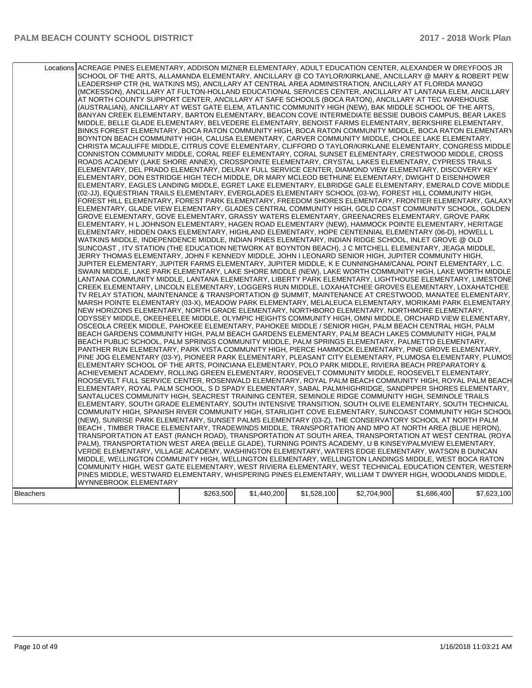|                  | Locations ACREAGE PINES ELEMENTARY, ADDISON MIZNER ELEMENTARY, ADULT EDUCATION CENTER, ALEXANDER W DREYFOOS JR<br>SCHOOL OF THE ARTS, ALLAMANDA ELEMENTARY, ANCILLARY @ CO TAYLOR/KIRKLANE, ANCILLARY @ MARY & ROBERT PEW<br>LEADERSHIP CTR (HL WATKINS MS), ANCILLARY AT CENTRAL AREA ADMINISTRATION, ANCILLARY AT FLORIDA MANGO<br>(MCKESSON), ANCILLARY AT FULTON-HOLLAND EDUCATIONAL SERVICES CENTER, ANCILLARY AT LANTANA ELEM, ANCILLARY<br>AT NORTH COUNTY SUPPORT CENTER, ANCILLARY AT SAFE SCHOOLS (BOCA RATON), ANCILLARY AT TEC WAREHOUSE<br>(AUSTRALIAN), ANCILLARY AT WEST GATE ELEM, ATLANTIC COMMUNITY HIGH (NEW), BAK MIDDLE SCHOOL OF THE ARTS,<br>BANYAN CREEK ELEMENTARY, BARTON ELEMENTARY, BEACON COVE INTERMEDIATE BESSIE DUBOIS CAMPUS, BEAR LAKES<br>MIDDLE, BELLE GLADE ELEMENTARY, BELVEDERE ELEMENTARY, BENOIST FARMS ELEMENTARY, BERKSHIRE ELEMENTARY,<br>BINKS FOREST ELEMENTARY, BOCA RATON COMMUNITY HIGH, BOCA RATON COMMUNITY MIDDLE, BOCA RATON ELEMENTARY<br>BOYNTON BEACH COMMUNITY HIGH, CALUSA ELEMENTARY, CARVER COMMUNITY MIDDLE, CHOLEE LAKE ELEMENTARY,<br>CHRISTA MCAULIFFE MIDDLE, CITRUS COVE ELEMENTARY, CLIFFORD O TAYLOR/KIRKLANE ELEMENTARY, CONGRESS MIDDLE<br>CONNISTON COMMUNITY MIDDLE, CORAL REEF ELEMENTARY, CORAL SUNSET ELEMENTARY, CRESTWOOD MIDDLE, CROSS<br>ROADS ACADEMY (LAKE SHORE ANNEX), CROSSPOINTE ELEMENTARY, CRYSTAL LAKES ELEMENTARY, CYPRESS TRAILS<br>ELEMENTARY, DEL PRADO ELEMENTARY, DELRAY FULL SERVICE CENTER, DIAMOND VIEW ELEMENTARY, DISCOVERY KEY<br>ELEMENTARY, DON ESTRIDGE HIGH TECH MIDDLE, DR MARY MCLEOD BETHUNE ELEMENTARY, DWIGHT D EISENHOWER<br>ELEMENTARY, EAGLES LANDING MIDDLE, EGRET LAKE ELEMENTARY, ELBRIDGE GALE ELEMENTARY, EMERALD COVE MIDDLE<br>(02-JJ), EQUESTRIAN TRAILS ELEMENTARY, EVERGLADES ELEMENTARY SCHOOL (03-W), FOREST HILL COMMUNITY HIGH,<br>FOREST HILL ELEMENTARY, FOREST PARK ELEMENTARY, FREEDOM SHORES ELEMENTARY, FRONTIER ELEMENTARY, GALAXY<br>ELEMENTARY, GLADE VIEW ELEMENTARY, GLADES CENTRAL COMMUNITY HIGH, GOLD COAST COMMUNITY SCHOOL, GOLDEN<br>GROVE ELEMENTARY, GOVE ELEMENTARY, GRASSY WATERS ELEMENTARY, GREENACRES ELEMENTARY, GROVE PARK<br>ELEMENTARY, H L JOHNSON ELEMENTARY, HAGEN ROAD ELEMENTARY (NEW), HAMMOCK POINTE ELEMENTARY, HERITAGE<br>ELEMENTARY, HIDDEN OAKS ELEMENTARY, HIGHLAND ELEMENTARY, HOPE CENTENNIAL ELEMENTARY (06-D), HOWELL L<br>WATKINS MIDDLE, INDEPENDENCE MIDDLE, INDIAN PINES ELEMENTARY, INDIAN RIDGE SCHOOL, INLET GROVE @ OLD<br>SUNCOAST, ITV STATION (THE EDUCATION NETWORK AT BOYNTON BEACH), J C MITCHELL ELEMENTARY, JEAGA MIDDLE,<br>JERRY THOMAS ELEMENTARY, JOHN F KENNEDY MIDDLE, JOHN I LEONARD SENIOR HIGH, JUPITER COMMUNITY HIGH,<br>JUPITER ELEMENTARY, JUPITER FARMS ELEMENTARY, JUPITER MIDDLE, K E CUNNINGHAM/CANAL POINT ELEMENTARY, L.C.<br>SWAIN MIDDLE, LAKE PARK ELEMENTARY, LAKE SHORE MIDDLE (NEW), LAKE WORTH COMMUNITY HIGH, LAKE WORTH MIDDLE<br>LANTANA COMMUNITY MIDDLE, LANTANA ELEMENTARY, LIBERTY PARK ELEMENTARY, LIGHTHOUSE ELEMENTARY, LIMESTONE<br>CREEK ELEMENTARY, LINCOLN ELEMENTARY, LOGGERS RUN MIDDLE, LOXAHATCHEE GROVES ELEMENTARY, LOXAHATCHEE<br>TV RELAY STATION, MAINTENANCE & TRANSPORTATION @ SUMMIT, MAINTENANCE AT CRESTWOOD, MANATEE ELEMENTARY,<br>MARSH POINTE ELEMENTARY (03-X), MEADOW PARK ELEMENTARY, MELALEUCA ELEMENTARY, MORIKAMI PARK ELEMENTARY.<br>NEW HORIZONS ELEMENTARY, NORTH GRADE ELEMENTARY, NORTHBORO ELEMENTARY, NORTHMORE ELEMENTARY,<br>ODYSSEY MIDDLE, OKEEHEELEE MIDDLE, OLYMPIC HEIGHTS COMMUNITY HIGH, OMNI MIDDLE, ORCHARD VIEW ELEMENTARY,<br>OSCEOLA CREEK MIDDLE, PAHOKEE ELEMENTARY, PAHOKEE MIDDLE / SENIOR HIGH, PALM BEACH CENTRAL HIGH, PALM<br>BEACH GARDENS COMMUNITY HIGH, PALM BEACH GARDENS ELEMENTARY, PALM BEACH LAKES COMMUNITY HIGH, PALM<br>BEACH PUBLIC SCHOOL, PALM SPRINGS COMMUNITY MIDDLE, PALM SPRINGS ELEMENTARY, PALMETTO ELEMENTARY,<br>PANTHER RUN ELEMENTARY, PARK VISTA COMMUNITY HIGH, PIERCE HAMMOCK ELEMENTARY, PINE GROVE ELEMENTARY,<br>PINE JOG ELEMENTARY (03-Y), PIONEER PARK ELEMENTARY, PLEASANT CITY ELEMENTARY, PLUMOSA ELEMENTARY, PLUMOS<br>ELEMENTARY SCHOOL OF THE ARTS, POINCIANA ELEMENTARY, POLO PARK MIDDLE, RIVIERA BEACH PREPARATORY &<br>ACHIEVEMENT ACADEMY, ROLLING GREEN ELEMENTARY, ROOSEVELT COMMUNITY MIDDLE, ROOSEVELT ELEMENTARY,<br>ROOSEVELT FULL SERVICE CENTER, ROSENWALD ELEMENTARY, ROYAL PALM BEACH COMMUNITY HIGH, ROYAL PALM BEACH<br>ELEMENTARY, ROYAL PALM SCHOOL, S D SPADY ELEMENTARY, SABAL PALM/HIGHRIDGE, SANDPIPER SHORES ELEMENTARY,<br>SANTALUCES COMMUNITY HIGH, SEACREST TRAINING CENTER, SEMINOLE RIDGE COMMUNITY HIGH, SEMINOLE TRAILS<br>ELEMENTARY, SOUTH GRADE ELEMENTARY, SOUTH INTENSIVE TRANSITION, SOUTH OLIVE ELEMENTARY, SOUTH TECHNICAL<br>COMMUNITY HIGH, SPANISH RIVER COMMUNITY HIGH, STARLIGHT COVE ELEMENTARY, SUNCOAST COMMUNITY HIGH SCHOOL<br>(NEW), SUNRISE PARK ELEMENTARY, SUNSET PALMS ELEMENTARY (03-Z), THE CONSERVATORY SCHOOL AT NORTH PALM<br>BEACH, TIMBER TRACE ELEMENTARY, TRADEWINDS MIDDLE, TRANSPORTATION AND MPO AT NORTH AREA (BLUE HERON),<br>TRANSPORTATION AT EAST (RANCH ROAD), TRANSPORTATION AT SOUTH AREA, TRANSPORTATION AT WEST CENTRAL (ROYA)<br>PALM), TRANSPORTATION WEST AREA (BELLE GLADE), TURNING POINTS ACADEMY, U B KINSEY/PALMVIEW ELEMENTARY,<br>VERDE ELEMENTARY, VILLAGE ACADEMY, WASHINGTON ELEMENTARY, WATERS EDGE ELEMENTARY, WATSON B DUNCAN<br>MIDDLE, WELLINGTON COMMUNITY HIGH, WELLINGTON ELEMENTARY, WELLINGTON LANDINGS MIDDLE, WEST BOCA RATON<br>COMMUNITY HIGH, WEST GATE ELEMENTARY, WEST RIVIERA ELEMENTARY, WEST TECHNICAL EDUCATION CENTER, WESTERN<br>PINES MIDDLE, WESTWARD ELEMENTARY, WHISPERING PINES ELEMENTARY, WILLIAM T DWYER HIGH, WOODLANDS MIDDLE,<br>WYNNEBROOK ELEMENTARY |           |             |             |             |             |             |
|------------------|---------------------------------------------------------------------------------------------------------------------------------------------------------------------------------------------------------------------------------------------------------------------------------------------------------------------------------------------------------------------------------------------------------------------------------------------------------------------------------------------------------------------------------------------------------------------------------------------------------------------------------------------------------------------------------------------------------------------------------------------------------------------------------------------------------------------------------------------------------------------------------------------------------------------------------------------------------------------------------------------------------------------------------------------------------------------------------------------------------------------------------------------------------------------------------------------------------------------------------------------------------------------------------------------------------------------------------------------------------------------------------------------------------------------------------------------------------------------------------------------------------------------------------------------------------------------------------------------------------------------------------------------------------------------------------------------------------------------------------------------------------------------------------------------------------------------------------------------------------------------------------------------------------------------------------------------------------------------------------------------------------------------------------------------------------------------------------------------------------------------------------------------------------------------------------------------------------------------------------------------------------------------------------------------------------------------------------------------------------------------------------------------------------------------------------------------------------------------------------------------------------------------------------------------------------------------------------------------------------------------------------------------------------------------------------------------------------------------------------------------------------------------------------------------------------------------------------------------------------------------------------------------------------------------------------------------------------------------------------------------------------------------------------------------------------------------------------------------------------------------------------------------------------------------------------------------------------------------------------------------------------------------------------------------------------------------------------------------------------------------------------------------------------------------------------------------------------------------------------------------------------------------------------------------------------------------------------------------------------------------------------------------------------------------------------------------------------------------------------------------------------------------------------------------------------------------------------------------------------------------------------------------------------------------------------------------------------------------------------------------------------------------------------------------------------------------------------------------------------------------------------------------------------------------------------------------------------------------------------------------------------------------------------------------------------------------------------------------------------------------------------------------------------------------------------------------------------------------------------------------------------------------------------------------------------------------------------------------------------------------------------------------------------------------------------------------------------------------------------------------------------------------------------------------------------------------------------------------------------------------------------------------------------------------------------------------------------------------------------------------------------------------------------------------------------------------------------------------------------------------------------------------------------------------------------------------------------------------------------------------------------------------------------------------------------------------------------------------------------------------------------------------------------------------------------------------------------------------------------------------------------------------------------------------------------------------------------------------------------------------------------------------------------------------------------------------------------------------------------------------------------------------------------------------------------------------|-----------|-------------|-------------|-------------|-------------|-------------|
|                  |                                                                                                                                                                                                                                                                                                                                                                                                                                                                                                                                                                                                                                                                                                                                                                                                                                                                                                                                                                                                                                                                                                                                                                                                                                                                                                                                                                                                                                                                                                                                                                                                                                                                                                                                                                                                                                                                                                                                                                                                                                                                                                                                                                                                                                                                                                                                                                                                                                                                                                                                                                                                                                                                                                                                                                                                                                                                                                                                                                                                                                                                                                                                                                                                                                                                                                                                                                                                                                                                                                                                                                                                                                                                                                                                                                                                                                                                                                                                                                                                                                                                                                                                                                                                                                                                                                                                                                                                                                                                                                                                                                                                                                                                                                                                                                                                                                                                                                                                                                                                                                                                                                                                                                                                                                                                                                                                                                                                                                                                                                                                                                                                                                                                                                                                                                                                                     |           |             |             |             |             |             |
|                  |                                                                                                                                                                                                                                                                                                                                                                                                                                                                                                                                                                                                                                                                                                                                                                                                                                                                                                                                                                                                                                                                                                                                                                                                                                                                                                                                                                                                                                                                                                                                                                                                                                                                                                                                                                                                                                                                                                                                                                                                                                                                                                                                                                                                                                                                                                                                                                                                                                                                                                                                                                                                                                                                                                                                                                                                                                                                                                                                                                                                                                                                                                                                                                                                                                                                                                                                                                                                                                                                                                                                                                                                                                                                                                                                                                                                                                                                                                                                                                                                                                                                                                                                                                                                                                                                                                                                                                                                                                                                                                                                                                                                                                                                                                                                                                                                                                                                                                                                                                                                                                                                                                                                                                                                                                                                                                                                                                                                                                                                                                                                                                                                                                                                                                                                                                                                                     | \$263,500 |             |             |             |             | \$7,623,100 |
| <b>Bleachers</b> |                                                                                                                                                                                                                                                                                                                                                                                                                                                                                                                                                                                                                                                                                                                                                                                                                                                                                                                                                                                                                                                                                                                                                                                                                                                                                                                                                                                                                                                                                                                                                                                                                                                                                                                                                                                                                                                                                                                                                                                                                                                                                                                                                                                                                                                                                                                                                                                                                                                                                                                                                                                                                                                                                                                                                                                                                                                                                                                                                                                                                                                                                                                                                                                                                                                                                                                                                                                                                                                                                                                                                                                                                                                                                                                                                                                                                                                                                                                                                                                                                                                                                                                                                                                                                                                                                                                                                                                                                                                                                                                                                                                                                                                                                                                                                                                                                                                                                                                                                                                                                                                                                                                                                                                                                                                                                                                                                                                                                                                                                                                                                                                                                                                                                                                                                                                                                     |           | \$1,440,200 | \$1,528,100 | \$2,704,900 | \$1,686,400 |             |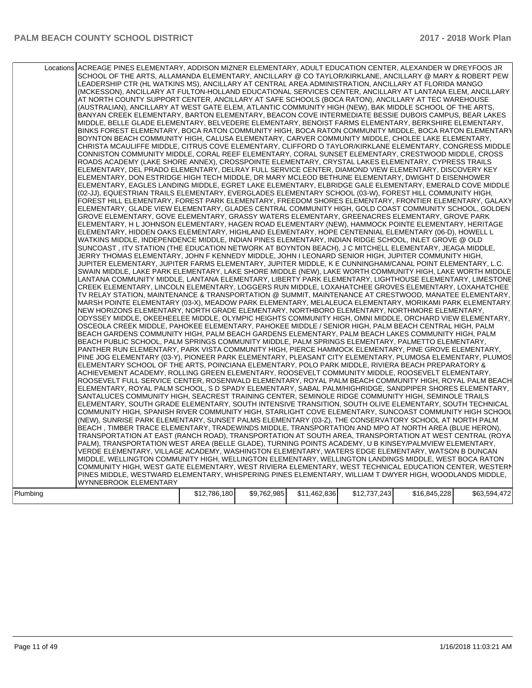|          | Locations ACREAGE PINES ELEMENTARY, ADDISON MIZNER ELEMENTARY, ADULT EDUCATION CENTER, ALEXANDER W DREYFOOS JR<br>SCHOOL OF THE ARTS, ALLAMANDA ELEMENTARY, ANCILLARY @ CO TAYLOR/KIRKLANE, ANCILLARY @ MARY & ROBERT PEW<br>LEADERSHIP CTR (HL WATKINS MS), ANCILLARY AT CENTRAL AREA ADMINISTRATION, ANCILLARY AT FLORIDA MANGO<br>(MCKESSON), ANCILLARY AT FULTON-HOLLAND EDUCATIONAL SERVICES CENTER, ANCILLARY AT LANTANA ELEM, ANCILLARY<br>AT NORTH COUNTY SUPPORT CENTER, ANCILLARY AT SAFE SCHOOLS (BOCA RATON), ANCILLARY AT TEC WAREHOUSE<br>(AUSTRALIAN), ANCILLARY AT WEST GATE ELEM, ATLANTIC COMMUNITY HIGH (NEW), BAK MIDDLE SCHOOL OF THE ARTS,<br>BANYAN CREEK ELEMENTARY, BARTON ELEMENTARY, BEACON COVE INTERMEDIATE BESSIE DUBOIS CAMPUS, BEAR LAKES<br>MIDDLE, BELLE GLADE ELEMENTARY, BELVEDERE ELEMENTARY, BENOIST FARMS ELEMENTARY, BERKSHIRE ELEMENTARY,<br>BINKS FOREST ELEMENTARY, BOCA RATON COMMUNITY HIGH, BOCA RATON COMMUNITY MIDDLE, BOCA RATON ELEMENTARY<br>BOYNTON BEACH COMMUNITY HIGH, CALUSA ELEMENTARY, CARVER COMMUNITY MIDDLE, CHOLEE LAKE ELEMENTARY,<br>CHRISTA MCAULIFFE MIDDLE, CITRUS COVE ELEMENTARY, CLIFFORD O TAYLOR/KIRKLANE ELEMENTARY, CONGRESS MIDDLE<br>CONNISTON COMMUNITY MIDDLE, CORAL REEF ELEMENTARY, CORAL SUNSET ELEMENTARY, CRESTWOOD MIDDLE, CROSS<br>ROADS ACADEMY (LAKE SHORE ANNEX), CROSSPOINTE ELEMENTARY, CRYSTAL LAKES ELEMENTARY, CYPRESS TRAILS<br>ELEMENTARY, DEL PRADO ELEMENTARY, DELRAY FULL SERVICE CENTER, DIAMOND VIEW ELEMENTARY, DISCOVERY KEY<br>ELEMENTARY, DON ESTRIDGE HIGH TECH MIDDLE, DR MARY MCLEOD BETHUNE ELEMENTARY, DWIGHT D EISENHOWER<br>ELEMENTARY, EAGLES LANDING MIDDLE, EGRET LAKE ELEMENTARY, ELBRIDGE GALE ELEMENTARY, EMERALD COVE MIDDLE<br>(02-JJ), EQUESTRIAN TRAILS ELEMENTARY, EVERGLADES ELEMENTARY SCHOOL (03-W), FOREST HILL COMMUNITY HIGH,<br>FOREST HILL ELEMENTARY, FOREST PARK ELEMENTARY, FREEDOM SHORES ELEMENTARY, FRONTIER ELEMENTARY, GALAXY<br>ELEMENTARY, GLADE VIEW ELEMENTARY, GLADES CENTRAL COMMUNITY HIGH, GOLD COAST COMMUNITY SCHOOL, GOLDEN<br>GROVE ELEMENTARY, GOVE ELEMENTARY, GRASSY WATERS ELEMENTARY, GREENACRES ELEMENTARY, GROVE PARK<br>ELEMENTARY, H L JOHNSON ELEMENTARY, HAGEN ROAD ELEMENTARY (NEW), HAMMOCK POINTE ELEMENTARY, HERITAGE<br>ELEMENTARY, HIDDEN OAKS ELEMENTARY, HIGHLAND ELEMENTARY, HOPE CENTENNIAL ELEMENTARY (06-D), HOWELL L<br>WATKINS MIDDLE, INDEPENDENCE MIDDLE, INDIAN PINES ELEMENTARY, INDIAN RIDGE SCHOOL, INLET GROVE @ OLD<br>SUNCOAST, ITV STATION (THE EDUCATION NETWORK AT BOYNTON BEACH), J C MITCHELL ELEMENTARY, JEAGA MIDDLE,<br>JERRY THOMAS ELEMENTARY, JOHN F KENNEDY MIDDLE, JOHN I LEONARD SENIOR HIGH, JUPITER COMMUNITY HIGH,<br>JUPITER ELEMENTARY, JUPITER FARMS ELEMENTARY, JUPITER MIDDLE, K E CUNNINGHAM/CANAL POINT ELEMENTARY, L.C.<br>SWAIN MIDDLE, LAKE PARK ELEMENTARY, LAKE SHORE MIDDLE (NEW), LAKE WORTH COMMUNITY HIGH, LAKE WORTH MIDDLE<br>LANTANA COMMUNITY MIDDLE, LANTANA ELEMENTARY, LIBERTY PARK ELEMENTARY, LIGHTHOUSE ELEMENTARY, LIMESTONE<br>CREEK ELEMENTARY, LINCOLN ELEMENTARY, LOGGERS RUN MIDDLE, LOXAHATCHEE GROVES ELEMENTARY, LOXAHATCHEE<br>TV RELAY STATION, MAINTENANCE & TRANSPORTATION @ SUMMIT, MAINTENANCE AT CRESTWOOD, MANATEE ELEMENTARY,<br>MARSH POINTE ELEMENTARY (03-X), MEADOW PARK ELEMENTARY, MELALEUCA ELEMENTARY, MORIKAMI PARK ELEMENTARY.<br>NEW HORIZONS ELEMENTARY, NORTH GRADE ELEMENTARY, NORTHBORO ELEMENTARY, NORTHMORE ELEMENTARY,<br>ODYSSEY MIDDLE, OKEEHEELEE MIDDLE, OLYMPIC HEIGHTS COMMUNITY HIGH, OMNI MIDDLE, ORCHARD VIEW ELEMENTARY,<br>OSCEOLA CREEK MIDDLE, PAHOKEE ELEMENTARY, PAHOKEE MIDDLE / SENIOR HIGH, PALM BEACH CENTRAL HIGH, PALM<br>BEACH GARDENS COMMUNITY HIGH, PALM BEACH GARDENS ELEMENTARY, PALM BEACH LAKES COMMUNITY HIGH, PALM<br>BEACH PUBLIC SCHOOL, PALM SPRINGS COMMUNITY MIDDLE, PALM SPRINGS ELEMENTARY, PALMETTO ELEMENTARY,<br>PANTHER RUN ELEMENTARY, PARK VISTA COMMUNITY HIGH, PIERCE HAMMOCK ELEMENTARY, PINE GROVE ELEMENTARY,<br>PINE JOG ELEMENTARY (03-Y), PIONEER PARK ELEMENTARY, PLEASANT CITY ELEMENTARY, PLUMOSA ELEMENTARY, PLUMOS<br>ELEMENTARY SCHOOL OF THE ARTS, POINCIANA ELEMENTARY, POLO PARK MIDDLE, RIVIERA BEACH PREPARATORY &<br>ACHIEVEMENT ACADEMY, ROLLING GREEN ELEMENTARY, ROOSEVELT COMMUNITY MIDDLE, ROOSEVELT ELEMENTARY,<br>ROOSEVELT FULL SERVICE CENTER, ROSENWALD ELEMENTARY, ROYAL PALM BEACH COMMUNITY HIGH, ROYAL PALM BEACH<br>ELEMENTARY, ROYAL PALM SCHOOL, S D SPADY ELEMENTARY, SABAL PALM/HIGHRIDGE, SANDPIPER SHORES ELEMENTARY,<br>SANTALUCES COMMUNITY HIGH, SEACREST TRAINING CENTER, SEMINOLE RIDGE COMMUNITY HIGH, SEMINOLE TRAILS<br>ELEMENTARY, SOUTH GRADE ELEMENTARY, SOUTH INTENSIVE TRANSITION, SOUTH OLIVE ELEMENTARY, SOUTH TECHNICAL<br>COMMUNITY HIGH, SPANISH RIVER COMMUNITY HIGH, STARLIGHT COVE ELEMENTARY, SUNCOAST COMMUNITY HIGH SCHOOL<br>(NEW), SUNRISE PARK ELEMENTARY, SUNSET PALMS ELEMENTARY (03-Z), THE CONSERVATORY SCHOOL AT NORTH PALM<br>BEACH, TIMBER TRACE ELEMENTARY, TRADEWINDS MIDDLE, TRANSPORTATION AND MPO AT NORTH AREA (BLUE HERON),<br>TRANSPORTATION AT EAST (RANCH ROAD), TRANSPORTATION AT SOUTH AREA, TRANSPORTATION AT WEST CENTRAL (ROYA)<br>PALM), TRANSPORTATION WEST AREA (BELLE GLADE), TURNING POINTS ACADEMY, U B KINSEY/PALMVIEW ELEMENTARY,<br>VERDE ELEMENTARY, VILLAGE ACADEMY, WASHINGTON ELEMENTARY, WATERS EDGE ELEMENTARY, WATSON B DUNCAN<br>MIDDLE, WELLINGTON COMMUNITY HIGH, WELLINGTON ELEMENTARY, WELLINGTON LANDINGS MIDDLE, WEST BOCA RATON<br>COMMUNITY HIGH, WEST GATE ELEMENTARY, WEST RIVIERA ELEMENTARY, WEST TECHNICAL EDUCATION CENTER, WESTERN<br>PINES MIDDLE, WESTWARD ELEMENTARY, WHISPERING PINES ELEMENTARY, WILLIAM T DWYER HIGH, WOODLANDS MIDDLE,<br>WYNNEBROOK ELEMENTARY |              |             |              |              |              |              |
|----------|---------------------------------------------------------------------------------------------------------------------------------------------------------------------------------------------------------------------------------------------------------------------------------------------------------------------------------------------------------------------------------------------------------------------------------------------------------------------------------------------------------------------------------------------------------------------------------------------------------------------------------------------------------------------------------------------------------------------------------------------------------------------------------------------------------------------------------------------------------------------------------------------------------------------------------------------------------------------------------------------------------------------------------------------------------------------------------------------------------------------------------------------------------------------------------------------------------------------------------------------------------------------------------------------------------------------------------------------------------------------------------------------------------------------------------------------------------------------------------------------------------------------------------------------------------------------------------------------------------------------------------------------------------------------------------------------------------------------------------------------------------------------------------------------------------------------------------------------------------------------------------------------------------------------------------------------------------------------------------------------------------------------------------------------------------------------------------------------------------------------------------------------------------------------------------------------------------------------------------------------------------------------------------------------------------------------------------------------------------------------------------------------------------------------------------------------------------------------------------------------------------------------------------------------------------------------------------------------------------------------------------------------------------------------------------------------------------------------------------------------------------------------------------------------------------------------------------------------------------------------------------------------------------------------------------------------------------------------------------------------------------------------------------------------------------------------------------------------------------------------------------------------------------------------------------------------------------------------------------------------------------------------------------------------------------------------------------------------------------------------------------------------------------------------------------------------------------------------------------------------------------------------------------------------------------------------------------------------------------------------------------------------------------------------------------------------------------------------------------------------------------------------------------------------------------------------------------------------------------------------------------------------------------------------------------------------------------------------------------------------------------------------------------------------------------------------------------------------------------------------------------------------------------------------------------------------------------------------------------------------------------------------------------------------------------------------------------------------------------------------------------------------------------------------------------------------------------------------------------------------------------------------------------------------------------------------------------------------------------------------------------------------------------------------------------------------------------------------------------------------------------------------------------------------------------------------------------------------------------------------------------------------------------------------------------------------------------------------------------------------------------------------------------------------------------------------------------------------------------------------------------------------------------------------------------------------------------------------------------------------------------------------------------------------------------------------------------------------------------------------------------------------------------------------------------------------------------------------------------------------------------------------------------------------------------------------------------------------------------------------------------------------------------------------------------------------------------------------------------------------------------------------------------------------------------------------|--------------|-------------|--------------|--------------|--------------|--------------|
|          |                                                                                                                                                                                                                                                                                                                                                                                                                                                                                                                                                                                                                                                                                                                                                                                                                                                                                                                                                                                                                                                                                                                                                                                                                                                                                                                                                                                                                                                                                                                                                                                                                                                                                                                                                                                                                                                                                                                                                                                                                                                                                                                                                                                                                                                                                                                                                                                                                                                                                                                                                                                                                                                                                                                                                                                                                                                                                                                                                                                                                                                                                                                                                                                                                                                                                                                                                                                                                                                                                                                                                                                                                                                                                                                                                                                                                                                                                                                                                                                                                                                                                                                                                                                                                                                                                                                                                                                                                                                                                                                                                                                                                                                                                                                                                                                                                                                                                                                                                                                                                                                                                                                                                                                                                                                                                                                                                                                                                                                                                                                                                                                                                                                                                                                                                                                                                     |              |             |              |              |              |              |
| Plumbing |                                                                                                                                                                                                                                                                                                                                                                                                                                                                                                                                                                                                                                                                                                                                                                                                                                                                                                                                                                                                                                                                                                                                                                                                                                                                                                                                                                                                                                                                                                                                                                                                                                                                                                                                                                                                                                                                                                                                                                                                                                                                                                                                                                                                                                                                                                                                                                                                                                                                                                                                                                                                                                                                                                                                                                                                                                                                                                                                                                                                                                                                                                                                                                                                                                                                                                                                                                                                                                                                                                                                                                                                                                                                                                                                                                                                                                                                                                                                                                                                                                                                                                                                                                                                                                                                                                                                                                                                                                                                                                                                                                                                                                                                                                                                                                                                                                                                                                                                                                                                                                                                                                                                                                                                                                                                                                                                                                                                                                                                                                                                                                                                                                                                                                                                                                                                                     | \$12,786,180 | \$9,762,985 | \$11,462,836 | \$12,737,243 | \$16,845,228 | \$63,594,472 |
|          |                                                                                                                                                                                                                                                                                                                                                                                                                                                                                                                                                                                                                                                                                                                                                                                                                                                                                                                                                                                                                                                                                                                                                                                                                                                                                                                                                                                                                                                                                                                                                                                                                                                                                                                                                                                                                                                                                                                                                                                                                                                                                                                                                                                                                                                                                                                                                                                                                                                                                                                                                                                                                                                                                                                                                                                                                                                                                                                                                                                                                                                                                                                                                                                                                                                                                                                                                                                                                                                                                                                                                                                                                                                                                                                                                                                                                                                                                                                                                                                                                                                                                                                                                                                                                                                                                                                                                                                                                                                                                                                                                                                                                                                                                                                                                                                                                                                                                                                                                                                                                                                                                                                                                                                                                                                                                                                                                                                                                                                                                                                                                                                                                                                                                                                                                                                                                     |              |             |              |              |              |              |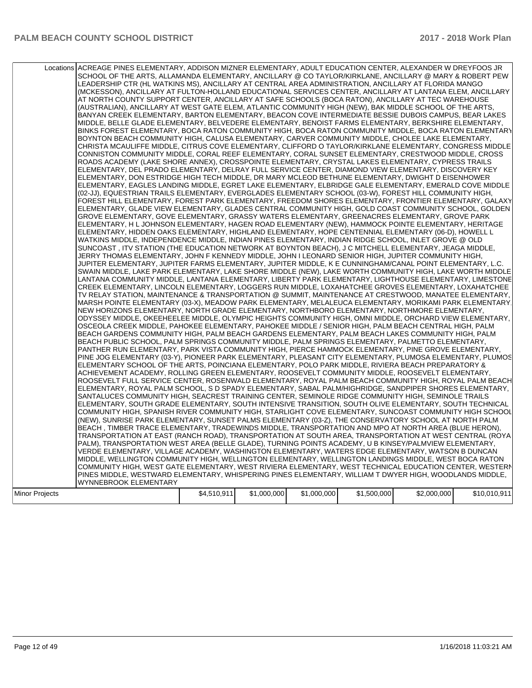|                | Locations ACREAGE PINES ELEMENTARY, ADDISON MIZNER ELEMENTARY, ADULT EDUCATION CENTER, ALEXANDER W DREYFOOS JR<br>SCHOOL OF THE ARTS, ALLAMANDA ELEMENTARY, ANCILLARY @ CO TAYLOR/KIRKLANE, ANCILLARY @ MARY & ROBERT PEW<br>LEADERSHIP CTR (HL WATKINS MS), ANCILLARY AT CENTRAL AREA ADMINISTRATION, ANCILLARY AT FLORIDA MANGO<br>(MCKESSON), ANCILLARY AT FULTON-HOLLAND EDUCATIONAL SERVICES CENTER, ANCILLARY AT LANTANA ELEM, ANCILLARY<br>AT NORTH COUNTY SUPPORT CENTER, ANCILLARY AT SAFE SCHOOLS (BOCA RATON), ANCILLARY AT TEC WAREHOUSE<br>(AUSTRALIAN), ANCILLARY AT WEST GATE ELEM, ATLANTIC COMMUNITY HIGH (NEW), BAK MIDDLE SCHOOL OF THE ARTS,<br>BANYAN CREEK ELEMENTARY, BARTON ELEMENTARY, BEACON COVE INTERMEDIATE BESSIE DUBOIS CAMPUS, BEAR LAKES<br>MIDDLE, BELLE GLADE ELEMENTARY, BELVEDERE ELEMENTARY, BENOIST FARMS ELEMENTARY, BERKSHIRE ELEMENTARY,<br>BINKS FOREST ELEMENTARY, BOCA RATON COMMUNITY HIGH, BOCA RATON COMMUNITY MIDDLE, BOCA RATON ELEMENTARY<br>BOYNTON BEACH COMMUNITY HIGH, CALUSA ELEMENTARY, CARVER COMMUNITY MIDDLE, CHOLEE LAKE ELEMENTARY,<br>CHRISTA MCAULIFFE MIDDLE, CITRUS COVE ELEMENTARY, CLIFFORD O TAYLOR/KIRKLANE ELEMENTARY, CONGRESS MIDDLE<br>CONNISTON COMMUNITY MIDDLE, CORAL REEF ELEMENTARY, CORAL SUNSET ELEMENTARY, CRESTWOOD MIDDLE, CROSS<br>ROADS ACADEMY (LAKE SHORE ANNEX), CROSSPOINTE ELEMENTARY, CRYSTAL LAKES ELEMENTARY, CYPRESS TRAILS<br>ELEMENTARY, DEL PRADO ELEMENTARY, DELRAY FULL SERVICE CENTER, DIAMOND VIEW ELEMENTARY, DISCOVERY KEY<br>ELEMENTARY, DON ESTRIDGE HIGH TECH MIDDLE, DR MARY MCLEOD BETHUNE ELEMENTARY, DWIGHT D EISENHOWER<br>ELEMENTARY, EAGLES LANDING MIDDLE, EGRET LAKE ELEMENTARY, ELBRIDGE GALE ELEMENTARY, EMERALD COVE MIDDLE<br>(02-JJ), EQUESTRIAN TRAILS ELEMENTARY, EVERGLADES ELEMENTARY SCHOOL (03-W), FOREST HILL COMMUNITY HIGH,<br>FOREST HILL ELEMENTARY, FOREST PARK ELEMENTARY, FREEDOM SHORES ELEMENTARY, FRONTIER ELEMENTARY, GALAXY<br>ELEMENTARY, GLADE VIEW ELEMENTARY, GLADES CENTRAL COMMUNITY HIGH, GOLD COAST COMMUNITY SCHOOL, GOLDEN<br>GROVE ELEMENTARY, GOVE ELEMENTARY, GRASSY WATERS ELEMENTARY, GREENACRES ELEMENTARY, GROVE PARK<br>ELEMENTARY, H L JOHNSON ELEMENTARY, HAGEN ROAD ELEMENTARY (NEW), HAMMOCK POINTE ELEMENTARY, HERITAGE<br>ELEMENTARY, HIDDEN OAKS ELEMENTARY, HIGHLAND ELEMENTARY, HOPE CENTENNIAL ELEMENTARY (06-D), HOWELL L<br>WATKINS MIDDLE, INDEPENDENCE MIDDLE, INDIAN PINES ELEMENTARY, INDIAN RIDGE SCHOOL, INLET GROVE @ OLD<br>SUNCOAST, ITV STATION (THE EDUCATION NETWORK AT BOYNTON BEACH), J C MITCHELL ELEMENTARY, JEAGA MIDDLE,<br>JERRY THOMAS ELEMENTARY, JOHN F KENNEDY MIDDLE, JOHN I LEONARD SENIOR HIGH, JUPITER COMMUNITY HIGH,<br>JUPITER ELEMENTARY, JUPITER FARMS ELEMENTARY, JUPITER MIDDLE, K E CUNNINGHAM/CANAL POINT ELEMENTARY, L.C.<br>SWAIN MIDDLE, LAKE PARK ELEMENTARY, LAKE SHORE MIDDLE (NEW), LAKE WORTH COMMUNITY HIGH, LAKE WORTH MIDDLE<br>LANTANA COMMUNITY MIDDLE, LANTANA ELEMENTARY, LIBERTY PARK ELEMENTARY, LIGHTHOUSE ELEMENTARY, LIMESTONE<br>CREEK ELEMENTARY, LINCOLN ELEMENTARY, LOGGERS RUN MIDDLE, LOXAHATCHEE GROVES ELEMENTARY, LOXAHATCHEE<br>TV RELAY STATION, MAINTENANCE & TRANSPORTATION @ SUMMIT, MAINTENANCE AT CRESTWOOD, MANATEE ELEMENTARY,<br>MARSH POINTE ELEMENTARY (03-X), MEADOW PARK ELEMENTARY, MELALEUCA ELEMENTARY, MORIKAMI PARK ELEMENTARY.<br>NEW HORIZONS ELEMENTARY, NORTH GRADE ELEMENTARY, NORTHBORO ELEMENTARY, NORTHMORE ELEMENTARY,<br>ODYSSEY MIDDLE, OKEEHEELEE MIDDLE, OLYMPIC HEIGHTS COMMUNITY HIGH, OMNI MIDDLE, ORCHARD VIEW ELEMENTARY,<br>OSCEOLA CREEK MIDDLE, PAHOKEE ELEMENTARY, PAHOKEE MIDDLE / SENIOR HIGH, PALM BEACH CENTRAL HIGH, PALM<br>BEACH GARDENS COMMUNITY HIGH, PALM BEACH GARDENS ELEMENTARY, PALM BEACH LAKES COMMUNITY HIGH, PALM<br>BEACH PUBLIC SCHOOL, PALM SPRINGS COMMUNITY MIDDLE, PALM SPRINGS ELEMENTARY, PALMETTO ELEMENTARY,<br>PANTHER RUN ELEMENTARY, PARK VISTA COMMUNITY HIGH, PIERCE HAMMOCK ELEMENTARY, PINE GROVE ELEMENTARY,<br>PINE JOG ELEMENTARY (03-Y), PIONEER PARK ELEMENTARY, PLEASANT CITY ELEMENTARY, PLUMOSA ELEMENTARY, PLUMOS<br>ELEMENTARY SCHOOL OF THE ARTS, POINCIANA ELEMENTARY, POLO PARK MIDDLE, RIVIERA BEACH PREPARATORY &<br>ACHIEVEMENT ACADEMY, ROLLING GREEN ELEMENTARY, ROOSEVELT COMMUNITY MIDDLE, ROOSEVELT ELEMENTARY,<br>ROOSEVELT FULL SERVICE CENTER, ROSENWALD ELEMENTARY, ROYAL PALM BEACH COMMUNITY HIGH, ROYAL PALM BEACH<br>ELEMENTARY, ROYAL PALM SCHOOL, S D SPADY ELEMENTARY, SABAL PALM/HIGHRIDGE, SANDPIPER SHORES ELEMENTARY,<br>SANTALUCES COMMUNITY HIGH, SEACREST TRAINING CENTER, SEMINOLE RIDGE COMMUNITY HIGH, SEMINOLE TRAILS<br>ELEMENTARY, SOUTH GRADE ELEMENTARY, SOUTH INTENSIVE TRANSITION, SOUTH OLIVE ELEMENTARY, SOUTH TECHNICAL<br>COMMUNITY HIGH, SPANISH RIVER COMMUNITY HIGH, STARLIGHT COVE ELEMENTARY, SUNCOAST COMMUNITY HIGH SCHOOL<br>(NEW), SUNRISE PARK ELEMENTARY, SUNSET PALMS ELEMENTARY (03-Z), THE CONSERVATORY SCHOOL AT NORTH PALM<br>BEACH, TIMBER TRACE ELEMENTARY, TRADEWINDS MIDDLE, TRANSPORTATION AND MPO AT NORTH AREA (BLUE HERON),<br>TRANSPORTATION AT EAST (RANCH ROAD), TRANSPORTATION AT SOUTH AREA, TRANSPORTATION AT WEST CENTRAL (ROYA)<br>PALM), TRANSPORTATION WEST AREA (BELLE GLADE), TURNING POINTS ACADEMY, U B KINSEY/PALMVIEW ELEMENTARY,<br>VERDE ELEMENTARY, VILLAGE ACADEMY, WASHINGTON ELEMENTARY, WATERS EDGE ELEMENTARY, WATSON B DUNCAN<br>MIDDLE, WELLINGTON COMMUNITY HIGH, WELLINGTON ELEMENTARY, WELLINGTON LANDINGS MIDDLE, WEST BOCA RATON<br>COMMUNITY HIGH, WEST GATE ELEMENTARY, WEST RIVIERA ELEMENTARY, WEST TECHNICAL EDUCATION CENTER, WESTERN |             |             |             |             |             |              |
|----------------|---------------------------------------------------------------------------------------------------------------------------------------------------------------------------------------------------------------------------------------------------------------------------------------------------------------------------------------------------------------------------------------------------------------------------------------------------------------------------------------------------------------------------------------------------------------------------------------------------------------------------------------------------------------------------------------------------------------------------------------------------------------------------------------------------------------------------------------------------------------------------------------------------------------------------------------------------------------------------------------------------------------------------------------------------------------------------------------------------------------------------------------------------------------------------------------------------------------------------------------------------------------------------------------------------------------------------------------------------------------------------------------------------------------------------------------------------------------------------------------------------------------------------------------------------------------------------------------------------------------------------------------------------------------------------------------------------------------------------------------------------------------------------------------------------------------------------------------------------------------------------------------------------------------------------------------------------------------------------------------------------------------------------------------------------------------------------------------------------------------------------------------------------------------------------------------------------------------------------------------------------------------------------------------------------------------------------------------------------------------------------------------------------------------------------------------------------------------------------------------------------------------------------------------------------------------------------------------------------------------------------------------------------------------------------------------------------------------------------------------------------------------------------------------------------------------------------------------------------------------------------------------------------------------------------------------------------------------------------------------------------------------------------------------------------------------------------------------------------------------------------------------------------------------------------------------------------------------------------------------------------------------------------------------------------------------------------------------------------------------------------------------------------------------------------------------------------------------------------------------------------------------------------------------------------------------------------------------------------------------------------------------------------------------------------------------------------------------------------------------------------------------------------------------------------------------------------------------------------------------------------------------------------------------------------------------------------------------------------------------------------------------------------------------------------------------------------------------------------------------------------------------------------------------------------------------------------------------------------------------------------------------------------------------------------------------------------------------------------------------------------------------------------------------------------------------------------------------------------------------------------------------------------------------------------------------------------------------------------------------------------------------------------------------------------------------------------------------------------------------------------------------------------------------------------------------------------------------------------------------------------------------------------------------------------------------------------------------------------------------------------------------------------------------------------------------------------------------------------------------------------------------------------------------------------------------------------------------------------------------------------------------------------------------------------------------------------------------------------------------------------------------------------------------------------------------------------------------------------------------------------------------------------------------------------------------------------------------------------------------------------------------------------------------------------------|-------------|-------------|-------------|-------------|-------------|--------------|
|                |                                                                                                                                                                                                                                                                                                                                                                                                                                                                                                                                                                                                                                                                                                                                                                                                                                                                                                                                                                                                                                                                                                                                                                                                                                                                                                                                                                                                                                                                                                                                                                                                                                                                                                                                                                                                                                                                                                                                                                                                                                                                                                                                                                                                                                                                                                                                                                                                                                                                                                                                                                                                                                                                                                                                                                                                                                                                                                                                                                                                                                                                                                                                                                                                                                                                                                                                                                                                                                                                                                                                                                                                                                                                                                                                                                                                                                                                                                                                                                                                                                                                                                                                                                                                                                                                                                                                                                                                                                                                                                                                                                                                                                                                                                                                                                                                                                                                                                                                                                                                                                                                                                                                                                                                                                                                                                                                                                                                                                                                                                                                                                                                                                                                                 |             |             |             |             |             |              |
|                |                                                                                                                                                                                                                                                                                                                                                                                                                                                                                                                                                                                                                                                                                                                                                                                                                                                                                                                                                                                                                                                                                                                                                                                                                                                                                                                                                                                                                                                                                                                                                                                                                                                                                                                                                                                                                                                                                                                                                                                                                                                                                                                                                                                                                                                                                                                                                                                                                                                                                                                                                                                                                                                                                                                                                                                                                                                                                                                                                                                                                                                                                                                                                                                                                                                                                                                                                                                                                                                                                                                                                                                                                                                                                                                                                                                                                                                                                                                                                                                                                                                                                                                                                                                                                                                                                                                                                                                                                                                                                                                                                                                                                                                                                                                                                                                                                                                                                                                                                                                                                                                                                                                                                                                                                                                                                                                                                                                                                                                                                                                                                                                                                                                                                 |             |             |             |             |             |              |
|                |                                                                                                                                                                                                                                                                                                                                                                                                                                                                                                                                                                                                                                                                                                                                                                                                                                                                                                                                                                                                                                                                                                                                                                                                                                                                                                                                                                                                                                                                                                                                                                                                                                                                                                                                                                                                                                                                                                                                                                                                                                                                                                                                                                                                                                                                                                                                                                                                                                                                                                                                                                                                                                                                                                                                                                                                                                                                                                                                                                                                                                                                                                                                                                                                                                                                                                                                                                                                                                                                                                                                                                                                                                                                                                                                                                                                                                                                                                                                                                                                                                                                                                                                                                                                                                                                                                                                                                                                                                                                                                                                                                                                                                                                                                                                                                                                                                                                                                                                                                                                                                                                                                                                                                                                                                                                                                                                                                                                                                                                                                                                                                                                                                                                                 |             |             |             |             |             |              |
|                | PINES MIDDLE, WESTWARD ELEMENTARY, WHISPERING PINES ELEMENTARY, WILLIAM T DWYER HIGH, WOODLANDS MIDDLE,                                                                                                                                                                                                                                                                                                                                                                                                                                                                                                                                                                                                                                                                                                                                                                                                                                                                                                                                                                                                                                                                                                                                                                                                                                                                                                                                                                                                                                                                                                                                                                                                                                                                                                                                                                                                                                                                                                                                                                                                                                                                                                                                                                                                                                                                                                                                                                                                                                                                                                                                                                                                                                                                                                                                                                                                                                                                                                                                                                                                                                                                                                                                                                                                                                                                                                                                                                                                                                                                                                                                                                                                                                                                                                                                                                                                                                                                                                                                                                                                                                                                                                                                                                                                                                                                                                                                                                                                                                                                                                                                                                                                                                                                                                                                                                                                                                                                                                                                                                                                                                                                                                                                                                                                                                                                                                                                                                                                                                                                                                                                                                         |             |             |             |             |             |              |
|                | WYNNEBROOK ELEMENTARY                                                                                                                                                                                                                                                                                                                                                                                                                                                                                                                                                                                                                                                                                                                                                                                                                                                                                                                                                                                                                                                                                                                                                                                                                                                                                                                                                                                                                                                                                                                                                                                                                                                                                                                                                                                                                                                                                                                                                                                                                                                                                                                                                                                                                                                                                                                                                                                                                                                                                                                                                                                                                                                                                                                                                                                                                                                                                                                                                                                                                                                                                                                                                                                                                                                                                                                                                                                                                                                                                                                                                                                                                                                                                                                                                                                                                                                                                                                                                                                                                                                                                                                                                                                                                                                                                                                                                                                                                                                                                                                                                                                                                                                                                                                                                                                                                                                                                                                                                                                                                                                                                                                                                                                                                                                                                                                                                                                                                                                                                                                                                                                                                                                           |             |             |             |             |             |              |
|                |                                                                                                                                                                                                                                                                                                                                                                                                                                                                                                                                                                                                                                                                                                                                                                                                                                                                                                                                                                                                                                                                                                                                                                                                                                                                                                                                                                                                                                                                                                                                                                                                                                                                                                                                                                                                                                                                                                                                                                                                                                                                                                                                                                                                                                                                                                                                                                                                                                                                                                                                                                                                                                                                                                                                                                                                                                                                                                                                                                                                                                                                                                                                                                                                                                                                                                                                                                                                                                                                                                                                                                                                                                                                                                                                                                                                                                                                                                                                                                                                                                                                                                                                                                                                                                                                                                                                                                                                                                                                                                                                                                                                                                                                                                                                                                                                                                                                                                                                                                                                                                                                                                                                                                                                                                                                                                                                                                                                                                                                                                                                                                                                                                                                                 |             |             |             |             |             |              |
| Minor Projects |                                                                                                                                                                                                                                                                                                                                                                                                                                                                                                                                                                                                                                                                                                                                                                                                                                                                                                                                                                                                                                                                                                                                                                                                                                                                                                                                                                                                                                                                                                                                                                                                                                                                                                                                                                                                                                                                                                                                                                                                                                                                                                                                                                                                                                                                                                                                                                                                                                                                                                                                                                                                                                                                                                                                                                                                                                                                                                                                                                                                                                                                                                                                                                                                                                                                                                                                                                                                                                                                                                                                                                                                                                                                                                                                                                                                                                                                                                                                                                                                                                                                                                                                                                                                                                                                                                                                                                                                                                                                                                                                                                                                                                                                                                                                                                                                                                                                                                                                                                                                                                                                                                                                                                                                                                                                                                                                                                                                                                                                                                                                                                                                                                                                                 | \$4,510,911 | \$1,000,000 | \$1,000,000 | \$1,500,000 | \$2,000,000 | \$10,010,911 |
|                |                                                                                                                                                                                                                                                                                                                                                                                                                                                                                                                                                                                                                                                                                                                                                                                                                                                                                                                                                                                                                                                                                                                                                                                                                                                                                                                                                                                                                                                                                                                                                                                                                                                                                                                                                                                                                                                                                                                                                                                                                                                                                                                                                                                                                                                                                                                                                                                                                                                                                                                                                                                                                                                                                                                                                                                                                                                                                                                                                                                                                                                                                                                                                                                                                                                                                                                                                                                                                                                                                                                                                                                                                                                                                                                                                                                                                                                                                                                                                                                                                                                                                                                                                                                                                                                                                                                                                                                                                                                                                                                                                                                                                                                                                                                                                                                                                                                                                                                                                                                                                                                                                                                                                                                                                                                                                                                                                                                                                                                                                                                                                                                                                                                                                 |             |             |             |             |             |              |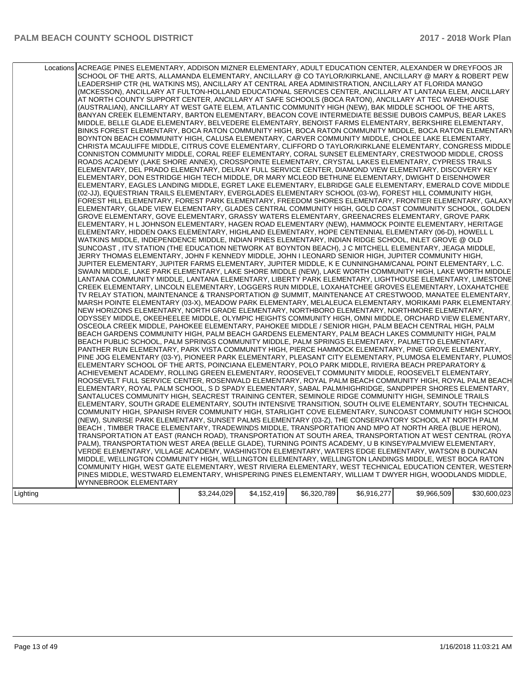|          | Locations ACREAGE PINES ELEMENTARY, ADDISON MIZNER ELEMENTARY, ADULT EDUCATION CENTER, ALEXANDER W DREYFOOS JR<br>SCHOOL OF THE ARTS, ALLAMANDA ELEMENTARY, ANCILLARY @ CO TAYLOR/KIRKLANE, ANCILLARY @ MARY & ROBERT PEW<br>LEADERSHIP CTR (HL WATKINS MS), ANCILLARY AT CENTRAL AREA ADMINISTRATION, ANCILLARY AT FLORIDA MANGO<br>(MCKESSON), ANCILLARY AT FULTON-HOLLAND EDUCATIONAL SERVICES CENTER, ANCILLARY AT LANTANA ELEM, ANCILLARY<br>AT NORTH COUNTY SUPPORT CENTER, ANCILLARY AT SAFE SCHOOLS (BOCA RATON), ANCILLARY AT TEC WAREHOUSE<br>(AUSTRALIAN), ANCILLARY AT WEST GATE ELEM, ATLANTIC COMMUNITY HIGH (NEW), BAK MIDDLE SCHOOL OF THE ARTS,<br>BANYAN CREEK ELEMENTARY, BARTON ELEMENTARY, BEACON COVE INTERMEDIATE BESSIE DUBOIS CAMPUS, BEAR LAKES<br>MIDDLE, BELLE GLADE ELEMENTARY, BELVEDERE ELEMENTARY, BENOIST FARMS ELEMENTARY, BERKSHIRE ELEMENTARY,<br>BINKS FOREST ELEMENTARY, BOCA RATON COMMUNITY HIGH, BOCA RATON COMMUNITY MIDDLE, BOCA RATON ELEMENTARY<br>BOYNTON BEACH COMMUNITY HIGH, CALUSA ELEMENTARY, CARVER COMMUNITY MIDDLE, CHOLEE LAKE ELEMENTARY,<br>CHRISTA MCAULIFFE MIDDLE, CITRUS COVE ELEMENTARY, CLIFFORD O TAYLOR/KIRKLANE ELEMENTARY, CONGRESS MIDDLE<br>CONNISTON COMMUNITY MIDDLE, CORAL REEF ELEMENTARY, CORAL SUNSET ELEMENTARY, CRESTWOOD MIDDLE, CROSS<br>ROADS ACADEMY (LAKE SHORE ANNEX), CROSSPOINTE ELEMENTARY, CRYSTAL LAKES ELEMENTARY, CYPRESS TRAILS<br>ELEMENTARY, DEL PRADO ELEMENTARY, DELRAY FULL SERVICE CENTER, DIAMOND VIEW ELEMENTARY, DISCOVERY KEY<br>ELEMENTARY, DON ESTRIDGE HIGH TECH MIDDLE, DR MARY MCLEOD BETHUNE ELEMENTARY, DWIGHT D EISENHOWER<br>ELEMENTARY, EAGLES LANDING MIDDLE, EGRET LAKE ELEMENTARY, ELBRIDGE GALE ELEMENTARY, EMERALD COVE MIDDLE<br>(02-JJ), EQUESTRIAN TRAILS ELEMENTARY, EVERGLADES ELEMENTARY SCHOOL (03-W), FOREST HILL COMMUNITY HIGH,<br>FOREST HILL ELEMENTARY, FOREST PARK ELEMENTARY, FREEDOM SHORES ELEMENTARY, FRONTIER ELEMENTARY, GALAXY<br>ELEMENTARY, GLADE VIEW ELEMENTARY, GLADES CENTRAL COMMUNITY HIGH, GOLD COAST COMMUNITY SCHOOL, GOLDEN<br>GROVE ELEMENTARY, GOVE ELEMENTARY, GRASSY WATERS ELEMENTARY, GREENACRES ELEMENTARY, GROVE PARK<br>ELEMENTARY, H L JOHNSON ELEMENTARY, HAGEN ROAD ELEMENTARY (NEW), HAMMOCK POINTE ELEMENTARY, HERITAGE<br>ELEMENTARY, HIDDEN OAKS ELEMENTARY, HIGHLAND ELEMENTARY, HOPE CENTENNIAL ELEMENTARY (06-D), HOWELL L<br>WATKINS MIDDLE, INDEPENDENCE MIDDLE, INDIAN PINES ELEMENTARY, INDIAN RIDGE SCHOOL, INLET GROVE @ OLD<br>SUNCOAST, ITV STATION (THE EDUCATION NETWORK AT BOYNTON BEACH), J C MITCHELL ELEMENTARY, JEAGA MIDDLE,<br>JERRY THOMAS ELEMENTARY, JOHN F KENNEDY MIDDLE, JOHN I LEONARD SENIOR HIGH, JUPITER COMMUNITY HIGH,<br>JUPITER ELEMENTARY, JUPITER FARMS ELEMENTARY, JUPITER MIDDLE, K E CUNNINGHAM/CANAL POINT ELEMENTARY, L.C.<br>SWAIN MIDDLE, LAKE PARK ELEMENTARY, LAKE SHORE MIDDLE (NEW), LAKE WORTH COMMUNITY HIGH, LAKE WORTH MIDDLE<br>LANTANA COMMUNITY MIDDLE, LANTANA ELEMENTARY, LIBERTY PARK ELEMENTARY, LIGHTHOUSE ELEMENTARY, LIMESTONE<br>CREEK ELEMENTARY, LINCOLN ELEMENTARY, LOGGERS RUN MIDDLE, LOXAHATCHEE GROVES ELEMENTARY, LOXAHATCHEE<br>TV RELAY STATION, MAINTENANCE & TRANSPORTATION @ SUMMIT, MAINTENANCE AT CRESTWOOD, MANATEE ELEMENTARY,<br>MARSH POINTE ELEMENTARY (03-X), MEADOW PARK ELEMENTARY, MELALEUCA ELEMENTARY, MORIKAMI PARK ELEMENTARY.<br>NEW HORIZONS ELEMENTARY, NORTH GRADE ELEMENTARY, NORTHBORO ELEMENTARY, NORTHMORE ELEMENTARY,<br>ODYSSEY MIDDLE, OKEEHEELEE MIDDLE, OLYMPIC HEIGHTS COMMUNITY HIGH, OMNI MIDDLE, ORCHARD VIEW ELEMENTARY,<br>OSCEOLA CREEK MIDDLE, PAHOKEE ELEMENTARY, PAHOKEE MIDDLE / SENIOR HIGH, PALM BEACH CENTRAL HIGH, PALM<br>BEACH GARDENS COMMUNITY HIGH, PALM BEACH GARDENS ELEMENTARY, PALM BEACH LAKES COMMUNITY HIGH, PALM<br>BEACH PUBLIC SCHOOL, PALM SPRINGS COMMUNITY MIDDLE, PALM SPRINGS ELEMENTARY, PALMETTO ELEMENTARY,<br>PANTHER RUN ELEMENTARY, PARK VISTA COMMUNITY HIGH, PIERCE HAMMOCK ELEMENTARY, PINE GROVE ELEMENTARY,<br>PINE JOG ELEMENTARY (03-Y), PIONEER PARK ELEMENTARY, PLEASANT CITY ELEMENTARY, PLUMOSA ELEMENTARY, PLUMOS<br>ELEMENTARY SCHOOL OF THE ARTS, POINCIANA ELEMENTARY, POLO PARK MIDDLE, RIVIERA BEACH PREPARATORY &<br>ACHIEVEMENT ACADEMY, ROLLING GREEN ELEMENTARY, ROOSEVELT COMMUNITY MIDDLE, ROOSEVELT ELEMENTARY,<br>ROOSEVELT FULL SERVICE CENTER, ROSENWALD ELEMENTARY, ROYAL PALM BEACH COMMUNITY HIGH, ROYAL PALM BEACH<br>ELEMENTARY, ROYAL PALM SCHOOL, S D SPADY ELEMENTARY, SABAL PALM/HIGHRIDGE, SANDPIPER SHORES ELEMENTARY,<br>SANTALUCES COMMUNITY HIGH, SEACREST TRAINING CENTER, SEMINOLE RIDGE COMMUNITY HIGH, SEMINOLE TRAILS<br>ELEMENTARY, SOUTH GRADE ELEMENTARY, SOUTH INTENSIVE TRANSITION, SOUTH OLIVE ELEMENTARY, SOUTH TECHNICAL<br>COMMUNITY HIGH, SPANISH RIVER COMMUNITY HIGH, STARLIGHT COVE ELEMENTARY, SUNCOAST COMMUNITY HIGH SCHOOL<br>(NEW), SUNRISE PARK ELEMENTARY, SUNSET PALMS ELEMENTARY (03-Z), THE CONSERVATORY SCHOOL AT NORTH PALM<br>BEACH, TIMBER TRACE ELEMENTARY, TRADEWINDS MIDDLE, TRANSPORTATION AND MPO AT NORTH AREA (BLUE HERON),<br>TRANSPORTATION AT EAST (RANCH ROAD), TRANSPORTATION AT SOUTH AREA, TRANSPORTATION AT WEST CENTRAL (ROYA)<br>PALM), TRANSPORTATION WEST AREA (BELLE GLADE), TURNING POINTS ACADEMY, U B KINSEY/PALMVIEW ELEMENTARY,<br>VERDE ELEMENTARY, VILLAGE ACADEMY, WASHINGTON ELEMENTARY, WATERS EDGE ELEMENTARY, WATSON B DUNCAN<br>MIDDLE, WELLINGTON COMMUNITY HIGH, WELLINGTON ELEMENTARY, WELLINGTON LANDINGS MIDDLE, WEST BOCA RATON<br>COMMUNITY HIGH, WEST GATE ELEMENTARY, WEST RIVIERA ELEMENTARY, WEST TECHNICAL EDUCATION CENTER, WESTERN<br>PINES MIDDLE, WESTWARD ELEMENTARY, WHISPERING PINES ELEMENTARY, WILLIAM T DWYER HIGH, WOODLANDS MIDDLE, |             |             |             |             |             |              |
|----------|--------------------------------------------------------------------------------------------------------------------------------------------------------------------------------------------------------------------------------------------------------------------------------------------------------------------------------------------------------------------------------------------------------------------------------------------------------------------------------------------------------------------------------------------------------------------------------------------------------------------------------------------------------------------------------------------------------------------------------------------------------------------------------------------------------------------------------------------------------------------------------------------------------------------------------------------------------------------------------------------------------------------------------------------------------------------------------------------------------------------------------------------------------------------------------------------------------------------------------------------------------------------------------------------------------------------------------------------------------------------------------------------------------------------------------------------------------------------------------------------------------------------------------------------------------------------------------------------------------------------------------------------------------------------------------------------------------------------------------------------------------------------------------------------------------------------------------------------------------------------------------------------------------------------------------------------------------------------------------------------------------------------------------------------------------------------------------------------------------------------------------------------------------------------------------------------------------------------------------------------------------------------------------------------------------------------------------------------------------------------------------------------------------------------------------------------------------------------------------------------------------------------------------------------------------------------------------------------------------------------------------------------------------------------------------------------------------------------------------------------------------------------------------------------------------------------------------------------------------------------------------------------------------------------------------------------------------------------------------------------------------------------------------------------------------------------------------------------------------------------------------------------------------------------------------------------------------------------------------------------------------------------------------------------------------------------------------------------------------------------------------------------------------------------------------------------------------------------------------------------------------------------------------------------------------------------------------------------------------------------------------------------------------------------------------------------------------------------------------------------------------------------------------------------------------------------------------------------------------------------------------------------------------------------------------------------------------------------------------------------------------------------------------------------------------------------------------------------------------------------------------------------------------------------------------------------------------------------------------------------------------------------------------------------------------------------------------------------------------------------------------------------------------------------------------------------------------------------------------------------------------------------------------------------------------------------------------------------------------------------------------------------------------------------------------------------------------------------------------------------------------------------------------------------------------------------------------------------------------------------------------------------------------------------------------------------------------------------------------------------------------------------------------------------------------------------------------------------------------------------------------------------------------------------------------------------------------------------------------------------------------------------------------------------------------------------------------------------------------------------------------------------------------------------------------------------------------------------------------------------------------------------------------------------------------------------------------------------------------------------------------------------------------------------------------------------------------------------------------------------------------------------------------------------|-------------|-------------|-------------|-------------|-------------|--------------|
|          | WYNNEBROOK ELEMENTARY                                                                                                                                                                                                                                                                                                                                                                                                                                                                                                                                                                                                                                                                                                                                                                                                                                                                                                                                                                                                                                                                                                                                                                                                                                                                                                                                                                                                                                                                                                                                                                                                                                                                                                                                                                                                                                                                                                                                                                                                                                                                                                                                                                                                                                                                                                                                                                                                                                                                                                                                                                                                                                                                                                                                                                                                                                                                                                                                                                                                                                                                                                                                                                                                                                                                                                                                                                                                                                                                                                                                                                                                                                                                                                                                                                                                                                                                                                                                                                                                                                                                                                                                                                                                                                                                                                                                                                                                                                                                                                                                                                                                                                                                                                                                                                                                                                                                                                                                                                                                                                                                                                                                                                                                                                                                                                                                                                                                                                                                                                                                                                                                                                                                                                                                                                      |             |             |             |             |             |              |
|          |                                                                                                                                                                                                                                                                                                                                                                                                                                                                                                                                                                                                                                                                                                                                                                                                                                                                                                                                                                                                                                                                                                                                                                                                                                                                                                                                                                                                                                                                                                                                                                                                                                                                                                                                                                                                                                                                                                                                                                                                                                                                                                                                                                                                                                                                                                                                                                                                                                                                                                                                                                                                                                                                                                                                                                                                                                                                                                                                                                                                                                                                                                                                                                                                                                                                                                                                                                                                                                                                                                                                                                                                                                                                                                                                                                                                                                                                                                                                                                                                                                                                                                                                                                                                                                                                                                                                                                                                                                                                                                                                                                                                                                                                                                                                                                                                                                                                                                                                                                                                                                                                                                                                                                                                                                                                                                                                                                                                                                                                                                                                                                                                                                                                                                                                                                                            |             | \$4,152,419 |             |             | \$9,966,509 |              |
| Lighting |                                                                                                                                                                                                                                                                                                                                                                                                                                                                                                                                                                                                                                                                                                                                                                                                                                                                                                                                                                                                                                                                                                                                                                                                                                                                                                                                                                                                                                                                                                                                                                                                                                                                                                                                                                                                                                                                                                                                                                                                                                                                                                                                                                                                                                                                                                                                                                                                                                                                                                                                                                                                                                                                                                                                                                                                                                                                                                                                                                                                                                                                                                                                                                                                                                                                                                                                                                                                                                                                                                                                                                                                                                                                                                                                                                                                                                                                                                                                                                                                                                                                                                                                                                                                                                                                                                                                                                                                                                                                                                                                                                                                                                                                                                                                                                                                                                                                                                                                                                                                                                                                                                                                                                                                                                                                                                                                                                                                                                                                                                                                                                                                                                                                                                                                                                                            | \$3,244,029 |             | \$6,320,789 | \$6,916,277 |             | \$30,600,023 |
|          |                                                                                                                                                                                                                                                                                                                                                                                                                                                                                                                                                                                                                                                                                                                                                                                                                                                                                                                                                                                                                                                                                                                                                                                                                                                                                                                                                                                                                                                                                                                                                                                                                                                                                                                                                                                                                                                                                                                                                                                                                                                                                                                                                                                                                                                                                                                                                                                                                                                                                                                                                                                                                                                                                                                                                                                                                                                                                                                                                                                                                                                                                                                                                                                                                                                                                                                                                                                                                                                                                                                                                                                                                                                                                                                                                                                                                                                                                                                                                                                                                                                                                                                                                                                                                                                                                                                                                                                                                                                                                                                                                                                                                                                                                                                                                                                                                                                                                                                                                                                                                                                                                                                                                                                                                                                                                                                                                                                                                                                                                                                                                                                                                                                                                                                                                                                            |             |             |             |             |             |              |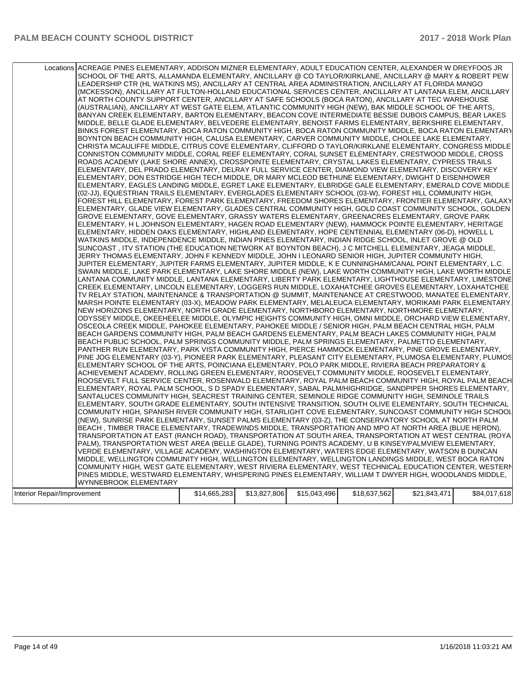| Locations ACREAGE PINES ELEMENTARY, ADDISON MIZNER ELEMENTARY, ADULT EDUCATION CENTER, ALEXANDER W DREYFOOS JR<br>SCHOOL OF THE ARTS, ALLAMANDA ELEMENTARY, ANCILLARY @ CO TAYLOR/KIRKLANE, ANCILLARY @ MARY & ROBERT PEW<br>LEADERSHIP CTR (HL WATKINS MS), ANCILLARY AT CENTRAL AREA ADMINISTRATION, ANCILLARY AT FLORIDA MANGO<br>(MCKESSON), ANCILLARY AT FULTON-HOLLAND EDUCATIONAL SERVICES CENTER, ANCILLARY AT LANTANA ELEM, ANCILLARY<br>AT NORTH COUNTY SUPPORT CENTER, ANCILLARY AT SAFE SCHOOLS (BOCA RATON), ANCILLARY AT TEC WAREHOUSE<br>(AUSTRALIAN), ANCILLARY AT WEST GATE ELEM, ATLANTIC COMMUNITY HIGH (NEW), BAK MIDDLE SCHOOL OF THE ARTS,<br>BANYAN CREEK ELEMENTARY, BARTON ELEMENTARY, BEACON COVE INTERMEDIATE BESSIE DUBOIS CAMPUS, BEAR LAKES<br>MIDDLE, BELLE GLADE ELEMENTARY, BELVEDERE ELEMENTARY, BENOIST FARMS ELEMENTARY, BERKSHIRE ELEMENTARY,<br>BINKS FOREST ELEMENTARY, BOCA RATON COMMUNITY HIGH, BOCA RATON COMMUNITY MIDDLE, BOCA RATON ELEMENTARY<br>BOYNTON BEACH COMMUNITY HIGH, CALUSA ELEMENTARY, CARVER COMMUNITY MIDDLE, CHOLEE LAKE ELEMENTARY,<br>CHRISTA MCAULIFFE MIDDLE, CITRUS COVE ELEMENTARY, CLIFFORD O TAYLOR/KIRKLANE ELEMENTARY, CONGRESS MIDDLE<br>CONNISTON COMMUNITY MIDDLE, CORAL REEF ELEMENTARY, CORAL SUNSET ELEMENTARY, CRESTWOOD MIDDLE, CROSS<br>ROADS ACADEMY (LAKE SHORE ANNEX), CROSSPOINTE ELEMENTARY, CRYSTAL LAKES ELEMENTARY, CYPRESS TRAILS<br>ELEMENTARY, DEL PRADO ELEMENTARY, DELRAY FULL SERVICE CENTER, DIAMOND VIEW ELEMENTARY, DISCOVERY KEY<br>ELEMENTARY, DON ESTRIDGE HIGH TECH MIDDLE, DR MARY MCLEOD BETHUNE ELEMENTARY, DWIGHT D EISENHOWER<br>ELEMENTARY, EAGLES LANDING MIDDLE, EGRET LAKE ELEMENTARY, ELBRIDGE GALE ELEMENTARY, EMERALD COVE MIDDLE<br>(02-JJ), EQUESTRIAN TRAILS ELEMENTARY, EVERGLADES ELEMENTARY SCHOOL (03-W), FOREST HILL COMMUNITY HIGH,<br>FOREST HILL ELEMENTARY, FOREST PARK ELEMENTARY, FREEDOM SHORES ELEMENTARY, FRONTIER ELEMENTARY, GALAXY<br>ELEMENTARY, GLADE VIEW ELEMENTARY, GLADES CENTRAL COMMUNITY HIGH, GOLD COAST COMMUNITY SCHOOL, GOLDEN<br>GROVE ELEMENTARY, GOVE ELEMENTARY, GRASSY WATERS ELEMENTARY, GREENACRES ELEMENTARY, GROVE PARK<br>ELEMENTARY, H L JOHNSON ELEMENTARY, HAGEN ROAD ELEMENTARY (NEW), HAMMOCK POINTE ELEMENTARY, HERITAGE<br>ELEMENTARY, HIDDEN OAKS ELEMENTARY, HIGHLAND ELEMENTARY, HOPE CENTENNIAL ELEMENTARY (06-D), HOWELL L<br>WATKINS MIDDLE, INDEPENDENCE MIDDLE, INDIAN PINES ELEMENTARY, INDIAN RIDGE SCHOOL, INLET GROVE @ OLD<br>SUNCOAST, ITV STATION (THE EDUCATION NETWORK AT BOYNTON BEACH), J C MITCHELL ELEMENTARY, JEAGA MIDDLE,<br>JERRY THOMAS ELEMENTARY, JOHN F KENNEDY MIDDLE, JOHN I LEONARD SENIOR HIGH, JUPITER COMMUNITY HIGH,<br>JUPITER ELEMENTARY, JUPITER FARMS ELEMENTARY, JUPITER MIDDLE, K E CUNNINGHAM/CANAL POINT ELEMENTARY, L.C.<br>SWAIN MIDDLE, LAKE PARK ELEMENTARY, LAKE SHORE MIDDLE (NEW), LAKE WORTH COMMUNITY HIGH, LAKE WORTH MIDDLE<br>LANTANA COMMUNITY MIDDLE, LANTANA ELEMENTARY, LIBERTY PARK ELEMENTARY, LIGHTHOUSE ELEMENTARY, LIMESTONE<br>CREEK ELEMENTARY, LINCOLN ELEMENTARY, LOGGERS RUN MIDDLE, LOXAHATCHEE GROVES ELEMENTARY, LOXAHATCHEE<br>TV RELAY STATION, MAINTENANCE & TRANSPORTATION @ SUMMIT, MAINTENANCE AT CRESTWOOD, MANATEE ELEMENTARY,<br>MARSH POINTE ELEMENTARY (03-X), MEADOW PARK ELEMENTARY, MELALEUCA ELEMENTARY, MORIKAMI PARK ELEMENTARY.<br>NEW HORIZONS ELEMENTARY, NORTH GRADE ELEMENTARY, NORTHBORO ELEMENTARY, NORTHMORE ELEMENTARY,<br>ODYSSEY MIDDLE, OKEEHEELEE MIDDLE, OLYMPIC HEIGHTS COMMUNITY HIGH, OMNI MIDDLE, ORCHARD VIEW ELEMENTARY,<br>OSCEOLA CREEK MIDDLE. PAHOKEE ELEMENTARY. PAHOKEE MIDDLE / SENIOR HIGH. PALM BEACH CENTRAL HIGH. PALM<br>BEACH GARDENS COMMUNITY HIGH, PALM BEACH GARDENS ELEMENTARY, PALM BEACH LAKES COMMUNITY HIGH, PALM<br>BEACH PUBLIC SCHOOL, PALM SPRINGS COMMUNITY MIDDLE, PALM SPRINGS ELEMENTARY, PALMETTO ELEMENTARY,<br>PANTHER RUN ELEMENTARY, PARK VISTA COMMUNITY HIGH, PIERCE HAMMOCK ELEMENTARY, PINE GROVE ELEMENTARY,<br>PINE JOG ELEMENTARY (03-Y), PIONEER PARK ELEMENTARY, PLEASANT CITY ELEMENTARY, PLUMOSA ELEMENTARY, PLUMOS<br>ELEMENTARY SCHOOL OF THE ARTS, POINCIANA ELEMENTARY, POLO PARK MIDDLE, RIVIERA BEACH PREPARATORY &<br>ACHIEVEMENT ACADEMY, ROLLING GREEN ELEMENTARY, ROOSEVELT COMMUNITY MIDDLE, ROOSEVELT ELEMENTARY,<br>ROOSEVELT FULL SERVICE CENTER, ROSENWALD ELEMENTARY, ROYAL PALM BEACH COMMUNITY HIGH, ROYAL PALM BEACH<br>ELEMENTARY, ROYAL PALM SCHOOL, S D SPADY ELEMENTARY, SABAL PALM/HIGHRIDGE, SANDPIPER SHORES ELEMENTARY,<br>SANTALUCES COMMUNITY HIGH, SEACREST TRAINING CENTER, SEMINOLE RIDGE COMMUNITY HIGH, SEMINOLE TRAILS<br>ELEMENTARY, SOUTH GRADE ELEMENTARY, SOUTH INTENSIVE TRANSITION, SOUTH OLIVE ELEMENTARY, SOUTH TECHNICAL<br>COMMUNITY HIGH, SPANISH RIVER COMMUNITY HIGH, STARLIGHT COVE ELEMENTARY, SUNCOAST COMMUNITY HIGH SCHOOL<br>(NEW), SUNRISE PARK ELEMENTARY, SUNSET PALMS ELEMENTARY (03-Z), THE CONSERVATORY SCHOOL AT NORTH PALM<br>BEACH, TIMBER TRACE ELEMENTARY, TRADEWINDS MIDDLE, TRANSPORTATION AND MPO AT NORTH AREA (BLUE HERON),<br>TRANSPORTATION AT EAST (RANCH ROAD), TRANSPORTATION AT SOUTH AREA, TRANSPORTATION AT WEST CENTRAL (ROYA)<br>PALM), TRANSPORTATION WEST AREA (BELLE GLADE), TURNING POINTS ACADEMY, U B KINSEY/PALMVIEW ELEMENTARY,<br>VERDE ELEMENTARY, VILLAGE ACADEMY, WASHINGTON ELEMENTARY, WATERS EDGE ELEMENTARY, WATSON B DUNCAN<br>MIDDLE, WELLINGTON COMMUNITY HIGH, WELLINGTON ELEMENTARY, WELLINGTON LANDINGS MIDDLE, WEST BOCA RATON<br>COMMUNITY HIGH, WEST GATE ELEMENTARY, WEST RIVIERA ELEMENTARY, WEST TECHNICAL EDUCATION CENTER, WESTERN<br>PINES MIDDLE, WESTWARD ELEMENTARY, WHISPERING PINES ELEMENTARY, WILLIAM T DWYER HIGH, WOODLANDS MIDDLE,<br>WYNNEBROOK ELEMENTARY<br>\$14,665,283<br>\$13,827,806<br>\$15,043,496<br>\$18,637,562<br>\$21,843,471 |  |  |  |              |
|-----------------------------------------------------------------------------------------------------------------------------------------------------------------------------------------------------------------------------------------------------------------------------------------------------------------------------------------------------------------------------------------------------------------------------------------------------------------------------------------------------------------------------------------------------------------------------------------------------------------------------------------------------------------------------------------------------------------------------------------------------------------------------------------------------------------------------------------------------------------------------------------------------------------------------------------------------------------------------------------------------------------------------------------------------------------------------------------------------------------------------------------------------------------------------------------------------------------------------------------------------------------------------------------------------------------------------------------------------------------------------------------------------------------------------------------------------------------------------------------------------------------------------------------------------------------------------------------------------------------------------------------------------------------------------------------------------------------------------------------------------------------------------------------------------------------------------------------------------------------------------------------------------------------------------------------------------------------------------------------------------------------------------------------------------------------------------------------------------------------------------------------------------------------------------------------------------------------------------------------------------------------------------------------------------------------------------------------------------------------------------------------------------------------------------------------------------------------------------------------------------------------------------------------------------------------------------------------------------------------------------------------------------------------------------------------------------------------------------------------------------------------------------------------------------------------------------------------------------------------------------------------------------------------------------------------------------------------------------------------------------------------------------------------------------------------------------------------------------------------------------------------------------------------------------------------------------------------------------------------------------------------------------------------------------------------------------------------------------------------------------------------------------------------------------------------------------------------------------------------------------------------------------------------------------------------------------------------------------------------------------------------------------------------------------------------------------------------------------------------------------------------------------------------------------------------------------------------------------------------------------------------------------------------------------------------------------------------------------------------------------------------------------------------------------------------------------------------------------------------------------------------------------------------------------------------------------------------------------------------------------------------------------------------------------------------------------------------------------------------------------------------------------------------------------------------------------------------------------------------------------------------------------------------------------------------------------------------------------------------------------------------------------------------------------------------------------------------------------------------------------------------------------------------------------------------------------------------------------------------------------------------------------------------------------------------------------------------------------------------------------------------------------------------------------------------------------------------------------------------------------------------------------------------------------------------------------------------------------------------------------------------------------------------------------------------------------------------------------------------------------------------------------------------------------------------------------------------------------------------------------------------------------------------------------------------------------------------------------------------------------------------------------------------------------------------------------------------------------------------------------------------------------------------------------------------------------------------------------------------------------------------------------|--|--|--|--------------|
| Interior Repair/Improvement                                                                                                                                                                                                                                                                                                                                                                                                                                                                                                                                                                                                                                                                                                                                                                                                                                                                                                                                                                                                                                                                                                                                                                                                                                                                                                                                                                                                                                                                                                                                                                                                                                                                                                                                                                                                                                                                                                                                                                                                                                                                                                                                                                                                                                                                                                                                                                                                                                                                                                                                                                                                                                                                                                                                                                                                                                                                                                                                                                                                                                                                                                                                                                                                                                                                                                                                                                                                                                                                                                                                                                                                                                                                                                                                                                                                                                                                                                                                                                                                                                                                                                                                                                                                                                                                                                                                                                                                                                                                                                                                                                                                                                                                                                                                                                                                                                                                                                                                                                                                                                                                                                                                                                                                                                                                                                                                                                                                                                                                                                                                                                                                                                                                                                                                                                                                                                                                         |  |  |  |              |
|                                                                                                                                                                                                                                                                                                                                                                                                                                                                                                                                                                                                                                                                                                                                                                                                                                                                                                                                                                                                                                                                                                                                                                                                                                                                                                                                                                                                                                                                                                                                                                                                                                                                                                                                                                                                                                                                                                                                                                                                                                                                                                                                                                                                                                                                                                                                                                                                                                                                                                                                                                                                                                                                                                                                                                                                                                                                                                                                                                                                                                                                                                                                                                                                                                                                                                                                                                                                                                                                                                                                                                                                                                                                                                                                                                                                                                                                                                                                                                                                                                                                                                                                                                                                                                                                                                                                                                                                                                                                                                                                                                                                                                                                                                                                                                                                                                                                                                                                                                                                                                                                                                                                                                                                                                                                                                                                                                                                                                                                                                                                                                                                                                                                                                                                                                                                                                                                                                     |  |  |  |              |
|                                                                                                                                                                                                                                                                                                                                                                                                                                                                                                                                                                                                                                                                                                                                                                                                                                                                                                                                                                                                                                                                                                                                                                                                                                                                                                                                                                                                                                                                                                                                                                                                                                                                                                                                                                                                                                                                                                                                                                                                                                                                                                                                                                                                                                                                                                                                                                                                                                                                                                                                                                                                                                                                                                                                                                                                                                                                                                                                                                                                                                                                                                                                                                                                                                                                                                                                                                                                                                                                                                                                                                                                                                                                                                                                                                                                                                                                                                                                                                                                                                                                                                                                                                                                                                                                                                                                                                                                                                                                                                                                                                                                                                                                                                                                                                                                                                                                                                                                                                                                                                                                                                                                                                                                                                                                                                                                                                                                                                                                                                                                                                                                                                                                                                                                                                                                                                                                                                     |  |  |  |              |
|                                                                                                                                                                                                                                                                                                                                                                                                                                                                                                                                                                                                                                                                                                                                                                                                                                                                                                                                                                                                                                                                                                                                                                                                                                                                                                                                                                                                                                                                                                                                                                                                                                                                                                                                                                                                                                                                                                                                                                                                                                                                                                                                                                                                                                                                                                                                                                                                                                                                                                                                                                                                                                                                                                                                                                                                                                                                                                                                                                                                                                                                                                                                                                                                                                                                                                                                                                                                                                                                                                                                                                                                                                                                                                                                                                                                                                                                                                                                                                                                                                                                                                                                                                                                                                                                                                                                                                                                                                                                                                                                                                                                                                                                                                                                                                                                                                                                                                                                                                                                                                                                                                                                                                                                                                                                                                                                                                                                                                                                                                                                                                                                                                                                                                                                                                                                                                                                                                     |  |  |  |              |
|                                                                                                                                                                                                                                                                                                                                                                                                                                                                                                                                                                                                                                                                                                                                                                                                                                                                                                                                                                                                                                                                                                                                                                                                                                                                                                                                                                                                                                                                                                                                                                                                                                                                                                                                                                                                                                                                                                                                                                                                                                                                                                                                                                                                                                                                                                                                                                                                                                                                                                                                                                                                                                                                                                                                                                                                                                                                                                                                                                                                                                                                                                                                                                                                                                                                                                                                                                                                                                                                                                                                                                                                                                                                                                                                                                                                                                                                                                                                                                                                                                                                                                                                                                                                                                                                                                                                                                                                                                                                                                                                                                                                                                                                                                                                                                                                                                                                                                                                                                                                                                                                                                                                                                                                                                                                                                                                                                                                                                                                                                                                                                                                                                                                                                                                                                                                                                                                                                     |  |  |  | \$84,017,618 |
|                                                                                                                                                                                                                                                                                                                                                                                                                                                                                                                                                                                                                                                                                                                                                                                                                                                                                                                                                                                                                                                                                                                                                                                                                                                                                                                                                                                                                                                                                                                                                                                                                                                                                                                                                                                                                                                                                                                                                                                                                                                                                                                                                                                                                                                                                                                                                                                                                                                                                                                                                                                                                                                                                                                                                                                                                                                                                                                                                                                                                                                                                                                                                                                                                                                                                                                                                                                                                                                                                                                                                                                                                                                                                                                                                                                                                                                                                                                                                                                                                                                                                                                                                                                                                                                                                                                                                                                                                                                                                                                                                                                                                                                                                                                                                                                                                                                                                                                                                                                                                                                                                                                                                                                                                                                                                                                                                                                                                                                                                                                                                                                                                                                                                                                                                                                                                                                                                                     |  |  |  |              |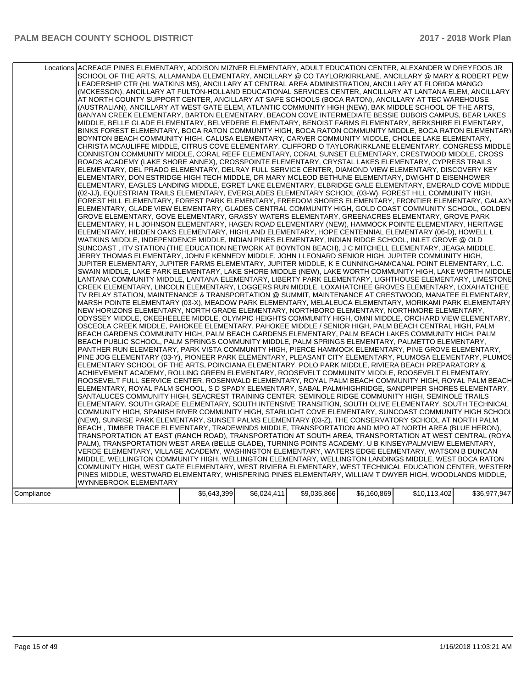|            | Locations ACREAGE PINES ELEMENTARY, ADDISON MIZNER ELEMENTARY, ADULT EDUCATION CENTER, ALEXANDER W DREYFOOS JR<br>SCHOOL OF THE ARTS, ALLAMANDA ELEMENTARY, ANCILLARY @ CO TAYLOR/KIRKLANE, ANCILLARY @ MARY & ROBERT PEW<br>LEADERSHIP CTR (HL WATKINS MS), ANCILLARY AT CENTRAL AREA ADMINISTRATION, ANCILLARY AT FLORIDA MANGO<br>(MCKESSON), ANCILLARY AT FULTON-HOLLAND EDUCATIONAL SERVICES CENTER, ANCILLARY AT LANTANA ELEM, ANCILLARY<br>AT NORTH COUNTY SUPPORT CENTER, ANCILLARY AT SAFE SCHOOLS (BOCA RATON), ANCILLARY AT TEC WAREHOUSE<br>(AUSTRALIAN), ANCILLARY AT WEST GATE ELEM, ATLANTIC COMMUNITY HIGH (NEW), BAK MIDDLE SCHOOL OF THE ARTS,<br>BANYAN CREEK ELEMENTARY, BARTON ELEMENTARY, BEACON COVE INTERMEDIATE BESSIE DUBOIS CAMPUS, BEAR LAKES<br>MIDDLE, BELLE GLADE ELEMENTARY, BELVEDERE ELEMENTARY, BENOIST FARMS ELEMENTARY, BERKSHIRE ELEMENTARY,<br>BINKS FOREST ELEMENTARY, BOCA RATON COMMUNITY HIGH, BOCA RATON COMMUNITY MIDDLE, BOCA RATON ELEMENTARY<br>BOYNTON BEACH COMMUNITY HIGH, CALUSA ELEMENTARY, CARVER COMMUNITY MIDDLE, CHOLEE LAKE ELEMENTARY,<br>CHRISTA MCAULIFFE MIDDLE, CITRUS COVE ELEMENTARY, CLIFFORD O TAYLOR/KIRKLANE ELEMENTARY, CONGRESS MIDDLE<br>CONNISTON COMMUNITY MIDDLE, CORAL REEF ELEMENTARY, CORAL SUNSET ELEMENTARY, CRESTWOOD MIDDLE, CROSS<br>ROADS ACADEMY (LAKE SHORE ANNEX), CROSSPOINTE ELEMENTARY, CRYSTAL LAKES ELEMENTARY, CYPRESS TRAILS<br>ELEMENTARY, DEL PRADO ELEMENTARY, DELRAY FULL SERVICE CENTER, DIAMOND VIEW ELEMENTARY, DISCOVERY KEY<br>ELEMENTARY, DON ESTRIDGE HIGH TECH MIDDLE, DR MARY MCLEOD BETHUNE ELEMENTARY, DWIGHT D EISENHOWER<br>ELEMENTARY, EAGLES LANDING MIDDLE, EGRET LAKE ELEMENTARY, ELBRIDGE GALE ELEMENTARY, EMERALD COVE MIDDLE<br>(02-JJ), EQUESTRIAN TRAILS ELEMENTARY, EVERGLADES ELEMENTARY SCHOOL (03-W), FOREST HILL COMMUNITY HIGH,<br>FOREST HILL ELEMENTARY, FOREST PARK ELEMENTARY, FREEDOM SHORES ELEMENTARY, FRONTIER ELEMENTARY, GALAXY<br>ELEMENTARY, GLADE VIEW ELEMENTARY, GLADES CENTRAL COMMUNITY HIGH, GOLD COAST COMMUNITY SCHOOL, GOLDEN<br>GROVE ELEMENTARY, GOVE ELEMENTARY, GRASSY WATERS ELEMENTARY, GREENACRES ELEMENTARY, GROVE PARK<br>ELEMENTARY, H L JOHNSON ELEMENTARY, HAGEN ROAD ELEMENTARY (NEW), HAMMOCK POINTE ELEMENTARY, HERITAGE<br>ELEMENTARY, HIDDEN OAKS ELEMENTARY, HIGHLAND ELEMENTARY, HOPE CENTENNIAL ELEMENTARY (06-D), HOWELL L<br>WATKINS MIDDLE, INDEPENDENCE MIDDLE, INDIAN PINES ELEMENTARY, INDIAN RIDGE SCHOOL, INLET GROVE @ OLD<br>SUNCOAST, ITV STATION (THE EDUCATION NETWORK AT BOYNTON BEACH), J C MITCHELL ELEMENTARY, JEAGA MIDDLE,<br>JERRY THOMAS ELEMENTARY, JOHN F KENNEDY MIDDLE, JOHN I LEONARD SENIOR HIGH, JUPITER COMMUNITY HIGH,<br>JUPITER ELEMENTARY, JUPITER FARMS ELEMENTARY, JUPITER MIDDLE, K E CUNNINGHAM/CANAL POINT ELEMENTARY, L.C.<br>SWAIN MIDDLE, LAKE PARK ELEMENTARY, LAKE SHORE MIDDLE (NEW), LAKE WORTH COMMUNITY HIGH, LAKE WORTH MIDDLE<br>LANTANA COMMUNITY MIDDLE, LANTANA ELEMENTARY, LIBERTY PARK ELEMENTARY, LIGHTHOUSE ELEMENTARY, LIMESTONE<br>CREEK ELEMENTARY, LINCOLN ELEMENTARY, LOGGERS RUN MIDDLE, LOXAHATCHEE GROVES ELEMENTARY, LOXAHATCHEE<br>TV RELAY STATION, MAINTENANCE & TRANSPORTATION @ SUMMIT, MAINTENANCE AT CRESTWOOD, MANATEE ELEMENTARY,<br>MARSH POINTE ELEMENTARY (03-X), MEADOW PARK ELEMENTARY, MELALEUCA ELEMENTARY, MORIKAMI PARK ELEMENTARY,<br>NEW HORIZONS ELEMENTARY, NORTH GRADE ELEMENTARY, NORTHBORO ELEMENTARY, NORTHMORE ELEMENTARY,<br>ODYSSEY MIDDLE, OKEEHEELEE MIDDLE, OLYMPIC HEIGHTS COMMUNITY HIGH, OMNI MIDDLE, ORCHARD VIEW ELEMENTARY,<br>OSCEOLA CREEK MIDDLE, PAHOKEE ELEMENTARY, PAHOKEE MIDDLE / SENIOR HIGH, PALM BEACH CENTRAL HIGH, PALM<br>BEACH GARDENS COMMUNITY HIGH, PALM BEACH GARDENS ELEMENTARY, PALM BEACH LAKES COMMUNITY HIGH, PALM<br>BEACH PUBLIC SCHOOL, PALM SPRINGS COMMUNITY MIDDLE, PALM SPRINGS ELEMENTARY, PALMETTO ELEMENTARY,<br>PANTHER RUN ELEMENTARY, PARK VISTA COMMUNITY HIGH, PIERCE HAMMOCK ELEMENTARY, PINE GROVE ELEMENTARY,<br>PINE JOG ELEMENTARY (03-Y), PIONEER PARK ELEMENTARY, PLEASANT CITY ELEMENTARY, PLUMOSA ELEMENTARY, PLUMOS<br>ELEMENTARY SCHOOL OF THE ARTS, POINCIANA ELEMENTARY, POLO PARK MIDDLE, RIVIERA BEACH PREPARATORY &<br>ACHIEVEMENT ACADEMY, ROLLING GREEN ELEMENTARY, ROOSEVELT COMMUNITY MIDDLE, ROOSEVELT ELEMENTARY,<br>ROOSEVELT FULL SERVICE CENTER, ROSENWALD ELEMENTARY, ROYAL PALM BEACH COMMUNITY HIGH, ROYAL PALM BEACH<br>ELEMENTARY, ROYAL PALM SCHOOL, S D SPADY ELEMENTARY, SABAL PALM/HIGHRIDGE, SANDPIPER SHORES ELEMENTARY,<br>SANTALUCES COMMUNITY HIGH. SEACREST TRAINING CENTER. SEMINOLE RIDGE COMMUNITY HIGH. SEMINOLE TRAILS<br>ELEMENTARY, SOUTH GRADE ELEMENTARY, SOUTH INTENSIVE TRANSITION, SOUTH OLIVE ELEMENTARY, SOUTH TECHNICAL<br>COMMUNITY HIGH, SPANISH RIVER COMMUNITY HIGH, STARLIGHT COVE ELEMENTARY, SUNCOAST COMMUNITY HIGH SCHOOL<br>(NEW), SUNRISE PARK ELEMENTARY, SUNSET PALMS ELEMENTARY (03-Z), THE CONSERVATORY SCHOOL AT NORTH PALM<br>BEACH, TIMBER TRACE ELEMENTARY, TRADEWINDS MIDDLE, TRANSPORTATION AND MPO AT NORTH AREA (BLUE HERON),<br>TRANSPORTATION AT EAST (RANCH ROAD), TRANSPORTATION AT SOUTH AREA, TRANSPORTATION AT WEST CENTRAL (ROYA)<br>PALM), TRANSPORTATION WEST AREA (BELLE GLADE), TURNING POINTS ACADEMY, U B KINSEY/PALMVIEW ELEMENTARY,<br>VERDE ELEMENTARY, VILLAGE ACADEMY, WASHINGTON ELEMENTARY, WATERS EDGE ELEMENTARY, WATSON B DUNCAN<br>MIDDLE, WELLINGTON COMMUNITY HIGH, WELLINGTON ELEMENTARY, WELLINGTON LANDINGS MIDDLE, WEST BOCA RATON<br>COMMUNITY HIGH, WEST GATE ELEMENTARY, WEST RIVIERA ELEMENTARY, WEST TECHNICAL EDUCATION CENTER, WESTERN<br>PINES MIDDLE, WESTWARD ELEMENTARY, WHISPERING PINES ELEMENTARY, WILLIAM T DWYER HIGH, WOODLANDS MIDDLE, |             |             |             |             |              |              |
|------------|--------------------------------------------------------------------------------------------------------------------------------------------------------------------------------------------------------------------------------------------------------------------------------------------------------------------------------------------------------------------------------------------------------------------------------------------------------------------------------------------------------------------------------------------------------------------------------------------------------------------------------------------------------------------------------------------------------------------------------------------------------------------------------------------------------------------------------------------------------------------------------------------------------------------------------------------------------------------------------------------------------------------------------------------------------------------------------------------------------------------------------------------------------------------------------------------------------------------------------------------------------------------------------------------------------------------------------------------------------------------------------------------------------------------------------------------------------------------------------------------------------------------------------------------------------------------------------------------------------------------------------------------------------------------------------------------------------------------------------------------------------------------------------------------------------------------------------------------------------------------------------------------------------------------------------------------------------------------------------------------------------------------------------------------------------------------------------------------------------------------------------------------------------------------------------------------------------------------------------------------------------------------------------------------------------------------------------------------------------------------------------------------------------------------------------------------------------------------------------------------------------------------------------------------------------------------------------------------------------------------------------------------------------------------------------------------------------------------------------------------------------------------------------------------------------------------------------------------------------------------------------------------------------------------------------------------------------------------------------------------------------------------------------------------------------------------------------------------------------------------------------------------------------------------------------------------------------------------------------------------------------------------------------------------------------------------------------------------------------------------------------------------------------------------------------------------------------------------------------------------------------------------------------------------------------------------------------------------------------------------------------------------------------------------------------------------------------------------------------------------------------------------------------------------------------------------------------------------------------------------------------------------------------------------------------------------------------------------------------------------------------------------------------------------------------------------------------------------------------------------------------------------------------------------------------------------------------------------------------------------------------------------------------------------------------------------------------------------------------------------------------------------------------------------------------------------------------------------------------------------------------------------------------------------------------------------------------------------------------------------------------------------------------------------------------------------------------------------------------------------------------------------------------------------------------------------------------------------------------------------------------------------------------------------------------------------------------------------------------------------------------------------------------------------------------------------------------------------------------------------------------------------------------------------------------------------------------------------------------------------------------------------------------------------------------------------------------------------------------------------------------------------------------------------------------------------------------------------------------------------------------------------------------------------------------------------------------------------------------------------------------------------------------------------------------------------------------------------------------------------------------------------------------------------|-------------|-------------|-------------|-------------|--------------|--------------|
|            |                                                                                                                                                                                                                                                                                                                                                                                                                                                                                                                                                                                                                                                                                                                                                                                                                                                                                                                                                                                                                                                                                                                                                                                                                                                                                                                                                                                                                                                                                                                                                                                                                                                                                                                                                                                                                                                                                                                                                                                                                                                                                                                                                                                                                                                                                                                                                                                                                                                                                                                                                                                                                                                                                                                                                                                                                                                                                                                                                                                                                                                                                                                                                                                                                                                                                                                                                                                                                                                                                                                                                                                                                                                                                                                                                                                                                                                                                                                                                                                                                                                                                                                                                                                                                                                                                                                                                                                                                                                                                                                                                                                                                                                                                                                                                                                                                                                                                                                                                                                                                                                                                                                                                                                                                                                                                                                                                                                                                                                                                                                                                                                                                                                                                                                                                                                            |             |             |             |             |              |              |
|            | WYNNEBROOK ELEMENTARY                                                                                                                                                                                                                                                                                                                                                                                                                                                                                                                                                                                                                                                                                                                                                                                                                                                                                                                                                                                                                                                                                                                                                                                                                                                                                                                                                                                                                                                                                                                                                                                                                                                                                                                                                                                                                                                                                                                                                                                                                                                                                                                                                                                                                                                                                                                                                                                                                                                                                                                                                                                                                                                                                                                                                                                                                                                                                                                                                                                                                                                                                                                                                                                                                                                                                                                                                                                                                                                                                                                                                                                                                                                                                                                                                                                                                                                                                                                                                                                                                                                                                                                                                                                                                                                                                                                                                                                                                                                                                                                                                                                                                                                                                                                                                                                                                                                                                                                                                                                                                                                                                                                                                                                                                                                                                                                                                                                                                                                                                                                                                                                                                                                                                                                                                                      |             |             |             |             |              |              |
|            |                                                                                                                                                                                                                                                                                                                                                                                                                                                                                                                                                                                                                                                                                                                                                                                                                                                                                                                                                                                                                                                                                                                                                                                                                                                                                                                                                                                                                                                                                                                                                                                                                                                                                                                                                                                                                                                                                                                                                                                                                                                                                                                                                                                                                                                                                                                                                                                                                                                                                                                                                                                                                                                                                                                                                                                                                                                                                                                                                                                                                                                                                                                                                                                                                                                                                                                                                                                                                                                                                                                                                                                                                                                                                                                                                                                                                                                                                                                                                                                                                                                                                                                                                                                                                                                                                                                                                                                                                                                                                                                                                                                                                                                                                                                                                                                                                                                                                                                                                                                                                                                                                                                                                                                                                                                                                                                                                                                                                                                                                                                                                                                                                                                                                                                                                                                            |             |             |             |             |              |              |
| Compliance |                                                                                                                                                                                                                                                                                                                                                                                                                                                                                                                                                                                                                                                                                                                                                                                                                                                                                                                                                                                                                                                                                                                                                                                                                                                                                                                                                                                                                                                                                                                                                                                                                                                                                                                                                                                                                                                                                                                                                                                                                                                                                                                                                                                                                                                                                                                                                                                                                                                                                                                                                                                                                                                                                                                                                                                                                                                                                                                                                                                                                                                                                                                                                                                                                                                                                                                                                                                                                                                                                                                                                                                                                                                                                                                                                                                                                                                                                                                                                                                                                                                                                                                                                                                                                                                                                                                                                                                                                                                                                                                                                                                                                                                                                                                                                                                                                                                                                                                                                                                                                                                                                                                                                                                                                                                                                                                                                                                                                                                                                                                                                                                                                                                                                                                                                                                            | \$5,643,399 | \$6,024,411 | \$9,035,866 | \$6,160,869 | \$10,113,402 | \$36,977,947 |
|            |                                                                                                                                                                                                                                                                                                                                                                                                                                                                                                                                                                                                                                                                                                                                                                                                                                                                                                                                                                                                                                                                                                                                                                                                                                                                                                                                                                                                                                                                                                                                                                                                                                                                                                                                                                                                                                                                                                                                                                                                                                                                                                                                                                                                                                                                                                                                                                                                                                                                                                                                                                                                                                                                                                                                                                                                                                                                                                                                                                                                                                                                                                                                                                                                                                                                                                                                                                                                                                                                                                                                                                                                                                                                                                                                                                                                                                                                                                                                                                                                                                                                                                                                                                                                                                                                                                                                                                                                                                                                                                                                                                                                                                                                                                                                                                                                                                                                                                                                                                                                                                                                                                                                                                                                                                                                                                                                                                                                                                                                                                                                                                                                                                                                                                                                                                                            |             |             |             |             |              |              |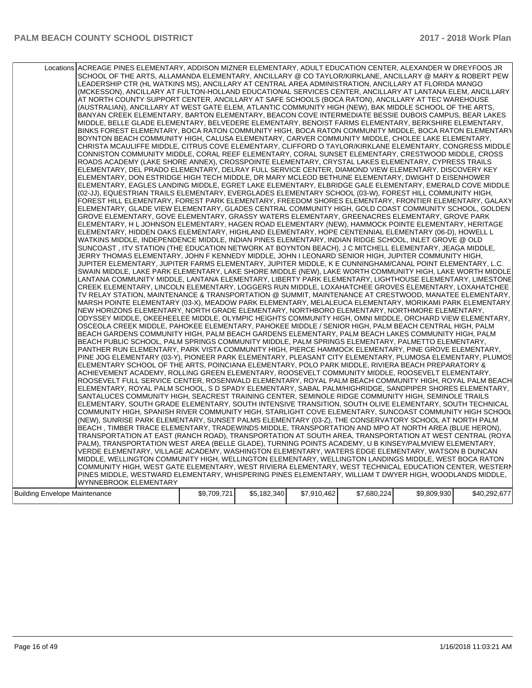|                               | Locations ACREAGE PINES ELEMENTARY, ADDISON MIZNER ELEMENTARY, ADULT EDUCATION CENTER, ALEXANDER W DREYFOOS JR<br>SCHOOL OF THE ARTS, ALLAMANDA ELEMENTARY, ANCILLARY @ CO TAYLOR/KIRKLANE, ANCILLARY @ MARY & ROBERT PEW<br>LEADERSHIP CTR (HL WATKINS MS), ANCILLARY AT CENTRAL AREA ADMINISTRATION, ANCILLARY AT FLORIDA MANGO<br>(MCKESSON), ANCILLARY AT FULTON-HOLLAND EDUCATIONAL SERVICES CENTER, ANCILLARY AT LANTANA ELEM, ANCILLARY<br>AT NORTH COUNTY SUPPORT CENTER, ANCILLARY AT SAFE SCHOOLS (BOCA RATON), ANCILLARY AT TEC WAREHOUSE<br>(AUSTRALIAN), ANCILLARY AT WEST GATE ELEM, ATLANTIC COMMUNITY HIGH (NEW), BAK MIDDLE SCHOOL OF THE ARTS,<br>BANYAN CREEK ELEMENTARY, BARTON ELEMENTARY, BEACON COVE INTERMEDIATE BESSIE DUBOIS CAMPUS, BEAR LAKES<br>MIDDLE, BELLE GLADE ELEMENTARY, BELVEDERE ELEMENTARY, BENOIST FARMS ELEMENTARY, BERKSHIRE ELEMENTARY,<br>BINKS FOREST ELEMENTARY, BOCA RATON COMMUNITY HIGH, BOCA RATON COMMUNITY MIDDLE, BOCA RATON ELEMENTARY<br>BOYNTON BEACH COMMUNITY HIGH, CALUSA ELEMENTARY, CARVER COMMUNITY MIDDLE, CHOLEE LAKE ELEMENTARY,<br>CHRISTA MCAULIFFE MIDDLE, CITRUS COVE ELEMENTARY, CLIFFORD O TAYLOR/KIRKLANE ELEMENTARY, CONGRESS MIDDLE<br>CONNISTON COMMUNITY MIDDLE, CORAL REEF ELEMENTARY, CORAL SUNSET ELEMENTARY, CRESTWOOD MIDDLE, CROSS<br>ROADS ACADEMY (LAKE SHORE ANNEX), CROSSPOINTE ELEMENTARY, CRYSTAL LAKES ELEMENTARY, CYPRESS TRAILS<br>ELEMENTARY, DEL PRADO ELEMENTARY, DELRAY FULL SERVICE CENTER, DIAMOND VIEW ELEMENTARY, DISCOVERY KEY<br>ELEMENTARY, DON ESTRIDGE HIGH TECH MIDDLE, DR MARY MCLEOD BETHUNE ELEMENTARY, DWIGHT D EISENHOWER<br>ELEMENTARY, EAGLES LANDING MIDDLE, EGRET LAKE ELEMENTARY, ELBRIDGE GALE ELEMENTARY, EMERALD COVE MIDDLE<br>(02-JJ), EQUESTRIAN TRAILS ELEMENTARY, EVERGLADES ELEMENTARY SCHOOL (03-W), FOREST HILL COMMUNITY HIGH,<br>FOREST HILL ELEMENTARY, FOREST PARK ELEMENTARY, FREEDOM SHORES ELEMENTARY, FRONTIER ELEMENTARY, GALAXY<br>ELEMENTARY, GLADE VIEW ELEMENTARY, GLADES CENTRAL COMMUNITY HIGH, GOLD COAST COMMUNITY SCHOOL, GOLDEN<br>GROVE ELEMENTARY, GOVE ELEMENTARY, GRASSY WATERS ELEMENTARY, GREENACRES ELEMENTARY, GROVE PARK<br>ELEMENTARY, H L JOHNSON ELEMENTARY, HAGEN ROAD ELEMENTARY (NEW), HAMMOCK POINTE ELEMENTARY, HERITAGE<br>ELEMENTARY, HIDDEN OAKS ELEMENTARY, HIGHLAND ELEMENTARY, HOPE CENTENNIAL ELEMENTARY (06-D), HOWELL L<br>WATKINS MIDDLE, INDEPENDENCE MIDDLE, INDIAN PINES ELEMENTARY, INDIAN RIDGE SCHOOL, INLET GROVE @ OLD<br>SUNCOAST, ITV STATION (THE EDUCATION NETWORK AT BOYNTON BEACH), J C MITCHELL ELEMENTARY, JEAGA MIDDLE,<br>JERRY THOMAS ELEMENTARY, JOHN F KENNEDY MIDDLE, JOHN I LEONARD SENIOR HIGH, JUPITER COMMUNITY HIGH,<br>JUPITER ELEMENTARY, JUPITER FARMS ELEMENTARY, JUPITER MIDDLE, K E CUNNINGHAM/CANAL POINT ELEMENTARY, L.C.<br>SWAIN MIDDLE, LAKE PARK ELEMENTARY, LAKE SHORE MIDDLE (NEW), LAKE WORTH COMMUNITY HIGH, LAKE WORTH MIDDLE<br>LANTANA COMMUNITY MIDDLE, LANTANA ELEMENTARY, LIBERTY PARK ELEMENTARY, LIGHTHOUSE ELEMENTARY, LIMESTONE<br>CREEK ELEMENTARY, LINCOLN ELEMENTARY, LOGGERS RUN MIDDLE, LOXAHATCHEE GROVES ELEMENTARY, LOXAHATCHEE<br>TV RELAY STATION, MAINTENANCE & TRANSPORTATION @ SUMMIT, MAINTENANCE AT CRESTWOOD, MANATEE ELEMENTARY,<br>MARSH POINTE ELEMENTARY (03-X), MEADOW PARK ELEMENTARY, MELALEUCA ELEMENTARY, MORIKAMI PARK ELEMENTARY.<br>NEW HORIZONS ELEMENTARY, NORTH GRADE ELEMENTARY, NORTHBORO ELEMENTARY, NORTHMORE ELEMENTARY,<br>ODYSSEY MIDDLE, OKEEHEELEE MIDDLE, OLYMPIC HEIGHTS COMMUNITY HIGH, OMNI MIDDLE, ORCHARD VIEW ELEMENTARY,<br>OSCEOLA CREEK MIDDLE, PAHOKEE ELEMENTARY, PAHOKEE MIDDLE / SENIOR HIGH, PALM BEACH CENTRAL HIGH, PALM<br>BEACH GARDENS COMMUNITY HIGH, PALM BEACH GARDENS ELEMENTARY, PALM BEACH LAKES COMMUNITY HIGH, PALM<br>BEACH PUBLIC SCHOOL, PALM SPRINGS COMMUNITY MIDDLE, PALM SPRINGS ELEMENTARY, PALMETTO ELEMENTARY,<br>PANTHER RUN ELEMENTARY, PARK VISTA COMMUNITY HIGH, PIERCE HAMMOCK ELEMENTARY, PINE GROVE ELEMENTARY,<br>PINE JOG ELEMENTARY (03-Y), PIONEER PARK ELEMENTARY, PLEASANT CITY ELEMENTARY, PLUMOSA ELEMENTARY, PLUMOS<br>ELEMENTARY SCHOOL OF THE ARTS, POINCIANA ELEMENTARY, POLO PARK MIDDLE, RIVIERA BEACH PREPARATORY &<br>ACHIEVEMENT ACADEMY, ROLLING GREEN ELEMENTARY, ROOSEVELT COMMUNITY MIDDLE, ROOSEVELT ELEMENTARY,<br>ROOSEVELT FULL SERVICE CENTER, ROSENWALD ELEMENTARY, ROYAL PALM BEACH COMMUNITY HIGH, ROYAL PALM BEACH<br>ELEMENTARY, ROYAL PALM SCHOOL, S D SPADY ELEMENTARY, SABAL PALM/HIGHRIDGE, SANDPIPER SHORES ELEMENTARY,<br>SANTALUCES COMMUNITY HIGH, SEACREST TRAINING CENTER, SEMINOLE RIDGE COMMUNITY HIGH, SEMINOLE TRAILS<br>ELEMENTARY, SOUTH GRADE ELEMENTARY, SOUTH INTENSIVE TRANSITION, SOUTH OLIVE ELEMENTARY, SOUTH TECHNICAL<br>COMMUNITY HIGH, SPANISH RIVER COMMUNITY HIGH, STARLIGHT COVE ELEMENTARY, SUNCOAST COMMUNITY HIGH SCHOOL<br>(NEW), SUNRISE PARK ELEMENTARY, SUNSET PALMS ELEMENTARY (03-Z), THE CONSERVATORY SCHOOL AT NORTH PALM<br>BEACH, TIMBER TRACE ELEMENTARY, TRADEWINDS MIDDLE, TRANSPORTATION AND MPO AT NORTH AREA (BLUE HERON),<br>TRANSPORTATION AT EAST (RANCH ROAD), TRANSPORTATION AT SOUTH AREA, TRANSPORTATION AT WEST CENTRAL (ROYA<br>PALM), TRANSPORTATION WEST AREA (BELLE GLADE), TURNING POINTS ACADEMY, U B KINSEY/PALMVIEW ELEMENTARY,<br>VERDE ELEMENTARY, VILLAGE ACADEMY, WASHINGTON ELEMENTARY, WATERS EDGE ELEMENTARY, WATSON B DUNCAN<br>MIDDLE, WELLINGTON COMMUNITY HIGH, WELLINGTON ELEMENTARY, WELLINGTON LANDINGS MIDDLE, WEST BOCA RATON<br>COMMUNITY HIGH, WEST GATE ELEMENTARY, WEST RIVIERA ELEMENTARY, WEST TECHNICAL EDUCATION CENTER, WESTERN<br>PINES MIDDLE, WESTWARD ELEMENTARY, WHISPERING PINES ELEMENTARY, WILLIAM T DWYER HIGH, WOODLANDS MIDDLE, |             |             |             |             |             |              |
|-------------------------------|-------------------------------------------------------------------------------------------------------------------------------------------------------------------------------------------------------------------------------------------------------------------------------------------------------------------------------------------------------------------------------------------------------------------------------------------------------------------------------------------------------------------------------------------------------------------------------------------------------------------------------------------------------------------------------------------------------------------------------------------------------------------------------------------------------------------------------------------------------------------------------------------------------------------------------------------------------------------------------------------------------------------------------------------------------------------------------------------------------------------------------------------------------------------------------------------------------------------------------------------------------------------------------------------------------------------------------------------------------------------------------------------------------------------------------------------------------------------------------------------------------------------------------------------------------------------------------------------------------------------------------------------------------------------------------------------------------------------------------------------------------------------------------------------------------------------------------------------------------------------------------------------------------------------------------------------------------------------------------------------------------------------------------------------------------------------------------------------------------------------------------------------------------------------------------------------------------------------------------------------------------------------------------------------------------------------------------------------------------------------------------------------------------------------------------------------------------------------------------------------------------------------------------------------------------------------------------------------------------------------------------------------------------------------------------------------------------------------------------------------------------------------------------------------------------------------------------------------------------------------------------------------------------------------------------------------------------------------------------------------------------------------------------------------------------------------------------------------------------------------------------------------------------------------------------------------------------------------------------------------------------------------------------------------------------------------------------------------------------------------------------------------------------------------------------------------------------------------------------------------------------------------------------------------------------------------------------------------------------------------------------------------------------------------------------------------------------------------------------------------------------------------------------------------------------------------------------------------------------------------------------------------------------------------------------------------------------------------------------------------------------------------------------------------------------------------------------------------------------------------------------------------------------------------------------------------------------------------------------------------------------------------------------------------------------------------------------------------------------------------------------------------------------------------------------------------------------------------------------------------------------------------------------------------------------------------------------------------------------------------------------------------------------------------------------------------------------------------------------------------------------------------------------------------------------------------------------------------------------------------------------------------------------------------------------------------------------------------------------------------------------------------------------------------------------------------------------------------------------------------------------------------------------------------------------------------------------------------------------------------------------------------------------------------------------------------------------------------------------------------------------------------------------------------------------------------------------------------------------------------------------------------------------------------------------------------------------------------------------------------------------------------------------------------------------------------------------------------------------------------------------------------------------------------|-------------|-------------|-------------|-------------|-------------|--------------|
|                               |                                                                                                                                                                                                                                                                                                                                                                                                                                                                                                                                                                                                                                                                                                                                                                                                                                                                                                                                                                                                                                                                                                                                                                                                                                                                                                                                                                                                                                                                                                                                                                                                                                                                                                                                                                                                                                                                                                                                                                                                                                                                                                                                                                                                                                                                                                                                                                                                                                                                                                                                                                                                                                                                                                                                                                                                                                                                                                                                                                                                                                                                                                                                                                                                                                                                                                                                                                                                                                                                                                                                                                                                                                                                                                                                                                                                                                                                                                                                                                                                                                                                                                                                                                                                                                                                                                                                                                                                                                                                                                                                                                                                                                                                                                                                                                                                                                                                                                                                                                                                                                                                                                                                                                                                                                                                                                                                                                                                                                                                                                                                                                                                                                                                                                                                                                                           |             |             |             |             |             |              |
|                               |                                                                                                                                                                                                                                                                                                                                                                                                                                                                                                                                                                                                                                                                                                                                                                                                                                                                                                                                                                                                                                                                                                                                                                                                                                                                                                                                                                                                                                                                                                                                                                                                                                                                                                                                                                                                                                                                                                                                                                                                                                                                                                                                                                                                                                                                                                                                                                                                                                                                                                                                                                                                                                                                                                                                                                                                                                                                                                                                                                                                                                                                                                                                                                                                                                                                                                                                                                                                                                                                                                                                                                                                                                                                                                                                                                                                                                                                                                                                                                                                                                                                                                                                                                                                                                                                                                                                                                                                                                                                                                                                                                                                                                                                                                                                                                                                                                                                                                                                                                                                                                                                                                                                                                                                                                                                                                                                                                                                                                                                                                                                                                                                                                                                                                                                                                                           |             |             |             |             |             |              |
|                               | <b>WYNNEBROOK ELEMENTARY</b>                                                                                                                                                                                                                                                                                                                                                                                                                                                                                                                                                                                                                                                                                                                                                                                                                                                                                                                                                                                                                                                                                                                                                                                                                                                                                                                                                                                                                                                                                                                                                                                                                                                                                                                                                                                                                                                                                                                                                                                                                                                                                                                                                                                                                                                                                                                                                                                                                                                                                                                                                                                                                                                                                                                                                                                                                                                                                                                                                                                                                                                                                                                                                                                                                                                                                                                                                                                                                                                                                                                                                                                                                                                                                                                                                                                                                                                                                                                                                                                                                                                                                                                                                                                                                                                                                                                                                                                                                                                                                                                                                                                                                                                                                                                                                                                                                                                                                                                                                                                                                                                                                                                                                                                                                                                                                                                                                                                                                                                                                                                                                                                                                                                                                                                                                              |             |             |             |             |             |              |
|                               |                                                                                                                                                                                                                                                                                                                                                                                                                                                                                                                                                                                                                                                                                                                                                                                                                                                                                                                                                                                                                                                                                                                                                                                                                                                                                                                                                                                                                                                                                                                                                                                                                                                                                                                                                                                                                                                                                                                                                                                                                                                                                                                                                                                                                                                                                                                                                                                                                                                                                                                                                                                                                                                                                                                                                                                                                                                                                                                                                                                                                                                                                                                                                                                                                                                                                                                                                                                                                                                                                                                                                                                                                                                                                                                                                                                                                                                                                                                                                                                                                                                                                                                                                                                                                                                                                                                                                                                                                                                                                                                                                                                                                                                                                                                                                                                                                                                                                                                                                                                                                                                                                                                                                                                                                                                                                                                                                                                                                                                                                                                                                                                                                                                                                                                                                                                           |             |             |             |             |             |              |
| Building Envelope Maintenance |                                                                                                                                                                                                                                                                                                                                                                                                                                                                                                                                                                                                                                                                                                                                                                                                                                                                                                                                                                                                                                                                                                                                                                                                                                                                                                                                                                                                                                                                                                                                                                                                                                                                                                                                                                                                                                                                                                                                                                                                                                                                                                                                                                                                                                                                                                                                                                                                                                                                                                                                                                                                                                                                                                                                                                                                                                                                                                                                                                                                                                                                                                                                                                                                                                                                                                                                                                                                                                                                                                                                                                                                                                                                                                                                                                                                                                                                                                                                                                                                                                                                                                                                                                                                                                                                                                                                                                                                                                                                                                                                                                                                                                                                                                                                                                                                                                                                                                                                                                                                                                                                                                                                                                                                                                                                                                                                                                                                                                                                                                                                                                                                                                                                                                                                                                                           | \$9,709,721 | \$5,182,340 | \$7,910,462 | \$7,680,224 | \$9,809,930 | \$40,292,677 |
|                               |                                                                                                                                                                                                                                                                                                                                                                                                                                                                                                                                                                                                                                                                                                                                                                                                                                                                                                                                                                                                                                                                                                                                                                                                                                                                                                                                                                                                                                                                                                                                                                                                                                                                                                                                                                                                                                                                                                                                                                                                                                                                                                                                                                                                                                                                                                                                                                                                                                                                                                                                                                                                                                                                                                                                                                                                                                                                                                                                                                                                                                                                                                                                                                                                                                                                                                                                                                                                                                                                                                                                                                                                                                                                                                                                                                                                                                                                                                                                                                                                                                                                                                                                                                                                                                                                                                                                                                                                                                                                                                                                                                                                                                                                                                                                                                                                                                                                                                                                                                                                                                                                                                                                                                                                                                                                                                                                                                                                                                                                                                                                                                                                                                                                                                                                                                                           |             |             |             |             |             |              |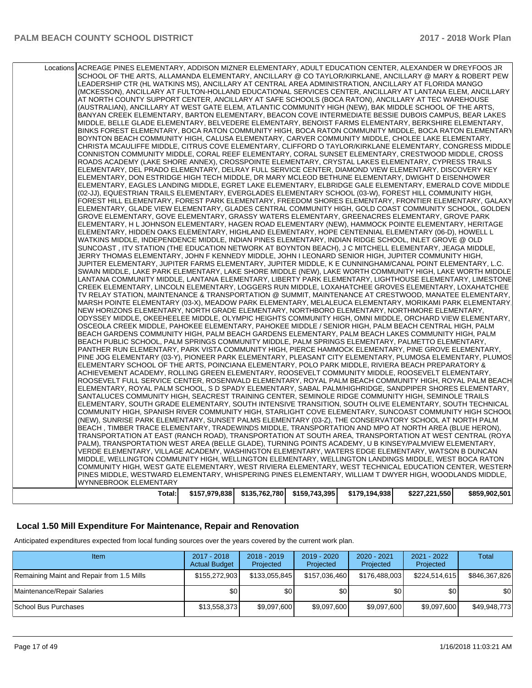| Total:                                                                                                                                                                                                                    | $$157,979,838$ $$135,762,780$ | \$159,743,395 | \$179,194,938 | \$227,221,550 | \$859,902,501 |
|---------------------------------------------------------------------------------------------------------------------------------------------------------------------------------------------------------------------------|-------------------------------|---------------|---------------|---------------|---------------|
| WYNNEBROOK ELEMENTARY                                                                                                                                                                                                     |                               |               |               |               |               |
| PINES MIDDLE, WESTWARD ELEMENTARY, WHISPERING PINES ELEMENTARY, WILLIAM T DWYER HIGH, WOODLANDS MIDDLE,                                                                                                                   |                               |               |               |               |               |
| COMMUNITY HIGH, WEST GATE ELEMENTARY, WEST RIVIERA ELEMENTARY, WEST TECHNICAL EDUCATION CENTER, WESTERN                                                                                                                   |                               |               |               |               |               |
| MIDDLE, WELLINGTON COMMUNITY HIGH, WELLINGTON ELEMENTARY, WELLINGTON LANDINGS MIDDLE, WEST BOCA RATON                                                                                                                     |                               |               |               |               |               |
| VERDE ELEMENTARY, VILLAGE ACADEMY, WASHINGTON ELEMENTARY, WATERS EDGE ELEMENTARY, WATSON B DUNCAN                                                                                                                         |                               |               |               |               |               |
| PALM), TRANSPORTATION WEST AREA (BELLE GLADE), TURNING POINTS ACADEMY, U B KINSEY/PALMVIEW ELEMENTARY,                                                                                                                    |                               |               |               |               |               |
| TRANSPORTATION AT EAST (RANCH ROAD), TRANSPORTATION AT SOUTH AREA, TRANSPORTATION AT WEST CENTRAL (ROYA                                                                                                                   |                               |               |               |               |               |
| BEACH , TIMBER TRACE ELEMENTARY, TRADEWINDS MIDDLE, TRANSPORTATION AND MPO AT NORTH AREA (BLUE HERON),                                                                                                                    |                               |               |               |               |               |
| (NEW), SUNRISE PARK ELEMENTARY, SUNSET PALMS ELEMENTARY (03-Z), THE CONSERVATORY SCHOOL AT NORTH PALM                                                                                                                     |                               |               |               |               |               |
| COMMUNITY HIGH, SPANISH RIVER COMMUNITY HIGH, STARLIGHT COVE ELEMENTARY, SUNCOAST COMMUNITY HIGH SCHOOL                                                                                                                   |                               |               |               |               |               |
| ELEMENTARY, SOUTH GRADE ELEMENTARY, SOUTH INTENSIVE TRANSITION, SOUTH OLIVE ELEMENTARY, SOUTH TECHNICAL                                                                                                                   |                               |               |               |               |               |
| SANTALUCES COMMUNITY HIGH, SEACREST TRAINING CENTER, SEMINOLE RIDGE COMMUNITY HIGH, SEMINOLE TRAILS                                                                                                                       |                               |               |               |               |               |
| ELEMENTARY, ROYAL PALM SCHOOL, S D SPADY ELEMENTARY, SABAL PALM/HIGHRIDGE, SANDPIPER SHORES ELEMENTARY,                                                                                                                   |                               |               |               |               |               |
| ROOSEVELT FULL SERVICE CENTER, ROSENWALD ELEMENTARY, ROYAL PALM BEACH COMMUNITY HIGH, ROYAL PALM BEACH                                                                                                                    |                               |               |               |               |               |
| ACHIEVEMENT ACADEMY, ROLLING GREEN ELEMENTARY, ROOSEVELT COMMUNITY MIDDLE, ROOSEVELT ELEMENTARY,                                                                                                                          |                               |               |               |               |               |
| ELEMENTARY SCHOOL OF THE ARTS, POINCIANA ELEMENTARY, POLO PARK MIDDLE, RIVIERA BEACH PREPARATORY &                                                                                                                        |                               |               |               |               |               |
| PANTHER RUN ELEMENTARY, PARK VISTA COMMUNITY HIGH, PIERCE HAMMOCK ELEMENTARY, PINE GROVE ELEMENTARY,<br>PINE JOG ELEMENTARY (03-Y), PIONEER PARK ELEMENTARY, PLEASANT CITY ELEMENTARY, PLUMOSA ELEMENTARY, PLUMOS         |                               |               |               |               |               |
| BEACH PUBLIC SCHOOL, PALM SPRINGS COMMUNITY MIDDLE, PALM SPRINGS ELEMENTARY, PALMETTO ELEMENTARY,                                                                                                                         |                               |               |               |               |               |
| BEACH GARDENS COMMUNITY HIGH, PALM BEACH GARDENS ELEMENTARY, PALM BEACH LAKES COMMUNITY HIGH, PALM                                                                                                                        |                               |               |               |               |               |
| OSCEOLA CREEK MIDDLE, PAHOKEE ELEMENTARY, PAHOKEE MIDDLE / SENIOR HIGH, PALM BEACH CENTRAL HIGH, PALM                                                                                                                     |                               |               |               |               |               |
| ODYSSEY MIDDLE, OKEEHEELEE MIDDLE, OLYMPIC HEIGHTS COMMUNITY HIGH, OMNI MIDDLE, ORCHARD VIEW ELEMENTARY,                                                                                                                  |                               |               |               |               |               |
| NEW HORIZONS ELEMENTARY, NORTH GRADE ELEMENTARY, NORTHBORO ELEMENTARY, NORTHMORE ELEMENTARY,                                                                                                                              |                               |               |               |               |               |
| MARSH POINTE ELEMENTARY (03-X), MEADOW PARK ELEMENTARY, MELALEUCA ELEMENTARY, MORIKAMI PARK ELEMENTARY                                                                                                                    |                               |               |               |               |               |
| TV RELAY STATION, MAINTENANCE & TRANSPORTATION @ SUMMIT, MAINTENANCE AT CRESTWOOD, MANATEE ELEMENTARY,                                                                                                                    |                               |               |               |               |               |
| CREEK ELEMENTARY, LINCOLN ELEMENTARY, LOGGERS RUN MIDDLE, LOXAHATCHEE GROVES ELEMENTARY, LOXAHATCHEE                                                                                                                      |                               |               |               |               |               |
| LANTANA COMMUNITY MIDDLE, LANTANA ELEMENTARY, LIBERTY PARK ELEMENTARY, LIGHTHOUSE ELEMENTARY, LIMESTONE                                                                                                                   |                               |               |               |               |               |
| SWAIN MIDDLE, LAKE PARK ELEMENTARY, LAKE SHORE MIDDLE (NEW), LAKE WORTH COMMUNITY HIGH, LAKE WORTH MIDDLE                                                                                                                 |                               |               |               |               |               |
| JUPITER ELEMENTARY, JUPITER FARMS ELEMENTARY, JUPITER MIDDLE, K E CUNNINGHAM/CANAL POINT ELEMENTARY, L.C.                                                                                                                 |                               |               |               |               |               |
| JERRY THOMAS ELEMENTARY, JOHN F KENNEDY MIDDLE, JOHN I LEONARD SENIOR HIGH, JUPITER COMMUNITY HIGH,                                                                                                                       |                               |               |               |               |               |
| SUNCOAST , ITV STATION (THE EDUCATION NETWORK AT BOYNTON BEACH), J C MITCHELL ELEMENTARY, JEAGA MIDDLE,                                                                                                                   |                               |               |               |               |               |
| WATKINS MIDDLE, INDEPENDENCE MIDDLE, INDIAN PINES ELEMENTARY, INDIAN RIDGE SCHOOL, INLET GROVE @ OLD                                                                                                                      |                               |               |               |               |               |
| ELEMENTARY, HIDDEN OAKS ELEMENTARY, HIGHLAND ELEMENTARY, HOPE CENTENNIAL ELEMENTARY (06-D), HOWELL L                                                                                                                      |                               |               |               |               |               |
| ELEMENTARY, H L JOHNSON ELEMENTARY, HAGEN ROAD ELEMENTARY (NEW), HAMMOCK POINTE ELEMENTARY, HERITAGE                                                                                                                      |                               |               |               |               |               |
| GROVE ELEMENTARY, GOVE ELEMENTARY, GRASSY WATERS ELEMENTARY, GREENACRES ELEMENTARY, GROVE PARK                                                                                                                            |                               |               |               |               |               |
| ELEMENTARY, GLADE VIEW ELEMENTARY, GLADES CENTRAL COMMUNITY HIGH, GOLD COAST COMMUNITY SCHOOL, GOLDEN                                                                                                                     |                               |               |               |               |               |
| FOREST HILL ELEMENTARY, FOREST PARK ELEMENTARY, FREEDOM SHORES ELEMENTARY, FRONTIER ELEMENTARY, GALAXY                                                                                                                    |                               |               |               |               |               |
| (02-JJ), EQUESTRIAN TRAILS ELEMENTARY, EVERGLADES ELEMENTARY SCHOOL (03-W), FOREST HILL COMMUNITY HIGH,                                                                                                                   |                               |               |               |               |               |
| ELEMENTARY, EAGLES LANDING MIDDLE, EGRET LAKE ELEMENTARY, ELBRIDGE GALE ELEMENTARY, EMERALD COVE MIDDLE                                                                                                                   |                               |               |               |               |               |
| ELEMENTARY, DON ESTRIDGE HIGH TECH MIDDLE, DR MARY MCLEOD BETHUNE ELEMENTARY, DWIGHT D EISENHOWER                                                                                                                         |                               |               |               |               |               |
| ELEMENTARY, DEL PRADO ELEMENTARY, DELRAY FULL SERVICE CENTER, DIAMOND VIEW ELEMENTARY, DISCOVERY KEY                                                                                                                      |                               |               |               |               |               |
| ROADS ACADEMY (LAKE SHORE ANNEX), CROSSPOINTE ELEMENTARY, CRYSTAL LAKES ELEMENTARY, CYPRESS TRAILS                                                                                                                        |                               |               |               |               |               |
| CONNISTON COMMUNITY MIDDLE, CORAL REEF ELEMENTARY, CORAL SUNSET ELEMENTARY, CRESTWOOD MIDDLE, CROSS                                                                                                                       |                               |               |               |               |               |
| CHRISTA MCAULIFFE MIDDLE, CITRUS COVE ELEMENTARY, CLIFFORD O TAYLOR/KIRKLANE ELEMENTARY, CONGRESS MIDDLE                                                                                                                  |                               |               |               |               |               |
| BOYNTON BEACH COMMUNITY HIGH, CALUSA ELEMENTARY, CARVER COMMUNITY MIDDLE, CHOLEE LAKE ELEMENTARY,                                                                                                                         |                               |               |               |               |               |
| BINKS FOREST ELEMENTARY, BOCA RATON COMMUNITY HIGH, BOCA RATON COMMUNITY MIDDLE, BOCA RATON ELEMENTARY                                                                                                                    |                               |               |               |               |               |
| MIDDLE, BELLE GLADE ELEMENTARY, BELVEDERE ELEMENTARY, BENOIST FARMS ELEMENTARY, BERKSHIRE ELEMENTARY,                                                                                                                     |                               |               |               |               |               |
| BANYAN CREEK ELEMENTARY, BARTON ELEMENTARY, BEACON COVE INTERMEDIATE BESSIE DUBOIS CAMPUS, BEAR LAKES                                                                                                                     |                               |               |               |               |               |
| (AUSTRALIAN), ANCILLARY AT WEST GATE ELEM, ATLANTIC COMMUNITY HIGH (NEW), BAK MIDDLE SCHOOL OF THE ARTS,                                                                                                                  |                               |               |               |               |               |
| AT NORTH COUNTY SUPPORT CENTER, ANCILLARY AT SAFE SCHOOLS (BOCA RATON), ANCILLARY AT TEC WAREHOUSE                                                                                                                        |                               |               |               |               |               |
| (MCKESSON), ANCILLARY AT FULTON-HOLLAND EDUCATIONAL SERVICES CENTER, ANCILLARY AT LANTANA ELEM, ANCILLARY                                                                                                                 |                               |               |               |               |               |
| LEADERSHIP CTR (HL WATKINS MS), ANCILLARY AT CENTRAL AREA ADMINISTRATION, ANCILLARY AT FLORIDA MANGO                                                                                                                      |                               |               |               |               |               |
| Locations ACREAGE PINES ELEMENTARY, ADDISON MIZNER ELEMENTARY, ADULT EDUCATION CENTER, ALEXANDER W DREYFOOS JR<br>SCHOOL OF THE ARTS, ALLAMANDA ELEMENTARY, ANCILLARY @ CO TAYLOR/KIRKLANE, ANCILLARY @ MARY & ROBERT PEW |                               |               |               |               |               |
|                                                                                                                                                                                                                           |                               |               |               |               |               |

#### **Local 1.50 Mill Expenditure For Maintenance, Repair and Renovation**

Anticipated expenditures expected from local funding sources over the years covered by the current work plan.

| Item                                      | 2017 - 2018<br><b>Actual Budget</b> | $2018 - 2019$<br>Projected | 2019 - 2020<br>Projected | $2020 - 2021$<br>Projected | 2021 - 2022<br>Projected | Total         |
|-------------------------------------------|-------------------------------------|----------------------------|--------------------------|----------------------------|--------------------------|---------------|
| Remaining Maint and Repair from 1.5 Mills | \$155,272,903                       | \$133,055,845              | \$157,036,460            | \$176,488,003              | \$224,514,615            | \$846,367,826 |
| Maintenance/Repair Salaries               | \$0 <sub>1</sub>                    | \$0                        | \$0                      | \$0 <sub>1</sub>           | \$0                      | \$0           |
| School Bus Purchases                      | \$13,558,373                        | \$9,097,600                | \$9,097,600              | \$9,097,600                | \$9,097,600              | \$49,948,773  |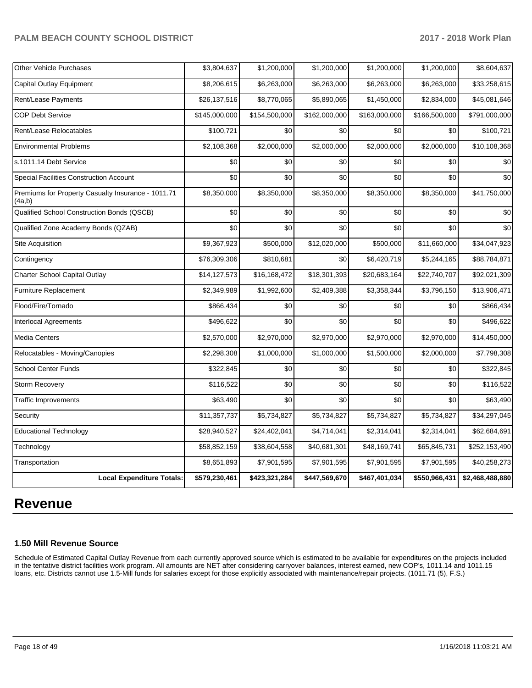| <b>Other Vehicle Purchases</b>                               | \$3,804,637   | \$1,200,000   | \$1,200,000   | \$1,200,000   | \$1,200,000   | \$8,604,637     |
|--------------------------------------------------------------|---------------|---------------|---------------|---------------|---------------|-----------------|
| Capital Outlay Equipment                                     | \$8,206,615   | \$6,263,000   | \$6,263,000   | \$6,263,000   | \$6,263,000   | \$33,258,615    |
| Rent/Lease Payments                                          | \$26,137,516  | \$8,770,065   | \$5,890,065   | \$1,450,000   | \$2,834,000   | \$45,081,646    |
| <b>COP Debt Service</b>                                      | \$145,000,000 | \$154,500,000 | \$162,000,000 | \$163,000,000 | \$166,500,000 | \$791,000,000   |
| Rent/Lease Relocatables                                      | \$100,721     | \$0           | \$0           | \$0           | \$0           | \$100,721       |
| <b>Environmental Problems</b>                                | \$2,108,368   | \$2,000,000   | \$2,000,000   | \$2,000,000   | \$2,000,000   | \$10,108,368    |
| s.1011.14 Debt Service                                       | \$0           | \$0           | \$0           | \$0           | \$0           | \$0             |
| Special Facilities Construction Account                      | \$0           | \$0           | \$0           | \$0           | \$0           | \$0             |
| Premiums for Property Casualty Insurance - 1011.71<br>(4a,b) | \$8,350,000   | \$8,350,000   | \$8,350,000   | \$8,350,000   | \$8,350,000   | \$41,750,000    |
| Qualified School Construction Bonds (QSCB)                   | \$0           | \$0           | \$0           | \$0           | \$0           | \$0             |
| Qualified Zone Academy Bonds (QZAB)                          | \$0           | \$0           | \$0           | \$0           | \$0           | \$0             |
| Site Acquisition                                             | \$9,367,923   | \$500,000     | \$12,020,000  | \$500,000     | \$11,660,000  | \$34,047,923    |
| Contingency                                                  | \$76,309,306  | \$810,681     | \$0           | \$6,420,719   | \$5,244,165   | \$88,784,871    |
| Charter School Capital Outlay                                | \$14,127,573  | \$16,168,472  | \$18,301,393  | \$20,683,164  | \$22,740,707  | \$92,021,309    |
| Furniture Replacement                                        | \$2,349,989   | \$1,992,600   | \$2,409,388   | \$3,358,344   | \$3,796,150   | \$13,906,471    |
| Flood/Fire/Tornado                                           | \$866,434     | \$0           | \$0           | \$0           | \$0           | \$866,434       |
| Interlocal Agreements                                        | \$496,622     | \$0           | \$0           | \$0           | \$0           | \$496,622       |
| <b>Media Centers</b>                                         | \$2,570,000   | \$2,970,000   | \$2,970,000   | \$2,970,000   | \$2,970,000   | \$14,450,000    |
| Relocatables - Moving/Canopies                               | \$2,298,308   | \$1,000,000   | \$1,000,000   | \$1,500,000   | \$2,000,000   | \$7,798,308     |
| School Center Funds                                          | \$322,845     | \$0           | \$0           | \$0           | \$0           | \$322,845       |
| Storm Recovery                                               | \$116,522     | \$0           | \$0           | \$0           | \$0           | \$116,522       |
| <b>Traffic Improvements</b>                                  | \$63,490      | \$0           | \$0           | \$0           | \$0           | \$63,490        |
| Security                                                     | \$11,357,737  | \$5,734,827   | \$5,734,827   | \$5,734,827   | \$5,734,827   | \$34,297,045    |
| <b>Educational Technology</b>                                | \$28,940,527  | \$24,402,041  | \$4,714,041   | \$2,314,041   | \$2,314,041   | \$62,684,691    |
| Technology                                                   | \$58,852,159  | \$38,604,558  | \$40,681,301  | \$48,169,741  | \$65,845,731  | \$252,153,490   |
| Transportation                                               | \$8,651,893   | \$7,901,595   | \$7,901,595   | \$7,901,595   | \$7,901,595   | \$40,258,273    |
| <b>Local Expenditure Totals:</b>                             | \$579,230,461 | \$423,321,284 | \$447,569,670 | \$467,401,034 | \$550,966,431 | \$2,468,488,880 |

## **Revenue**

#### **1.50 Mill Revenue Source**

Schedule of Estimated Capital Outlay Revenue from each currently approved source which is estimated to be available for expenditures on the projects included in the tentative district facilities work program. All amounts are NET after considering carryover balances, interest earned, new COP's, 1011.14 and 1011.15 loans, etc. Districts cannot use 1.5-Mill funds for salaries except for those explicitly associated with maintenance/repair projects. (1011.71 (5), F.S.)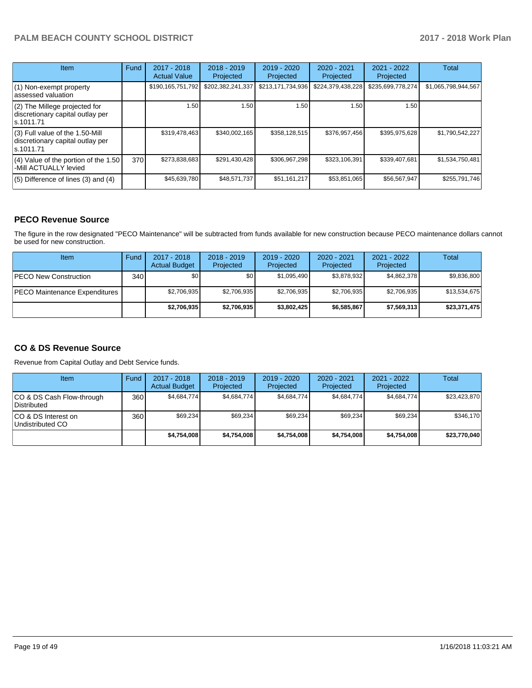| <b>Item</b>                                                                         | Fund | $2017 - 2018$<br><b>Actual Value</b> | $2018 - 2019$<br>Projected | $2019 - 2020$<br>Projected | 2020 - 2021<br>Projected | $2021 - 2022$<br>Projected | <b>Total</b>        |
|-------------------------------------------------------------------------------------|------|--------------------------------------|----------------------------|----------------------------|--------------------------|----------------------------|---------------------|
| (1) Non-exempt property<br>lassessed valuation                                      |      | \$190,165,751,792                    | \$202,382,241,337          | \$213,171,734,936          | \$224,379,438,228        | \$235,699,778,274          | \$1,065,798,944,567 |
| (2) The Millege projected for<br>discretionary capital outlay per<br>ls.1011.71     |      | 1.50                                 | 1.50                       | 1.50                       | 1.50                     | 1.50                       |                     |
| $(3)$ Full value of the 1.50-Mill<br>discretionary capital outlay per<br>ls.1011.71 |      | \$319,478,463                        | \$340,002,165              | \$358,128,515              | \$376,957,456            | \$395,975,628              | \$1,790,542,227     |
| $(4)$ Value of the portion of the 1.50<br>-Mill ACTUALLY levied                     | 370  | \$273,838,683                        | \$291,430,428              | \$306,967,298              | \$323,106,391            | \$339,407,681              | \$1,534,750,481     |
| $(5)$ Difference of lines $(3)$ and $(4)$                                           |      | \$45,639,780                         | \$48,571,737               | \$51,161,217               | \$53,851,065             | \$56.567.947               | \$255.791.746       |

#### **PECO Revenue Source**

The figure in the row designated "PECO Maintenance" will be subtracted from funds available for new construction because PECO maintenance dollars cannot be used for new construction.

| Item                           | Fund         | $2017 - 2018$<br><b>Actual Budget</b> | $2018 - 2019$<br>Projected | 2019 - 2020<br>Projected | $2020 - 2021$<br>Projected | 2021 - 2022<br>Projected | <b>Total</b> |
|--------------------------------|--------------|---------------------------------------|----------------------------|--------------------------|----------------------------|--------------------------|--------------|
| <b>IPECO New Construction</b>  | 340 <b>I</b> | \$0                                   | \$0 <sub>1</sub>           | \$1,095,490              | \$3.878.932                | \$4,862,378              | \$9,836,800  |
| IPECO Maintenance Expenditures |              | \$2,706,935                           | \$2,706,935                | \$2,706,935              | \$2,706,935                | \$2,706,935              | \$13,534,675 |
|                                |              | \$2,706,935                           | \$2,706,935                | \$3,802,425              | \$6,585,867                | \$7,569,313              | \$23,371,475 |

#### **CO & DS Revenue Source**

Revenue from Capital Outlay and Debt Service funds.

| <b>Item</b>                               | Fund | $2017 - 2018$<br><b>Actual Budget</b> | $2018 - 2019$<br>Projected | $2019 - 2020$<br>Projected | $2020 - 2021$<br>Projected | $2021 - 2022$<br>Projected | Total        |
|-------------------------------------------|------|---------------------------------------|----------------------------|----------------------------|----------------------------|----------------------------|--------------|
| ICO & DS Cash Flow-through<br>Distributed | 360  | \$4.684.774                           | \$4,684,774                | \$4.684.774                | \$4.684.774                | \$4,684,774                | \$23,423,870 |
| ICO & DS Interest on<br>Undistributed CO  | 360  | \$69.234                              | \$69,234                   | \$69,234                   | \$69,234                   | \$69,234                   | \$346.170    |
|                                           |      | \$4.754.008                           | \$4,754,008                | \$4.754.008                | \$4.754.008                | \$4,754,008                | \$23,770,040 |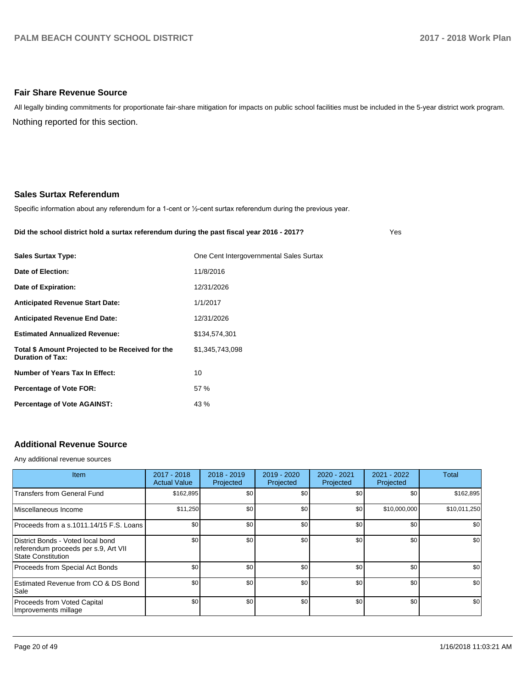#### **Fair Share Revenue Source**

Nothing reported for this section. All legally binding commitments for proportionate fair-share mitigation for impacts on public school facilities must be included in the 5-year district work program.

#### **Sales Surtax Referendum**

Specific information about any referendum for a 1-cent or 1/2-cent surtax referendum during the previous year.

#### **Did the school district hold a surtax referendum during the past fiscal year 2016 - 2017?**

Yes

| <b>Sales Surtax Type:</b>                                                   | One Cent Intergovernmental Sales Surtax |
|-----------------------------------------------------------------------------|-----------------------------------------|
| Date of Election:                                                           | 11/8/2016                               |
| Date of Expiration:                                                         | 12/31/2026                              |
| <b>Anticipated Revenue Start Date:</b>                                      | 1/1/2017                                |
| <b>Anticipated Revenue End Date:</b>                                        | 12/31/2026                              |
| <b>Estimated Annualized Revenue:</b>                                        | \$134,574,301                           |
| Total \$ Amount Projected to be Received for the<br><b>Duration of Tax:</b> | \$1,345,743,098                         |
| Number of Years Tax In Effect:                                              | 10                                      |
| Percentage of Vote FOR:                                                     | 57%                                     |
| <b>Percentage of Vote AGAINST:</b>                                          | 43 %                                    |
|                                                                             |                                         |

## **Additional Revenue Source**

Any additional revenue sources

| <b>Item</b>                                                                                     | 2017 - 2018<br><b>Actual Value</b> | $2018 - 2019$<br>Projected | 2019 - 2020<br>Projected | 2020 - 2021<br>Projected | 2021 - 2022<br>Projected | <b>Total</b> |
|-------------------------------------------------------------------------------------------------|------------------------------------|----------------------------|--------------------------|--------------------------|--------------------------|--------------|
| <b>Transfers from General Fund</b>                                                              | \$162,895                          | \$0 <sub>1</sub>           | \$0                      | \$0                      | \$0                      | \$162,895    |
| Miscellaneous Income                                                                            | \$11,250                           | \$0 <sub>1</sub>           | \$0                      | \$0                      | \$10,000,000             | \$10,011,250 |
| Proceeds from a s.1011.14/15 F.S. Loans                                                         | \$0                                | \$0 <sub>1</sub>           | \$0                      | \$0                      | \$0                      | \$0          |
| District Bonds - Voted local bond<br>referendum proceeds per s.9, Art VII<br>State Constitution | \$0                                | \$0 <sub>1</sub>           | \$0                      | \$0                      | \$0                      | \$0          |
| Proceeds from Special Act Bonds                                                                 | \$0                                | \$0 <sub>1</sub>           | \$0                      | \$0                      | \$0                      | \$0          |
| Estimated Revenue from CO & DS Bond<br> Sale                                                    | \$0                                | \$0                        | \$0                      | \$0                      | \$0                      | \$0          |
| Proceeds from Voted Capital<br>Improvements millage                                             | \$0                                | \$0 <sub>1</sub>           | \$0                      | \$0                      | \$0                      | \$0          |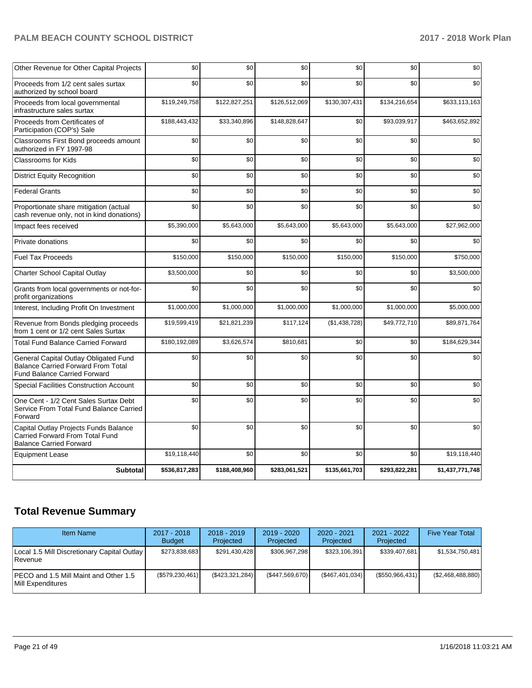| Other Revenue for Other Capital Projects                                                                                  | \$0           | \$0           | \$0           | \$0           | \$0           | \$0             |
|---------------------------------------------------------------------------------------------------------------------------|---------------|---------------|---------------|---------------|---------------|-----------------|
| Proceeds from 1/2 cent sales surtax<br>authorized by school board                                                         | \$0           | \$0           | \$0           | \$0           | \$0           | \$0             |
| Proceeds from local governmental<br>infrastructure sales surtax                                                           | \$119,249,758 | \$122,827,251 | \$126,512,069 | \$130,307,431 | \$134,216,654 | \$633,113,163   |
| Proceeds from Certificates of<br>Participation (COP's) Sale                                                               | \$188,443,432 | \$33,340,896  | \$148,828,647 | \$0           | \$93,039,917  | \$463,652,892   |
| Classrooms First Bond proceeds amount<br>authorized in FY 1997-98                                                         | \$0           | \$0           | \$0           | \$0           | \$0           | \$0             |
| <b>Classrooms for Kids</b>                                                                                                | \$0           | \$0           | \$0           | \$0           | \$0           | \$0             |
| <b>District Equity Recognition</b>                                                                                        | \$0           | \$0           | \$0           | \$0           | \$0           | \$0             |
| <b>Federal Grants</b>                                                                                                     | \$0           | \$0           | \$0           | \$0           | \$0           | \$0             |
| Proportionate share mitigation (actual<br>cash revenue only, not in kind donations)                                       | \$0           | \$0           | \$0           | \$0           | \$0           | \$0             |
| Impact fees received                                                                                                      | \$5,390,000   | \$5,643,000   | \$5,643,000   | \$5,643,000   | \$5,643,000   | \$27,962,000    |
| Private donations                                                                                                         | \$0           | \$0           | \$0           | \$0           | \$0           | \$0             |
| <b>Fuel Tax Proceeds</b>                                                                                                  | \$150,000     | \$150,000     | \$150,000     | \$150,000     | \$150,000     | \$750,000       |
| Charter School Capital Outlay                                                                                             | \$3,500,000   | \$0           | \$0           | \$0           | \$0           | \$3,500,000     |
| Grants from local governments or not-for-<br>profit organizations                                                         | \$0           | \$0           | \$0           | \$0           | \$0           | \$0             |
| Interest, Including Profit On Investment                                                                                  | \$1,000,000   | \$1,000,000   | \$1,000,000   | \$1,000,000   | \$1,000,000   | \$5,000,000     |
| Revenue from Bonds pledging proceeds<br>from 1 cent or 1/2 cent Sales Surtax                                              | \$19,599,419  | \$21,821,239  | \$117,124     | (\$1,438,728) | \$49,772,710  | \$89,871,764    |
| <b>Total Fund Balance Carried Forward</b>                                                                                 | \$180,192,089 | \$3,626,574   | \$810,681     | \$0           | \$0           | \$184,629,344   |
| General Capital Outlay Obligated Fund<br><b>Balance Carried Forward From Total</b><br><b>Fund Balance Carried Forward</b> | \$0           | \$0           | \$0           | \$0           | \$0           | \$0             |
| <b>Special Facilities Construction Account</b>                                                                            | \$0           | \$0           | \$0           | \$0           | \$0           | \$0             |
| One Cent - 1/2 Cent Sales Surtax Debt<br>Service From Total Fund Balance Carried<br>Forward                               | \$0           | \$0           | \$0           | \$0           | \$0           | \$0             |
| Capital Outlay Projects Funds Balance<br>Carried Forward From Total Fund<br><b>Balance Carried Forward</b>                | \$0           | \$0           | \$0           | \$0           | \$0           | \$0             |
| <b>Equipment Lease</b>                                                                                                    | \$19,118,440  | \$0           | \$0           | \$0           | \$0           | \$19,118,440    |
| <b>Subtotal</b>                                                                                                           | \$536,817,283 | \$188,408,960 | \$283,061,521 | \$135,661,703 | \$293,822,281 | \$1,437,771,748 |

## **Total Revenue Summary**

| <b>Item Name</b>                                                    | 2017 - 2018<br><b>Budget</b> | $2018 - 2019$<br><b>Projected</b> | $2019 - 2020$<br>Projected | $2020 - 2021$<br>Projected | 2021 - 2022<br>Projected | <b>Five Year Total</b> |
|---------------------------------------------------------------------|------------------------------|-----------------------------------|----------------------------|----------------------------|--------------------------|------------------------|
| Local 1.5 Mill Discretionary Capital Outlay  <br><b>Revenue</b>     | \$273,838,683                | \$291,430,428                     | \$306,967,298              | \$323,106,391              | \$339.407.681            | \$1,534,750,481        |
| IPECO and 1.5 Mill Maint and Other 1.5<br><b>IMill Expenditures</b> | (\$579,230,461)              | (\$423,321,284)                   | (\$447,569,670)            | (\$467,401,034)            | (\$550, 966, 431)        | (S2,468,488,880)       |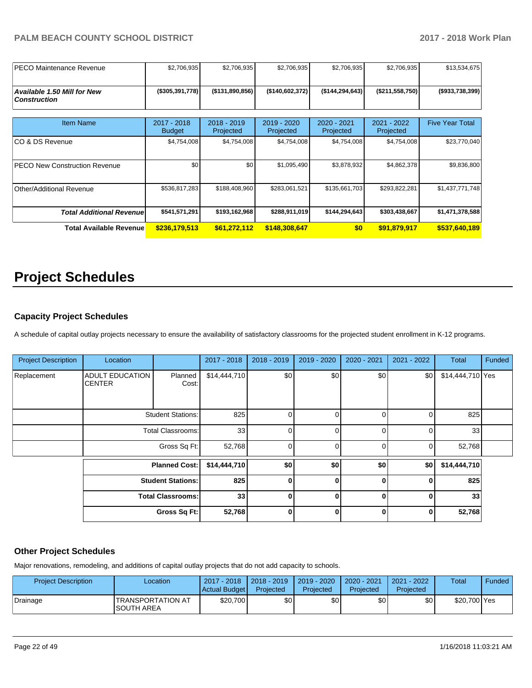| <b>IPECO Maintenance Revenue</b>                          | \$2,706,935                  | \$2,706,935                | \$2,706,935              | \$2,706,935              | \$2,706,935              | \$13,534,675           |
|-----------------------------------------------------------|------------------------------|----------------------------|--------------------------|--------------------------|--------------------------|------------------------|
| <b>Available 1.50 Mill for New</b><br><b>Construction</b> | $(*305,391,778)$             | ( \$131, 890, 856)         | (\$140,602,372)          | ( \$144, 294, 643]       | (\$211,558,750)          | ( \$933, 738, 399)     |
| <b>Item Name</b>                                          | 2017 - 2018<br><b>Budget</b> | $2018 - 2019$<br>Projected | 2019 - 2020<br>Projected | 2020 - 2021<br>Projected | 2021 - 2022<br>Projected | <b>Five Year Total</b> |
| ICO & DS Revenue                                          | \$4,754,008                  | \$4,754,008                | \$4,754,008              | \$4,754,008              | \$4,754,008              | \$23,770,040           |
| <b>PECO New Construction Revenue</b>                      | \$0                          | \$0 <sub>1</sub>           | \$1,095,490              | \$3,878,932              | \$4,862,378              | \$9,836,800            |
| Other/Additional Revenue                                  | \$536,817,283                | \$188,408,960              | \$283,061,521            | \$135,661,703            | \$293,822,281            | \$1,437,771,748        |
| <b>Total Additional Revenuel</b>                          | \$541,571,291                | \$193,162,968              | \$288,911,019            | \$144,294,643            | \$303,438,667            | \$1,471,378,588        |
| <b>Total Available Revenue</b>                            | \$236,179,513                | \$61,272,112               | \$148,308,647            | \$0                      | \$91,879,917             | \$537,640,189          |

# **Project Schedules**

#### **Capacity Project Schedules**

A schedule of capital outlay projects necessary to ensure the availability of satisfactory classrooms for the projected student enrollment in K-12 programs.

| <b>Project Description</b> | Location                 |                          | 2017 - 2018     | 2018 - 2019  | 2019 - 2020 | 2020 - 2021    | 2021 - 2022 | <b>Total</b>     | Funded |
|----------------------------|--------------------------|--------------------------|-----------------|--------------|-------------|----------------|-------------|------------------|--------|
|                            |                          |                          |                 |              |             |                |             |                  |        |
| Replacement                | <b>ADULT EDUCATION</b>   | Planned                  | \$14,444,710    | \$0          | \$0         | \$0            | \$0         | \$14,444,710 Yes |        |
|                            | <b>CENTER</b>            | Cost:                    |                 |              |             |                |             |                  |        |
|                            |                          |                          |                 |              |             |                |             |                  |        |
|                            |                          |                          |                 |              |             |                |             |                  |        |
|                            |                          | <b>Student Stations:</b> | 825             | 0            | 0           | $\overline{0}$ | 0           | 825              |        |
|                            |                          |                          |                 |              |             |                |             |                  |        |
|                            | <b>Total Classrooms:</b> |                          | 33 <sub>1</sub> | $\Omega$     | $\Omega$    | $\Omega$       | 0           | 33               |        |
|                            |                          | Gross Sq Ft:             | 52,768          | $\Omega$     | 0           | $\Omega$       | $\Omega$    | 52,768           |        |
|                            |                          |                          |                 |              |             |                |             |                  |        |
|                            | <b>Planned Cost:</b>     |                          | \$14,444,710    | \$0          | \$0         | \$0            | \$0         | \$14,444,710     |        |
|                            | <b>Student Stations:</b> |                          | 825             | $\bf{0}$     | $\bf{0}$    | 0              | $\Omega$    | 825              |        |
|                            | <b>Total Classrooms:</b> |                          | 33 <sup>1</sup> | $\bf{0}$     | 0           | $\mathbf{0}$   | $\Omega$    | 33               |        |
|                            |                          | Gross Sq Ft:             | 52,768          | $\mathbf{0}$ | 0           | 0              | 0           | 52,768           |        |

#### **Other Project Schedules**

Major renovations, remodeling, and additions of capital outlay projects that do not add capacity to schools.

| <b>Project Description</b> | Location                                      | 2017 - 2018<br>Actual Budget | $12018 - 2019$<br>Projected | 2019 - 2020<br>Projected | 2020 - 2021<br>Projected | 2021 - 2022<br>Projected | <b>Total</b> | Funded |
|----------------------------|-----------------------------------------------|------------------------------|-----------------------------|--------------------------|--------------------------|--------------------------|--------------|--------|
| Drainage                   | <b>TRANSPORTATION AT</b><br><b>SOUTH AREA</b> | \$20,700                     | \$0                         | \$0                      | \$0                      | \$0                      | \$20,700 Yes |        |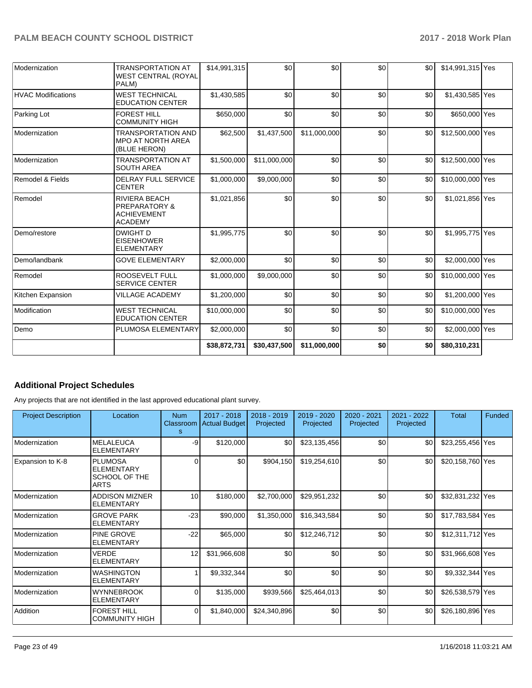| Modernization               | <b>TRANSPORTATION AT</b><br><b>WEST CENTRAL (ROYAL</b><br>PALM)                          | \$14,991,315 | \$0          | \$0          | \$0 | \$0 | \$14,991,315 Yes |  |
|-----------------------------|------------------------------------------------------------------------------------------|--------------|--------------|--------------|-----|-----|------------------|--|
| <b>HVAC Modifications</b>   | <b>WEST TECHNICAL</b><br><b>EDUCATION CENTER</b>                                         | \$1,430,585  | \$0          | \$0          | \$0 | \$0 | \$1,430,585 Yes  |  |
| Parking Lot                 | <b>FOREST HILL</b><br><b>COMMUNITY HIGH</b>                                              | \$650,000    | \$0          | \$0          | \$0 | \$0 | \$650,000 Yes    |  |
| Modernization               | <b>TRANSPORTATION AND</b><br><b>MPO AT NORTH AREA</b><br>(BLUE HERON)                    | \$62,500     | \$1,437,500  | \$11,000,000 | \$0 | \$0 | \$12,500,000 Yes |  |
| Modernization               | <b>TRANSPORTATION AT</b><br><b>SOUTH AREA</b>                                            | \$1,500,000  | \$11.000.000 | \$0          | \$0 | \$0 | \$12,500,000 Yes |  |
| <b>Remodel &amp; Fields</b> | <b>DELRAY FULL SERVICE</b><br><b>CENTER</b>                                              | \$1,000,000  | \$9,000,000  | \$0          | \$0 | \$0 | \$10,000,000 Yes |  |
| Remodel                     | <b>RIVIERA BEACH</b><br><b>PREPARATORY &amp;</b><br><b>ACHIEVEMENT</b><br><b>ACADEMY</b> | \$1,021,856  | \$0          | \$0          | \$0 | \$0 | \$1,021,856 Yes  |  |
| Demo/restore                | <b>DWIGHT D</b><br><b>EISENHOWER</b><br><b>ELEMENTARY</b>                                | \$1,995,775  | \$0          | \$0          | \$0 | \$0 | \$1,995,775 Yes  |  |
| Demo/landbank               | <b>GOVE ELEMENTARY</b>                                                                   | \$2,000,000  | \$0          | \$0          | \$0 | \$0 | \$2,000,000 Yes  |  |
| Remodel                     | ROOSEVELT FULL<br><b>SERVICE CENTER</b>                                                  | \$1,000,000  | \$9,000,000  | \$0          | \$0 | \$0 | \$10,000,000 Yes |  |
| Kitchen Expansion           | <b>VILLAGE ACADEMY</b>                                                                   | \$1,200,000  | \$0          | \$0          | \$0 | \$0 | \$1,200,000 Yes  |  |
| Modification                | <b>WEST TECHNICAL</b><br><b>EDUCATION CENTER</b>                                         | \$10,000,000 | \$0          | \$0          | \$0 | \$0 | \$10,000,000 Yes |  |
| Demo                        | PLUMOSA ELEMENTARY                                                                       | \$2,000,000  | \$0          | \$0          | \$0 | \$0 | \$2,000,000 Yes  |  |
|                             |                                                                                          | \$38,872,731 | \$30,437,500 | \$11,000,000 | \$0 | \$0 | \$80,310,231     |  |

## **Additional Project Schedules**

Any projects that are not identified in the last approved educational plant survey.

| <b>Project Description</b> | Location                                                            | <b>Num</b><br>s | 2017 - 2018<br>Classroom   Actual Budget | $2018 - 2019$<br>Projected | 2019 - 2020<br>Projected | 2020 - 2021<br>Projected | 2021 - 2022<br>Projected | Total            | Funded |
|----------------------------|---------------------------------------------------------------------|-----------------|------------------------------------------|----------------------------|--------------------------|--------------------------|--------------------------|------------------|--------|
| Modernization              | <b>MELALEUCA</b><br><b>ELEMENTARY</b>                               | -9              | \$120,000                                | \$0                        | \$23,135,456             | \$0                      | \$0                      | \$23,255,456 Yes |        |
| Expansion to K-8           | <b>PLUMOSA</b><br><b>ELEMENTARY</b><br>SCHOOL OF THE<br><b>ARTS</b> | 0               | \$0                                      | \$904,150                  | \$19,254,610             | \$0                      | \$0                      | \$20,158,760 Yes |        |
| Modernization              | <b>ADDISON MIZNER</b><br><b>ELEMENTARY</b>                          | 10              | \$180,000                                | \$2,700,000                | \$29,951,232             | \$0                      | \$0                      | \$32,831,232 Yes |        |
| Modernization              | <b>GROVE PARK</b><br><b>ELEMENTARY</b>                              | $-23$           | \$90,000                                 | \$1,350,000                | \$16,343,584             | \$0                      | \$0                      | \$17,783,584 Yes |        |
| l Modernization            | <b>PINE GROVE</b><br><b>ELEMENTARY</b>                              | $-22$           | \$65,000                                 | \$0                        | \$12,246,712             | \$0                      | \$0                      | \$12,311,712 Yes |        |
| Modernization              | <b>VERDE</b><br><b>ELEMENTARY</b>                                   | 12              | \$31,966,608                             | \$0                        | \$0                      | \$0                      | \$0                      | \$31,966,608 Yes |        |
| Modernization              | <b>WASHINGTON</b><br><b>ELEMENTARY</b>                              |                 | \$9,332,344                              | \$0                        | \$0                      | \$0                      | \$0                      | \$9,332,344 Yes  |        |
| Modernization              | <b>WYNNEBROOK</b><br><b>ELEMENTARY</b>                              |                 | \$135,000                                | \$939,566                  | \$25,464,013             | \$0                      | \$0                      | \$26,538,579 Yes |        |
| Addition                   | <b>FOREST HILL</b><br>COMMUNITY HIGH                                | 0               | \$1,840,000                              | \$24,340,896               | \$0                      | \$0                      | \$0                      | \$26,180,896 Yes |        |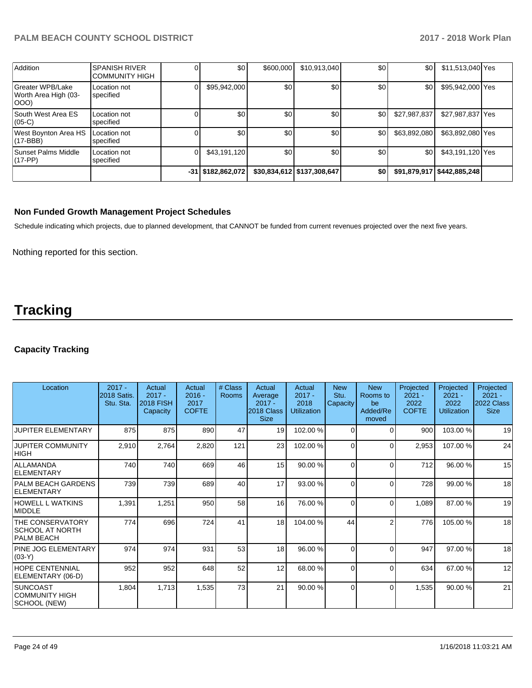| Addition                                         | <b>SPANISH RIVER</b><br><b>COMMUNITY HIGH</b> | \$0                 | \$600,000 | \$10,913,040               | \$0              | \$0          | \$11,513,040 Yes             |  |
|--------------------------------------------------|-----------------------------------------------|---------------------|-----------|----------------------------|------------------|--------------|------------------------------|--|
| Greater WPB/Lake<br>Worth Area High (03-<br>(OOO | Location not<br>specified                     | \$95,942,000        | \$0       | \$0                        | \$0              | \$0          | \$95,942,000 Yes             |  |
| South West Area ES<br>$(05-C)$                   | Location not<br>specified                     | \$0                 | \$0       | \$0                        | \$0              | \$27,987,837 | \$27,987,837 Yes             |  |
| West Boynton Area HS<br>(17-BBB)                 | Location not<br>specified                     | \$0                 | \$0       | \$0                        | \$0              | \$63,892,080 | \$63,892,080 Yes             |  |
| Sunset Palms Middle<br>(17-PP)                   | Location not<br>specified                     | \$43,191,120        | \$0       | \$0                        | \$0 <sub>1</sub> | \$0          | \$43,191,120 Yes             |  |
|                                                  |                                               | $-31$ \$182,862,072 |           | \$30,834,612 \$137,308,647 | \$0              |              | \$91,879,917   \$442,885,248 |  |

#### **Non Funded Growth Management Project Schedules**

Schedule indicating which projects, due to planned development, that CANNOT be funded from current revenues projected over the next five years.

Nothing reported for this section.

# **Tracking**

#### **Capacity Tracking**

| Location                                                               | $2017 -$<br>2018 Satis.<br>Stu. Sta. | Actual<br>$2017 -$<br><b>2018 FISH</b><br>Capacity | Actual<br>$2016 -$<br>2017<br><b>COFTE</b> | # Class<br>Rooms | Actual<br>Average<br>$2017 -$<br>2018 Class<br><b>Size</b> | Actual<br>$2017 -$<br>2018<br><b>Utilization</b> | <b>New</b><br>Stu.<br>Capacity | <b>New</b><br>Rooms to<br>be<br>Added/Re<br>moved | Projected<br>$2021 -$<br>2022<br><b>COFTE</b> | Projected<br>$2021 -$<br>2022<br><b>Utilization</b> | Projected<br>$2021 -$<br>2022 Class<br><b>Size</b> |
|------------------------------------------------------------------------|--------------------------------------|----------------------------------------------------|--------------------------------------------|------------------|------------------------------------------------------------|--------------------------------------------------|--------------------------------|---------------------------------------------------|-----------------------------------------------|-----------------------------------------------------|----------------------------------------------------|
| <b>JUPITER ELEMENTARY</b>                                              | 875                                  | 875                                                | 890                                        | 47               | 19                                                         | 102.00%                                          | $\Omega$                       | $\Omega$                                          | 900                                           | 103.00 %                                            | 19                                                 |
| <b>JUPITER COMMUNITY</b><br>HIGH                                       | 2,910                                | 2,764                                              | 2,820                                      | 121              | 23                                                         | 102.00%                                          | $\Omega$                       | $\Omega$                                          | 2,953                                         | 107.00 %                                            | 24                                                 |
| <b>ALLAMANDA</b><br><b>ELEMENTARY</b>                                  | 740                                  | 740                                                | 669                                        | 46               | 15 <sup>1</sup>                                            | 90.00 %                                          | $\Omega$                       | $\Omega$                                          | 712                                           | 96.00 %                                             | 15                                                 |
| <b>PALM BEACH GARDENS</b><br><b>ELEMENTARY</b>                         | 739                                  | 739                                                | 689                                        | 40               | 17                                                         | 93.00 %                                          | $\Omega$                       | $\Omega$                                          | 728                                           | 99.00 %                                             | 18                                                 |
| <b>HOWELL L WATKINS</b><br>MIDDLE                                      | 1,391                                | 1,251                                              | 950                                        | 58               | 16 <sup>1</sup>                                            | 76.00 %                                          | $\Omega$                       | $\Omega$                                          | 1,089                                         | 87.00 %                                             | 19                                                 |
| <b>THE CONSERVATORY</b><br><b>SCHOOL AT NORTH</b><br><b>PALM BEACH</b> | 774                                  | 696                                                | 724                                        | 41               | 18                                                         | 104.00%                                          | 44                             | $\overline{c}$                                    | 776                                           | 105.00 %                                            | 18                                                 |
| PINE JOG ELEMENTARY<br>$(03-Y)$                                        | 974                                  | 974                                                | 931                                        | 53               | 18                                                         | 96.00 %                                          | $\Omega$                       | $\Omega$                                          | 947                                           | 97.00 %                                             | 18                                                 |
| HOPE CENTENNIAL<br>ELEMENTARY (06-D)                                   | 952                                  | 952                                                | 648                                        | 52               | 12                                                         | 68.00 %                                          | $\Omega$                       | $\Omega$                                          | 634                                           | 67.00 %                                             | 12                                                 |
| <b>SUNCOAST</b><br> COMMUNITY HIGH<br>SCHOOL (NEW)                     | 1,804                                | 1,713                                              | 1,535                                      | 73               | 21                                                         | 90.00 %                                          | $\Omega$                       | $\Omega$                                          | 1,535                                         | 90.00 %                                             | 21                                                 |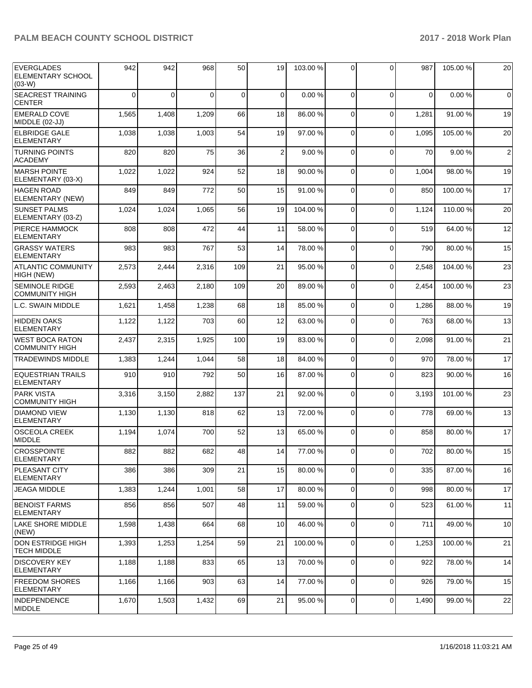| <b>EVERGLADES</b><br>ELEMENTARY SCHOOL<br>$(03-W)$ | 942      | 942      | 968      | 50          | 19             | 103.00% | $\Omega$       | $\Omega$    | 987   | 105.00 % | 20             |
|----------------------------------------------------|----------|----------|----------|-------------|----------------|---------|----------------|-------------|-------|----------|----------------|
| SEACREST TRAINING<br><b>CENTER</b>                 | $\Omega$ | $\Omega$ | $\Omega$ | $\mathbf 0$ | $\mathbf 0$    | 0.00%   | $\Omega$       | 0           | 0     | 0.00%    | $\overline{0}$ |
| <b>EMERALD COVE</b><br>MIDDLE (02-JJ)              | 1,565    | 1,408    | 1,209    | 66          | 18             | 86.00 % | $\Omega$       | 0           | 1,281 | 91.00%   | 19             |
| <b>ELBRIDGE GALE</b><br><b>ELEMENTARY</b>          | 1,038    | 1,038    | 1,003    | 54          | 19             | 97.00 % | $\Omega$       | $\Omega$    | 1,095 | 105.00 % | 20             |
| <b>TURNING POINTS</b><br><b>ACADEMY</b>            | 820      | 820      | 75       | 36          | $\overline{2}$ | 9.00 %  | $\Omega$       | 0           | 70    | 9.00 %   | $\overline{2}$ |
| <b>MARSH POINTE</b><br>ELEMENTARY (03-X)           | 1,022    | 1,022    | 924      | 52          | 18             | 90.00 % | $\Omega$       | 0           | 1,004 | 98.00 %  | 19             |
| <b>HAGEN ROAD</b><br>ELEMENTARY (NEW)              | 849      | 849      | 772      | 50          | 15             | 91.00%  | $\Omega$       | $\Omega$    | 850   | 100.00%  | 17             |
| <b>SUNSET PALMS</b><br>ELEMENTARY (03-Z)           | 1,024    | 1,024    | 1,065    | 56          | 19             | 104.00% | $\Omega$       | 0           | 1,124 | 110.00%  | 20             |
| PIERCE HAMMOCK<br><b>ELEMENTARY</b>                | 808      | 808      | 472      | 44          | 11             | 58.00 % | $\Omega$       | 0           | 519   | 64.00 %  | 12             |
| <b>GRASSY WATERS</b><br><b>ELEMENTARY</b>          | 983      | 983      | 767      | 53          | 14             | 78.00 % | $\Omega$       | $\Omega$    | 790   | 80.00 %  | 15             |
| <b>ATLANTIC COMMUNITY</b><br>HIGH (NEW)            | 2,573    | 2,444    | 2,316    | 109         | 21             | 95.00 % | $\Omega$       | 0           | 2,548 | 104.00%  | 23             |
| <b>SEMINOLE RIDGE</b><br><b>COMMUNITY HIGH</b>     | 2,593    | 2,463    | 2,180    | 109         | 20             | 89.00 % | $\Omega$       | 0           | 2,454 | 100.00%  | 23             |
| L.C. SWAIN MIDDLE                                  | 1,621    | 1,458    | 1,238    | 68          | 18             | 85.00 % | $\Omega$       | $\mathbf 0$ | 1,286 | 88.00 %  | 19             |
| <b>HIDDEN OAKS</b><br><b>ELEMENTARY</b>            | 1,122    | 1,122    | 703      | 60          | 12             | 63.00 % | $\Omega$       | $\Omega$    | 763   | 68.00 %  | 13             |
| <b>WEST BOCA RATON</b><br><b>COMMUNITY HIGH</b>    | 2,437    | 2,315    | 1,925    | 100         | 19             | 83.00 % | $\Omega$       | 0           | 2,098 | 91.00%   | 21             |
| <b>TRADEWINDS MIDDLE</b>                           | 1,383    | 1,244    | 1,044    | 58          | 18             | 84.00 % | $\mathbf 0$    | 0           | 970   | 78.00 %  | 17             |
| <b>EQUESTRIAN TRAILS</b><br>ELEMENTARY             | 910      | 910      | 792      | 50          | 16             | 87.00 % | $\Omega$       | 0           | 823   | 90.00 %  | 16             |
| <b>PARK VISTA</b><br><b>COMMUNITY HIGH</b>         | 3,316    | 3,150    | 2,882    | 137         | 21             | 92.00 % | $\Omega$       | $\Omega$    | 3,193 | 101.00%  | 23             |
| <b>DIAMOND VIEW</b><br><b>ELEMENTARY</b>           | 1,130    | 1,130    | 818      | 62          | 13             | 72.00 % | $\Omega$       | 0           | 778   | 69.00 %  | 13             |
| <b>OSCEOLA CREEK</b><br>MIDDLE                     | 1,194    | 1,074    | 700      | 52          | 13             | 65.00 % | $\Omega$       | $\Omega$    | 858   | 80.00 %  | 17             |
| <b>CROSSPOINTE</b><br><b>ELEMENTARY</b>            | 882      | 882      | 682      | 48          | 14             | 77.00 % | $\overline{0}$ | 0           | 702   | 80.00%   | 15             |
| <b>PLEASANT CITY</b><br><b>ELEMENTARY</b>          | 386      | 386      | 309      | 21          | 15             | 80.00 % | 0              | 0           | 335   | 87.00 %  | 16             |
| JEAGA MIDDLE                                       | 1,383    | 1,244    | 1,001    | 58          | 17             | 80.00 % | $\overline{0}$ | 0           | 998   | 80.00 %  | 17             |
| <b>BENOIST FARMS</b><br><b>ELEMENTARY</b>          | 856      | 856      | 507      | 48          | 11             | 59.00 % | $\overline{0}$ | 0           | 523   | 61.00 %  | 11             |
| LAKE SHORE MIDDLE<br>(NEW)                         | 1,598    | 1,438    | 664      | 68          | 10             | 46.00%  | $\mathbf{0}$   | $\mathbf 0$ | 711   | 49.00 %  | 10             |
| <b>DON ESTRIDGE HIGH</b><br><b>TECH MIDDLE</b>     | 1,393    | 1,253    | 1,254    | 59          | 21             | 100.00% | 0              | 0           | 1,253 | 100.00 % | 21             |
| <b>DISCOVERY KEY</b><br><b>ELEMENTARY</b>          | 1,188    | 1,188    | 833      | 65          | 13             | 70.00%  | $\overline{0}$ | 0           | 922   | 78.00 %  | 14             |
| <b>FREEDOM SHORES</b><br><b>ELEMENTARY</b>         | 1,166    | 1,166    | 903      | 63          | 14             | 77.00 % | $\mathbf{0}$   | $\mathbf 0$ | 926   | 79.00 %  | 15             |
| INDEPENDENCE<br>MIDDLE                             | 1,670    | 1,503    | 1,432    | 69          | 21             | 95.00 % | 0              | 0           | 1,490 | 99.00 %  | 22             |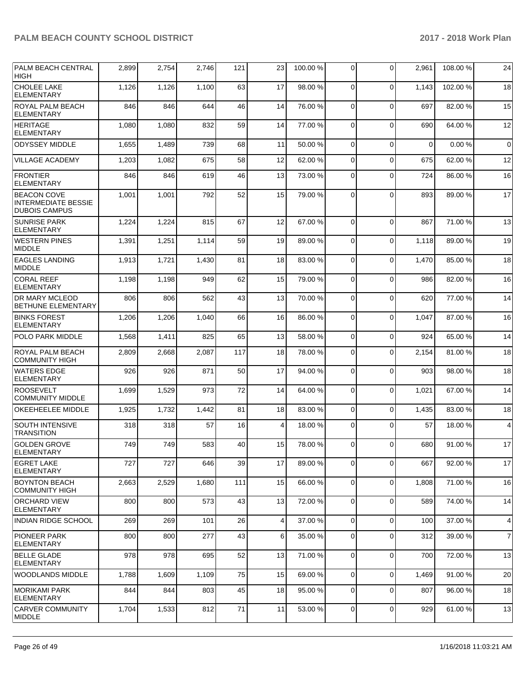| <b>PALM BEACH CENTRAL</b><br><b>HIGH</b>                                 | 2,899 | 2,754 | 2,746 | 121 | 23 | 100.00 % | 0              | $\Omega$    | 2,961       | 108.00 % | 24             |
|--------------------------------------------------------------------------|-------|-------|-------|-----|----|----------|----------------|-------------|-------------|----------|----------------|
| <b>CHOLEE LAKE</b><br><b>ELEMENTARY</b>                                  | 1,126 | 1,126 | 1,100 | 63  | 17 | 98.00 %  | $\mathbf 0$    | $\Omega$    | 1,143       | 102.00%  | 18             |
| <b>ROYAL PALM BEACH</b><br><b>ELEMENTARY</b>                             | 846   | 846   | 644   | 46  | 14 | 76.00 %  | $\mathbf 0$    | $\Omega$    | 697         | 82.00 %  | 15             |
| HERITAGE<br><b>ELEMENTARY</b>                                            | 1,080 | 1,080 | 832   | 59  | 14 | 77.00 %  | 0              | $\Omega$    | 690         | 64.00 %  | 12             |
| <b>ODYSSEY MIDDLE</b>                                                    | 1,655 | 1,489 | 739   | 68  | 11 | 50.00 %  | $\mathbf 0$    | $\Omega$    | $\mathbf 0$ | 0.00%    | $\mathbf 0$    |
| <b>VILLAGE ACADEMY</b>                                                   | 1,203 | 1,082 | 675   | 58  | 12 | 62.00 %  | 0              | $\Omega$    | 675         | 62.00 %  | 12             |
| <b>FRONTIER</b><br><b>ELEMENTARY</b>                                     | 846   | 846   | 619   | 46  | 13 | 73.00 %  | $\mathbf 0$    | $\Omega$    | 724         | 86.00 %  | 16             |
| <b>BEACON COVE</b><br><b>INTERMEDIATE BESSIE</b><br><b>DUBOIS CAMPUS</b> | 1,001 | 1,001 | 792   | 52  | 15 | 79.00 %  | $\mathbf 0$    | $\Omega$    | 893         | 89.00 %  | 17             |
| <b>SUNRISE PARK</b><br><b>ELEMENTARY</b>                                 | 1,224 | 1,224 | 815   | 67  | 12 | 67.00 %  | $\mathbf 0$    | $\Omega$    | 867         | 71.00%   | 13             |
| <b>WESTERN PINES</b><br><b>MIDDLE</b>                                    | 1,391 | 1,251 | 1,114 | 59  | 19 | 89.00 %  | 0              | $\Omega$    | 1,118       | 89.00 %  | 19             |
| <b>EAGLES LANDING</b><br><b>MIDDLE</b>                                   | 1,913 | 1,721 | 1,430 | 81  | 18 | 83.00 %  | 0              | $\Omega$    | 1,470       | 85.00 %  | 18             |
| <b>CORAL REEF</b><br><b>ELEMENTARY</b>                                   | 1,198 | 1,198 | 949   | 62  | 15 | 79.00 %  | $\mathbf 0$    | $\Omega$    | 986         | 82.00 %  | 16             |
| <b>DR MARY MCLEOD</b><br>BETHUNE ELEMENTARY                              | 806   | 806   | 562   | 43  | 13 | 70.00 %  | 0              | $\Omega$    | 620         | 77.00 %  | 14             |
| <b>BINKS FOREST</b><br><b>ELEMENTARY</b>                                 | 1,206 | 1,206 | 1,040 | 66  | 16 | 86.00 %  | $\mathbf 0$    | $\Omega$    | 1.047       | 87.00 %  | 16             |
| POLO PARK MIDDLE                                                         | 1,568 | 1,411 | 825   | 65  | 13 | 58.00 %  | $\mathbf 0$    | $\mathbf 0$ | 924         | 65.00 %  | 14             |
| ROYAL PALM BEACH<br><b>COMMUNITY HIGH</b>                                | 2,809 | 2,668 | 2,087 | 117 | 18 | 78.00 %  | 0              | $\Omega$    | 2,154       | 81.00 %  | 18             |
| <b>WATERS EDGE</b><br><b>ELEMENTARY</b>                                  | 926   | 926   | 871   | 50  | 17 | 94.00 %  | 0              | $\Omega$    | 903         | 98.00 %  | 18             |
| <b>ROOSEVELT</b><br><b>COMMUNITY MIDDLE</b>                              | 1,699 | 1,529 | 973   | 72  | 14 | 64.00 %  | $\mathbf 0$    | $\Omega$    | 1,021       | 67.00 %  | 14             |
| OKEEHEELEE MIDDLE                                                        | 1,925 | 1,732 | 1,442 | 81  | 18 | 83.00 %  | $\mathbf 0$    | $\Omega$    | 1,435       | 83.00 %  | 18             |
| <b>SOUTH INTENSIVE</b><br><b>TRANSITION</b>                              | 318   | 318   | 57    | 16  | 4  | 18.00 %  | 0              | $\mathbf 0$ | 57          | 18.00 %  | $\overline{4}$ |
| <b>GOLDEN GROVE</b><br>ELEMENTARY                                        | 749   | 749   | 583   | 40  | 15 | 78.00 %  | 0              | $\Omega$    | 680         | 91.00 %  | 17             |
| <b>EGRET LAKE</b><br><b>ELEMENTARY</b>                                   | 727   | 727   | 646   | 39  | 17 | 89.00 %  | 0              | $\Omega$    | 667         | 92.00 %  | 17             |
| <b>BOYNTON BEACH</b><br><b>COMMUNITY HIGH</b>                            | 2,663 | 2,529 | 1,680 | 111 | 15 | 66.00 %  | $\mathbf 0$    | $\mathbf 0$ | 1,808       | 71.00 %  | 16             |
| <b>ORCHARD VIEW</b><br><b>ELEMENTARY</b>                                 | 800   | 800   | 573   | 43  | 13 | 72.00 %  | 0              | $\mathbf 0$ | 589         | 74.00 %  | 14             |
| <b>INDIAN RIDGE SCHOOL</b>                                               | 269   | 269   | 101   | 26  | 4  | 37.00 %  | $\mathbf{0}$   | $\mathbf 0$ | 100         | 37.00 %  | 4              |
| <b>PIONEER PARK</b><br><b>ELEMENTARY</b>                                 | 800   | 800   | 277   | 43  | 6  | 35.00 %  | $\mathbf 0$    | $\mathbf 0$ | 312         | 39.00 %  | $\overline{7}$ |
| <b>BELLE GLADE</b><br>ELEMENTARY                                         | 978   | 978   | 695   | 52  | 13 | 71.00 %  | $\mathbf 0$    | $\mathbf 0$ | 700         | 72.00 %  | 13             |
| <b>WOODLANDS MIDDLE</b>                                                  | 1,788 | 1,609 | 1,109 | 75  | 15 | 69.00 %  | $\mathbf 0$    | $\mathbf 0$ | 1,469       | 91.00%   | 20             |
| MORIKAMI PARK<br><b>ELEMENTARY</b>                                       | 844   | 844   | 803   | 45  | 18 | 95.00 %  | 0              | 0           | 807         | 96.00 %  | 18             |
| <b>CARVER COMMUNITY</b><br><b>MIDDLE</b>                                 | 1,704 | 1,533 | 812   | 71  | 11 | 53.00 %  | $\overline{0}$ | $\mathbf 0$ | 929         | 61.00 %  | 13             |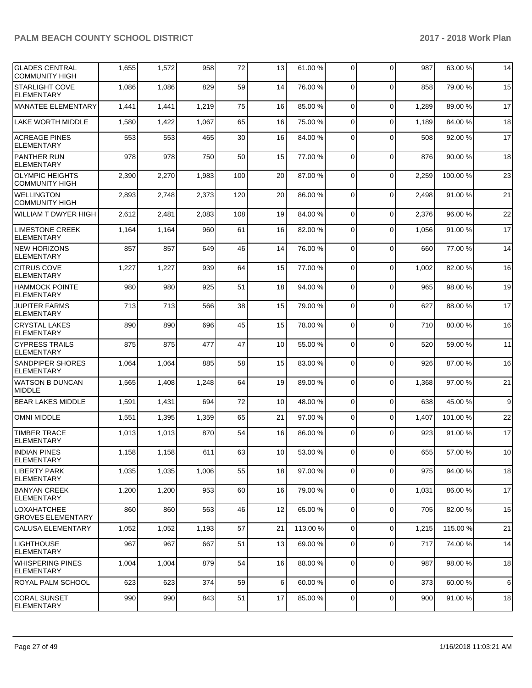| <b>GLADES CENTRAL</b><br><b>COMMUNITY HIGH</b>  | 1,655 | 1,572 | 958   | 72  | 13   | 61.00 %  | 0              | $\Omega$       | 987   | 63.00 %  | 14   |
|-------------------------------------------------|-------|-------|-------|-----|------|----------|----------------|----------------|-------|----------|------|
| <b>STARLIGHT COVE</b><br><b>ELEMENTARY</b>      | 1,086 | 1,086 | 829   | 59  | 14   | 76.00 %  | 0              | $\Omega$       | 858   | 79.00 %  | 15   |
| MANATEE ELEMENTARY                              | 1,441 | 1,441 | 1,219 | 75  | 16   | 85.00 %  | 0              | $\Omega$       | 1,289 | 89.00 %  | 17   |
| <b>LAKE WORTH MIDDLE</b>                        | 1,580 | 1,422 | 1,067 | 65  | 16   | 75.00 %  | 0              | $\mathbf 0$    | 1,189 | 84.00 %  | 18   |
| <b>ACREAGE PINES</b><br><b>ELEMENTARY</b>       | 553   | 553   | 465   | 30  | 16   | 84.00 %  | 0              | $\mathbf 0$    | 508   | 92.00 %  | 17   |
| <b>PANTHER RUN</b><br><b>ELEMENTARY</b>         | 978   | 978   | 750   | 50  | 15   | 77.00 %  | 0              | $\Omega$       | 876   | 90.00 %  | 18   |
| <b>OLYMPIC HEIGHTS</b><br><b>COMMUNITY HIGH</b> | 2,390 | 2,270 | 1,983 | 100 | 20   | 87.00 %  | $\mathbf 0$    | $\Omega$       | 2,259 | 100.00%  | 23   |
| <b>WELLINGTON</b><br><b>COMMUNITY HIGH</b>      | 2,893 | 2,748 | 2,373 | 120 | 20   | 86.00 %  | $\mathbf 0$    | $\mathbf 0$    | 2,498 | 91.00%   | 21   |
| WILLIAM T DWYER HIGH                            | 2,612 | 2,481 | 2,083 | 108 | 19   | 84.00 %  | $\mathbf 0$    | $\Omega$       | 2,376 | 96.00 %  | 22   |
| <b>LIMESTONE CREEK</b><br><b>ELEMENTARY</b>     | 1,164 | 1,164 | 960   | 61  | 16   | 82.00 %  | $\Omega$       | $\Omega$       | 1,056 | 91.00 %  | 17   |
| <b>NEW HORIZONS</b><br><b>ELEMENTARY</b>        | 857   | 857   | 649   | 46  | 14   | 76.00 %  | $\mathbf 0$    | $\Omega$       | 660   | 77.00 %  | 14   |
| <b>CITRUS COVE</b><br><b>ELEMENTARY</b>         | 1,227 | 1,227 | 939   | 64  | 15   | 77.00 %  | 0              | $\mathbf 0$    | 1,002 | 82.00 %  | 16   |
| <b>HAMMOCK POINTE</b><br><b>ELEMENTARY</b>      | 980   | 980   | 925   | 51  | 18   | 94.00 %  | 0              | $\Omega$       | 965   | 98.00 %  | 19   |
| <b>JUPITER FARMS</b><br><b>ELEMENTARY</b>       | 713   | 713   | 566   | 38  | 15   | 79.00 %  | $\mathbf 0$    | $\Omega$       | 627   | 88.00 %  | 17   |
| <b>CRYSTAL LAKES</b><br><b>ELEMENTARY</b>       | 890   | 890   | 696   | 45  | 15   | 78.00 %  | 0              | $\mathbf 0$    | 710   | 80.00 %  | 16   |
| <b>CYPRESS TRAILS</b><br><b>ELEMENTARY</b>      | 875   | 875   | 477   | 47  | 10   | 55.00 %  | $\Omega$       | $\Omega$       | 520   | 59.00 %  | 11   |
| <b>SANDPIPER SHORES</b><br><b>ELEMENTARY</b>    | 1,064 | 1,064 | 885   | 58  | 15   | 83.00 %  | 0              | $\Omega$       | 926   | 87.00 %  | 16   |
| <b>WATSON B DUNCAN</b><br><b>MIDDLE</b>         | 1,565 | 1,408 | 1,248 | 64  | 19   | 89.00 %  | 0              | $\Omega$       | 1,368 | 97.00 %  | 21   |
| <b>BEAR LAKES MIDDLE</b>                        | 1,591 | 1,431 | 694   | 72  | 10   | 48.00 %  | $\mathbf 0$    | $\Omega$       | 638   | 45.00 %  | 9    |
| <b>OMNI MIDDLE</b>                              | 1,551 | 1,395 | 1,359 | 65  | 21   | 97.00 %  | 0              | $\Omega$       | 1,407 | 101.00%  | 22   |
| <b>TIMBER TRACE</b><br><b>ELEMENTARY</b>        | 1,013 | 1,013 | 870   | 54  | 16   | 86.00 %  | $\Omega$       | $\Omega$       | 923   | 91.00 %  | 17   |
| <b>INDIAN PINES</b><br><b>ELEMENTARY</b>        | 1,158 | 1,158 | 611   | 63  | $10$ | 53.00 %  | $\overline{0}$ | $\overline{0}$ | 655   | 57.00 %  | $10$ |
| <b>LIBERTY PARK</b><br><b>ELEMENTARY</b>        | 1,035 | 1,035 | 1,006 | 55  | 18   | 97.00 %  | 0              | $\mathbf 0$    | 975   | 94.00%   | 18   |
| <b>BANYAN CREEK</b><br>ELEMENTARY               | 1,200 | 1,200 | 953   | 60  | 16   | 79.00 %  | 0              | $\mathbf 0$    | 1,031 | 86.00 %  | 17   |
| <b>LOXAHATCHEE</b><br><b>GROVES ELEMENTARY</b>  | 860   | 860   | 563   | 46  | 12   | 65.00 %  | $\mathbf 0$    | $\mathbf 0$    | 705   | 82.00 %  | 15   |
| CALUSA ELEMENTARY                               | 1,052 | 1,052 | 1,193 | 57  | 21   | 113.00 % | 0              | $\Omega$       | 1,215 | 115.00 % | 21   |
| <b>LIGHTHOUSE</b><br>ELEMENTARY                 | 967   | 967   | 667   | 51  | 13   | 69.00 %  | 0              | $\mathbf 0$    | 717   | 74.00 %  | 14   |
| <b>WHISPERING PINES</b><br>ELEMENTARY           | 1,004 | 1,004 | 879   | 54  | 16   | 88.00 %  | 0              | $\mathbf 0$    | 987   | 98.00 %  | 18   |
| ROYAL PALM SCHOOL                               | 623   | 623   | 374   | 59  | 6    | 60.00 %  | $\mathbf 0$    | $\mathbf 0$    | 373   | 60.00 %  | 6    |
| <b>CORAL SUNSET</b><br><b>ELEMENTARY</b>        | 990   | 990   | 843   | 51  | 17   | 85.00 %  | $\mathbf 0$    | 0              | 900   | 91.00 %  | 18   |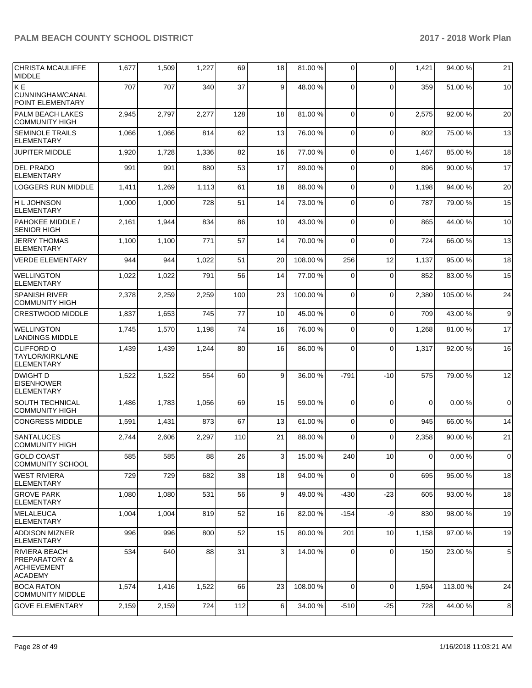| <b>CHRISTA MCAULIFFE</b><br><b>IMIDDLE</b>                                               | 1,677 | 1,509 | 1,227 | 69  | 18 | 81.00 % | $\Omega$ | $\Omega$     | 1,421          | 94.00 %  | 21              |
|------------------------------------------------------------------------------------------|-------|-------|-------|-----|----|---------|----------|--------------|----------------|----------|-----------------|
| KE <sup></sup><br>CUNNINGHAM/CANAL<br>POINT ELEMENTARY                                   | 707   | 707   | 340   | 37  | 9  | 48.00 % | $\Omega$ | $\Omega$     | 359            | 51.00 %  | 10              |
| PALM BEACH LAKES<br><b>COMMUNITY HIGH</b>                                                | 2,945 | 2,797 | 2,277 | 128 | 18 | 81.00 % | $\Omega$ | $\mathbf{0}$ | 2,575          | 92.00 %  | 20              |
| <b>SEMINOLE TRAILS</b><br><b>ELEMENTARY</b>                                              | 1,066 | 1,066 | 814   | 62  | 13 | 76.00 % | $\Omega$ | $\Omega$     | 802            | 75.00 %  | 13              |
| <b>JUPITER MIDDLE</b>                                                                    | 1,920 | 1,728 | 1,336 | 82  | 16 | 77.00 % | $\Omega$ | $\Omega$     | 1,467          | 85.00 %  | 18              |
| <b>DEL PRADO</b><br><b>ELEMENTARY</b>                                                    | 991   | 991   | 880   | 53  | 17 | 89.00 % | $\Omega$ | $\Omega$     | 896            | 90.00 %  | 17              |
| <b>LOGGERS RUN MIDDLE</b>                                                                | 1,411 | 1,269 | 1,113 | 61  | 18 | 88.00 % | $\Omega$ | $\mathbf 0$  | 1,198          | 94.00 %  | 20              |
| H L JOHNSON<br><b>ELEMENTARY</b>                                                         | 1,000 | 1,000 | 728   | 51  | 14 | 73.00 % | $\Omega$ | $\mathbf{0}$ | 787            | 79.00 %  | 15              |
| PAHOKEE MIDDLE /<br><b>SENIOR HIGH</b>                                                   | 2,161 | 1,944 | 834   | 86  | 10 | 43.00 % | $\Omega$ | $\Omega$     | 865            | 44.00 %  | 10 <sup>1</sup> |
| <b>JERRY THOMAS</b><br><b>ELEMENTARY</b>                                                 | 1,100 | 1,100 | 771   | 57  | 14 | 70.00 % | $\Omega$ | $\Omega$     | 724            | 66.00 %  | 13              |
| <b>VERDE ELEMENTARY</b>                                                                  | 944   | 944   | 1,022 | 51  | 20 | 108.00% | 256      | 12           | 1,137          | 95.00 %  | 18              |
| <b>WELLINGTON</b><br><b>ELEMENTARY</b>                                                   | 1,022 | 1,022 | 791   | 56  | 14 | 77.00 % | $\Omega$ | $\Omega$     | 852            | 83.00 %  | 15              |
| <b>SPANISH RIVER</b><br><b>COMMUNITY HIGH</b>                                            | 2,378 | 2,259 | 2,259 | 100 | 23 | 100.00% | $\Omega$ | $\Omega$     | 2,380          | 105.00 % | 24              |
| <b>CRESTWOOD MIDDLE</b>                                                                  | 1,837 | 1,653 | 745   | 77  | 10 | 45.00 % | $\Omega$ | $\Omega$     | 709            | 43.00 %  | $\overline{9}$  |
| <b>WELLINGTON</b><br><b>LANDINGS MIDDLE</b>                                              | 1,745 | 1,570 | 1,198 | 74  | 16 | 76.00 % | $\Omega$ | $\Omega$     | 1,268          | 81.00%   | 17              |
| <b>CLIFFORD O</b><br><b>TAYLOR/KIRKLANE</b><br><b>ELEMENTARY</b>                         | 1,439 | 1,439 | 1,244 | 80  | 16 | 86.00 % | $\Omega$ | $\mathbf{0}$ | 1,317          | 92.00 %  | 16              |
| DWIGHT D<br><b>EISENHOWER</b><br><b>ELEMENTARY</b>                                       | 1,522 | 1,522 | 554   | 60  | 9  | 36.00 % | $-791$   | $-10$        | 575            | 79.00 %  | 12              |
| <b>SOUTH TECHNICAL</b><br><b>COMMUNITY HIGH</b>                                          | 1,486 | 1,783 | 1,056 | 69  | 15 | 59.00 % | $\Omega$ | $\Omega$     | $\Omega$       | 0.00%    | $\Omega$        |
| <b>CONGRESS MIDDLE</b>                                                                   | 1,591 | 1,431 | 873   | 67  | 13 | 61.00%  | $\Omega$ | $\Omega$     | 945            | 66.00 %  | 14              |
| <b>SANTALUCES</b><br><b>COMMUNITY HIGH</b>                                               | 2,744 | 2,606 | 2,297 | 110 | 21 | 88.00 % | $\Omega$ | $\Omega$     | 2,358          | 90.00 %  | 21              |
| <b>GOLD COAST</b><br><b>COMMUNITY SCHOOL</b>                                             | 585   | 585   | 88    | 26  | 3  | 15.00 % | 240      | 10           | $\overline{0}$ | 0.00%    | $\overline{0}$  |
| <b>WEST RIVIERA</b><br><b>ELEMENTARY</b>                                                 | 729   | 729   | 682   | 38  | 18 | 94.00 % | $\Omega$ | $\mathbf 0$  | 695            | 95.00 %  | 18              |
| IGROVE PARK<br><b>ELEMENTARY</b>                                                         | 1,080 | 1,080 | 531   | 56  | 9  | 49.00%  | -430     | $-23$        | 605            | 93.00 %  | 18              |
| MELALEUCA<br><b>ELEMENTARY</b>                                                           | 1,004 | 1,004 | 819   | 52  | 16 | 82.00 % | $-154$   | -9           | 830            | 98.00 %  | 19              |
| <b>ADDISON MIZNER</b><br><b>ELEMENTARY</b>                                               | 996   | 996   | 800   | 52  | 15 | 80.00 % | 201      | 10           | 1,158          | 97.00 %  | 19              |
| <b>RIVIERA BEACH</b><br><b>PREPARATORY &amp;</b><br><b>ACHIEVEMENT</b><br><b>ACADEMY</b> | 534   | 640   | 88    | 31  | 3  | 14.00 % | $\Omega$ | 0            | 150            | 23.00 %  | 5 <sup>1</sup>  |
| <b>BOCA RATON</b><br><b>COMMUNITY MIDDLE</b>                                             | 1,574 | 1,416 | 1,522 | 66  | 23 | 108.00% | $\Omega$ | $\mathbf 0$  | 1,594          | 113.00 % | 24              |
| <b>GOVE ELEMENTARY</b>                                                                   | 2,159 | 2,159 | 724   | 112 | 6  | 34.00 % | $-510$   | $-25$        | 728            | 44.00%   | 8               |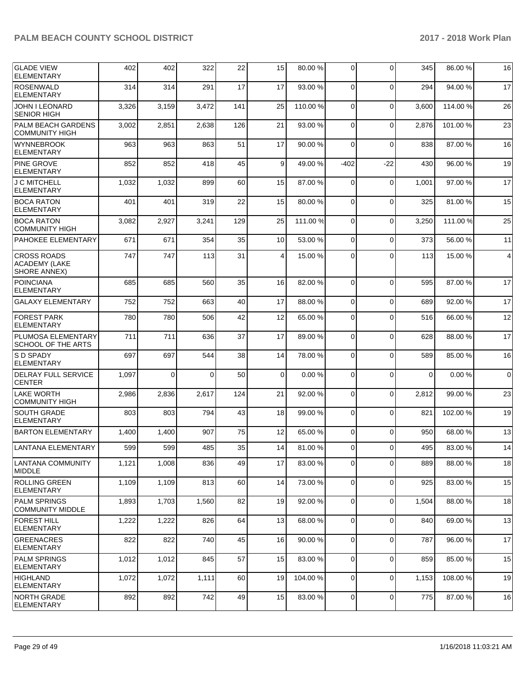| <b>GLADE VIEW</b><br><b>ELEMENTARY</b>                     | 402   | 402      | 322      | 22  | 15          | 80.00 %  | 0              | $\Omega$    | 345         | 86.00 %  | 16             |
|------------------------------------------------------------|-------|----------|----------|-----|-------------|----------|----------------|-------------|-------------|----------|----------------|
| <b>ROSENWALD</b><br><b>ELEMENTARY</b>                      | 314   | 314      | 291      | 17  | 17          | 93.00 %  | $\mathbf 0$    | $\Omega$    | 294         | 94.00 %  | 17             |
| JOHN I LEONARD<br><b>SENIOR HIGH</b>                       | 3,326 | 3,159    | 3,472    | 141 | 25          | 110.00%  | $\mathbf 0$    | $\Omega$    | 3,600       | 114.00 % | 26             |
| PALM BEACH GARDENS<br><b>COMMUNITY HIGH</b>                | 3,002 | 2,851    | 2,638    | 126 | 21          | 93.00 %  | 0              | $\Omega$    | 2,876       | 101.00 % | 23             |
| <b>WYNNEBROOK</b><br><b>ELEMENTARY</b>                     | 963   | 963      | 863      | 51  | 17          | 90.00 %  | $\mathbf 0$    | $\Omega$    | 838         | 87.00 %  | 16             |
| <b>PINE GROVE</b><br><b>ELEMENTARY</b>                     | 852   | 852      | 418      | 45  | 9           | 49.00 %  | $-402$         | $-22$       | 430         | 96.00 %  | 19             |
| J C MITCHELL<br><b>ELEMENTARY</b>                          | 1,032 | 1,032    | 899      | 60  | 15          | 87.00 %  | 0              | $\mathbf 0$ | 1,001       | 97.00 %  | 17             |
| <b>BOCA RATON</b><br><b>ELEMENTARY</b>                     | 401   | 401      | 319      | 22  | 15          | 80.00 %  | $\mathbf 0$    | $\Omega$    | 325         | 81.00 %  | 15             |
| <b>BOCA RATON</b><br><b>COMMUNITY HIGH</b>                 | 3,082 | 2,927    | 3,241    | 129 | 25          | 111.00 % | $\mathbf 0$    | $\Omega$    | 3,250       | 111.00 % | 25             |
| PAHOKEE ELEMENTARY                                         | 671   | 671      | 354      | 35  | 10          | 53.00 %  | 0              | $\Omega$    | 373         | 56.00 %  | 11             |
| <b>CROSS ROADS</b><br><b>ACADEMY (LAKE</b><br>SHORE ANNEX) | 747   | 747      | 113      | 31  | 4           | 15.00 %  | 0              | $\Omega$    | 113         | 15.00 %  | $\overline{4}$ |
| <b>POINCIANA</b><br><b>ELEMENTARY</b>                      | 685   | 685      | 560      | 35  | 16          | 82.00 %  | 0              | $\Omega$    | 595         | 87.00 %  | 17             |
| <b>GALAXY ELEMENTARY</b>                                   | 752   | 752      | 663      | 40  | 17          | 88.00 %  | $\mathbf 0$    | $\mathbf 0$ | 689         | 92.00 %  | 17             |
| <b>FOREST PARK</b><br><b>ELEMENTARY</b>                    | 780   | 780      | 506      | 42  | 12          | 65.00 %  | 0              | $\Omega$    | 516         | 66.00 %  | 12             |
| PLUMOSA ELEMENTARY<br>SCHOOL OF THE ARTS                   | 711   | 711      | 636      | 37  | 17          | 89.00 %  | $\mathbf 0$    | $\Omega$    | 628         | 88.00 %  | 17             |
| <b>S D SPADY</b><br><b>ELEMENTARY</b>                      | 697   | 697      | 544      | 38  | 14          | 78.00 %  | 0              | $\Omega$    | 589         | 85.00 %  | 16             |
| <b>DELRAY FULL SERVICE</b><br><b>CENTER</b>                | 1,097 | $\Omega$ | $\Omega$ | 50  | $\mathbf 0$ | 0.00%    | 0              | $\Omega$    | $\mathbf 0$ | 0.00%    | $\mathbf 0$    |
| <b>LAKE WORTH</b><br><b>COMMUNITY HIGH</b>                 | 2,986 | 2,836    | 2,617    | 124 | 21          | 92.00 %  | $\mathbf 0$    | $\mathbf 0$ | 2,812       | 99.00 %  | 23             |
| <b>SOUTH GRADE</b><br><b>ELEMENTARY</b>                    | 803   | 803      | 794      | 43  | 18          | 99.00 %  | 0              | $\Omega$    | 821         | 102.00%  | 19             |
| <b>BARTON ELEMENTARY</b>                                   | 1,400 | 1,400    | 907      | 75  | 12          | 65.00 %  | $\mathbf 0$    | $\Omega$    | 950         | 68.00 %  | 13             |
| LANTANA ELEMENTARY                                         | 599   | 599      | 485      | 35  | 14          | 81.00 %  | $\overline{0}$ | $\Omega$    | 495         | 83.00 %  | 14             |
| ILANTANA COMMUNITY<br><b>MIDDLE</b>                        | 1,121 | 1,008    | 836      | 49  | 17          | 83.00 %  | 0              | $\Omega$    | 889         | 88.00 %  | 18             |
| <b>ROLLING GREEN</b><br><b>ELEMENTARY</b>                  | 1,109 | 1,109    | 813      | 60  | 14          | 73.00 %  | $\mathbf 0$    | $\mathbf 0$ | 925         | 83.00 %  | 15             |
| <b>PALM SPRINGS</b><br><b>COMMUNITY MIDDLE</b>             | 1,893 | 1,703    | 1,560    | 82  | 19          | 92.00 %  | 0              | $\mathbf 0$ | 1,504       | 88.00 %  | 18             |
| <b>FOREST HILL</b><br><b>ELEMENTARY</b>                    | 1,222 | 1,222    | 826      | 64  | 13          | 68.00 %  | $\mathbf 0$    | $\mathbf 0$ | 840         | 69.00 %  | 13             |
| <b>GREENACRES</b><br><b>ELEMENTARY</b>                     | 822   | 822      | 740      | 45  | 16          | 90.00 %  | $\mathbf 0$    | $\mathbf 0$ | 787         | 96.00 %  | 17             |
| <b>PALM SPRINGS</b><br><b>ELEMENTARY</b>                   | 1,012 | 1,012    | 845      | 57  | 15          | 83.00 %  | 0              | $\mathbf 0$ | 859         | 85.00 %  | 15             |
| IHIGHLAND<br><b>ELEMENTARY</b>                             | 1,072 | 1,072    | 1,111    | 60  | 19          | 104.00 % | $\mathbf 0$    | $\mathbf 0$ | 1,153       | 108.00 % | 19             |
| INORTH GRADE<br><b>ELEMENTARY</b>                          | 892   | 892      | 742      | 49  | 15          | 83.00 %  | $\overline{0}$ | $\mathbf 0$ | 775         | 87.00 %  | 16             |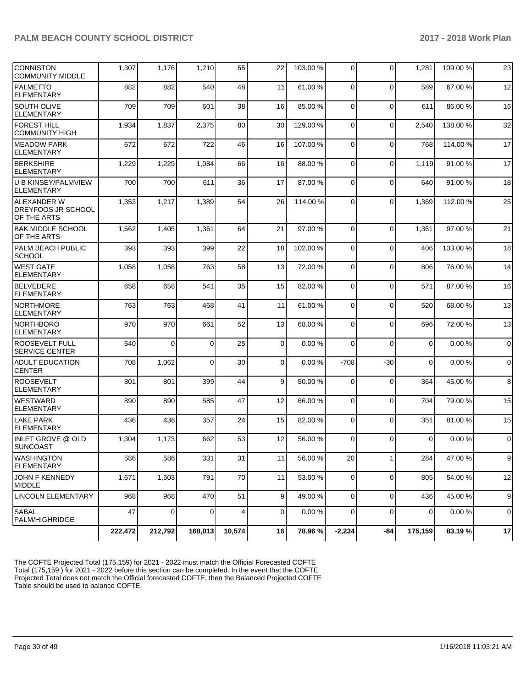| <b>CONNISTON</b><br><b>COMMUNITY MIDDLE</b>                    | 1,307   | 1,176          | 1,210    | 55     | 22             | 103.00 % | 0              | $\Omega$    | 1,281          | 109.00 % | 23             |
|----------------------------------------------------------------|---------|----------------|----------|--------|----------------|----------|----------------|-------------|----------------|----------|----------------|
| <b>PALMETTO</b><br><b>ELEMENTARY</b>                           | 882     | 882            | 540      | 48     | 11             | 61.00%   | $\Omega$       | $\Omega$    | 589            | 67.00 %  | 12             |
| <b>SOUTH OLIVE</b><br><b>ELEMENTARY</b>                        | 709     | 709            | 601      | 38     | 16             | 85.00 %  | $\Omega$       | $\Omega$    | 611            | 86.00%   | 16             |
| <b>FOREST HILL</b><br><b>COMMUNITY HIGH</b>                    | 1,934   | 1,837          | 2,375    | 80     | 30             | 129.00%  | $\Omega$       | $\Omega$    | 2,540          | 138.00%  | 32             |
| <b>MEADOW PARK</b><br><b>ELEMENTARY</b>                        | 672     | 672            | 722      | 46     | 16             | 107.00%  | $\Omega$       | $\Omega$    | 768            | 114.00 % | 17             |
| <b>BERKSHIRE</b><br><b>ELEMENTARY</b>                          | 1,229   | 1,229          | 1,084    | 66     | 16             | 88.00 %  | $\Omega$       | $\Omega$    | 1,119          | 91.00 %  | 17             |
| U B KINSEY/PALMVIEW<br><b>ELEMENTARY</b>                       | 700     | 700            | 611      | 36     | 17             | 87.00 %  | $\Omega$       | $\Omega$    | 640            | 91.00%   | 18             |
| <b>ALEXANDER W</b><br><b>DREYFOOS JR SCHOOL</b><br>OF THE ARTS | 1,353   | 1,217          | 1,389    | 54     | 26             | 114.00 % | $\Omega$       | $\Omega$    | 1,369          | 112.00 % | 25             |
| <b>BAK MIDDLE SCHOOL</b><br>OF THE ARTS                        | 1,562   | 1,405          | 1,361    | 64     | 21             | 97.00 %  | $\Omega$       | $\Omega$    | 1,361          | 97.00 %  | 21             |
| <b>PALM BEACH PUBLIC</b><br><b>SCHOOL</b>                      | 393     | 393            | 399      | 22     | 18             | 102.00%  | $\Omega$       | $\Omega$    | 406            | 103.00 % | 18             |
| <b>WEST GATE</b><br><b>ELEMENTARY</b>                          | 1,058   | 1,058          | 763      | 58     | 13             | 72.00 %  | $\Omega$       | $\Omega$    | 806            | 76.00 %  | 14             |
| <b>BELVEDERE</b><br><b>ELEMENTARY</b>                          | 658     | 658            | 541      | 35     | 15             | 82.00 %  | $\Omega$       | $\mathbf 0$ | 571            | 87.00 %  | 16             |
| <b>NORTHMORE</b><br><b>ELEMENTARY</b>                          | 763     | 763            | 468      | 41     | 11             | 61.00%   | $\Omega$       | $\Omega$    | 520            | 68.00 %  | 13             |
| NORTHBORO<br><b>ELEMENTARY</b>                                 | 970     | 970            | 661      | 52     | 13             | 68.00 %  | $\Omega$       | $\Omega$    | 696            | 72.00 %  | 13             |
| ROOSEVELT FULL<br><b>SERVICE CENTER</b>                        | 540     | $\Omega$       | $\Omega$ | 25     | $\Omega$       | 0.00%    | $\Omega$       | $\Omega$    | $\overline{0}$ | 0.00%    | $\overline{0}$ |
| <b>ADULT EDUCATION</b><br><b>CENTER</b>                        | 708     | 1,062          | $\Omega$ | 30     | $\overline{0}$ | 0.00%    | $-708$         | $-30$       | $\mathbf{0}$   | 0.00%    | $\overline{0}$ |
| <b>ROOSEVELT</b><br><b>ELEMENTARY</b>                          | 801     | 801            | 399      | 44     | 9              | 50.00 %  | $\Omega$       | $\Omega$    | 364            | 45.00 %  | 8              |
| <b>WESTWARD</b><br><b>ELEMENTARY</b>                           | 890     | 890            | 585      | 47     | 12             | 66.00 %  | $\Omega$       | $\Omega$    | 704            | 79.00 %  | 15             |
| LAKE PARK<br><b>ELEMENTARY</b>                                 | 436     | 436            | 357      | 24     | 15             | 82.00%   | $\mathbf 0$    | $\Omega$    | 351            | 81.00%   | 15             |
| INLET GROVE @ OLD<br>SUNCOAST                                  | 1,304   | 1,173          | 662      | 53     | 12             | 56.00 %  | $\Omega$       | 0           | $\mathbf 0$    | 0.00%    | $\overline{0}$ |
| <b>WASHINGTON</b><br>ELEMENTARY                                | 586     | 586            | 331      | 31     | 11             | 56.00 %  | 20             | 1           | 284            | 47.00 %  | 9              |
| JOHN F KENNEDY<br><b>MIDDLE</b>                                | 1,671   | 1,503          | 791      | 70     | 11             | 53.00 %  | $\overline{0}$ | 0           | 805            | 54.00 %  | 12             |
| LINCOLN ELEMENTARY                                             | 968     | 968            | 470      | 51     | 9              | 49.00 %  | $\mathbf 0$    | $\Omega$    | 436            | 45.00 %  | 9              |
| <b>SABAL</b><br>PALM/HIGHRIDGE                                 | 47      | $\overline{0}$ | $\Omega$ | 4      | 0              | 0.00%    | 0              | $\mathbf 0$ | $\mathbf 0$    | 0.00%    | $\overline{0}$ |
|                                                                | 222,472 | 212,792        | 168,013  | 10,574 | 16             | 78.96%   | $-2,234$       | -84         | 175,159        | 83.19%   | 17             |

The COFTE Projected Total (175,159) for 2021 - 2022 must match the Official Forecasted COFTE Total (175,159 ) for 2021 - 2022 before this section can be completed. In the event that the COFTE Projected Total does not match the Official forecasted COFTE, then the Balanced Projected COFTE Table should be used to balance COFTE.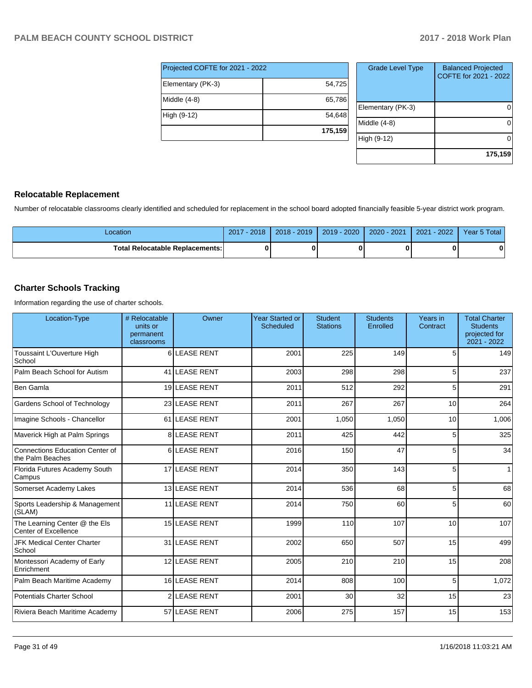| Projected COFTE for 2021 - 2022 |         |
|---------------------------------|---------|
| Elementary (PK-3)               | 54,725  |
| Middle $(4-8)$                  | 65,786  |
| High (9-12)                     | 54,648  |
|                                 | 175,159 |

| <b>Grade Level Type</b> | <b>Balanced Projected</b><br>COFTE for 2021 - 2022 |
|-------------------------|----------------------------------------------------|
| Elementary (PK-3)       |                                                    |
| Middle (4-8)            |                                                    |
| High (9-12)             |                                                    |
|                         | 175,159                                            |

#### **Relocatable Replacement**

Number of relocatable classrooms clearly identified and scheduled for replacement in the school board adopted financially feasible 5-year district work program.

| Location                          | $-2018$<br>2017 | $2018 - 2019$ | $2019 - 2020$ | $2020 - 2021$ | $-2022$<br>2021 | Year 5 Total |
|-----------------------------------|-----------------|---------------|---------------|---------------|-----------------|--------------|
| Total Relocatable Replacements: I |                 |               |               |               |                 |              |

#### **Charter Schools Tracking**

Information regarding the use of charter schools.

| Location-Type                                         | # Relocatable<br>units or<br>permanent<br>classrooms | Owner             | <b>Year Started or</b><br><b>Scheduled</b> | <b>Student</b><br><b>Stations</b> | <b>Students</b><br>Enrolled | Years in<br>Contract | <b>Total Charter</b><br><b>Students</b><br>projected for<br>2021 - 2022 |
|-------------------------------------------------------|------------------------------------------------------|-------------------|--------------------------------------------|-----------------------------------|-----------------------------|----------------------|-------------------------------------------------------------------------|
| Toussaint L'Ouverture High<br>School                  | 6                                                    | <b>LEASE RENT</b> | 2001                                       | 225                               | 149                         | 5                    | 149                                                                     |
| Palm Beach School for Autism                          |                                                      | 41 LEASE RENT     | 2003                                       | 298                               | 298                         | 5                    | 237                                                                     |
| Ben Gamla                                             |                                                      | 19 LEASE RENT     | 2011                                       | 512                               | 292                         | 5                    | 291                                                                     |
| Gardens School of Technology                          |                                                      | 23 LEASE RENT     | 2011                                       | 267                               | 267                         | 10                   | 264                                                                     |
| Imagine Schools - Chancellor                          |                                                      | 61 LEASE RENT     | 2001                                       | 1,050                             | 1,050                       | 10                   | 1,006                                                                   |
| Maverick High at Palm Springs                         |                                                      | 8LEASE RENT       | 2011                                       | 425                               | 442                         | 5                    | 325                                                                     |
| Connections Education Center of<br>the Palm Beaches   |                                                      | 6LEASE RENT       | 2016                                       | 150                               | 47                          | 5                    | 34                                                                      |
| Florida Futures Academy South<br>Campus               |                                                      | 17 LEASE RENT     | 2014                                       | 350                               | 143                         | 5                    | 1                                                                       |
| Somerset Academy Lakes                                |                                                      | 13 LEASE RENT     | 2014                                       | 536                               | 68                          | 5                    | 68                                                                      |
| Sports Leadership & Management<br>(SLAM)              |                                                      | 11 LEASE RENT     | 2014                                       | 750                               | 60                          | 5                    | 60                                                                      |
| The Learning Center @ the Els<br>Center of Excellence |                                                      | 15 LEASE RENT     | 1999                                       | 110                               | 107                         | 10                   | 107                                                                     |
| <b>JFK Medical Center Charter</b><br>School           |                                                      | 31 LEASE RENT     | 2002                                       | 650                               | 507                         | 15                   | 499                                                                     |
| Montessori Academy of Early<br>Enrichment             |                                                      | 12 LEASE RENT     | 2005                                       | 210                               | 210                         | 15                   | 208                                                                     |
| Palm Beach Maritime Academy                           |                                                      | 16 LEASE RENT     | 2014                                       | 808                               | 100                         | 5                    | 1,072                                                                   |
| <b>Potentials Charter School</b>                      |                                                      | 2 LEASE RENT      | 2001                                       | 30                                | 32                          | 15                   | 23                                                                      |
| Riviera Beach Maritime Academy                        |                                                      | 57 LEASE RENT     | 2006                                       | 275                               | 157                         | 15                   | 153                                                                     |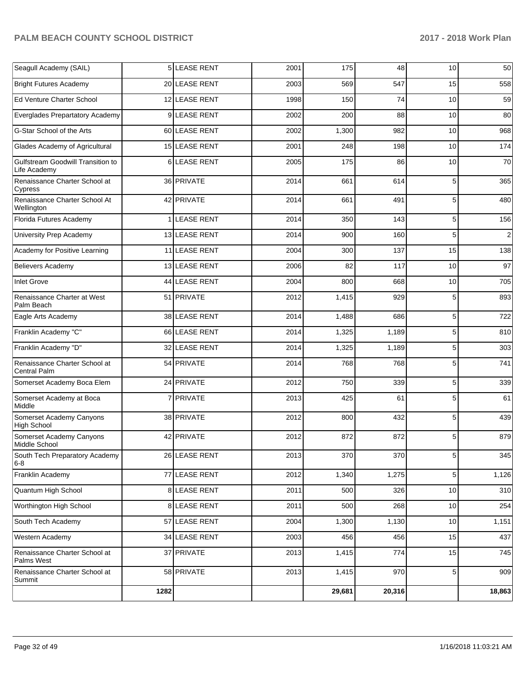| Seagull Academy (SAIL)                            |      | 5 LEASE RENT      | 2001 | 175    | 48     | 10             | 50         |
|---------------------------------------------------|------|-------------------|------|--------|--------|----------------|------------|
| <b>Bright Futures Academy</b>                     |      | 20 LEASE RENT     | 2003 | 569    | 547    | 15             | 558        |
| Ed Venture Charter School                         |      | 12 LEASE RENT     | 1998 | 150    | 74     | 10             | 59         |
| Everglades Prepartatory Academy                   |      | 9 LEASE RENT      | 2002 | 200    | 88     | 10             | 80         |
| G-Star School of the Arts                         |      | 60 LEASE RENT     | 2002 | 1,300  | 982    | 10             | 968        |
| Glades Academy of Agricultural                    |      | 15 LEASE RENT     | 2001 | 248    | 198    | 10             | 174        |
| Gulfstream Goodwill Transition to<br>Life Academy | 6    | <b>LEASE RENT</b> | 2005 | 175    | 86     | 10             | 70         |
| Renaissance Charter School at<br>Cypress          |      | 36 PRIVATE        | 2014 | 661    | 614    | 5              | 365        |
| Renaissance Charter School At<br>Wellington       |      | 42 PRIVATE        | 2014 | 661    | 491    | 5              | 480        |
| Florida Futures Academy                           | 1    | <b>LEASE RENT</b> | 2014 | 350    | 143    | 5              | 156        |
| University Prep Academy                           |      | 13 LEASE RENT     | 2014 | 900    | 160    | 5              | $\sqrt{2}$ |
| Academy for Positive Learning                     |      | 11 LEASE RENT     | 2004 | 300    | 137    | 15             | 138        |
| <b>Believers Academy</b>                          |      | 13 LEASE RENT     | 2006 | 82     | 117    | 10             | 97         |
| <b>Inlet Grove</b>                                |      | 44 LEASE RENT     | 2004 | 800    | 668    | 10             | 705        |
| Renaissance Charter at West<br>Palm Beach         |      | 51 PRIVATE        | 2012 | 1,415  | 929    | 5              | 893        |
| Eagle Arts Academy                                |      | 38 LEASE RENT     | 2014 | 1,488  | 686    | $\overline{5}$ | 722        |
| Franklin Academy "C"                              |      | 66 LEASE RENT     | 2014 | 1,325  | 1,189  | 5              | 810        |
| Franklin Academy "D"                              |      | 32 LEASE RENT     | 2014 | 1,325  | 1,189  | 5              | 303        |
| Renaissance Charter School at<br>Central Palm     |      | 54 PRIVATE        | 2014 | 768    | 768    | 5              | 741        |
| Somerset Academy Boca Elem                        |      | 24 PRIVATE        | 2012 | 750    | 339    | 5              | 339        |
| Somerset Academy at Boca<br>Middle                | 7    | PRIVATE           | 2013 | 425    | 61     | 5              | 61         |
| Somerset Academy Canyons<br><b>High School</b>    |      | 38 PRIVATE        | 2012 | 800    | 432    | 5              | 439        |
| Somerset Academy Canyons<br>Middle School         |      | 42 PRIVATE        | 2012 | 872    | 872    | 5              | 879        |
| South Tech Preparatory Academy<br>$6 - 8$         |      | 26 LEASE RENT     | 2013 | 370    | 370    | 5              | 345        |
| Franklin Academy                                  | 77   | LEASE RENT        | 2012 | 1,340  | 1,275  | $5\vert$       | 1,126      |
| Quantum High School                               |      | 8 LEASE RENT      | 2011 | 500    | 326    | 10             | 310        |
| Worthington High School                           |      | 8 LEASE RENT      | 2011 | 500    | 268    | 10             | 254        |
| South Tech Academy                                |      | 57 LEASE RENT     | 2004 | 1,300  | 1,130  | 10             | 1,151      |
| Western Academy                                   |      | 34 LEASE RENT     | 2003 | 456    | 456    | 15             | 437        |
| Renaissance Charter School at<br>Palms West       |      | 37 PRIVATE        | 2013 | 1,415  | 774    | 15             | 745        |
| Renaissance Charter School at<br>Summit           |      | 58 PRIVATE        | 2013 | 1,415  | 970    | 5 <sub>5</sub> | 909        |
|                                                   | 1282 |                   |      | 29,681 | 20,316 |                | 18,863     |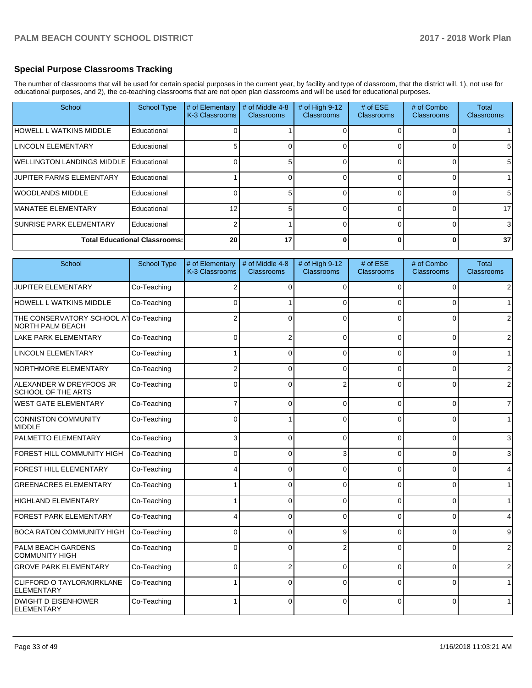#### **Special Purpose Classrooms Tracking**

The number of classrooms that will be used for certain special purposes in the current year, by facility and type of classroom, that the district will, 1), not use for educational purposes, and 2), the co-teaching classrooms that are not open plan classrooms and will be used for educational purposes.

| School                             | <b>School Type</b>                   | # of Elementary<br>K-3 Classrooms | # of Middle 4-8<br><b>Classrooms</b> | # of High 9-12<br><b>Classrooms</b> | # of $ESE$<br>Classrooms | # of Combo<br><b>Classrooms</b> | Total<br><b>Classrooms</b> |
|------------------------------------|--------------------------------------|-----------------------------------|--------------------------------------|-------------------------------------|--------------------------|---------------------------------|----------------------------|
| HOWELL L WATKINS MIDDLE            | Educational                          |                                   |                                      |                                     |                          |                                 |                            |
| LINCOLN ELEMENTARY                 | Educational                          |                                   |                                      |                                     |                          |                                 | 5.                         |
| <b>IWELLINGTON LANDINGS MIDDLE</b> | Educational                          |                                   |                                      |                                     |                          |                                 | 5                          |
| <b>JUPITER FARMS ELEMENTARY</b>    | Educational                          |                                   |                                      |                                     |                          |                                 |                            |
| <b>IWOODLANDS MIDDLE</b>           | Educational                          |                                   |                                      |                                     |                          |                                 | 5                          |
| <b>IMANATEE ELEMENTARY</b>         | Educational                          | 12                                |                                      |                                     |                          |                                 | 17                         |
| <b>SUNRISE PARK ELEMENTARY</b>     | Educational                          |                                   |                                      |                                     |                          |                                 | 3                          |
|                                    | <b>Total Educational Classrooms:</b> | 20                                | 17                                   |                                     | O                        |                                 | 37                         |

| School                                                            | <b>School Type</b> | # of Elementary<br>K-3 Classrooms | # of Middle 4-8<br><b>Classrooms</b> | # of High 9-12<br><b>Classrooms</b> | # of ESE<br>Classrooms | # of Combo<br>Classrooms | Total<br>Classrooms |
|-------------------------------------------------------------------|--------------------|-----------------------------------|--------------------------------------|-------------------------------------|------------------------|--------------------------|---------------------|
| <b>JUPITER ELEMENTARY</b>                                         | Co-Teaching        | 2                                 | 0                                    | 0                                   | 0                      | 0                        |                     |
| HOWELL L WATKINS MIDDLE                                           | Co-Teaching        | $\Omega$                          |                                      | C                                   | n                      | $\Omega$                 |                     |
| THE CONSERVATORY SCHOOL AT Co-Teaching<br><b>NORTH PALM BEACH</b> |                    |                                   | 0                                    | C                                   | $\Omega$               | $\Omega$                 |                     |
| <b>LAKE PARK ELEMENTARY</b>                                       | Co-Teaching        | 0                                 | $\overline{2}$                       | $\Omega$                            | 0                      | 0                        | 2                   |
| <b>LINCOLN ELEMENTARY</b>                                         | Co-Teaching        |                                   | 0                                    | $\Omega$                            | 0                      | 0                        |                     |
| NORTHMORE ELEMENTARY                                              | Co-Teaching        | 2                                 | 0                                    | C                                   | $\Omega$               | 0                        | 2                   |
| ALEXANDER W DREYFOOS JR<br><b>SCHOOL OF THE ARTS</b>              | Co-Teaching        | $\Omega$                          | 0                                    | $\overline{2}$                      | $\Omega$               | $\Omega$                 | $\overline{2}$      |
| <b>WEST GATE ELEMENTARY</b>                                       | Co-Teaching        | 7                                 | 0                                    | $\Omega$                            | $\Omega$               | $\Omega$                 | 7                   |
| <b>CONNISTON COMMUNITY</b><br>MIDDLE                              | Co-Teaching        | 0                                 |                                      | 0                                   | 0                      | 0                        |                     |
| <b>PALMETTO ELEMENTARY</b>                                        | Co-Teaching        | 3                                 | 0                                    | $\Omega$                            | 0                      | 0                        | 3                   |
| FOREST HILL COMMUNITY HIGH                                        | Co-Teaching        | $\Omega$                          | 0                                    | 3                                   | $\Omega$               | 0                        | 3                   |
| FOREST HILL ELEMENTARY                                            | Co-Teaching        | 4                                 | 0                                    | $\Omega$                            | 0                      | 0                        | 4                   |
| <b>GREENACRES ELEMENTARY</b>                                      | Co-Teaching        |                                   | 0                                    | $\Omega$                            | $\Omega$               | 0                        |                     |
| HIGHLAND ELEMENTARY                                               | Co-Teaching        |                                   | 0                                    | $\Omega$                            | 0                      | 0                        |                     |
| <b>FOREST PARK ELEMENTARY</b>                                     | Co-Teaching        | 4                                 | 0                                    | $\Omega$                            | 0                      | 0                        | 4                   |
| <b>BOCA RATON COMMUNITY HIGH</b>                                  | Co-Teaching        | 0                                 | 0                                    | 9                                   | $\Omega$               | 0                        | 9                   |
| PALM BEACH GARDENS<br><b>COMMUNITY HIGH</b>                       | Co-Teaching        | $\Omega$                          | 0                                    | $\overline{2}$                      | $\Omega$               | $\Omega$                 | $\overline{2}$      |
| <b>GROVE PARK ELEMENTARY</b>                                      | Co-Teaching        | $\mathbf 0$                       | $\overline{2}$                       | $\Omega$                            | 0                      | $\Omega$                 | $\overline{2}$      |
| <b>CLIFFORD O TAYLOR/KIRKLANE</b><br><b>ELEMENTARY</b>            | Co-Teaching        | 1                                 | 0                                    | $\Omega$                            | $\Omega$               | $\Omega$                 |                     |
| <b>DWIGHT D EISENHOWER</b><br>ELEMENTARY                          | Co-Teaching        | $\mathbf{1}$                      | 0                                    | $\Omega$                            | $\Omega$               | $\Omega$                 |                     |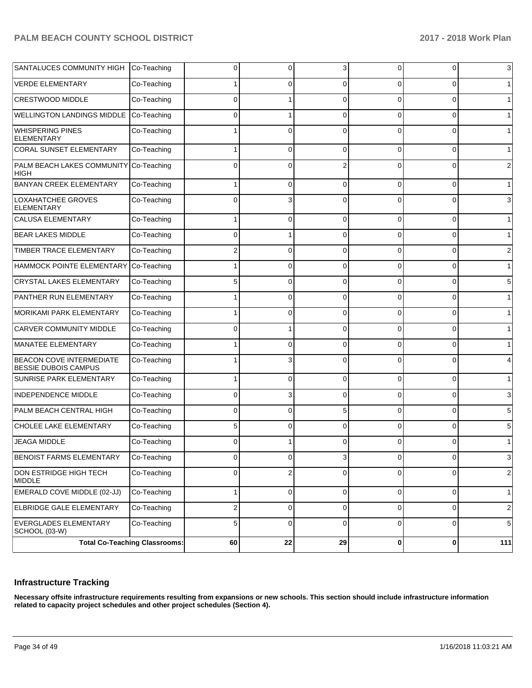| SANTALUCES COMMUNITY HIGH Co-Teaching                          |                                      | 0              | 0              | 3        | 0              | 0              | 3              |
|----------------------------------------------------------------|--------------------------------------|----------------|----------------|----------|----------------|----------------|----------------|
| <b>VERDE ELEMENTARY</b>                                        | Co-Teaching                          |                | 0              | 0        | 0              | 0              | $\mathbf 1$    |
| CRESTWOOD MIDDLE                                               | Co-Teaching                          | $\Omega$       |                | $\Omega$ | 0              | 0              | $\mathbf{1}$   |
| <b>WELLINGTON LANDINGS MIDDLE</b>                              | Co-Teaching                          | 0              |                | $\Omega$ | 0              | 0              | $\mathbf{1}$   |
| <b>WHISPERING PINES</b><br>ELEMENTARY                          | Co-Teaching                          |                | $\Omega$       | $\Omega$ | $\Omega$       | 0              | $\mathbf{1}$   |
| <b>CORAL SUNSET ELEMENTARY</b>                                 | Co-Teaching                          |                | $\Omega$       | $\Omega$ | $\Omega$       | 0              | $\mathbf{1}$   |
| PALM BEACH LAKES COMMUNITY<br>HIGH                             | Co-Teaching                          | $\Omega$       | $\Omega$       |          | $\Omega$       | 0              | $\overline{2}$ |
| <b>BANYAN CREEK ELEMENTARY</b>                                 | Co-Teaching                          |                | $\Omega$       | $\Omega$ | 0              | 0              | $\mathbf{1}$   |
| LOXAHATCHEE GROVES<br><b>ELEMENTARY</b>                        | Co-Teaching                          | $\Omega$       | 3              | C        | 0              | 0              | 3              |
| <b>CALUSA ELEMENTARY</b>                                       | Co-Teaching                          |                | 0              | $\Omega$ | 0              | 0              | $\mathbf{1}$   |
| <b>BEAR LAKES MIDDLE</b>                                       | Co-Teaching                          | $\Omega$       |                | $\Omega$ | 0              | 0              | $\mathbf{1}$   |
| TIMBER TRACE ELEMENTARY                                        | Co-Teaching                          | 2              | 0              | $\Omega$ | 0              | 0              | 2              |
| HAMMOCK POINTE ELEMENTARY                                      | Co-Teaching                          |                | 0              | $\Omega$ | 0              | 0              | $\mathbf{1}$   |
| CRYSTAL LAKES ELEMENTARY                                       | Co-Teaching                          | 5              | 0              | $\Omega$ | 0              | 0              | 5              |
| PANTHER RUN ELEMENTARY                                         | Co-Teaching                          |                | 0              | $\Omega$ | 0              | 0              | $\mathbf{1}$   |
| MORIKAMI PARK ELEMENTARY                                       | Co-Teaching                          |                | 0              | $\Omega$ | 0              | 0              | $\mathbf{1}$   |
| <b>CARVER COMMUNITY MIDDLE</b>                                 | Co-Teaching                          | $\Omega$       |                | $\Omega$ | 0              | 0              | $\mathbf{1}$   |
| MANATEE ELEMENTARY                                             | Co-Teaching                          |                | 0              | $\Omega$ | 0              | 0              | $\mathbf 1$    |
| <b>BEACON COVE INTERMEDIATE</b><br><b>BESSIE DUBOIS CAMPUS</b> | Co-Teaching                          |                | 3              | $\Omega$ | $\Omega$       | 0              | 4              |
| <b>SUNRISE PARK ELEMENTARY</b>                                 | Co-Teaching                          |                | $\Omega$       | $\Omega$ | $\Omega$       | 0              | $\mathbf{1}$   |
| INDEPENDENCE MIDDLE                                            | Co-Teaching                          | $\Omega$       | 3              | $\Omega$ | $\Omega$       | $\Omega$       | 3              |
| PALM BEACH CENTRAL HIGH                                        | Co-Teaching                          | $\Omega$       | $\Omega$       | 5        | $\Omega$       | $\Omega$       | 5              |
| CHOLEE LAKE ELEMENTARY                                         | Co-Teaching                          | 5              | $\Omega$       | $\Omega$ | $\Omega$       | $\Omega$       | 5              |
| <b>JEAGA MIDDLE</b>                                            | Co-Teaching                          | $\Omega$       |                | $\Omega$ | $\Omega$       | 0              | $\mathbf{1}$   |
| BENOIST FARMS ELEMENTARY                                       | Co-Teaching                          | $\overline{0}$ | $\overline{0}$ | 3        | $\overline{0}$ | $\overline{0}$ | 3              |
| DON ESTRIDGE HIGH TECH<br><b>MIDDLE</b>                        | Co-Teaching                          | $\Omega$       | $\overline{2}$ | $\Omega$ | 0              | 0              | $\overline{c}$ |
| EMERALD COVE MIDDLE (02-JJ)                                    | Co-Teaching                          |                | 0              | 0        | 0              | 0              | $\mathbf{1}$   |
| <b>ELBRIDGE GALE ELEMENTARY</b>                                | Co-Teaching                          | 2              | 0              | 0        | 0              | 0              | $\overline{c}$ |
| EVERGLADES ELEMENTARY<br>SCHOOL (03-W)                         | Co-Teaching                          | 5              | 0              | 0        | 0              | 0              | $\,$ 5 $\,$    |
|                                                                | <b>Total Co-Teaching Classrooms:</b> | 60             | 22             | 29       | 0              | $\pmb{0}$      | 111            |

#### **Infrastructure Tracking**

**Necessary offsite infrastructure requirements resulting from expansions or new schools. This section should include infrastructure information related to capacity project schedules and other project schedules (Section 4).**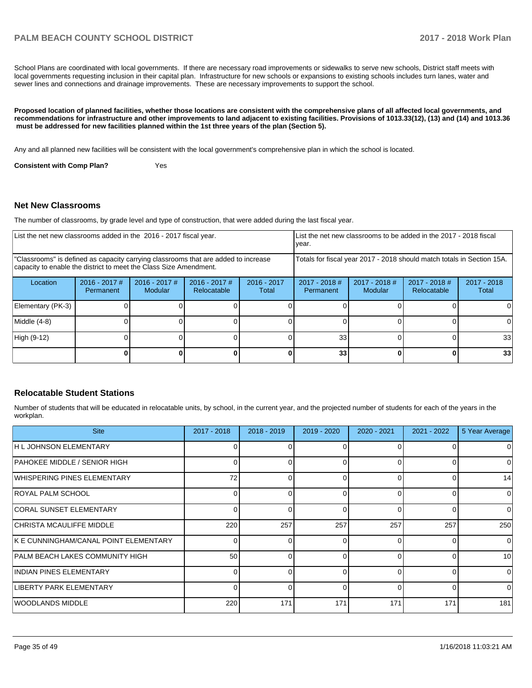School Plans are coordinated with local governments. If there are necessary road improvements or sidewalks to serve new schools, District staff meets with local governments requesting inclusion in their capital plan. Infrastructure for new schools or expansions to existing schools includes turn lanes, water and sewer lines and connections and drainage improvements. These are necessary improvements to support the school.

**Proposed location of planned facilities, whether those locations are consistent with the comprehensive plans of all affected local governments, and recommendations for infrastructure and other improvements to land adjacent to existing facilities. Provisions of 1013.33(12), (13) and (14) and 1013.36 must be addressed for new facilities planned within the 1st three years of the plan (Section 5).** 

Any and all planned new facilities will be consistent with the local government's comprehensive plan in which the school is located.

**Consistent with Comp Plan?** Yes

#### **Net New Classrooms**

The number of classrooms, by grade level and type of construction, that were added during the last fiscal year.

| List the net new classrooms added in the 2016 - 2017 fiscal year.                                                                                       |                                     |                            | List the net new classrooms to be added in the 2017 - 2018 fiscal<br>year. |                        |                              |                            |                              |                        |
|---------------------------------------------------------------------------------------------------------------------------------------------------------|-------------------------------------|----------------------------|----------------------------------------------------------------------------|------------------------|------------------------------|----------------------------|------------------------------|------------------------|
| "Classrooms" is defined as capacity carrying classrooms that are added to increase<br>capacity to enable the district to meet the Class Size Amendment. |                                     |                            | Totals for fiscal year 2017 - 2018 should match totals in Section 15A.     |                        |                              |                            |                              |                        |
| Location                                                                                                                                                | $2016 - 2017$ #<br><b>Permanent</b> | $2016 - 2017$ #<br>Modular | $2016 - 2017$ #<br>Relocatable                                             | $2016 - 2017$<br>Total | $2017 - 2018$ #<br>Permanent | $2017 - 2018$ #<br>Modular | 2017 - 2018 #<br>Relocatable | $2017 - 2018$<br>Total |
| Elementary (PK-3)                                                                                                                                       |                                     |                            |                                                                            |                        |                              |                            |                              |                        |
| Middle (4-8)                                                                                                                                            |                                     |                            |                                                                            |                        |                              |                            |                              | <sup>0</sup>           |
| High (9-12)                                                                                                                                             |                                     |                            |                                                                            |                        | 33                           |                            |                              | 33 <sup>1</sup>        |
|                                                                                                                                                         |                                     |                            |                                                                            |                        | 33                           |                            | <sup>0</sup>                 | 33                     |

#### **Relocatable Student Stations**

Number of students that will be educated in relocatable units, by school, in the current year, and the projected number of students for each of the years in the workplan.

| <b>Site</b>                            | $2017 - 2018$ | $2018 - 2019$ | 2019 - 2020 | $2020 - 2021$ | $2021 - 2022$ | 5 Year Average |
|----------------------------------------|---------------|---------------|-------------|---------------|---------------|----------------|
| H L JOHNSON ELEMENTARY                 |               |               |             |               |               | 0              |
| PAHOKEE MIDDLE / SENIOR HIGH           |               |               | O           | ∩             |               | 0              |
| WHISPERING PINES ELEMENTARY            | 72            |               | 0           | $\Omega$      |               | 14             |
| IROYAL PALM SCHOOL                     | $\Omega$      |               | 0           | $\Omega$      |               | $\Omega$       |
| CORAL SUNSET ELEMENTARY                | $\Omega$      |               | 0           | $\Omega$      |               | $\Omega$       |
| CHRISTA MCAULIFFE MIDDLE               | 220           | 257           | 257         | 257           | 257           | 250            |
| IK E CUNNINGHAM/CANAL POINT ELEMENTARY | $\Omega$      |               | 0           | $\Omega$      |               | $\Omega$       |
| PALM BEACH LAKES COMMUNITY HIGH        | 50            |               | $\Omega$    | $\Omega$      |               | 10             |
| INDIAN PINES ELEMENTARY                |               |               | $\Omega$    | $\Omega$      | ∩             | $\Omega$       |
| LIBERTY PARK ELEMENTARY                | $\Omega$      |               | $\Omega$    | $\Omega$      | ∩             | $\Omega$       |
| IWOODLANDS MIDDLE                      | 220           | 171           | 171         | 171           | 171           | 181            |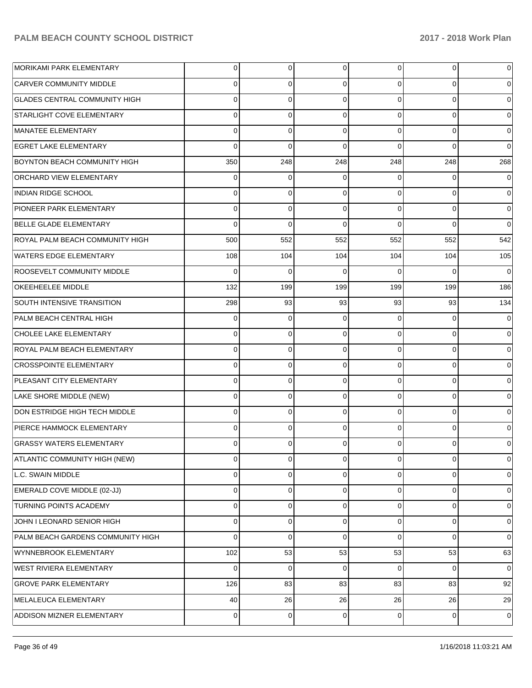| <b>MORIKAMI PARK ELEMENTARY</b>      | 0            | $\overline{0}$ | $\Omega$ | $\Omega$ | 0        | 0           |
|--------------------------------------|--------------|----------------|----------|----------|----------|-------------|
| <b>CARVER COMMUNITY MIDDLE</b>       | 0            | 0              | 0        | 0        | 0        |             |
| <b>GLADES CENTRAL COMMUNITY HIGH</b> | <sup>0</sup> | 0              | 0        | 0        | 0        | 0           |
| STARLIGHT COVE ELEMENTARY            | 0            | 0              | 0        | 0        | $\Omega$ | 0           |
| MANATEE ELEMENTARY                   | 0            | 0              | 0        | 0        | 0        | 0           |
| <b>EGRET LAKE ELEMENTARY</b>         | 0            | 0              | 0        | O        | 0        | 0           |
| BOYNTON BEACH COMMUNITY HIGH         | 350          | 248            | 248      | 248      | 248      | 268         |
| ORCHARD VIEW ELEMENTARY              | 0            | 0              | 0        | 0        | 0        | 0           |
| <b>INDIAN RIDGE SCHOOL</b>           | 0            | 0              | 0        | 0        | 0        | 0           |
| PIONEER PARK ELEMENTARY              | 0            | 0              | 0        | 0        | 0        | 0           |
| BELLE GLADE ELEMENTARY               | 0            | 0              | 0        | 0        | $\Omega$ | $\Omega$    |
| ROYAL PALM BEACH COMMUNITY HIGH      | 500          | 552            | 552      | 552      | 552      | 542         |
| <b>WATERS EDGE ELEMENTARY</b>        | 108          | 104            | 104      | 104      | 104      | 105         |
| ROOSEVELT COMMUNITY MIDDLE           | 0            | 0              | 0        | $\Omega$ | 0        | 0           |
| OKEEHEELEE MIDDLE                    | 132          | 199            | 199      | 199      | 199      | 186         |
| SOUTH INTENSIVE TRANSITION           | 298          | 93             | 93       | 93       | 93       | 134         |
| PALM BEACH CENTRAL HIGH              | 0            | 0              | 0        | 0        | 0        |             |
| CHOLEE LAKE ELEMENTARY               | 0            | 0              | 0        | 0        | 0        | 0           |
| ROYAL PALM BEACH ELEMENTARY          | 0            | 0              | 0        | 0        | 0        |             |
| <b>CROSSPOINTE ELEMENTARY</b>        | 0            | 0              | 0        | 0        | 0        |             |
| PLEASANT CITY ELEMENTARY             | 0            | 0              | 0        | 0        | 0        |             |
| LAKE SHORE MIDDLE (NEW)              | 0            | 0              | 0        | 0        | 0        | 0           |
| DON ESTRIDGE HIGH TECH MIDDLE        | 0            | 0              | 0        | 0        | 0        |             |
| PIERCE HAMMOCK ELEMENTARY            | 0            | 0              | $\Omega$ | 0        | $\Omega$ |             |
| <b>GRASSY WATERS ELEMENTARY</b>      | 0            | 0              | 0        | 0        | 0        | 0           |
| ATLANTIC COMMUNITY HIGH (NEW)        | 0            | 0              | 0        | 0        | 0        | 0           |
| L.C. SWAIN MIDDLE                    | 0            | 0              | 0        | 0        | 0        | 0           |
| EMERALD COVE MIDDLE (02-JJ)          | 0            | 0              | 0        | 0        | 0        | 0           |
| TURNING POINTS ACADEMY               | 0            | 0              | 0        | 0        | 0        | 0           |
| JOHN I LEONARD SENIOR HIGH           | 0            | 0              | 0        | 0        | 0        | 0           |
| PALM BEACH GARDENS COMMUNITY HIGH    | 0            | 0              | 0        | 0        | 0        | 0           |
| WYNNEBROOK ELEMENTARY                | 102          | 53             | 53       | 53       | 53       | 63          |
| WEST RIVIERA ELEMENTARY              | 0            | 0              | 0        | 0        | 0        | 0           |
| <b>GROVE PARK ELEMENTARY</b>         | 126          | 83             | 83       | 83       | 83       | 92          |
| MELALEUCA ELEMENTARY                 | 40           | 26             | 26       | 26       | 26       | 29          |
| ADDISON MIZNER ELEMENTARY            | 0            | $\mathbf 0$    | 0        | 0        | 0        | $\mathbf 0$ |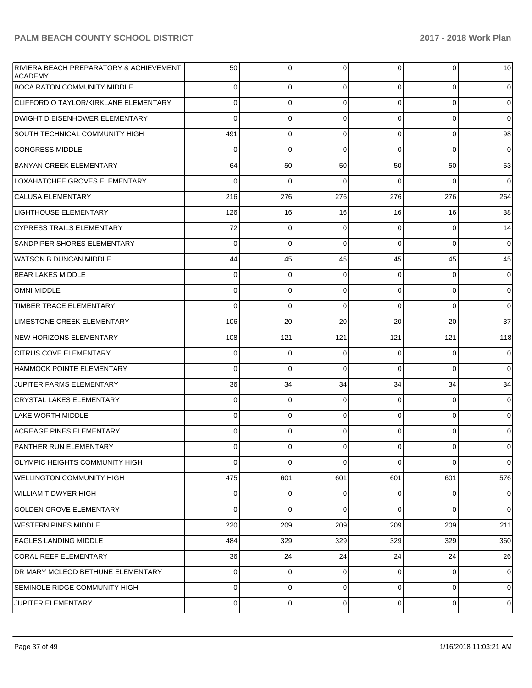| RIVIERA BEACH PREPARATORY & ACHIEVEMENT<br><b>ACADEMY</b> | 50          | $\Omega$ | $\Omega$       | $\Omega$    | $\overline{0}$ | 10             |
|-----------------------------------------------------------|-------------|----------|----------------|-------------|----------------|----------------|
| <b>BOCA RATON COMMUNITY MIDDLE</b>                        | $\mathbf 0$ | 0        | $\Omega$       | 0           | $\overline{0}$ | $\overline{0}$ |
| CLIFFORD O TAYLOR/KIRKLANE ELEMENTARY                     | 0           | 0        | $\Omega$       | 0           | $\overline{0}$ | $\overline{0}$ |
| <b>DWIGHT D EISENHOWER ELEMENTARY</b>                     | 0           | 0        | $\Omega$       | 0           | $\overline{0}$ | $\overline{0}$ |
| SOUTH TECHNICAL COMMUNITY HIGH                            | 491         | 0        | $\Omega$       | 0           | $\overline{0}$ | 98             |
| <b>CONGRESS MIDDLE</b>                                    | 0           | 0        | $\Omega$       | 0           | $\overline{0}$ | $\overline{0}$ |
| <b>BANYAN CREEK ELEMENTARY</b>                            | 64          | 50       | 50             | 50          | 50             | 53             |
| LOXAHATCHEE GROVES ELEMENTARY                             | 0           | $\Omega$ | $\Omega$       | 0           | $\overline{0}$ | $\overline{0}$ |
| <b>CALUSA ELEMENTARY</b>                                  | 216         | 276      | 276            | 276         | 276            | 264            |
| <b>LIGHTHOUSE ELEMENTARY</b>                              | 126         | 16       | 16             | 16          | 16             | 38             |
| <b>CYPRESS TRAILS ELEMENTARY</b>                          | 72          | 0        | $\Omega$       | 0           | $\overline{0}$ | 14             |
| SANDPIPER SHORES ELEMENTARY                               | 0           | 0        | $\Omega$       | 0           | $\overline{0}$ | $\overline{0}$ |
| <b>WATSON B DUNCAN MIDDLE</b>                             | 44          | 45       | 45             | 45          | 45             | 45             |
| <b>BEAR LAKES MIDDLE</b>                                  | 0           | 0        | $\Omega$       | 0           | $\overline{0}$ | $\overline{0}$ |
| <b>OMNI MIDDLE</b>                                        | 0           | 0        | $\Omega$       | 0           | $\overline{0}$ | $\overline{0}$ |
| TIMBER TRACE ELEMENTARY                                   | $\Omega$    | $\Omega$ | $\Omega$       | 0           | $\overline{0}$ | $\overline{0}$ |
| LIMESTONE CREEK ELEMENTARY                                | 106         | 20       | 20             | 20          | 20             | 37             |
| NEW HORIZONS ELEMENTARY                                   | 108         | 121      | 121            | 121         | 121            | 118            |
| <b>CITRUS COVE ELEMENTARY</b>                             | 0           | 0        | $\Omega$       | 0           | $\overline{0}$ | $\overline{0}$ |
| HAMMOCK POINTE ELEMENTARY                                 | 0           | $\Omega$ | $\Omega$       | 0           | $\overline{0}$ | $\overline{0}$ |
| JUPITER FARMS ELEMENTARY                                  | 36          | 34       | 34             | 34          | 34             | 34             |
| <b>CRYSTAL LAKES ELEMENTARY</b>                           | 0           | 0        | $\Omega$       | 0           | $\overline{0}$ | $\overline{0}$ |
| LAKE WORTH MIDDLE                                         | 0           | 0        | $\Omega$       | 0           | $\overline{0}$ | $\overline{0}$ |
| <b>ACREAGE PINES ELEMENTARY</b>                           | 0           | 0        | $\Omega$       | 0           | $\overline{0}$ | $\overline{0}$ |
| <b>PANTHER RUN ELEMENTARY</b>                             | 0           | 0        | $\mathbf 0$    | 0           | $\overline{0}$ | $\overline{0}$ |
| OLYMPIC HEIGHTS COMMUNITY HIGH                            | 0           | 0        | $\Omega$       | $\mathbf 0$ | $\overline{0}$ | $\overline{0}$ |
| WELLINGTON COMMUNITY HIGH                                 | 475         | 601      | 601            | 601         | 601            | 576            |
| WILLIAM T DWYER HIGH                                      | 0           | 0        | $\Omega$       | 0           | $\overline{0}$ | $\overline{0}$ |
| <b>GOLDEN GROVE ELEMENTARY</b>                            | 0           | 0        | $\Omega$       | 0           | $\overline{0}$ | $\overline{0}$ |
| <b>WESTERN PINES MIDDLE</b>                               | 220         | 209      | 209            | 209         | 209            | 211            |
| <b>EAGLES LANDING MIDDLE</b>                              | 484         | 329      | 329            | 329         | 329            | 360            |
| <b>CORAL REEF ELEMENTARY</b>                              | 36          | 24       | 24             | 24          | 24             | 26             |
| DR MARY MCLEOD BETHUNE ELEMENTARY                         | 0           | 0        | $\mathbf 0$    | 0           | $\overline{0}$ | $\overline{0}$ |
| SEMINOLE RIDGE COMMUNITY HIGH                             | 0           | 0        | $\Omega$       | 0           | $\overline{0}$ | $\overline{0}$ |
| JUPITER ELEMENTARY                                        | 0           | 0        | $\overline{0}$ | 0           | $\overline{0}$ | $\overline{0}$ |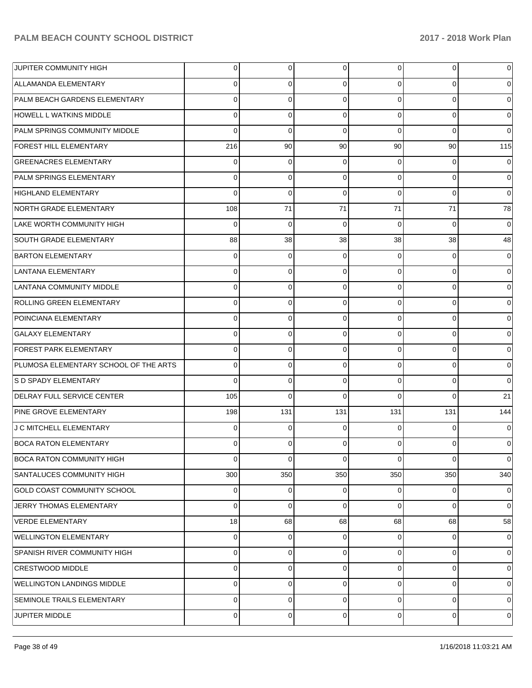| JUPITER COMMUNITY HIGH                | $\overline{0}$ | 0   | 0           | $\overline{0}$ | 0        | $\overline{0}$ |
|---------------------------------------|----------------|-----|-------------|----------------|----------|----------------|
| ALLAMANDA ELEMENTARY                  | 0              | 0   | 0           | 0              | 0        | 0              |
| PALM BEACH GARDENS ELEMENTARY         | 0              | 0   | 0           | $\Omega$       | 0        | 0              |
| HOWELL L WATKINS MIDDLE               | 0              | 0   | 0           | 0              | $\Omega$ | 0              |
| PALM SPRINGS COMMUNITY MIDDLE         | 0              | 0   | 0           | $\Omega$       | $\Omega$ | 0              |
| FOREST HILL ELEMENTARY                | 216            | 90  | 90          | 90             | 90       | 115            |
| <b>GREENACRES ELEMENTARY</b>          | 0              | 0   | 0           | 0              | 0        | 0              |
| PALM SPRINGS ELEMENTARY               | 0              | 0   | 0           | 0              | $\Omega$ | 0              |
| <b>HIGHLAND ELEMENTARY</b>            | 0              | 0   | 0           | $\Omega$       | $\Omega$ | 0              |
| NORTH GRADE ELEMENTARY                | 108            | 71  | 71          | 71             | 71       | 78             |
| LAKE WORTH COMMUNITY HIGH             | 0              | 0   | 0           | $\Omega$       | $\Omega$ | 0              |
| SOUTH GRADE ELEMENTARY                | 88             | 38  | 38          | 38             | 38       | 48             |
| <b>BARTON ELEMENTARY</b>              | 0              | 0   | 0           | 0              | 0        | 0              |
| <b>LANTANA ELEMENTARY</b>             | 0              | 0   | 0           | 0              | 0        | 0              |
| LANTANA COMMUNITY MIDDLE              | 0              | 0   | 0           | 0              | 0        | 0              |
| ROLLING GREEN ELEMENTARY              | 0              | 0   | 0           | 0              | 0        | 0              |
| POINCIANA ELEMENTARY                  | 0              | 0   | 0           | 0              | 0        | 0              |
| <b>GALAXY ELEMENTARY</b>              | $\Omega$       | 0   | 0           | 0              | 0        | 0              |
| <b>FOREST PARK ELEMENTARY</b>         | 0              | 0   | 0           | 0              | 0        | 0              |
| PLUMOSA ELEMENTARY SCHOOL OF THE ARTS | 0              | 0   | 0           | 0              | 0        | 0              |
| S D SPADY ELEMENTARY                  | 0              | 0   | 0           | 0              | 0        | 0              |
| DELRAY FULL SERVICE CENTER            | 105            | 0   | 0           | 0              | 0        | 21             |
| PINE GROVE ELEMENTARY                 | 198            | 131 | 131         | 131            | 131      | 144            |
| J C MITCHELL ELEMENTARY               | 0              | 0   | 0           | 0              | 0        | 0              |
| <b>BOCA RATON ELEMENTARY</b>          | 0              | 0   | 0           | 0              | 0        | 0              |
| <b>BOCA RATON COMMUNITY HIGH</b>      | 0              | 0   | $\mathbf 0$ | $\Omega$       | 0        | $\Omega$       |
| <b>SANTALUCES COMMUNITY HIGH</b>      | 300            | 350 | 350         | 350            | 350      | 340            |
| <b>GOLD COAST COMMUNITY SCHOOL</b>    | 0              | 0   | 0           | $\Omega$       | 0        | $\overline{0}$ |
| JERRY THOMAS ELEMENTARY               | $\Omega$       | 0   | 0           | $\Omega$       | 0        | $\overline{0}$ |
| <b>VERDE ELEMENTARY</b>               | 18             | 68  | 68          | 68             | 68       | 58             |
| <b>WELLINGTON ELEMENTARY</b>          | 0              | 0   | 0           | 0              | 0        | $\overline{0}$ |
| SPANISH RIVER COMMUNITY HIGH          | 0              | 0   | 0           | $\Omega$       | 0        | $\overline{0}$ |
| <b>CRESTWOOD MIDDLE</b>               | $\Omega$       | 0   | 0           | $\Omega$       | 0        | $\overline{0}$ |
| <b>WELLINGTON LANDINGS MIDDLE</b>     | 0              | 0   | 0           | $\Omega$       | 0        | $\overline{0}$ |
| SEMINOLE TRAILS ELEMENTARY            | $\Omega$       | 0   | 0           | $\Omega$       | 0        | $\overline{0}$ |
| JUPITER MIDDLE                        | $\overline{0}$ | 0   | 0           | $\overline{0}$ | 0        | 0              |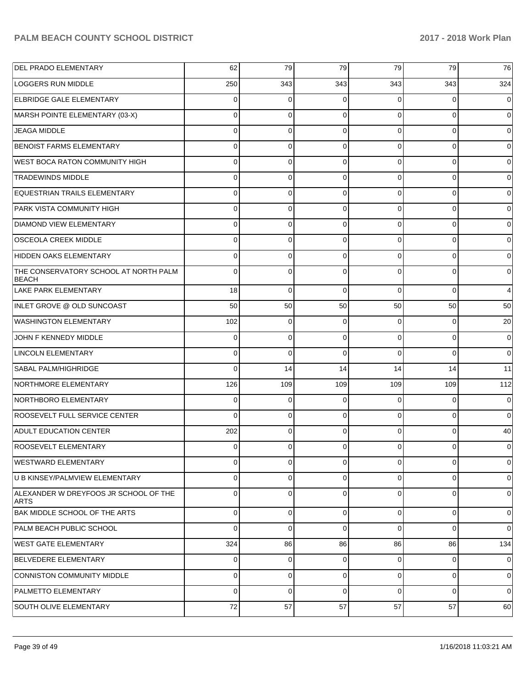| DEL PRADO ELEMENTARY                                  | 62          | 79           | 79       | 79             | 79          | 76          |
|-------------------------------------------------------|-------------|--------------|----------|----------------|-------------|-------------|
| <b>LOGGERS RUN MIDDLE</b>                             | 250         | 343          | 343      | 343            | 343         | 324         |
| <b>ELBRIDGE GALE ELEMENTARY</b>                       | $\Omega$    | 0            | 0        | $\Omega$       | $\Omega$    | $\Omega$    |
| MARSH POINTE ELEMENTARY (03-X)                        | $\Omega$    | 0            | $\Omega$ | $\Omega$       | $\Omega$    | $\Omega$    |
| <b>JEAGA MIDDLE</b>                                   | $\Omega$    | $\mathbf 0$  | $\Omega$ | $\Omega$       | $\Omega$    | $\Omega$    |
| <b>BENOIST FARMS ELEMENTARY</b>                       | $\Omega$    | $\mathbf 0$  | $\Omega$ | $\Omega$       | $\Omega$    | $\Omega$    |
| WEST BOCA RATON COMMUNITY HIGH                        | $\Omega$    | 0            | $\Omega$ | $\Omega$       | $\Omega$    | $\Omega$    |
| <b>TRADEWINDS MIDDLE</b>                              | $\Omega$    | $\mathbf 0$  | $\Omega$ | $\Omega$       | $\Omega$    | $\Omega$    |
| EQUESTRIAN TRAILS ELEMENTARY                          | $\Omega$    | 0            | $\Omega$ | $\Omega$       | $\Omega$    | $\Omega$    |
| PARK VISTA COMMUNITY HIGH                             | $\Omega$    | $\mathbf 0$  | $\Omega$ | $\Omega$       | $\Omega$    | $\Omega$    |
| <b>DIAMOND VIEW ELEMENTARY</b>                        | 0           | 0            | $\Omega$ | $\Omega$       | $\Omega$    | $\Omega$    |
| <b>OSCEOLA CREEK MIDDLE</b>                           | $\Omega$    | $\mathbf 0$  | $\Omega$ | $\Omega$       | $\Omega$    | $\Omega$    |
| HIDDEN OAKS ELEMENTARY                                | $\Omega$    | 0            | $\Omega$ | $\Omega$       | $\Omega$    | $\Omega$    |
| THE CONSERVATORY SCHOOL AT NORTH PALM<br><b>BEACH</b> | $\Omega$    | $\Omega$     | $\Omega$ | $\Omega$       | $\Omega$    | $\Omega$    |
| <b>LAKE PARK ELEMENTARY</b>                           | 18          | $\mathbf 0$  | $\Omega$ | $\Omega$       | $\Omega$    | 4           |
| INLET GROVE @ OLD SUNCOAST                            | 50          | 50           | 50       | 50             | 50          | 50          |
| <b>WASHINGTON ELEMENTARY</b>                          | 102         | $\mathbf 0$  | $\Omega$ | $\Omega$       | 0           | 20          |
| JOHN F KENNEDY MIDDLE                                 | 0           | $\mathbf 0$  | $\Omega$ | 0              | $\mathbf 0$ | 0           |
| <b>LINCOLN ELEMENTARY</b>                             | 0           | $\mathbf 0$  | $\Omega$ | $\Omega$       | $\Omega$    | 0           |
| SABAL PALM/HIGHRIDGE                                  | 0           | 14           | 14       | 14             | 14          | 11          |
| NORTHMORE ELEMENTARY                                  | 126         | 109          | 109      | 109            | 109         | 112         |
| NORTHBORO ELEMENTARY                                  | 0           | $\mathbf 0$  | 0        | 0              | 0           | 0           |
| ROOSEVELT FULL SERVICE CENTER                         | $\Omega$    | $\mathbf 0$  | $\Omega$ | $\Omega$       | $\mathbf 0$ | 0           |
| <b>ADULT EDUCATION CENTER</b>                         | 202         | $\mathbf 0$  | $\Omega$ | 0              | 0           | 40          |
| <b>ROOSEVELT ELEMENTARY</b>                           | 0           | $\mathbf 0$  | 0        | $\overline{0}$ | 0           | 0           |
| WESTWARD ELEMENTARY                                   | $\mathbf 0$ | $\mathbf{0}$ | 0        | $\Omega$       | $\mathbf 0$ | $\mathbf 0$ |
| U B KINSEY/PALMVIEW ELEMENTARY                        | $\mathbf 0$ | $\mathbf{0}$ | 0        | $\Omega$       | $\mathbf 0$ | $\mathbf 0$ |
| ALEXANDER W DREYFOOS JR SCHOOL OF THE<br>ARTS         | 0           | 0            | $\Omega$ | $\Omega$       | $\mathbf 0$ | $\mathbf 0$ |
| BAK MIDDLE SCHOOL OF THE ARTS                         | 0           | 0            | 0        | 0              | $\mathbf 0$ | 0           |
| PALM BEACH PUBLIC SCHOOL                              | 0           | 0            | 0        | $\Omega$       | $\mathbf 0$ | 0           |
| <b>WEST GATE ELEMENTARY</b>                           | 324         | 86           | 86       | 86             | 86          | 134         |
| <b>BELVEDERE ELEMENTARY</b>                           | 0           | $\mathbf 0$  | 0        | 0              | $\mathbf 0$ | 0           |
| CONNISTON COMMUNITY MIDDLE                            | 0           | 0            | 0        | 0              | $\mathbf 0$ | 0           |
| PALMETTO ELEMENTARY                                   | 0           | $\mathbf 0$  | 0        | $\mathbf 0$    | $\mathbf 0$ | 0           |
| SOUTH OLIVE ELEMENTARY                                | 72          | 57           | 57       | 57             | 57          | 60          |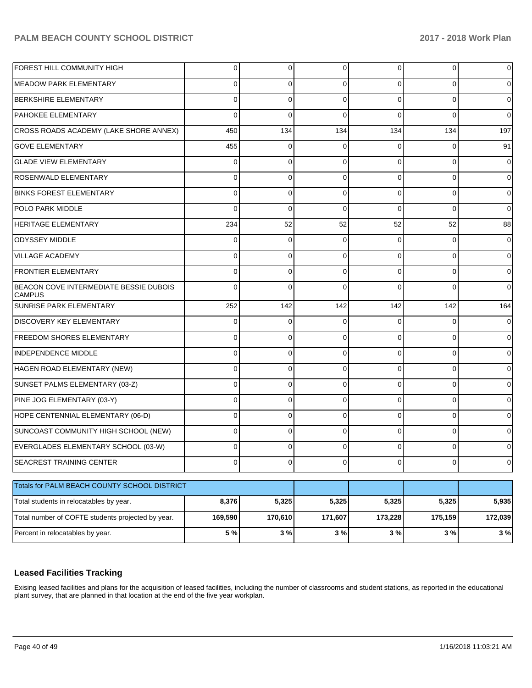| FOREST HILL COMMUNITY HIGH                              | 0       | 0           | 0        | $\Omega$       | 0         | $\Omega$    |
|---------------------------------------------------------|---------|-------------|----------|----------------|-----------|-------------|
| <b>MEADOW PARK ELEMENTARY</b>                           | 0       | 0           | 0        | $\Omega$       | $\Omega$  | 0           |
| <b>BERKSHIRE ELEMENTARY</b>                             | 0       | 0           | $\Omega$ | $\Omega$       | $\Omega$  | $\Omega$    |
| PAHOKEE ELEMENTARY                                      | 0       | $\mathbf 0$ | $\Omega$ | $\Omega$       | $\Omega$  | $\Omega$    |
| CROSS ROADS ACADEMY (LAKE SHORE ANNEX)                  | 450     | 134         | 134      | 134            | 134       | 197         |
| <b>GOVE ELEMENTARY</b>                                  | 455     | 0           | 0        | 0              | $\Omega$  | 91          |
| <b>GLADE VIEW ELEMENTARY</b>                            | 0       | 0           | $\Omega$ | $\Omega$       | $\Omega$  | 0           |
| <b>ROSENWALD ELEMENTARY</b>                             | 0       | 0           | 0        | $\Omega$       | $\Omega$  | 0           |
| <b>BINKS FOREST ELEMENTARY</b>                          | 0       | 0           | $\Omega$ | $\Omega$       | $\Omega$  | 0           |
| POLO PARK MIDDLE                                        | 0       | $\mathbf 0$ | $\Omega$ | $\Omega$       | $\Omega$  | $\Omega$    |
| <b>HERITAGE ELEMENTARY</b>                              | 234     | 52          | 52       | 52             | 52        | 88          |
| <b>ODYSSEY MIDDLE</b>                                   | 0       | 0           | 0        | $\Omega$       | $\Omega$  | 0           |
| <b>VILLAGE ACADEMY</b>                                  | 0       | 0           | $\Omega$ | $\Omega$       | $\Omega$  | 0           |
| <b>FRONTIER ELEMENTARY</b>                              | 0       | $\mathbf 0$ | $\Omega$ | $\Omega$       | $\Omega$  | 0           |
| BEACON COVE INTERMEDIATE BESSIE DUBOIS<br><b>CAMPUS</b> | 0       | $\Omega$    | $\Omega$ | $\Omega$       | $\Omega$  | $\Omega$    |
| <b>SUNRISE PARK ELEMENTARY</b>                          | 252     | 142         | 142      | 142            | 142       | 164         |
| <b>DISCOVERY KEY ELEMENTARY</b>                         | 0       | $\mathbf 0$ | $\Omega$ | 0              | 0         | 0           |
| <b>FREEDOM SHORES ELEMENTARY</b>                        | 0       | 0           | $\Omega$ | 0              | $\Omega$  | 0           |
| <b>INDEPENDENCE MIDDLE</b>                              | 0       | 0           | $\Omega$ | $\Omega$       | 0         | 0           |
| HAGEN ROAD ELEMENTARY (NEW)                             | 0       | 0           | $\Omega$ | 0              | 0         | 0           |
| SUNSET PALMS ELEMENTARY (03-Z)                          | 0       | $\mathbf 0$ | 0        | $\Omega$       | $\Omega$  | 0           |
| PINE JOG ELEMENTARY (03-Y)                              | 0       | 0           | $\Omega$ | 0              | 0         | 0           |
| HOPE CENTENNIAL ELEMENTARY (06-D)                       | 0       | 0           | $\Omega$ | $\Omega$       | 0         | 0           |
| SUNCOAST COMMUNITY HIGH SCHOOL (NEW)                    | 0       | 0           | $\Omega$ | <sup>0</sup>   | 0         | 0           |
| EVERGLADES ELEMENTARY SCHOOL (03-W)                     | 0       | 0           | 0        | 0              | 0         | 0           |
| <b>SEACREST TRAINING CENTER</b>                         | 0       | 0           | 0        | $\overline{0}$ | $\pmb{0}$ | $\mathbf 0$ |
| Totals for PALM BEACH COUNTY SCHOOL DISTRICT            |         |             |          |                |           |             |
| Total students in relocatables by year.                 | 8,376   | 5,325       | 5,325    | 5,325          | 5,325     | 5,935       |
| Total number of COFTE students projected by year.       | 169,590 | 170,610     | 171,607  | 173,228        | 175,159   | 172,039     |
| Percent in relocatables by year.                        | 5 %     | 3%          | $3%$     | 3%             | 3%        | 3%          |

#### **Leased Facilities Tracking**

Exising leased facilities and plans for the acquisition of leased facilities, including the number of classrooms and student stations, as reported in the educational plant survey, that are planned in that location at the end of the five year workplan.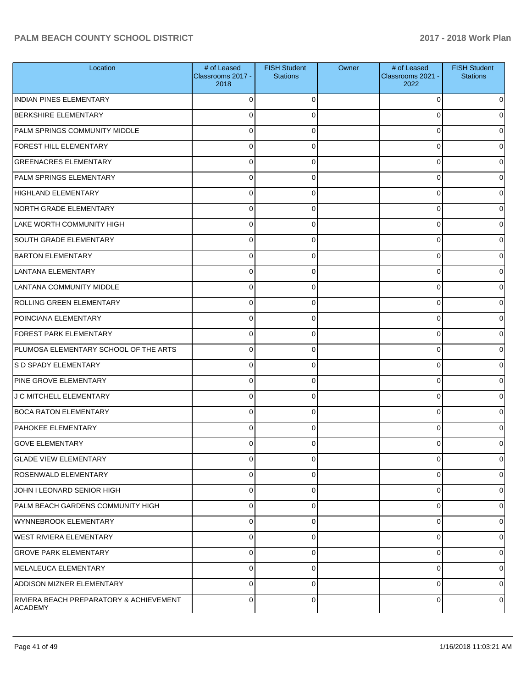| Location                                            | # of Leased<br>Classrooms 2017 -<br>2018 | <b>FISH Student</b><br><b>Stations</b> | Owner | # of Leased<br>Classrooms 2021 -<br>2022 | <b>FISH Student</b><br><b>Stations</b> |
|-----------------------------------------------------|------------------------------------------|----------------------------------------|-------|------------------------------------------|----------------------------------------|
| <b>INDIAN PINES ELEMENTARY</b>                      | $\Omega$                                 | $\Omega$                               |       | $\Omega$                                 | 0                                      |
| <b>BERKSHIRE ELEMENTARY</b>                         | $\Omega$                                 | 0                                      |       | 0                                        | 0                                      |
| PALM SPRINGS COMMUNITY MIDDLE                       | $\Omega$                                 | $\Omega$                               |       | 0                                        | O                                      |
| <b>FOREST HILL ELEMENTARY</b>                       | $\Omega$                                 | $\Omega$                               |       | 0                                        | 0                                      |
| <b>GREENACRES ELEMENTARY</b>                        | $\Omega$                                 | $\Omega$                               |       | 0                                        | 0                                      |
| PALM SPRINGS ELEMENTARY                             | $\Omega$                                 | $\Omega$                               |       | 0                                        | 0                                      |
| HIGHLAND ELEMENTARY                                 | $\Omega$                                 | $\Omega$                               |       | 0                                        | 0                                      |
| NORTH GRADE ELEMENTARY                              | $\Omega$                                 | $\Omega$                               |       | 0                                        | 0                                      |
| LAKE WORTH COMMUNITY HIGH                           | $\Omega$                                 | $\Omega$                               |       | 0                                        | 0                                      |
| <b>SOUTH GRADE ELEMENTARY</b>                       | $\Omega$                                 | $\Omega$                               |       | 0                                        | 0                                      |
| <b>BARTON ELEMENTARY</b>                            | $\Omega$                                 | $\Omega$                               |       | 0                                        | 0                                      |
| LANTANA ELEMENTARY                                  | $\Omega$                                 | $\Omega$                               |       | 0                                        | 0                                      |
| LANTANA COMMUNITY MIDDLE                            | $\Omega$                                 | $\Omega$                               |       | 0                                        | 0                                      |
| <b>ROLLING GREEN ELEMENTARY</b>                     | $\Omega$                                 | $\Omega$                               |       | 0                                        | 0                                      |
| POINCIANA ELEMENTARY                                | $\Omega$                                 | $\Omega$                               |       | 0                                        | 0                                      |
| <b>FOREST PARK ELEMENTARY</b>                       | $\Omega$                                 | $\Omega$                               |       | 0                                        | 0                                      |
| PLUMOSA ELEMENTARY SCHOOL OF THE ARTS               | $\Omega$                                 | $\Omega$                               |       | 0                                        | 0                                      |
| S D SPADY ELEMENTARY                                | $\Omega$                                 | $\Omega$                               |       | 0                                        | 0                                      |
| PINE GROVE ELEMENTARY                               | $\Omega$                                 | $\Omega$                               |       | 0                                        | 0                                      |
| J C MITCHELL ELEMENTARY                             | $\Omega$                                 | $\Omega$                               |       | 0                                        | 0                                      |
| <b>BOCA RATON ELEMENTARY</b>                        | $\Omega$                                 | $\Omega$                               |       | 0                                        | 0                                      |
| <b>PAHOKEE ELEMENTARY</b>                           | $\Omega$                                 | $\Omega$                               |       | 0                                        | 0                                      |
| <b>GOVE ELEMENTARY</b>                              | $\Omega$                                 |                                        |       |                                          | O                                      |
| <b>GLADE VIEW ELEMENTARY</b>                        | $\mathbf 0$                              | 0                                      |       | 0                                        | $\overline{0}$                         |
| <b>ROSENWALD ELEMENTARY</b>                         | $\mathbf 0$                              | 0                                      |       | 0                                        | 0                                      |
| JOHN I LEONARD SENIOR HIGH                          | $\mathbf 0$                              | $\Omega$                               |       | 0                                        | $\overline{0}$                         |
| PALM BEACH GARDENS COMMUNITY HIGH                   | $\mathbf 0$                              | 0                                      |       | 0                                        | $\overline{0}$                         |
| <b>WYNNEBROOK ELEMENTARY</b>                        | $\mathbf 0$                              | $\Omega$                               |       | 0                                        | $\mathbf 0$                            |
| WEST RIVIERA ELEMENTARY                             | $\mathbf 0$                              | 0                                      |       | 0                                        | $\overline{0}$                         |
| <b>GROVE PARK ELEMENTARY</b>                        | $\mathbf 0$                              | $\Omega$                               |       | 0                                        | $\mathbf 0$                            |
| MELALEUCA ELEMENTARY                                | $\mathbf 0$                              | 0                                      |       | 0                                        | $\overline{0}$                         |
| <b>ADDISON MIZNER ELEMENTARY</b>                    | $\Omega$                                 | $\Omega$                               |       | $\Omega$                                 | $\overline{0}$                         |
| RIVIERA BEACH PREPARATORY & ACHIEVEMENT<br> ACADEMY | $\mathbf 0$                              | 0                                      |       | 0                                        | 0                                      |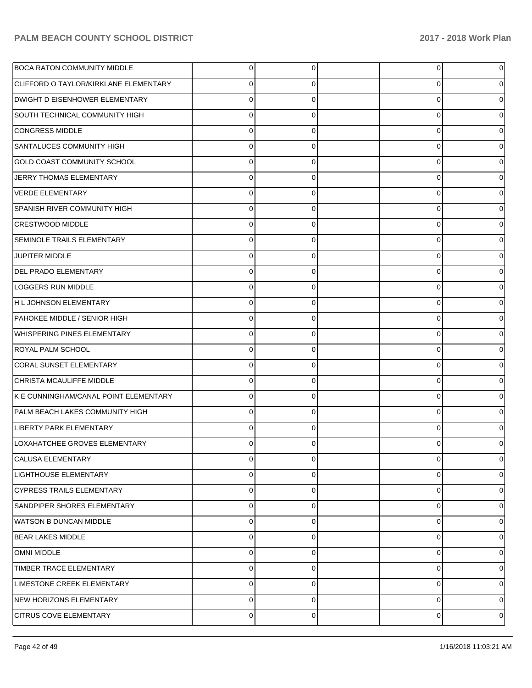| <b>BOCA RATON COMMUNITY MIDDLE</b>           | $\overline{0}$ | 0        | 0        | 0 |
|----------------------------------------------|----------------|----------|----------|---|
| <b>CLIFFORD O TAYLOR/KIRKLANE ELEMENTARY</b> | $\Omega$       | 0        | 0        | 0 |
| DWIGHT D EISENHOWER ELEMENTARY               | $\Omega$       | $\Omega$ | $\Omega$ |   |
| SOUTH TECHNICAL COMMUNITY HIGH               | $\Omega$       | $\Omega$ | 0        | 0 |
| <b>CONGRESS MIDDLE</b>                       | $\Omega$       | $\Omega$ | $\Omega$ |   |
| SANTALUCES COMMUNITY HIGH                    | $\Omega$       | $\Omega$ | 0        | 0 |
| <b>GOLD COAST COMMUNITY SCHOOL</b>           | $\Omega$       | $\Omega$ | 0        |   |
| JERRY THOMAS ELEMENTARY                      | $\Omega$       | $\Omega$ | $\Omega$ | 0 |
| <b>VERDE ELEMENTARY</b>                      | $\Omega$       | $\Omega$ | $\Omega$ |   |
| SPANISH RIVER COMMUNITY HIGH                 | $\Omega$       | $\Omega$ | 0        | 0 |
| <b>CRESTWOOD MIDDLE</b>                      | $\Omega$       | $\Omega$ | 0        |   |
| SEMINOLE TRAILS ELEMENTARY                   | $\Omega$       | 0        | 0        | 0 |
| <b>JUPITER MIDDLE</b>                        | $\Omega$       | $\Omega$ | $\Omega$ |   |
| DEL PRADO ELEMENTARY                         | $\Omega$       | 0        | 0        | 0 |
| LOGGERS RUN MIDDLE                           | $\Omega$       | $\Omega$ | 0        |   |
| H L JOHNSON ELEMENTARY                       | $\Omega$       | 0        | 0        | 0 |
| PAHOKEE MIDDLE / SENIOR HIGH                 | $\Omega$       | $\Omega$ | $\Omega$ |   |
| WHISPERING PINES ELEMENTARY                  | $\mathbf 0$    | 0        | 0        | 0 |
| <b>ROYAL PALM SCHOOL</b>                     | $\Omega$       | $\Omega$ | 0        |   |
| <b>CORAL SUNSET ELEMENTARY</b>               | $\Omega$       | $\Omega$ | 0        | 0 |
| CHRISTA MCAULIFFE MIDDLE                     | $\Omega$       | 0        | $\Omega$ |   |
| K E CUNNINGHAM/CANAL POINT ELEMENTARY        | $\mathbf{0}$   | $\Omega$ | 0        | 0 |
| PALM BEACH LAKES COMMUNITY HIGH              | $\Omega$       | $\Omega$ | 0        |   |
| LIBERTY PARK ELEMENTARY                      | $\Omega$       | 0        | 0        |   |
| LOXAHATCHEE GROVES ELEMENTARY                | $\Omega$       | 0        | ი        |   |
| CALUSA ELEMENTARY                            | $\overline{0}$ | 0        | 0        | 0 |
| <b>LIGHTHOUSE ELEMENTARY</b>                 | $\mathbf 0$    | $\Omega$ | 0        | 0 |
| <b>CYPRESS TRAILS ELEMENTARY</b>             | $\mathbf 0$    | $\Omega$ | 0        | 0 |
| SANDPIPER SHORES ELEMENTARY                  | $\mathbf 0$    | $\Omega$ | 0        | 0 |
| WATSON B DUNCAN MIDDLE                       | $\mathbf 0$    | $\Omega$ | 0        | 0 |
| <b>BEAR LAKES MIDDLE</b>                     | $\mathbf 0$    | $\Omega$ | 0        | 0 |
| <b>OMNI MIDDLE</b>                           | $\Omega$       | $\Omega$ | 0        | 0 |
| TIMBER TRACE ELEMENTARY                      | $\mathbf 0$    | $\Omega$ | 0        | 0 |
| LIMESTONE CREEK ELEMENTARY                   | $\mathbf 0$    | $\Omega$ | 0        | 0 |
| NEW HORIZONS ELEMENTARY                      | $\mathbf 0$    | $\Omega$ | 0        | 0 |
| <b>CITRUS COVE ELEMENTARY</b>                | $\mathbf{0}$   | 0        | 0        | 0 |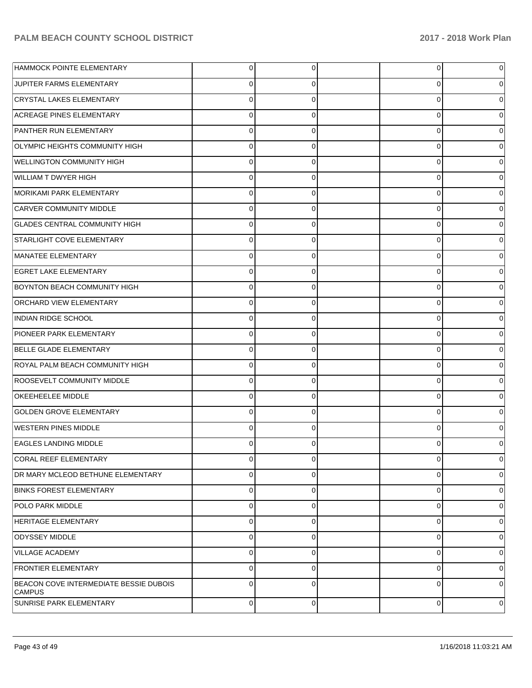| HAMMOCK POINTE ELEMENTARY                               | 0           | 0              | $\overline{0}$ | 0        |
|---------------------------------------------------------|-------------|----------------|----------------|----------|
| JUPITER FARMS ELEMENTARY                                | 0           | 0              | 0              | 0        |
| CRYSTAL LAKES ELEMENTARY                                | $\mathbf 0$ | 0              | 0              | 0        |
| <b>ACREAGE PINES ELEMENTARY</b>                         | 0           | 0              | 0              | 0        |
| PANTHER RUN ELEMENTARY                                  | $\mathbf 0$ | 0              | 0              | 0        |
| OLYMPIC HEIGHTS COMMUNITY HIGH                          | 0           | 0              | 0              | 0        |
| <b>WELLINGTON COMMUNITY HIGH</b>                        | $\mathbf 0$ | 0              | 0              | 0        |
| WILLIAM T DWYER HIGH                                    | 0           | 0              | 0              | 0        |
| MORIKAMI PARK ELEMENTARY                                | $\mathbf 0$ | 0              | 0              | 0        |
| CARVER COMMUNITY MIDDLE                                 | 0           | 0              | 0              | 0        |
| <b>GLADES CENTRAL COMMUNITY HIGH</b>                    | $\mathbf 0$ | 0              | 0              | 0        |
| STARLIGHT COVE ELEMENTARY                               | 0           | 0              | 0              | 0        |
| MANATEE ELEMENTARY                                      | $\mathbf 0$ | 0              | 0              | 0        |
| <b>EGRET LAKE ELEMENTARY</b>                            | 0           | 0              | 0              | 0        |
| <b>BOYNTON BEACH COMMUNITY HIGH</b>                     | $\mathbf 0$ | 0              | 0              | 0        |
| <b>ORCHARD VIEW ELEMENTARY</b>                          | 0           | 0              | 0              | 0        |
| INDIAN RIDGE SCHOOL                                     | $\mathbf 0$ | 0              | 0              | 0        |
| <b>PIONEER PARK ELEMENTARY</b>                          | 0           | 0              | 0              | 0        |
| <b>BELLE GLADE ELEMENTARY</b>                           | $\mathbf 0$ | 0              | 0              | 0        |
| ROYAL PALM BEACH COMMUNITY HIGH                         | 0           | 0              | 0              | 0        |
| ROOSEVELT COMMUNITY MIDDLE                              | $\mathbf 0$ | 0              | 0              | 0        |
| <b>OKEEHEELEE MIDDLE</b>                                | 0           | 0              | 0              | 0        |
| <b>GOLDEN GROVE ELEMENTARY</b>                          | $\mathbf 0$ | 0              | 0              | 0        |
| <b>WESTERN PINES MIDDLE</b>                             | 0           | 0              | 0              | 0        |
| <b>EAGLES LANDING MIDDLE</b>                            | O           | 0              | 0              | 0        |
| <b>CORAL REEF ELEMENTARY</b>                            | 0           | $\overline{0}$ | $\overline{0}$ | 0        |
| DR MARY MCLEOD BETHUNE ELEMENTARY                       | 0           | 0              | 0              | 0        |
| <b>BINKS FOREST ELEMENTARY</b>                          | 0           | $\Omega$       | $\mathbf 0$    | 0        |
| <b>POLO PARK MIDDLE</b>                                 | 0           | 0              | 0              | 0        |
| <b>HERITAGE ELEMENTARY</b>                              | 0           | 0              | $\mathbf 0$    | 0        |
| ODYSSEY MIDDLE                                          | 0           | 0              | 0              | 0        |
| VILLAGE ACADEMY                                         | 0           | 0              | 0              | 0        |
| <b>FRONTIER ELEMENTARY</b>                              | 0           | 0              | 0              | 0        |
| BEACON COVE INTERMEDIATE BESSIE DUBOIS<br><b>CAMPUS</b> | $\Omega$    | $\Omega$       | $\mathbf 0$    | $\Omega$ |
| SUNRISE PARK ELEMENTARY                                 | $\mathbf 0$ | $\Omega$       | $\mathbf{0}$   | 0        |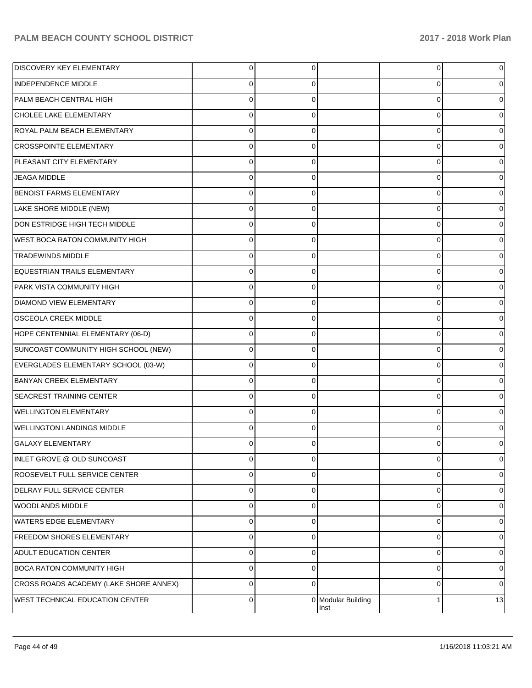| <b>DISCOVERY KEY ELEMENTARY</b>        | $\overline{0}$ | 0        |                            | $\overline{0}$ |          |
|----------------------------------------|----------------|----------|----------------------------|----------------|----------|
| <b>INDEPENDENCE MIDDLE</b>             | 0              | 0        |                            | 0              |          |
| PALM BEACH CENTRAL HIGH                | $\mathbf 0$    | $\Omega$ |                            | $\Omega$       |          |
| CHOLEE LAKE ELEMENTARY                 | $\mathbf 0$    | 0        |                            | 0              |          |
| ROYAL PALM BEACH ELEMENTARY            | $\Omega$       | $\Omega$ |                            | $\Omega$       |          |
| <b>CROSSPOINTE ELEMENTARY</b>          | $\mathbf 0$    | $\Omega$ |                            | 0              |          |
| PLEASANT CITY ELEMENTARY               | $\mathbf 0$    | $\Omega$ |                            | $\Omega$       |          |
| <b>JEAGA MIDDLE</b>                    | $\mathbf 0$    | 0        |                            | 0              |          |
| <b>BENOIST FARMS ELEMENTARY</b>        | $\Omega$       | $\Omega$ |                            | $\Omega$       |          |
| LAKE SHORE MIDDLE (NEW)                | $\mathbf 0$    | $\Omega$ |                            | 0              |          |
| DON ESTRIDGE HIGH TECH MIDDLE          | $\Omega$       | $\Omega$ |                            | $\Omega$       |          |
| WEST BOCA RATON COMMUNITY HIGH         | $\mathbf 0$    | 0        |                            | 0              |          |
| <b>TRADEWINDS MIDDLE</b>               | $\Omega$       | $\Omega$ |                            | $\Omega$       |          |
| EQUESTRIAN TRAILS ELEMENTARY           | $\mathbf 0$    | $\Omega$ |                            | 0              |          |
| PARK VISTA COMMUNITY HIGH              | $\mathbf 0$    | $\Omega$ |                            | $\Omega$       |          |
| <b>DIAMOND VIEW ELEMENTARY</b>         | $\mathbf 0$    | 0        |                            | 0              |          |
| <b>OSCEOLA CREEK MIDDLE</b>            | $\Omega$       | $\Omega$ |                            | $\Omega$       |          |
| HOPE CENTENNIAL ELEMENTARY (06-D)      | $\mathbf 0$    | $\Omega$ |                            | 0              |          |
| SUNCOAST COMMUNITY HIGH SCHOOL (NEW)   | $\mathbf 0$    | $\Omega$ |                            | $\Omega$       |          |
| EVERGLADES ELEMENTARY SCHOOL (03-W)    | $\mathbf 0$    | 0        |                            | 0              |          |
| <b>BANYAN CREEK ELEMENTARY</b>         | $\mathbf 0$    | 0        |                            | $\Omega$       |          |
| SEACREST TRAINING CENTER               | $\mathbf 0$    | $\Omega$ |                            | 0              |          |
| <b>WELLINGTON ELEMENTARY</b>           | $\Omega$       | 0        |                            | $\Omega$       |          |
| <b>WELLINGTON LANDINGS MIDDLE</b>      | $\mathbf 0$    | $\Omega$ |                            | $\Omega$       |          |
| <b>GALAXY ELEMENTARY</b>               | 0              | 0        |                            | 0              |          |
| INLET GROVE @ OLD SUNCOAST             | $\overline{0}$ | 0        |                            | 0              | 0        |
| ROOSEVELT FULL SERVICE CENTER          | $\overline{0}$ | 0        |                            | 0              | 0        |
| DELRAY FULL SERVICE CENTER             | $\overline{0}$ | 0        |                            | 0              | $\Omega$ |
| <b>WOODLANDS MIDDLE</b>                | $\overline{0}$ | 0        |                            | 0              | 0        |
| <b>WATERS EDGE ELEMENTARY</b>          | $\mathbf 0$    | $\Omega$ |                            | 0              | $\Omega$ |
| FREEDOM SHORES ELEMENTARY              | $\overline{0}$ | 0        |                            | 0              | 0        |
| ADULT EDUCATION CENTER                 | $\mathbf 0$    | $\Omega$ |                            | 0              | $\Omega$ |
| <b>BOCA RATON COMMUNITY HIGH</b>       | $\overline{0}$ | 0        |                            | 0              | 0        |
| CROSS ROADS ACADEMY (LAKE SHORE ANNEX) | $\mathbf 0$    | $\Omega$ |                            | $\Omega$       | 0        |
| WEST TECHNICAL EDUCATION CENTER        | $\mathbf 0$    |          | 0 Modular Building<br>Inst | 1              | 13       |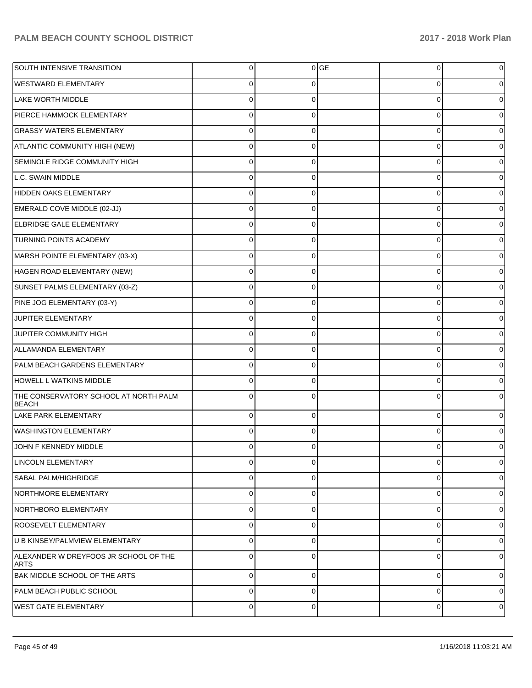| SOUTH INTENSIVE TRANSITION                            | 0           |             | $0$ GE | 0           | 0           |
|-------------------------------------------------------|-------------|-------------|--------|-------------|-------------|
| <b>WESTWARD ELEMENTARY</b>                            | 0           | 0           |        | 0           |             |
| LAKE WORTH MIDDLE                                     | 0           | 0           |        | 0           |             |
| PIERCE HAMMOCK ELEMENTARY                             | 0           | 0           |        | 0           | 0           |
| <b>GRASSY WATERS ELEMENTARY</b>                       | 0           | 0           |        | 0           |             |
| ATLANTIC COMMUNITY HIGH (NEW)                         | 0           | 0           |        | 0           | 0           |
| SEMINOLE RIDGE COMMUNITY HIGH                         | 0           | 0           |        | 0           |             |
| L.C. SWAIN MIDDLE                                     | 0           | 0           |        | 0           | 0           |
| HIDDEN OAKS ELEMENTARY                                | $\Omega$    | 0           |        | 0           |             |
| EMERALD COVE MIDDLE (02-JJ)                           | 0           | 0           |        | 0           | 0           |
| <b>ELBRIDGE GALE ELEMENTARY</b>                       | 0           | 0           |        | 0           |             |
| <b>TURNING POINTS ACADEMY</b>                         | 0           | 0           |        | 0           | 0           |
| MARSH POINTE ELEMENTARY (03-X)                        | 0           | 0           |        | 0           |             |
| HAGEN ROAD ELEMENTARY (NEW)                           | 0           | 0           |        | 0           | 0           |
| SUNSET PALMS ELEMENTARY (03-Z)                        | $\Omega$    | 0           |        | 0           |             |
| PINE JOG ELEMENTARY (03-Y)                            | 0           | 0           |        | 0           | 0           |
| JUPITER ELEMENTARY                                    | $\Omega$    | 0           |        | 0           |             |
| JUPITER COMMUNITY HIGH                                | 0           | 0           |        | 0           | 0           |
| ALLAMANDA ELEMENTARY                                  | 0           | 0           |        | 0           |             |
| PALM BEACH GARDENS ELEMENTARY                         | 0           | 0           |        | 0           | 0           |
| HOWELL L WATKINS MIDDLE                               | $\Omega$    | 0           |        | 0           |             |
| THE CONSERVATORY SCHOOL AT NORTH PALM<br><b>BEACH</b> | $\Omega$    | 0           |        | 0           |             |
| LAKE PARK ELEMENTARY                                  | $\Omega$    | $\Omega$    |        | $\mathbf 0$ |             |
| <b>WASHINGTON ELEMENTARY</b>                          | $\Omega$    | 0           |        | $\Omega$    |             |
| JOHN F KENNEDY MIDDLE                                 | 0           | 0           |        | 0           | 0           |
| <b>LINCOLN ELEMENTARY</b>                             | 0           | $\mathbf 0$ |        | $\mathbf 0$ | $\mathbf 0$ |
| <b>SABAL PALM/HIGHRIDGE</b>                           | 0           | $\mathbf 0$ |        | $\mathbf 0$ | 0           |
| NORTHMORE ELEMENTARY                                  | 0           | $\mathbf 0$ |        | $\mathbf 0$ | 0           |
| NORTHBORO ELEMENTARY                                  | 0           | $\mathbf 0$ |        | $\mathbf 0$ | 0           |
| ROOSEVELT ELEMENTARY                                  | 0           | $\mathbf 0$ |        | $\mathbf 0$ | 0           |
| U B KINSEY/PALMVIEW ELEMENTARY                        | 0           | $\mathbf 0$ |        | 0           | 0           |
| ALEXANDER W DREYFOOS JR SCHOOL OF THE<br><b>ARTS</b>  | $\Omega$    | 0           |        | 0           | 0           |
| BAK MIDDLE SCHOOL OF THE ARTS                         | $\mathbf 0$ | 0           |        | 0           | 0           |
| PALM BEACH PUBLIC SCHOOL                              | 0           | 0           |        | 0           | 0           |
| <b>WEST GATE ELEMENTARY</b>                           | 0           | 0           |        | 0           | 0           |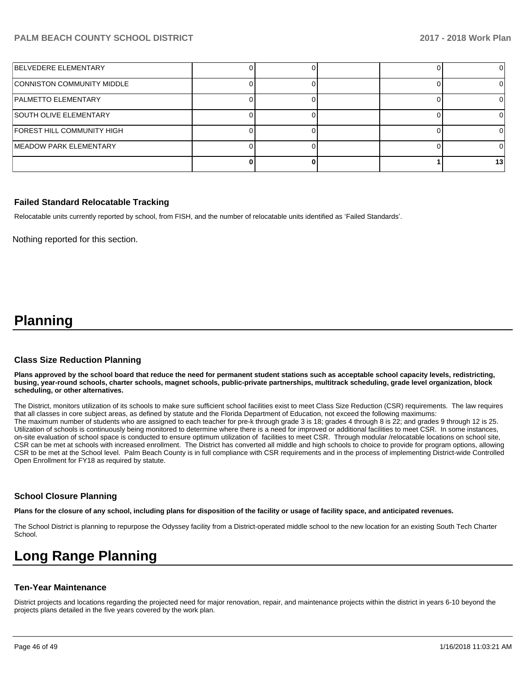| BELVEDERE ELEMENTARY          |  |  |     |
|-------------------------------|--|--|-----|
| CONNISTON COMMUNITY MIDDLE    |  |  |     |
| PALMETTO ELEMENTARY           |  |  |     |
| <b>SOUTH OLIVE ELEMENTARY</b> |  |  |     |
| FOREST HILL COMMUNITY HIGH    |  |  |     |
| MEADOW PARK ELEMENTARY        |  |  |     |
|                               |  |  | 131 |

#### **Failed Standard Relocatable Tracking**

Relocatable units currently reported by school, from FISH, and the number of relocatable units identified as 'Failed Standards'.

Nothing reported for this section.

## **Planning**

#### **Class Size Reduction Planning**

**Plans approved by the school board that reduce the need for permanent student stations such as acceptable school capacity levels, redistricting, busing, year-round schools, charter schools, magnet schools, public-private partnerships, multitrack scheduling, grade level organization, block scheduling, or other alternatives.**

The District, monitors utilization of its schools to make sure sufficient school facilities exist to meet Class Size Reduction (CSR) requirements. The law requires that all classes in core subject areas, as defined by statute and the Florida Department of Education, not exceed the following maximums: The maximum number of students who are assigned to each teacher for pre-k through grade 3 is 18; grades 4 through 8 is 22; and grades 9 through 12 is 25. Utilization of schools is continuously being monitored to determine where there is a need for improved or additional facilities to meet CSR. In some instances, on-site evaluation of school space is conducted to ensure optimum utilization of facilities to meet CSR. Through modular /relocatable locations on school site, CSR can be met at schools with increased enrollment. The District has converted all middle and high schools to choice to provide for program options, allowing CSR to be met at the School level. Palm Beach County is in full compliance with CSR requirements and in the process of implementing District-wide Controlled Open Enrollment for FY18 as required by statute.

#### **School Closure Planning**

**Plans for the closure of any school, including plans for disposition of the facility or usage of facility space, and anticipated revenues.** 

The School District is planning to repurpose the Odyssey facility from a District-operated middle school to the new location for an existing South Tech Charter School.

# **Long Range Planning**

#### **Ten-Year Maintenance**

District projects and locations regarding the projected need for major renovation, repair, and maintenance projects within the district in years 6-10 beyond the projects plans detailed in the five years covered by the work plan.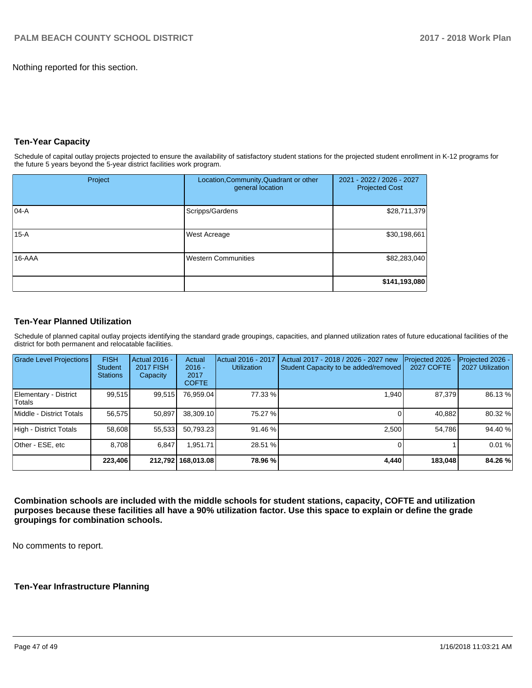Nothing reported for this section.

#### **Ten-Year Capacity**

Schedule of capital outlay projects projected to ensure the availability of satisfactory student stations for the projected student enrollment in K-12 programs for the future 5 years beyond the 5-year district facilities work program.

| Project | Location, Community, Quadrant or other<br>general location | 2021 - 2022 / 2026 - 2027<br><b>Projected Cost</b> |
|---------|------------------------------------------------------------|----------------------------------------------------|
| 104-A   | Scripps/Gardens                                            | \$28,711,379                                       |
| $15-A$  | <b>West Acreage</b>                                        | \$30,198,661                                       |
| 16-AAA  | <b>Western Communities</b>                                 | \$82,283,040                                       |
|         |                                                            | \$141,193,080                                      |

#### **Ten-Year Planned Utilization**

Schedule of planned capital outlay projects identifying the standard grade groupings, capacities, and planned utilization rates of future educational facilities of the district for both permanent and relocatable facilities.

| <b>Grade Level Projections</b>  | <b>FISH</b><br><b>Student</b><br><b>Stations</b> | Actual 2016 -<br><b>2017 FISH</b><br>Capacity | Actual<br>$2016 -$<br>2017<br><b>COFTE</b> | Actual 2016 - 2017<br><b>Utilization</b> | Actual 2017 - 2018 / 2026 - 2027 new<br>Student Capacity to be added/removed | Projected 2026<br>2027 COFTE | Projected 2026 -<br>2027 Utilization |
|---------------------------------|--------------------------------------------------|-----------------------------------------------|--------------------------------------------|------------------------------------------|------------------------------------------------------------------------------|------------------------------|--------------------------------------|
| Elementary - District<br>Totals | 99,515                                           | 99,515                                        | 76.959.04                                  | 77.33 %                                  | 1.940                                                                        | 87.379                       | 86.13 %                              |
| Middle - District Totals        | 56.575                                           | 50.897                                        | 38.309.10                                  | 75.27 %                                  |                                                                              | 40.882                       | 80.32 %                              |
| High - District Totals          | 58.608                                           | 55,533                                        | 50.793.23                                  | 91.46 %                                  | 2.500                                                                        | 54.786                       | 94.40 %                              |
| Other - ESE, etc                | 8.708                                            | 6.847                                         | .951.71                                    | 28.51 %                                  |                                                                              |                              | 0.01%                                |
|                                 | 223,406                                          |                                               | 212.792 168.013.08                         | 78.96 %                                  | 4.440                                                                        | 183.048                      | 84.26 %                              |

**Combination schools are included with the middle schools for student stations, capacity, COFTE and utilization purposes because these facilities all have a 90% utilization factor. Use this space to explain or define the grade groupings for combination schools.** 

No comments to report.

#### **Ten-Year Infrastructure Planning**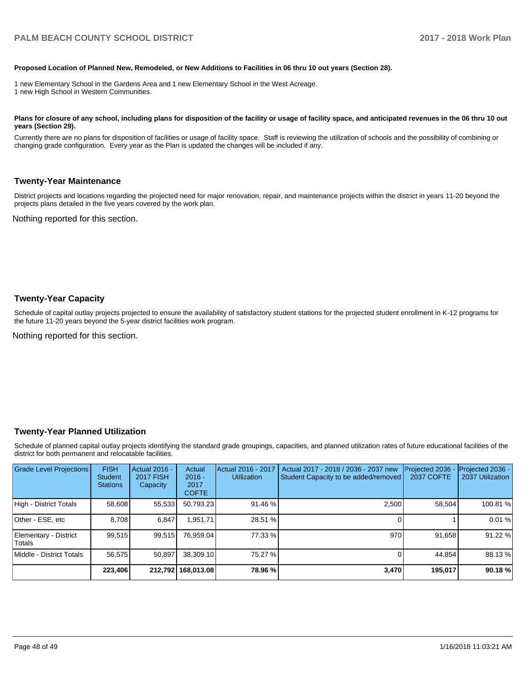#### **Proposed Location of Planned New, Remodeled, or New Additions to Facilities in 06 thru 10 out years (Section 28).**

1 new Elementary School in the Gardens Area and 1 new Elementary School in the West Acreage. 1 new High School in Western Communities.

#### Plans for closure of any school, including plans for disposition of the facility or usage of facility space, and anticipated revenues in the 06 thru 10 out **years (Section 29).**

Currently there are no plans for disposition of facilities or usage of facility space. Staff is reviewing the utilization of schools and the possibility of combining or changing grade configuration. Every year as the Plan is updated the changes will be included if any.

#### **Twenty-Year Maintenance**

District projects and locations regarding the projected need for major renovation, repair, and maintenance projects within the district in years 11-20 beyond the projects plans detailed in the five years covered by the work plan.

Nothing reported for this section.

#### **Twenty-Year Capacity**

Schedule of capital outlay projects projected to ensure the availability of satisfactory student stations for the projected student enrollment in K-12 programs for the future 11-20 years beyond the 5-year district facilities work program.

Nothing reported for this section.

#### **Twenty-Year Planned Utilization**

Schedule of planned capital outlay projects identifying the standard grade groupings, capacities, and planned utilization rates of future educational facilities of the district for both permanent and relocatable facilities.

| <b>Grade Level Projections</b>   | <b>FISH</b><br><b>Student</b><br><b>Stations</b> | <b>Actual 2016 -</b><br><b>2017 FISH</b><br>Capacity | Actual<br>$2016 -$<br>2017<br><b>COFTE</b> | Actual 2016 - 2017<br><b>Utilization</b> | Actual 2017 - 2018 / 2036 - 2037 new<br>Student Capacity to be added/removed | Projected 2036<br>2037 COFTE | Projected 2036 -<br>2037 Utilization |
|----------------------------------|--------------------------------------------------|------------------------------------------------------|--------------------------------------------|------------------------------------------|------------------------------------------------------------------------------|------------------------------|--------------------------------------|
| High - District Totals           | 58,608                                           | 55,533                                               | 50,793.23                                  | 91.46 %                                  | 2.500                                                                        | 58.504                       | 100.81%                              |
| Other - ESE, etc                 | 8.708                                            | 6.847                                                | .951.71                                    | 28.51 %                                  |                                                                              |                              | 0.01%                                |
| Elementary - District<br> Totals | 99,515                                           | 99,515                                               | 76.959.04                                  | 77.33 %                                  | 970                                                                          | 91,658                       | 91.22 %                              |
| Middle - District Totals         | 56,575                                           | 50.897                                               | 38,309.10                                  | 75.27 %                                  |                                                                              | 44.854                       | 88.13%                               |
|                                  | 223,406                                          |                                                      | 212,792 168,013.08                         | 78.96 %                                  | 3,470                                                                        | 195,017                      | 90.18%                               |